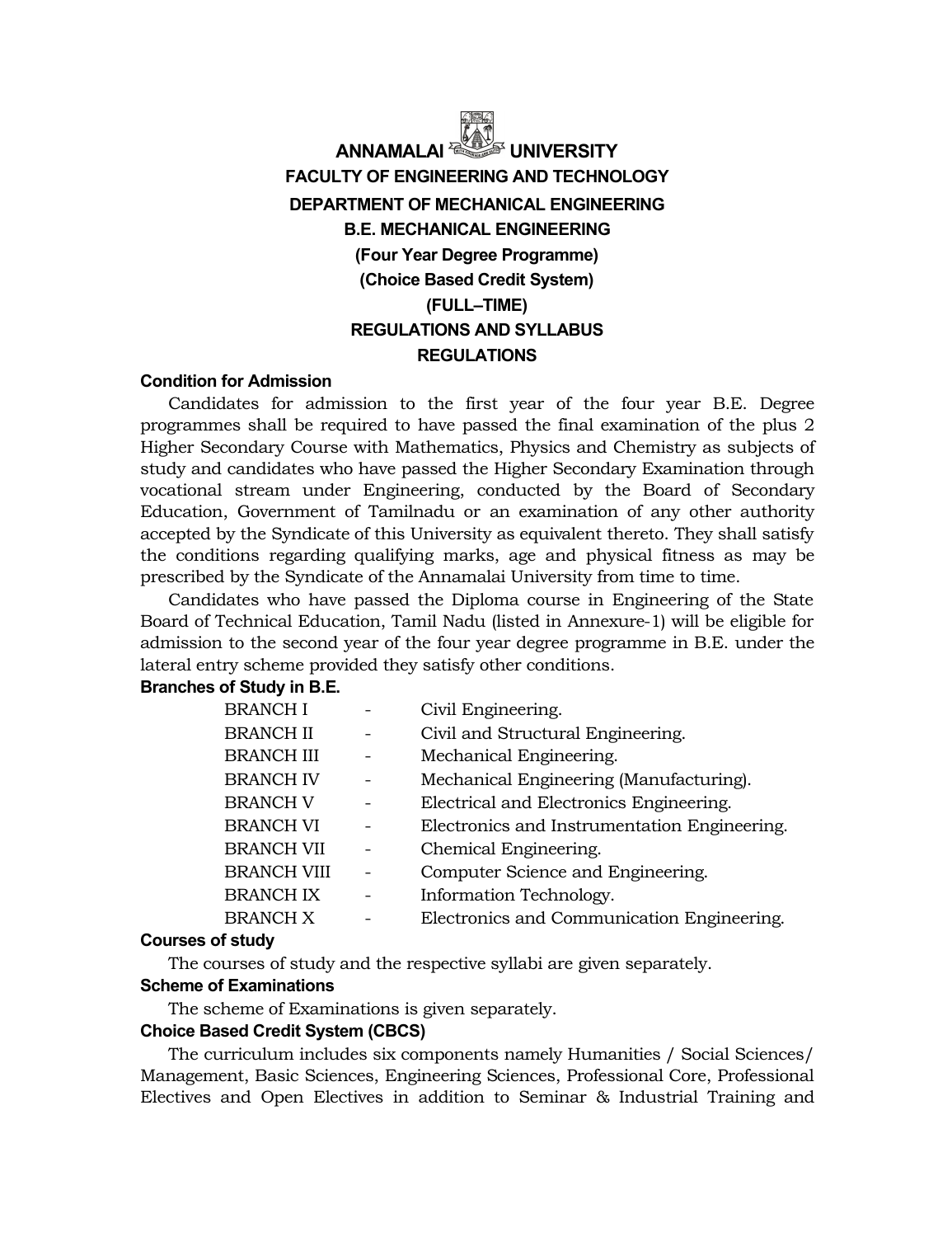# **ANNAMALAI FACULTY OF ENGINEERING AND TECHNOLOGY DEPARTMENT OF MECHANICAL ENGINEERING B.E. MECHANICAL ENGINEERING (Four Year Degree Programme) (Choice Based Credit System) (FULL–TIME) REGULATIONS AND SYLLABUS REGULATIONS**

#### **Condition for Admission**

Candidates for admission to the first year of the four year B.E. Degree programmes shall be required to have passed the final examination of the plus 2 Higher Secondary Course with Mathematics, Physics and Chemistry as subjects of study and candidates who have passed the Higher Secondary Examination through vocational stream under Engineering, conducted by the Board of Secondary Education, Government of Tamilnadu or an examination of any other authority accepted by the Syndicate of this University as equivalent thereto. They shall satisfy the conditions regarding qualifying marks, age and physical fitness as may be prescribed by the Syndicate of the Annamalai University from time to time.

Candidates who have passed the Diploma course in Engineering of the State Board of Technical Education, Tamil Nadu (listed in Annexure-1) will be eligible for admission to the second year of the four year degree programme in B.E. under the lateral entry scheme provided they satisfy other conditions.

#### **Branches of Study in B.E.**

| <b>BRANCH I</b>    | Civil Engineering.                           |
|--------------------|----------------------------------------------|
| <b>BRANCH II</b>   | Civil and Structural Engineering.            |
| <b>BRANCH III</b>  | Mechanical Engineering.                      |
| <b>BRANCH IV</b>   | Mechanical Engineering (Manufacturing).      |
| <b>BRANCH V</b>    | Electrical and Electronics Engineering.      |
| <b>BRANCH VI</b>   | Electronics and Instrumentation Engineering. |
| BRANCH VII         | Chemical Engineering.                        |
| <b>BRANCH VIII</b> | Computer Science and Engineering.            |
| <b>BRANCH IX</b>   | Information Technology.                      |
| <b>BRANCH X</b>    | Electronics and Communication Engineering.   |
|                    |                                              |

#### **Courses of study**

The courses of study and the respective syllabi are given separately.

# **Scheme of Examinations**

The scheme of Examinations is given separately.

#### **Choice Based Credit System (CBCS)**

The curriculum includes six components namely Humanities / Social Sciences/ Management, Basic Sciences, Engineering Sciences, Professional Core, Professional Electives and Open Electives in addition to Seminar & Industrial Training and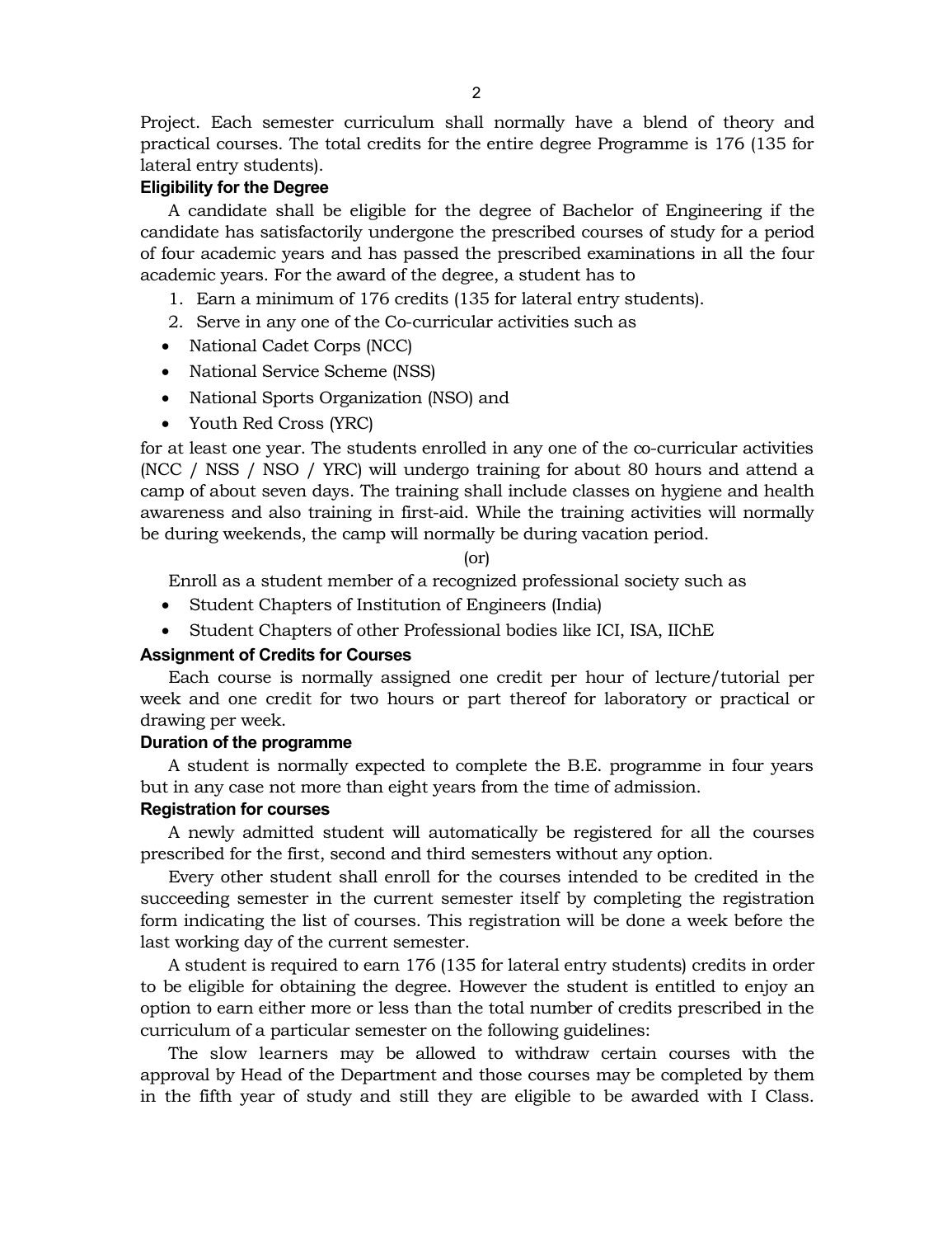Project. Each semester curriculum shall normally have a blend of theory and practical courses. The total credits for the entire degree Programme is 176 (135 for lateral entry students).

#### **Eligibility for the Degree**

A candidate shall be eligible for the degree of Bachelor of Engineering if the candidate has satisfactorily undergone the prescribed courses of study for a period of four academic years and has passed the prescribed examinations in all the four academic years. For the award of the degree, a student has to

- 1. Earn a minimum of 176 credits (135 for lateral entry students).
- 2. Serve in any one of the Co-curricular activities such as
- National Cadet Corps (NCC)
- National Service Scheme (NSS)
- National Sports Organization (NSO) and
- Youth Red Cross (YRC)

for at least one year. The students enrolled in any one of the co-curricular activities (NCC / NSS / NSO / YRC) will undergo training for about 80 hours and attend a camp of about seven days. The training shall include classes on hygiene and health awareness and also training in first-aid. While the training activities will normally be during weekends, the camp will normally be during vacation period.

(or)

Enroll as a student member of a recognized professional society such as

- Student Chapters of Institution of Engineers (India)
- Student Chapters of other Professional bodies like ICI, ISA, IIChE

#### **Assignment of Credits for Courses**

Each course is normally assigned one credit per hour of lecture/tutorial per week and one credit for two hours or part thereof for laboratory or practical or drawing per week.

#### **Duration of the programme**

A student is normally expected to complete the B.E. programme in four years but in any case not more than eight years from the time of admission.

#### **Registration for courses**

A newly admitted student will automatically be registered for all the courses prescribed for the first, second and third semesters without any option.

Every other student shall enroll for the courses intended to be credited in the succeeding semester in the current semester itself by completing the registration form indicating the list of courses. This registration will be done a week before the last working day of the current semester.

A student is required to earn 176 (135 for lateral entry students) credits in order to be eligible for obtaining the degree. However the student is entitled to enjoy an option to earn either more or less than the total number of credits prescribed in the curriculum of a particular semester on the following guidelines:

The slow learners may be allowed to withdraw certain courses with the approval by Head of the Department and those courses may be completed by them in the fifth year of study and still they are eligible to be awarded with I Class.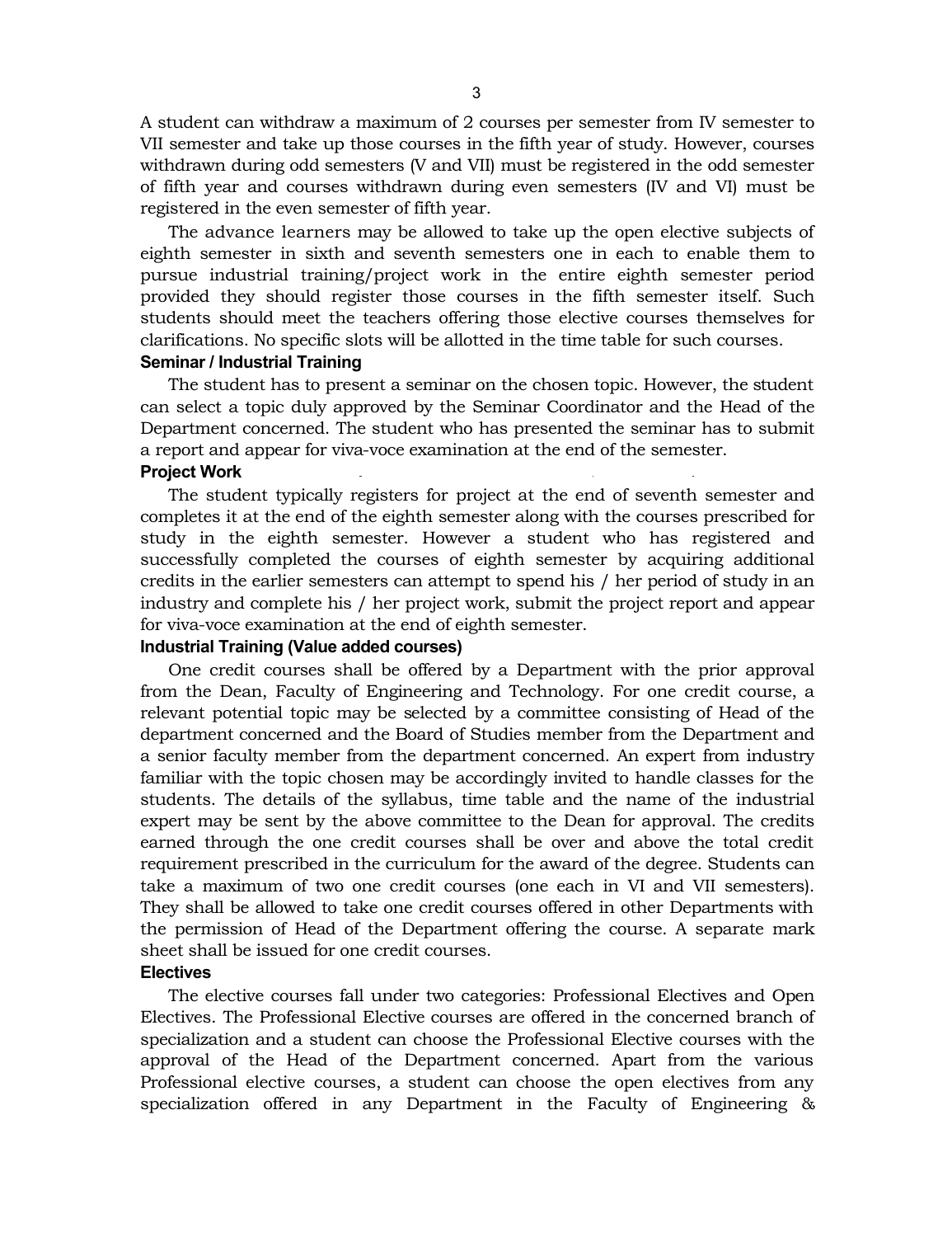A student can withdraw a maximum of 2 courses per semester from IV semester to VII semester and take up those courses in the fifth year of study. However, courses withdrawn during odd semesters (V and VII) must be registered in the odd semester of fifth year and courses withdrawn during even semesters (IV and VI) must be registered in the even semester of fifth year.

The advance learners may be allowed to take up the open elective subjects of eighth semester in sixth and seventh semesters one in each to enable them to pursue industrial training/project work in the entire eighth semester period provided they should register those courses in the fifth semester itself. Such students should meet the teachers offering those elective courses themselves for clarifications. No specific slots will be allotted in the time table for such courses.

#### **Seminar / Industrial Training**

The student has to present a seminar on the chosen topic. However, the student can select a topic duly approved by the Seminar Coordinator and the Head of the Department concerned. The student who has presented the seminar has to submit a report and appear for viva-voce examination at the end of the semester.

#### **Project Work**

The student typically registers for project at the end of seventh semester and completes it at the end of the eighth semester along with the courses prescribed for study in the eighth semester. However a student who has registered and successfully completed the courses of eighth semester by acquiring additional credits in the earlier semesters can attempt to spend his / her period of study in an industry and complete his / her project work, submit the project report and appear for viva-voce examination at the end of eighth semester.

#### **Industrial Training (Value added courses)**

One credit courses shall be offered by a Department with the prior approval from the Dean, Faculty of Engineering and Technology. For one credit course, a relevant potential topic may be selected by a committee consisting of Head of the department concerned and the Board of Studies member from the Department and a senior faculty member from the department concerned. An expert from industry familiar with the topic chosen may be accordingly invited to handle classes for the students. The details of the syllabus, time table and the name of the industrial expert may be sent by the above committee to the Dean for approval. The credits earned through the one credit courses shall be over and above the total credit requirement prescribed in the curriculum for the award of the degree. Students can take a maximum of two one credit courses (one each in VI and VII semesters). They shall be allowed to take one credit courses offered in other Departments with the permission of Head of the Department offering the course. A separate mark sheet shall be issued for one credit courses.

#### **Electives**

The elective courses fall under two categories: Professional Electives and Open Electives. The Professional Elective courses are offered in the concerned branch of specialization and a student can choose the Professional Elective courses with the approval of the Head of the Department concerned. Apart from the various Professional elective courses, a student can choose the open electives from any specialization offered in any Department in the Faculty of Engineering &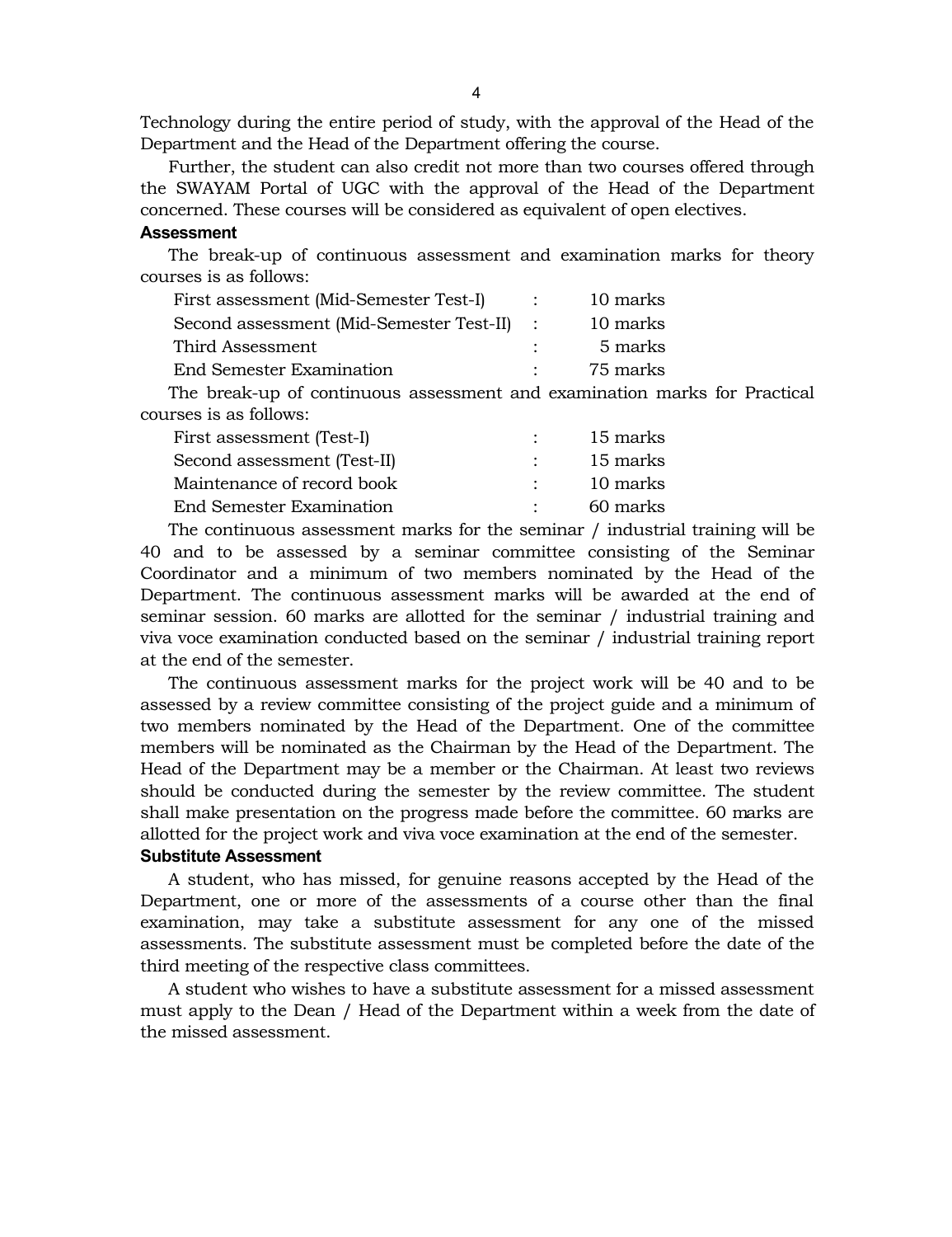Technology during the entire period of study, with the approval of the Head of the Department and the Head of the Department offering the course.

Further, the student can also credit not more than two courses offered through the SWAYAM Portal of UGC with the approval of the Head of the Department concerned. These courses will be considered as equivalent of open electives.

#### **Assessment**

The break-up of continuous assessment and examination marks for theory courses is as follows:

| First assessment (Mid-Semester Test-I)     | 10 marks |
|--------------------------------------------|----------|
| Second assessment (Mid-Semester Test-II) : | 10 marks |
| Third Assessment                           | 5 marks  |
| <b>End Semester Examination</b>            | 75 marks |

The break-up of continuous assessment and examination marks for Practical courses is as follows:

| First assessment (Test-I)       |        | 15 marks |
|---------------------------------|--------|----------|
| Second assessment (Test-II)     | $\sim$ | 15 marks |
| Maintenance of record book      |        | 10 marks |
| <b>End Semester Examination</b> |        | 60 marks |

The continuous assessment marks for the seminar / industrial training will be 40 and to be assessed by a seminar committee consisting of the Seminar Coordinator and a minimum of two members nominated by the Head of the Department. The continuous assessment marks will be awarded at the end of seminar session. 60 marks are allotted for the seminar / industrial training and viva voce examination conducted based on the seminar / industrial training report at the end of the semester.

The continuous assessment marks for the project work will be 40 and to be assessed by a review committee consisting of the project guide and a minimum of two members nominated by the Head of the Department. One of the committee members will be nominated as the Chairman by the Head of the Department. The Head of the Department may be a member or the Chairman. At least two reviews should be conducted during the semester by the review committee. The student shall make presentation on the progress made before the committee. 60 marks are allotted for the project work and viva voce examination at the end of the semester.

#### **Substitute Assessment**

A student, who has missed, for genuine reasons accepted by the Head of the Department, one or more of the assessments of a course other than the final examination, may take a substitute assessment for any one of the missed assessments. The substitute assessment must be completed before the date of the third meeting of the respective class committees.

A student who wishes to have a substitute assessment for a missed assessment must apply to the Dean / Head of the Department within a week from the date of the missed assessment.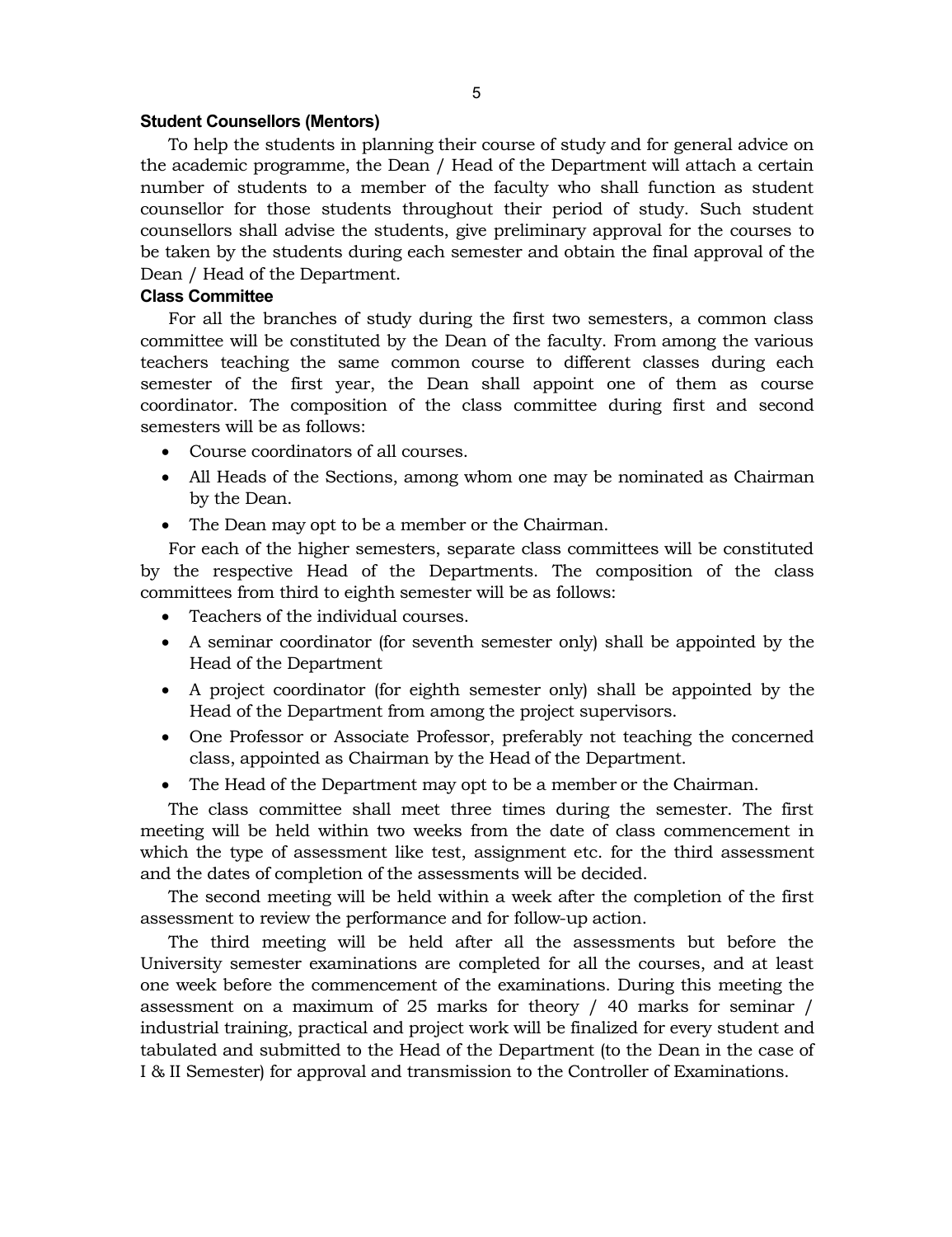#### 5

#### **Student Counsellors (Mentors)**

To help the students in planning their course of study and for general advice on the academic programme, the Dean / Head of the Department will attach a certain number of students to a member of the faculty who shall function as student counsellor for those students throughout their period of study. Such student counsellors shall advise the students, give preliminary approval for the courses to be taken by the students during each semester and obtain the final approval of the Dean / Head of the Department.

#### **Class Committee**

For all the branches of study during the first two semesters, a common class committee will be constituted by the Dean of the faculty. From among the various teachers teaching the same common course to different classes during each semester of the first year, the Dean shall appoint one of them as course coordinator. The composition of the class committee during first and second semesters will be as follows:

- Course coordinators of all courses.
- All Heads of the Sections, among whom one may be nominated as Chairman by the Dean.
- The Dean may opt to be a member or the Chairman.

For each of the higher semesters, separate class committees will be constituted by the respective Head of the Departments. The composition of the class committees from third to eighth semester will be as follows:

- Teachers of the individual courses.
- A seminar coordinator (for seventh semester only) shall be appointed by the Head of the Department
- A project coordinator (for eighth semester only) shall be appointed by the Head of the Department from among the project supervisors.
- One Professor or Associate Professor, preferably not teaching the concerned class, appointed as Chairman by the Head of the Department.
- The Head of the Department may opt to be a member or the Chairman.

The class committee shall meet three times during the semester. The first meeting will be held within two weeks from the date of class commencement in which the type of assessment like test, assignment etc. for the third assessment and the dates of completion of the assessments will be decided.

The second meeting will be held within a week after the completion of the first assessment to review the performance and for follow-up action.

The third meeting will be held after all the assessments but before the University semester examinations are completed for all the courses, and at least one week before the commencement of the examinations. During this meeting the assessment on a maximum of 25 marks for theory / 40 marks for seminar / industrial training, practical and project work will be finalized for every student and tabulated and submitted to the Head of the Department (to the Dean in the case of I & II Semester) for approval and transmission to the Controller of Examinations.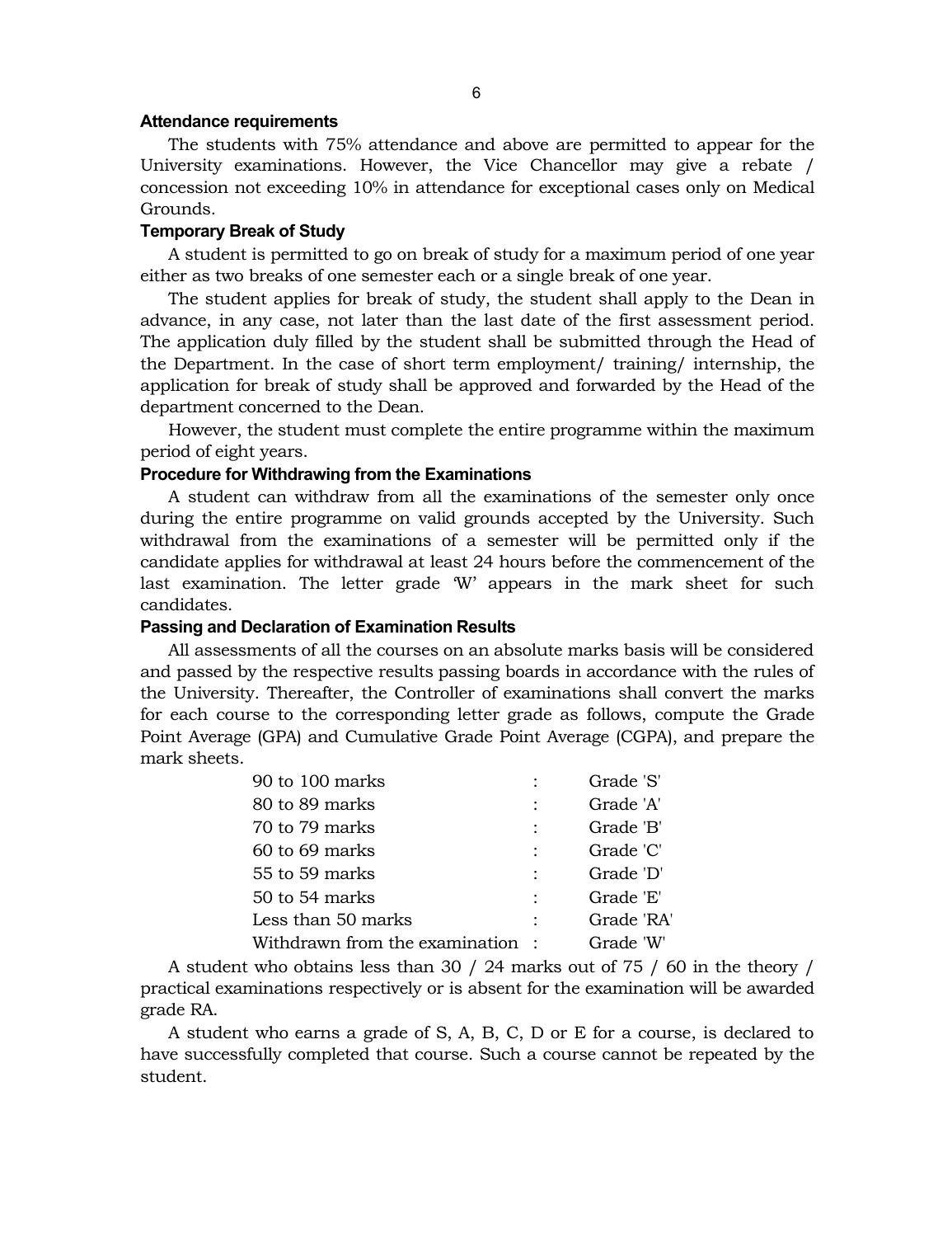#### **Attendance requirements**

The students with 75% attendance and above are permitted to appear for the University examinations. However, the Vice Chancellor may give a rebate / concession not exceeding 10% in attendance for exceptional cases only on Medical Grounds.

#### **Temporary Break of Study**

A student is permitted to go on break of study for a maximum period of one year either as two breaks of one semester each or a single break of one year.

The student applies for break of study, the student shall apply to the Dean in advance, in any case, not later than the last date of the first assessment period. The application duly filled by the student shall be submitted through the Head of the Department. In the case of short term employment/ training/ internship, the application for break of study shall be approved and forwarded by the Head of the department concerned to the Dean.

However, the student must complete the entire programme within the maximum period of eight years.

# **Procedure for Withdrawing from the Examinations**

A student can withdraw from all the examinations of the semester only once during the entire programme on valid grounds accepted by the University. Such withdrawal from the examinations of a semester will be permitted only if the candidate applies for withdrawal at least 24 hours before the commencement of the last examination. The letter grade 'W' appears in the mark sheet for such candidates.

#### **Passing and Declaration of Examination Results**

All assessments of all the courses on an absolute marks basis will be considered and passed by the respective results passing boards in accordance with the rules of the University. Thereafter, the Controller of examinations shall convert the marks for each course to the corresponding letter grade as follows, compute the Grade Point Average (GPA) and Cumulative Grade Point Average (CGPA), and prepare the mark sheets.

| 90 to 100 marks                 | Grade 'S'  |
|---------------------------------|------------|
| 80 to 89 marks                  | Grade 'A'  |
| 70 to 79 marks                  | Grade 'B'  |
| 60 to 69 marks                  | Grade 'C'  |
| 55 to 59 marks                  | Grade 'D'  |
| 50 to 54 marks                  | Grade 'E'  |
| Less than 50 marks              | Grade 'RA' |
| Withdrawn from the examination: | Grade 'W'  |

A student who obtains less than 30 / 24 marks out of 75 / 60 in the theory / practical examinations respectively or is absent for the examination will be awarded grade RA.

A student who earns a grade of S, A, B, C, D or E for a course, is declared to have successfully completed that course. Such a course cannot be repeated by the student.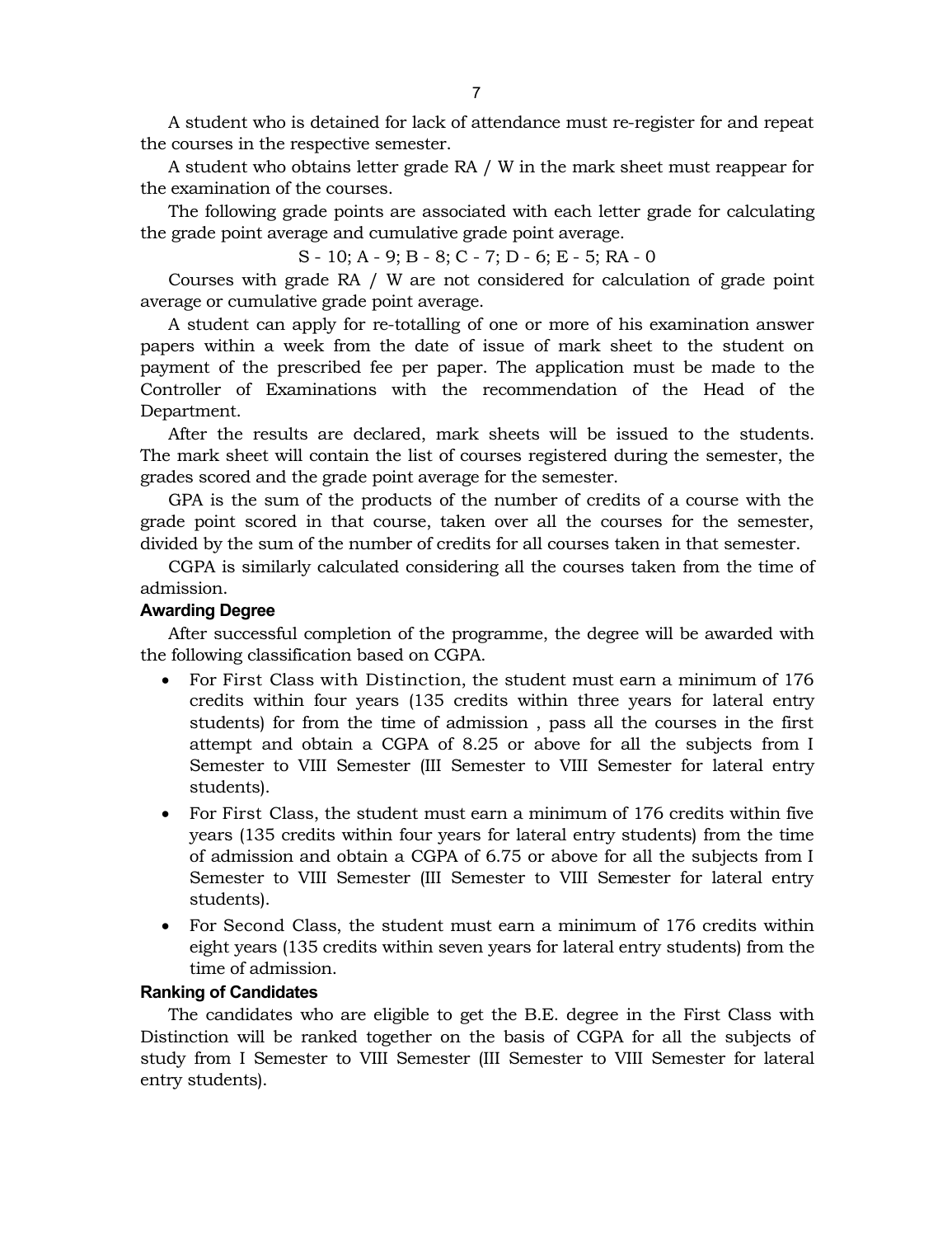A student who is detained for lack of attendance must re-register for and repeat the courses in the respective semester.

A student who obtains letter grade RA / W in the mark sheet must reappear for the examination of the courses.

The following grade points are associated with each letter grade for calculating the grade point average and cumulative grade point average.

S - 10; A - 9; B - 8; C - 7; D - 6; E - 5; RA - 0

Courses with grade RA / W are not considered for calculation of grade point average or cumulative grade point average.

A student can apply for re-totalling of one or more of his examination answer papers within a week from the date of issue of mark sheet to the student on payment of the prescribed fee per paper. The application must be made to the Controller of Examinations with the recommendation of the Head of the Department.

After the results are declared, mark sheets will be issued to the students. The mark sheet will contain the list of courses registered during the semester, the grades scored and the grade point average for the semester.

GPA is the sum of the products of the number of credits of a course with the grade point scored in that course, taken over all the courses for the semester, divided by the sum of the number of credits for all courses taken in that semester.

CGPA is similarly calculated considering all the courses taken from the time of admission.

#### **Awarding Degree**

After successful completion of the programme, the degree will be awarded with the following classification based on CGPA.

- For First Class with Distinction, the student must earn a minimum of 176 credits within four years (135 credits within three years for lateral entry students) for from the time of admission , pass all the courses in the first attempt and obtain a CGPA of 8.25 or above for all the subjects from I Semester to VIII Semester (III Semester to VIII Semester for lateral entry students).
- For First Class, the student must earn a minimum of 176 credits within five years (135 credits within four years for lateral entry students) from the time of admission and obtain a CGPA of 6.75 or above for all the subjects from I Semester to VIII Semester (III Semester to VIII Semester for lateral entry students).
- For Second Class, the student must earn a minimum of 176 credits within eight years (135 credits within seven years for lateral entry students) from the time of admission.

#### **Ranking of Candidates**

The candidates who are eligible to get the B.E. degree in the First Class with Distinction will be ranked together on the basis of CGPA for all the subjects of study from I Semester to VIII Semester (III Semester to VIII Semester for lateral entry students).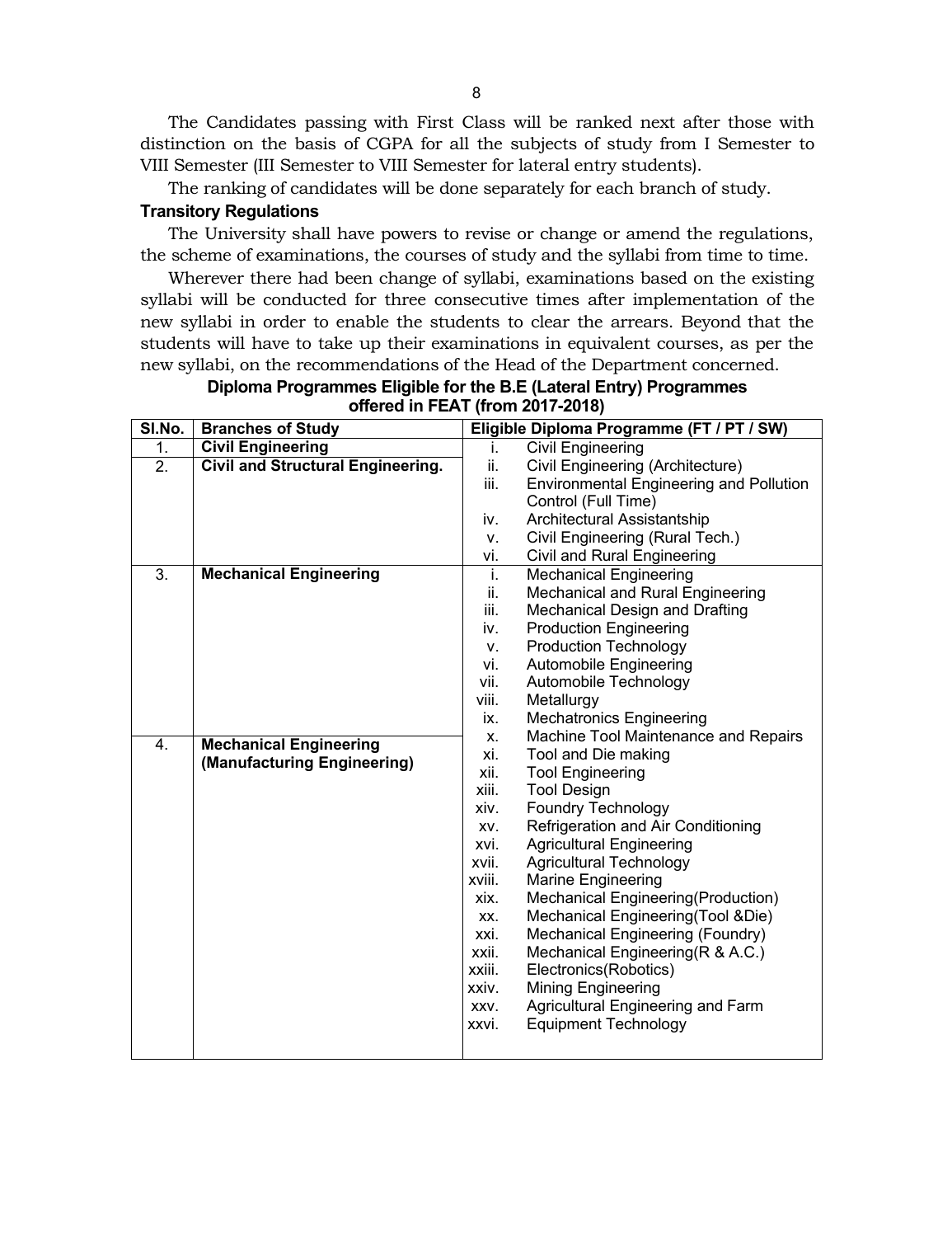The Candidates passing with First Class will be ranked next after those with distinction on the basis of CGPA for all the subjects of study from I Semester to VIII Semester (III Semester to VIII Semester for lateral entry students).

The ranking of candidates will be done separately for each branch of study.

#### **Transitory Regulations**

The University shall have powers to revise or change or amend the regulations, the scheme of examinations, the courses of study and the syllabi from time to time.

Wherever there had been change of syllabi, examinations based on the existing syllabi will be conducted for three consecutive times after implementation of the new syllabi in order to enable the students to clear the arrears. Beyond that the students will have to take up their examinations in equivalent courses, as per the new syllabi, on the recommendations of the Head of the Department concerned.

| SI.No. | <b>Branches of Study</b>                 |        | Eligible Diploma Programme (FT / PT / SW)      |
|--------|------------------------------------------|--------|------------------------------------------------|
| 1.     | <b>Civil Engineering</b>                 | i.     | <b>Civil Engineering</b>                       |
| 2.     | <b>Civil and Structural Engineering.</b> | ii.    | Civil Engineering (Architecture)               |
|        |                                          | iii.   | <b>Environmental Engineering and Pollution</b> |
|        |                                          |        | Control (Full Time)                            |
|        |                                          | iv.    | Architectural Assistantship                    |
|        |                                          | V.     | Civil Engineering (Rural Tech.)                |
|        |                                          | vi.    | Civil and Rural Engineering                    |
| 3.     | <b>Mechanical Engineering</b>            | i.     | <b>Mechanical Engineering</b>                  |
|        |                                          | ii.    | Mechanical and Rural Engineering               |
|        |                                          | iii.   | Mechanical Design and Drafting                 |
|        |                                          | iv.    | <b>Production Engineering</b>                  |
|        |                                          | V.     | <b>Production Technology</b>                   |
|        |                                          | vi.    | Automobile Engineering                         |
|        |                                          | vii.   | Automobile Technology                          |
|        |                                          | viii.  | Metallurgy                                     |
|        |                                          | ix.    | <b>Mechatronics Engineering</b>                |
| 4.     | <b>Mechanical Engineering</b>            | X.     | Machine Tool Maintenance and Repairs           |
|        | (Manufacturing Engineering)              | xi.    | Tool and Die making                            |
|        |                                          | xii.   | <b>Tool Engineering</b>                        |
|        |                                          | xiii.  | <b>Tool Design</b>                             |
|        |                                          | xiv.   | <b>Foundry Technology</b>                      |
|        |                                          | XV.    | Refrigeration and Air Conditioning             |
|        |                                          | xvi.   | <b>Agricultural Engineering</b>                |
|        |                                          | xvii.  | <b>Agricultural Technology</b>                 |
|        |                                          | xviii. | <b>Marine Engineering</b>                      |
|        |                                          | xix.   | Mechanical Engineering(Production)             |
|        |                                          | XX.    | Mechanical Engineering (Tool & Die)            |
|        |                                          | xxi.   | Mechanical Engineering (Foundry)               |
|        |                                          | xxii.  | Mechanical Engineering (R & A.C.)              |
|        |                                          | xxiii. | Electronics(Robotics)                          |
|        |                                          | xxiv.  | <b>Mining Engineering</b>                      |
|        |                                          | XXV.   | Agricultural Engineering and Farm              |
|        |                                          | xxvi.  | <b>Equipment Technology</b>                    |
|        |                                          |        |                                                |

**Diploma Programmes Eligible for the B.E (Lateral Entry) Programmes offered in FEAT (from 2017-2018)**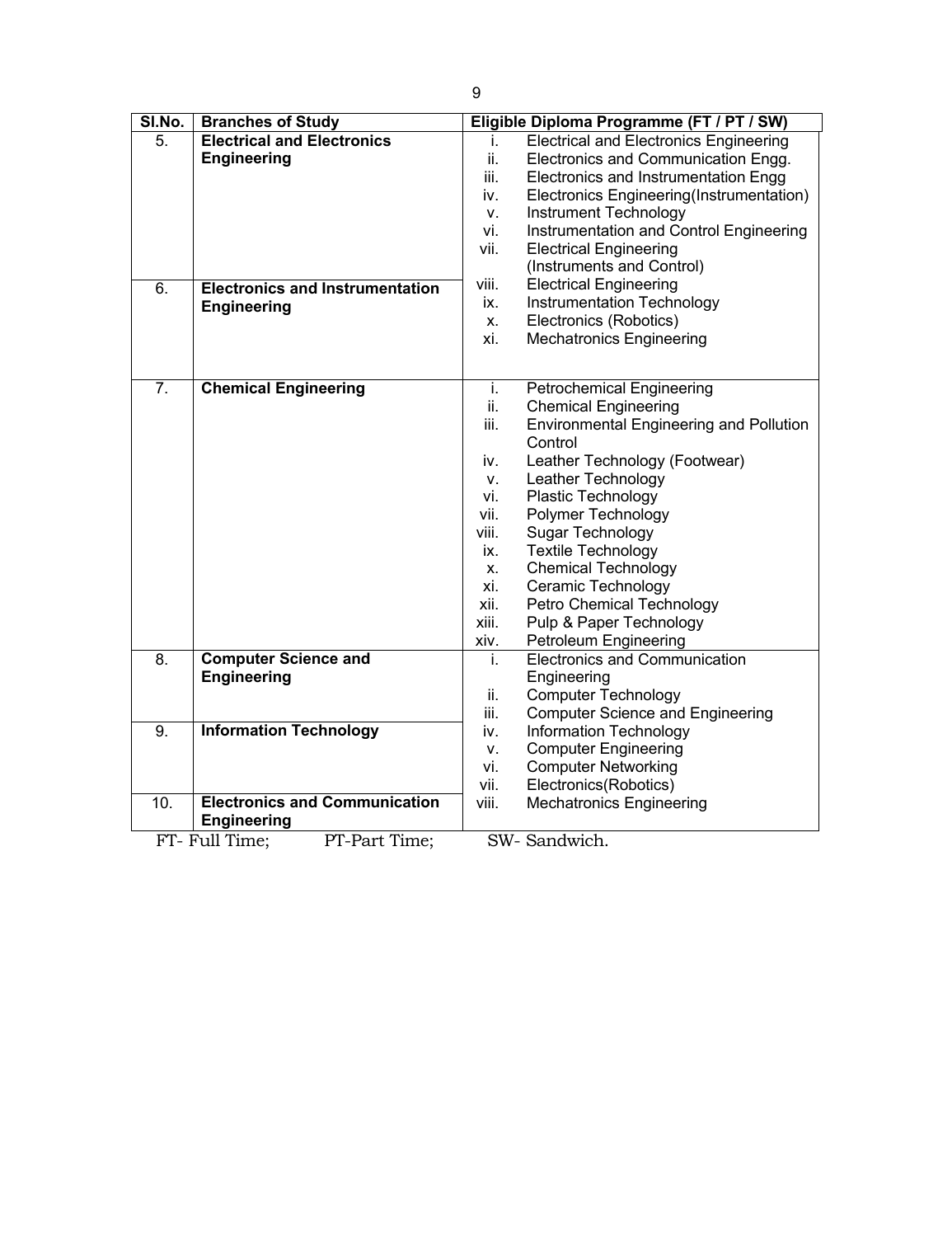| SI.No.           | <b>Branches of Study</b>               |       | Eligible Diploma Programme (FT / PT / SW)      |
|------------------|----------------------------------------|-------|------------------------------------------------|
| $\overline{5}$ . | <b>Electrical and Electronics</b>      | i.    | <b>Electrical and Electronics Engineering</b>  |
|                  | <b>Engineering</b>                     | ii.   | Electronics and Communication Engg.            |
|                  |                                        | iii.  | Electronics and Instrumentation Engg           |
|                  |                                        | iv.   | Electronics Engineering(Instrumentation)       |
|                  |                                        | V.    | Instrument Technology                          |
|                  |                                        | vi.   | Instrumentation and Control Engineering        |
|                  |                                        | vii.  | <b>Electrical Engineering</b>                  |
|                  |                                        |       | (Instruments and Control)                      |
| $\overline{6}$ . | <b>Electronics and Instrumentation</b> | viii. | <b>Electrical Engineering</b>                  |
|                  | <b>Engineering</b>                     | ix.   | Instrumentation Technology                     |
|                  |                                        | Χ.    | Electronics (Robotics)                         |
|                  |                                        | xi.   | <b>Mechatronics Engineering</b>                |
|                  |                                        |       |                                                |
| 7.               | <b>Chemical Engineering</b>            | i.    | <b>Petrochemical Engineering</b>               |
|                  |                                        | ii.   | <b>Chemical Engineering</b>                    |
|                  |                                        | iii.  | <b>Environmental Engineering and Pollution</b> |
|                  |                                        |       | Control                                        |
|                  |                                        | iv.   | Leather Technology (Footwear)                  |
|                  |                                        | v.    | Leather Technology                             |
|                  |                                        | vi.   | Plastic Technology                             |
|                  |                                        | vii.  | Polymer Technology                             |
|                  |                                        | viii. | Sugar Technology                               |
|                  |                                        | ix.   | <b>Textile Technology</b>                      |
|                  |                                        | х.    | <b>Chemical Technology</b>                     |
|                  |                                        | xi.   | Ceramic Technology                             |
|                  |                                        | xii.  | Petro Chemical Technology                      |
|                  |                                        | xiii. | Pulp & Paper Technology                        |
|                  |                                        | xiv.  | Petroleum Engineering                          |
| $\overline{8}$ . | <b>Computer Science and</b>            | i.    | <b>Electronics and Communication</b>           |
|                  | <b>Engineering</b>                     |       | Engineering                                    |
|                  |                                        | ii.   | <b>Computer Technology</b>                     |
|                  |                                        | iii.  | <b>Computer Science and Engineering</b>        |
| 9.               | <b>Information Technology</b>          | iv.   | <b>Information Technology</b>                  |
|                  |                                        | v.    | <b>Computer Engineering</b>                    |
|                  |                                        | vi.   | <b>Computer Networking</b>                     |
|                  |                                        | vii.  | Electronics(Robotics)                          |
| 10.              | <b>Electronics and Communication</b>   | viii. | <b>Mechatronics Engineering</b>                |
|                  | <b>Engineering</b>                     |       |                                                |
|                  | PT-Part Time;<br>FT- Full Time:        |       | SW-Sandwich.                                   |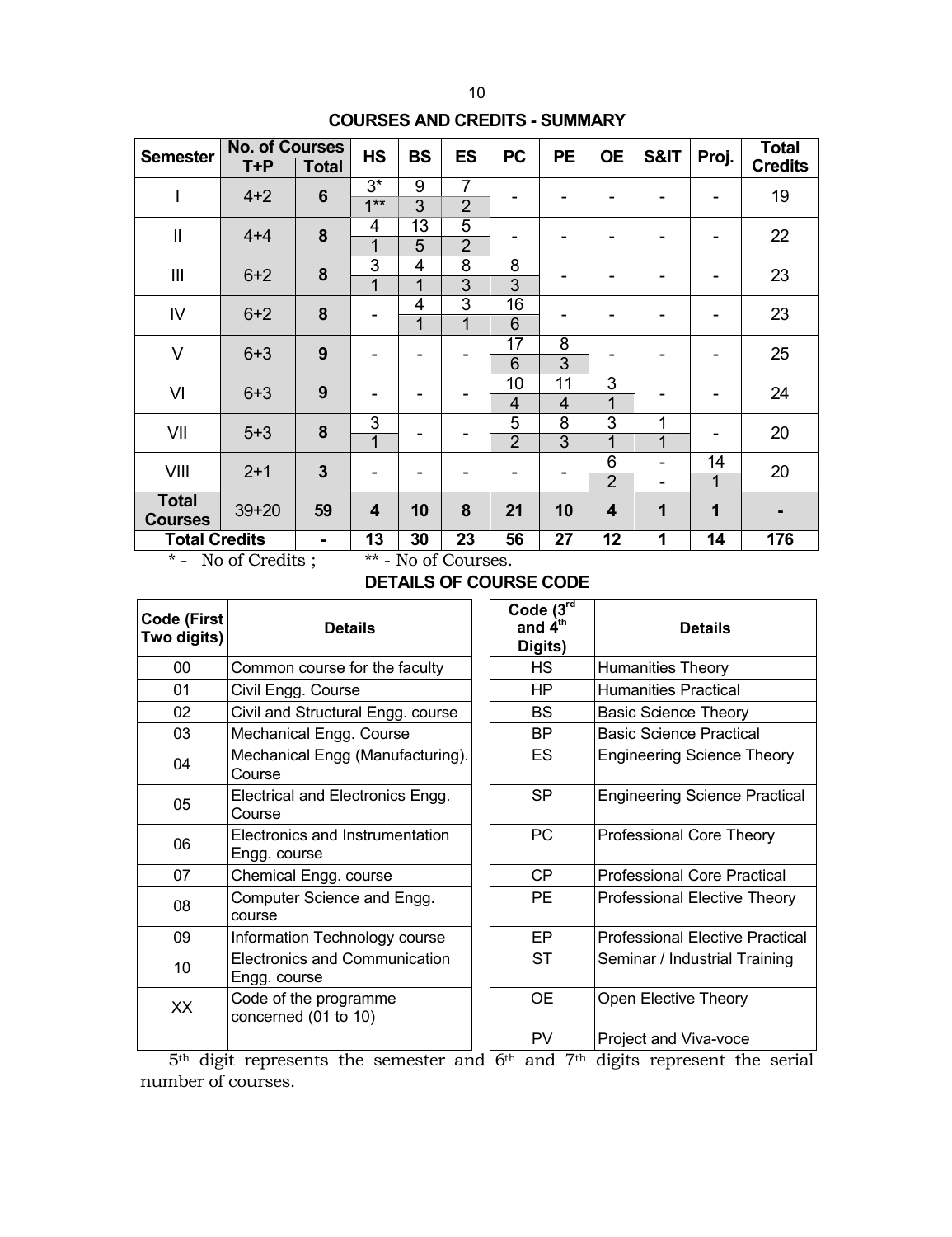# **COURSES AND CREDITS - SUMMARY**

| <b>Semester</b>                | <b>No. of Courses</b><br>T+P | <b>Total</b>    | <b>HS</b>           | <b>BS</b>                        | <b>ES</b>                        | <b>PC</b>            | <b>PE</b>            | <b>OE</b>               | S&IT                             | Proj.                | <b>Total</b><br><b>Credits</b> |
|--------------------------------|------------------------------|-----------------|---------------------|----------------------------------|----------------------------------|----------------------|----------------------|-------------------------|----------------------------------|----------------------|--------------------------------|
| I                              | $4 + 2$                      | $6\phantom{1}6$ | $3^*$<br>$1***$     | 9<br>$\overline{3}$              | 7<br>$\overline{2}$              | -                    |                      | -                       | $\blacksquare$                   | ۰                    | 19                             |
| $\mathbf{I}$                   | $4 + 4$                      | 8               | 4<br>1              | 13<br>5                          | $\overline{5}$<br>$\overline{2}$ |                      |                      |                         | -                                |                      | 22                             |
| III                            | $6 + 2$                      | 8               | 3<br>1              | 4<br>$\overline{1}$              | $\overline{8}$<br>$\overline{3}$ | 8<br>$\overline{3}$  |                      | -                       | $\blacksquare$                   | ۰                    | 23                             |
| IV                             | $6 + 2$                      | 8               | -                   | $\overline{4}$<br>$\overline{1}$ | 3<br>$\overline{1}$              | 16<br>6              |                      |                         | $\blacksquare$                   | -                    | 23                             |
| $\vee$                         | $6 + 3$                      | 9               | -                   |                                  |                                  | 17<br>6              | 8<br>3               | ۰                       | -                                | ۰                    | 25                             |
| VI                             | $6 + 3$                      | 9               | -                   |                                  |                                  | 10<br>$\overline{4}$ | 11<br>$\overline{4}$ | 3<br>1                  | -                                | ۰                    | 24                             |
| VII                            | $5 + 3$                      | 8               | 3<br>$\overline{1}$ |                                  |                                  | 5<br>$\overline{2}$  | 8<br>$\overline{3}$  | 3<br>1                  | 1<br>1                           | -                    | 20                             |
| VIII                           | $2 + 1$                      | $\overline{3}$  | -                   |                                  |                                  | ۰                    |                      | 6<br>$\overline{2}$     | $\blacksquare$<br>$\blacksquare$ | 14<br>$\overline{1}$ | 20                             |
| <b>Total</b><br><b>Courses</b> | $39 + 20$                    | 59              | 4                   | 10                               | 8                                | 21                   | 10                   | $\overline{\mathbf{4}}$ | 1                                | $\mathbf{1}$         |                                |
| <b>Total Credits</b>           |                              | $\blacksquare$  | 13                  | 30                               | 23                               | 56                   | 27                   | 12                      | 1                                | 14                   | 176                            |

\* - No of Credits ; \*\* - No of Courses.

# **DETAILS OF COURSE CODE**

| Code (First<br>Two digits) | <b>Details</b>                                       | Code $(3ra$<br>and $\dot{4}^{\text{th}}$<br>Digits) | <b>Details</b>                      |
|----------------------------|------------------------------------------------------|-----------------------------------------------------|-------------------------------------|
| 00                         | Common course for the faculty                        | HS                                                  | <b>Humanities Theory</b>            |
| 01                         | Civil Engg. Course                                   | HP.                                                 | <b>Humanities Practical</b>         |
| 02                         | Civil and Structural Engg. course                    | BS.                                                 | <b>Basic Science Theory</b>         |
| 03                         | Mechanical Engg. Course                              | BP.                                                 | <b>Basic Science Practical</b>      |
| 04                         | Mechanical Engg (Manufacturing).<br>Course           | ES                                                  | <b>Engineering Science Theor</b>    |
| 05                         | Electrical and Electronics Engg.<br>Course           | <b>SP</b>                                           | <b>Engineering Science Practi</b>   |
| 06                         | Electronics and Instrumentation<br>Engg. course      | PC                                                  | Professional Core Theory            |
| 07                         | Chemical Engg. course                                | CP.                                                 | <b>Professional Core Practical</b>  |
| 08                         | Computer Science and Engg.<br>course                 | PE.                                                 | <b>Professional Elective Theor</b>  |
| 09                         | Information Technology course                        | EP                                                  | <b>Professional Elective Practi</b> |
| 10                         | <b>Electronics and Communication</b><br>Engg. course | <b>ST</b>                                           | Seminar / Industrial Trainin        |
| XX                         | Code of the programme<br>concerned (01 to 10)        | <b>OE</b>                                           | Open Elective Theory                |
|                            |                                                      | PV                                                  | Project and Viva-voce               |

| e (First<br>digits) | <b>Details</b>                                       |  | Code $(3rd$<br>and $\mathbf{4}^{\text{th}}$<br>Digits) | <b>Details</b>                         |
|---------------------|------------------------------------------------------|--|--------------------------------------------------------|----------------------------------------|
| $00\,$              | Common course for the faculty                        |  | <b>HS</b>                                              | Humanities Theory                      |
| 01                  | Civil Engg. Course                                   |  | HP                                                     | <b>Humanities Practical</b>            |
| 02                  | Civil and Structural Engg. course                    |  | BS                                                     | <b>Basic Science Theory</b>            |
| $\overline{03}$     | Mechanical Engg. Course                              |  | <b>BP</b>                                              | <b>Basic Science Practical</b>         |
| 04                  | Mechanical Engg (Manufacturing).<br>Course           |  | ES                                                     | <b>Engineering Science Theory</b>      |
| 05                  | Electrical and Electronics Engg.<br>Course           |  | <b>SP</b>                                              | <b>Engineering Science Practical</b>   |
| 06                  | Electronics and Instrumentation<br>Engg. course      |  | <b>PC</b>                                              | Professional Core Theory               |
| 07                  | Chemical Engg. course                                |  | CP                                                     | <b>Professional Core Practical</b>     |
| 80                  | Computer Science and Engg.<br>course                 |  | <b>PE</b>                                              | Professional Elective Theory           |
| 09                  | Information Technology course                        |  | EP                                                     | <b>Professional Elective Practical</b> |
| 10                  | <b>Electronics and Communication</b><br>Engg. course |  | <b>ST</b>                                              | Seminar / Industrial Training          |
| XX.                 | Code of the programme<br>concerned (01 to 10)        |  | <b>OE</b>                                              | Open Elective Theory                   |
|                     |                                                      |  | PV                                                     | Project and Viva-voce                  |

5<sup>th</sup> digit represents the semester and 6<sup>th</sup> and 7<sup>th</sup> digits represent the serial number of courses.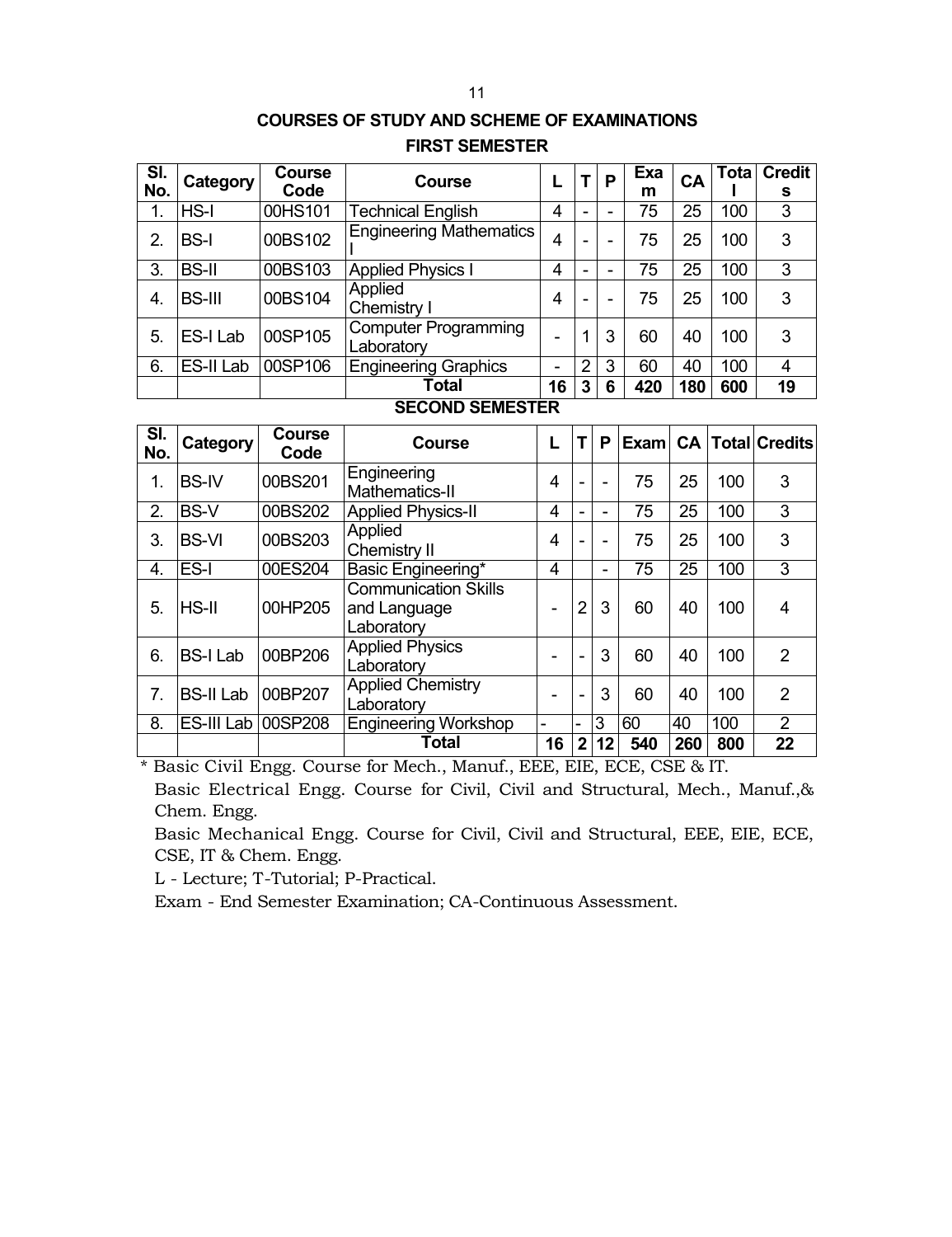# **COURSES OF STUDY AND SCHEME OF EXAMINATIONS FIRST SEMESTER**

| SI.          | Category      | <b>Course</b> | <b>Course</b>                             |    |   | P | Exa | CA  | <b>Tota</b> | <b>Credit</b> |
|--------------|---------------|---------------|-------------------------------------------|----|---|---|-----|-----|-------------|---------------|
| No.          |               | Code          |                                           |    |   |   | m   |     |             | s             |
| 1.           | $HS-I$        | 00HS101       | <b>Technical English</b>                  | 4  | - |   | 75  | 25  | 100         | 3             |
| 2.           | <b>BS-I</b>   | 00BS102       | <b>Engineering Mathematics</b>            | 4  | - |   | 75  | 25  | 100         | 3             |
| 3.           | <b>BS-II</b>  | 00BS103       | <b>Applied Physics I</b>                  | 4  | - |   | 75  | 25  | 100         | 3             |
| $\mathbf{4}$ | <b>BS-III</b> | 00BS104       | Applied<br>Chemistry I                    | 4  | - | - | 75  | 25  | 100         | 3             |
| 5.           | ES-I Lab      | 00SP105       | <b>Computer Programming</b><br>Laboratory |    |   | 3 | 60  | 40  | 100         | 3             |
| 6.           | ES-II Lab     | 00SP106       | <b>Engineering Graphics</b>               | -  | 2 | 3 | 60  | 40  | 100         | 4             |
|              |               |               | Total                                     | 16 | 3 | 6 | 420 | 180 | 600         | 19            |

### **SECOND SEMESTER**

| SI.<br>No. | Category           | <b>Course</b><br>Code | Course                                                    | L  | т              | P              |     |     |     | Exam CA   Total   Credits |
|------------|--------------------|-----------------------|-----------------------------------------------------------|----|----------------|----------------|-----|-----|-----|---------------------------|
| 1.         | <b>BS-IV</b>       | 00BS201               | Engineering<br>Mathematics-II                             | 4  |                | -              | 75  | 25  | 100 | 3                         |
| 2.         | <b>BS-V</b>        | 00BS202               | <b>Applied Physics-II</b>                                 | 4  |                | -              | 75  | 25  | 100 | 3                         |
| 3.         | <b>BS-VI</b>       | 00BS203               | Applied<br>Chemistry II                                   | 4  |                | $\blacksquare$ | 75  | 25  | 100 | 3                         |
| 4.         | ES-I               | 00ES204               | Basic Engineering*                                        | 4  |                | -              | 75  | 25  | 100 | 3                         |
| 5.         | $HS$ -II           | 00HP205               | <b>Communication Skills</b><br>and Language<br>Laboratory |    | 2              | 3              | 60  | 40  | 100 | 4                         |
| 6.         | <b>BS-I Lab</b>    | 00BP206               | <b>Applied Physics</b><br>Laboratory                      |    | $\blacksquare$ | 3              | 60  | 40  | 100 | 2                         |
| 7.         | <b>BS-II Lab</b>   | 00BP207               | <b>Applied Chemistry</b><br>Laboratory                    |    |                | 3              | 60  | 40  | 100 | $\overline{2}$            |
| 8.         | ES-III Lab 00SP208 |                       | <b>Engineering Workshop</b>                               | -  | ۰              | 3              | 60  | 40  | 100 | $\overline{2}$            |
|            |                    |                       | <b>Total</b>                                              | 16 | $\overline{2}$ | 12             | 540 | 260 | 800 | 22                        |

\* Basic Civil Engg. Course for Mech., Manuf., EEE, EIE, ECE, CSE & IT.

Basic Electrical Engg. Course for Civil, Civil and Structural, Mech., Manuf.,& Chem. Engg.

Basic Mechanical Engg. Course for Civil, Civil and Structural, EEE, EIE, ECE, CSE, IT & Chem. Engg.

L - Lecture; T-Tutorial; P-Practical.

Exam - End Semester Examination; CA-Continuous Assessment.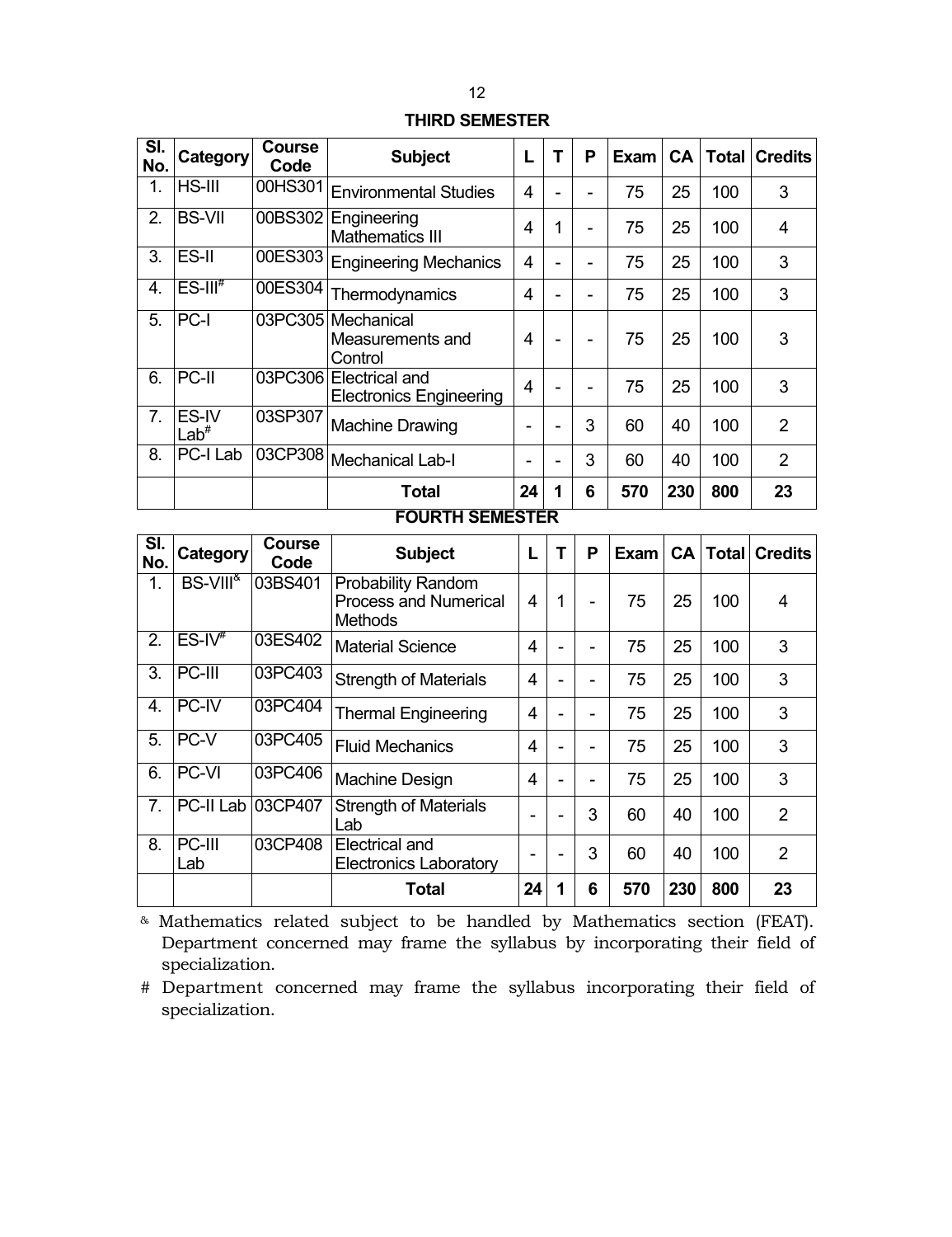# **THIRD SEMESTER**

| SI.<br>No. | Category                  | <b>Course</b><br>Code | <b>Subject</b>                                    |    | Т | P | <b>Exam</b> | <b>CA</b> | Total | <b>Credits</b> |
|------------|---------------------------|-----------------------|---------------------------------------------------|----|---|---|-------------|-----------|-------|----------------|
| 1.         | HS-III                    | 00HS301               | <b>Environmental Studies</b>                      | 4  |   |   | 75          | 25        | 100   | 3              |
| 2.         | <b>BS-VII</b>             | 00BS302               | Engineering<br><b>Mathematics III</b>             | 4  | 1 |   | 75          | 25        | 100   | 4              |
| 3.         | <b>ES-II</b>              | 00ES303               | <b>Engineering Mechanics</b>                      | 4  |   |   | 75          | 25        | 100   | 3              |
| 4.         | $ES-III^*$                | 00ES304               | Thermodynamics                                    | 4  | ۰ | - | 75          | 25        | 100   | 3              |
| 5.         | PC-I                      |                       | 03PC305 Mechanical<br>Measurements and<br>Control |    |   |   | 75          | 25        | 100   | 3              |
| 6.         | PC-II                     | 03PC306               | Electrical and<br><b>Electronics Engineering</b>  | 4  |   | - | 75          | 25        | 100   | 3              |
| 7.         | ES-IV<br>Lab <sup>#</sup> | 03SP307               | <b>Machine Drawing</b>                            | ۰  |   | 3 | 60          | 40        | 100   | $\overline{2}$ |
| 8.         | PC-I Lab                  | 03CP308               | <b>Mechanical Lab-I</b>                           | -  |   | 3 | 60          | 40        | 100   | $\overline{2}$ |
|            |                           |                       | Total                                             | 24 | 1 | 6 | 570         | 230       | 800   | 23             |

#### **FOURTH SEMESTER**

| SI.<br>No.     | Category                 | <b>Course</b><br>Code | <b>Subject</b>                                                              | L  | т | Ρ | <b>Exam</b> |     |     | <b>CA   Total   Credits  </b> |
|----------------|--------------------------|-----------------------|-----------------------------------------------------------------------------|----|---|---|-------------|-----|-----|-------------------------------|
| 1.             | BS-VIII <sup>&amp;</sup> | 03BS401               | <b>Probability Random</b><br><b>Process and Numerical</b><br><b>Methods</b> | 4  | 1 | - | 75          | 25  | 100 | 4                             |
| 2.             | $ES-IV^{\#}$             | 03ES402               | <b>Material Science</b>                                                     | 4  |   |   | 75          | 25  | 100 | 3                             |
| 3.             | $PC-III$                 | 03PC403               | <b>Strength of Materials</b>                                                | 4  |   |   | 75          | 25  | 100 | 3                             |
| 4.             | PC-IV                    | 03PC404               | <b>Thermal Engineering</b>                                                  | 4  |   |   | 75          | 25  | 100 | 3                             |
| 5.             | PC-V                     | 03PC405               | <b>Fluid Mechanics</b>                                                      | 4  |   |   | 75          | 25  | 100 | 3                             |
| 6.             | PC-VI                    | 03PC406               | Machine Design                                                              | 4  |   | - | 75          | 25  | 100 | 3                             |
| 7 <sub>1</sub> | PC-II Lab                | 03CP407               | <b>Strength of Materials</b><br>Lab                                         | ۰  |   | 3 | 60          | 40  | 100 | 2                             |
| 8.             | PC-III<br>Lab            | 03CP408               | Electrical and<br><b>Electronics Laboratory</b>                             |    |   | 3 | 60          | 40  | 100 | 2                             |
|                |                          |                       | <b>Total</b>                                                                | 24 | 1 | 6 | 570         | 230 | 800 | 23                            |

& Mathematics related subject to be handled by Mathematics section (FEAT). Department concerned may frame the syllabus by incorporating their field of specialization.

# Department concerned may frame the syllabus incorporating their field of specialization.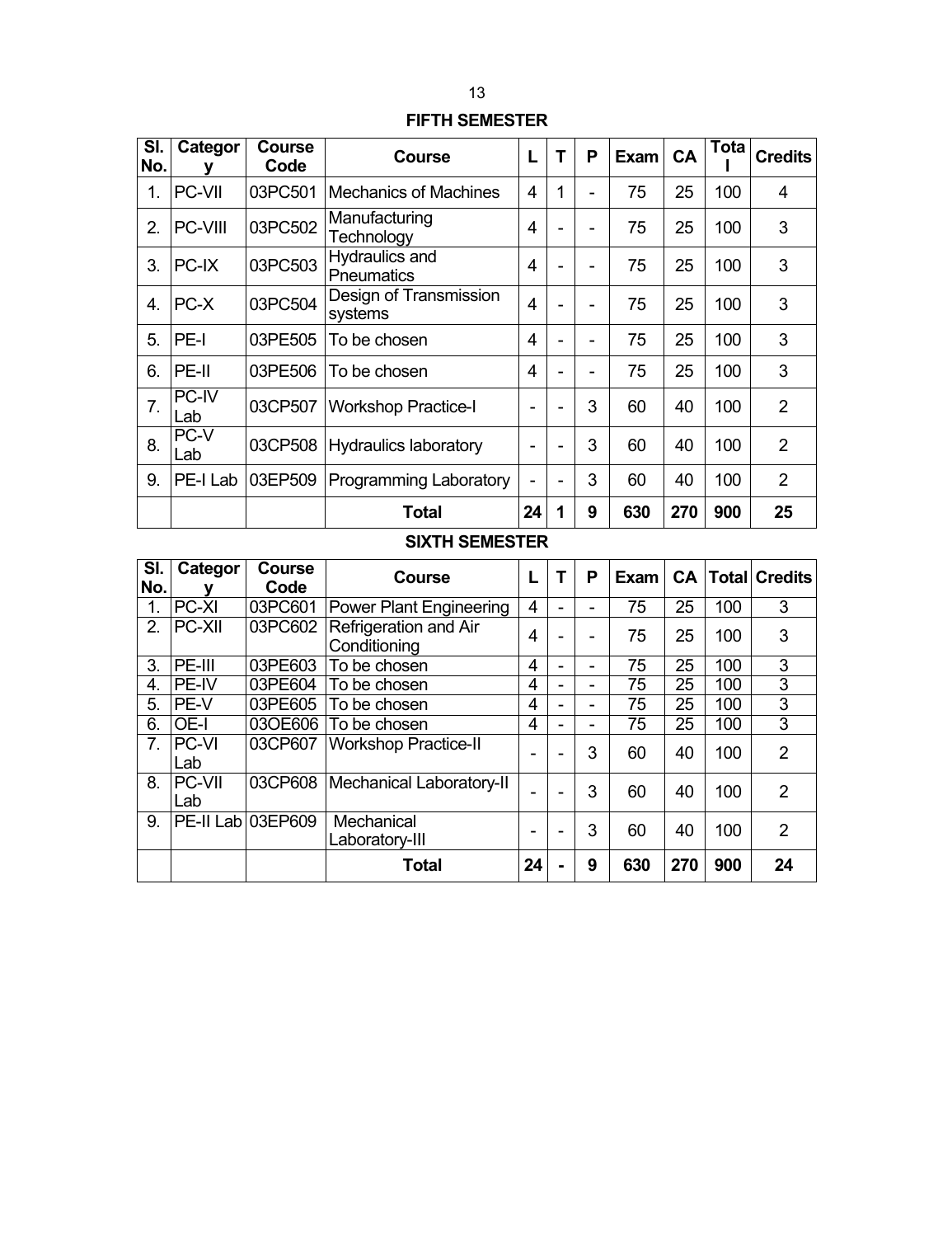# **FIFTH SEMESTER**

| SI.<br>No.       | Categor<br>v | <b>Course</b><br>Code | Course                                     | L              | T | P | <b>Exam</b> | <b>CA</b> | Tota | <b>Credits</b> |
|------------------|--------------|-----------------------|--------------------------------------------|----------------|---|---|-------------|-----------|------|----------------|
| 1.               | PC-VII       | 03PC501               | <b>Mechanics of Machines</b>               | 4              | 1 | - | 75          | 25        | 100  | 4              |
| $\overline{2}$ . | PC-VIII      | 03PC502               | Manufacturing<br>Technology                | 4              |   | - | 75          | 25        | 100  | 3              |
| 3.               | PC-IX        | 03PC503               | <b>Hydraulics and</b><br><b>Pneumatics</b> | 4              |   | ۰ | 75          | 25        | 100  | 3              |
| $\overline{4}$ . | PC-X         | 03PC504               | Design of Transmission<br>systems          | $\overline{4}$ |   |   | 75          | 25        | 100  | 3              |
| 5.               | PE-I         | 03PE505               | To be chosen                               | 4              |   | - | 75          | 25        | 100  | 3              |
| 6.               | PE-II        | 03PE506               | To be chosen                               | 4              |   | - | 75          | 25        | 100  | 3              |
| 7.               | PC-IV<br>Lab | 03CP507               | <b>Workshop Practice-I</b>                 | ۰              | ۰ | 3 | 60          | 40        | 100  | 2              |
| 8.               | PC-V<br>Lab  | 03CP508               | Hydraulics laboratory                      |                |   | 3 | 60          | 40        | 100  | $\overline{2}$ |
| 9.               | PE-I Lab     | 03EP509               | <b>Programming Laboratory</b>              | $\blacksquare$ | ۰ | 3 | 60          | 40        | 100  | 2              |
|                  |              |                       | Total                                      | 24             | 1 | 9 | 630         | 270       | 900  | 25             |

# **SIXTH SEMESTER**

| SI.<br>No.     | Categor              | <b>Course</b><br>Code | Course                                | L  | Ρ              | Exam |     |     | <b>CA   Total   Credits</b> |
|----------------|----------------------|-----------------------|---------------------------------------|----|----------------|------|-----|-----|-----------------------------|
| 1.             | PC-XI                | 03PC601               | <b>Power Plant Engineering</b>        | 4  |                | 75   | 25  | 100 | 3                           |
| 2.             | <b>PC-XII</b>        | 03PC602               | Refrigeration and Air<br>Conditioning | 4  |                | 75   | 25  | 100 | 3                           |
| 3.             | PE-III               | 03PE603               | To be chosen                          | 4  | $\blacksquare$ | 75   | 25  | 100 | 3                           |
| 4.             | PE-IV                | 03PE604               | To be chosen                          | 4  | -              | 75   | 25  | 100 | 3                           |
| 5.             | PE-V                 | 03PE605               | To be chosen                          | 4  | -              | 75   | 25  | 100 | 3                           |
| 6.             | OE-I                 | 03OE606               | To be chosen                          | 4  |                | 75   | 25  | 100 | 3                           |
| 7 <sub>1</sub> | <b>PC-VI</b><br>Lab  | 03CP607               | <b>Workshop Practice-II</b>           |    | 3              | 60   | 40  | 100 | $\mathcal{P}$               |
| 8.             | <b>PC-VII</b><br>Lab | 03CP608               | Mechanical Laboratory-II              |    | 3              | 60   | 40  | 100 | 2                           |
| 9.             | PE-II Lab 03EP609    |                       | Mechanical<br>Laboratory-III          |    | 3              | 60   | 40  | 100 | $\overline{2}$              |
|                |                      |                       | <b>Total</b>                          | 24 | 9              | 630  | 270 | 900 | 24                          |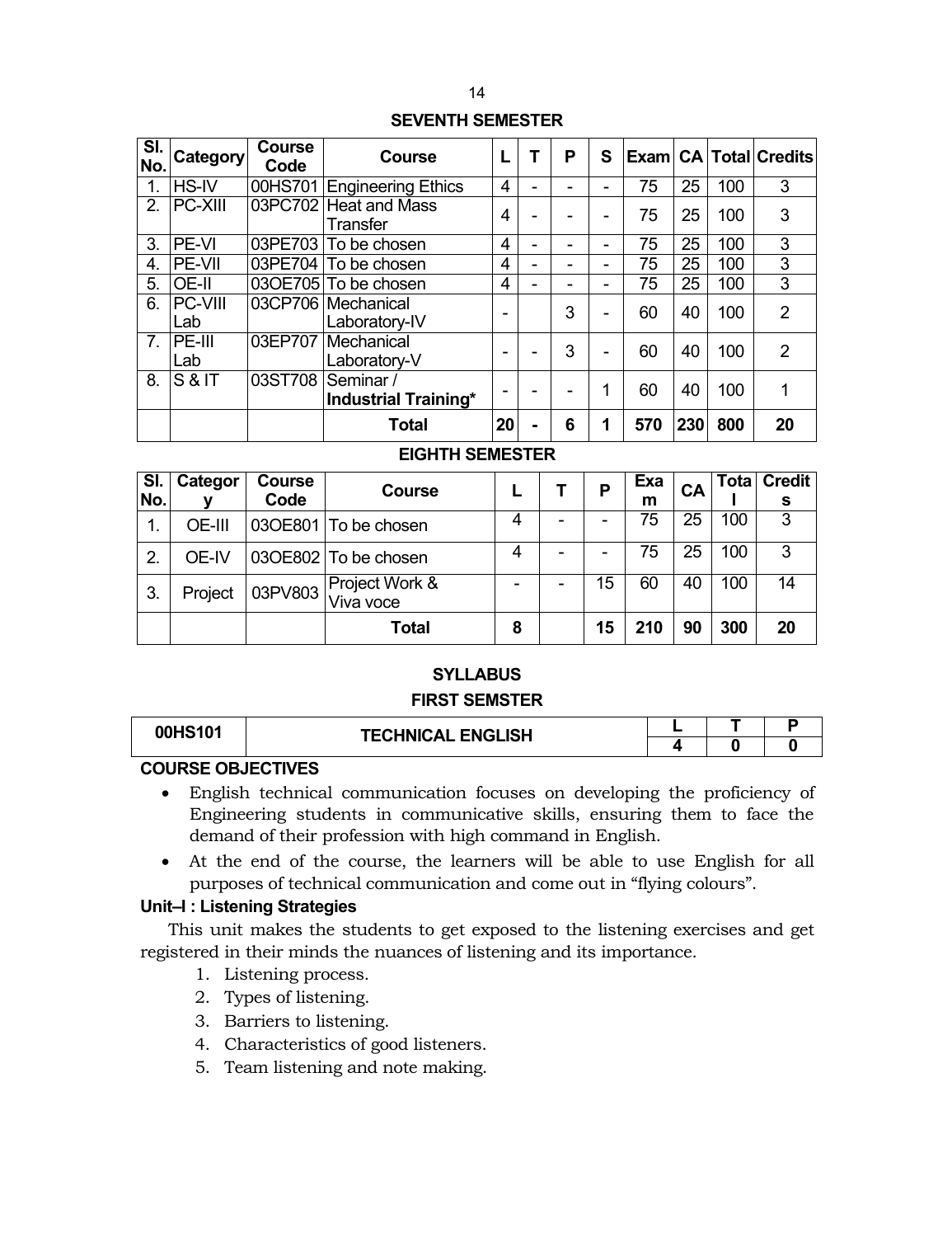# **SEVENTH SEMESTER**

| SI.<br>No.     | <b>Category</b> | <b>Course</b><br>Code | <b>Course</b>                            |                | Ρ | S |     |     |     | Exam CA Total Credits |
|----------------|-----------------|-----------------------|------------------------------------------|----------------|---|---|-----|-----|-----|-----------------------|
| 1.             | <b>HS-IV</b>    |                       | 00HS701 Engineering Ethics               | 4              |   |   | 75  | 25  | 100 | 3                     |
| $\mathcal{P}$  | PC-XIII         |                       | 03PC702 Heat and Mass<br>Transfer        | 4              |   |   | 75  | 25  | 100 | 3                     |
| 3.             | PE-VI           |                       | 03PE703 To be chosen                     | 4              |   | - | 75  | 25  | 100 | 3                     |
| 4.             | PE-VII          |                       | 03PE704 To be chosen                     | 4              |   |   | 75  | 25  | 100 | 3                     |
| 5.             | OE-II           |                       | 03OE705 To be chosen                     | 4              | - | - | 75  | 25  | 100 | 3                     |
| 6.             | PC-VIII<br>Lab  |                       | 03CP706 Mechanical<br>Laboratory-IV      | -              | 3 | - | 60  | 40  | 100 | 2                     |
| 7 <sub>1</sub> | PE-III<br>Lab   | 03EP707               | Mechanical<br>Laboratory-V               | $\blacksquare$ | 3 | - | 60  | 40  | 100 | 2                     |
| 8.             | S&IT            | 03ST708               | Seminar /<br><b>Industrial Training*</b> | -              |   | 1 | 60  | 40  | 100 | 1                     |
|                |                 |                       | <b>Total</b>                             | 20             | 6 |   | 570 | 230 | 800 | 20                    |

# **EIGHTH SEMESTER**

| I SI.<br>No. | Categor | <b>Course</b><br>Code | <b>Course</b>               |   |   |    | Exa<br>m | CA |     | Tota   Credit<br>s |
|--------------|---------|-----------------------|-----------------------------|---|---|----|----------|----|-----|--------------------|
| 1.           | OE-III  |                       | 03OE801   To be chosen      | 4 | - |    | 75       | 25 | 100 | 3                  |
| 2.           | OE-IV   |                       | 03OE802 To be chosen        | 4 | - |    | 75       | 25 | 100 | 3                  |
| 3.           | Project | 03PV803               | Project Work &<br>Viva voce |   |   | 15 | 60       | 40 | 100 | 14                 |
|              |         |                       | <b>Total</b>                | 8 |   | 15 | 210      | 90 | 300 | 20                 |

# **SYLLABUS FIRST SEMSTER**

| 00HS101 | <b>TECHNICAL ENGLISH</b> |  |  |
|---------|--------------------------|--|--|
|         |                          |  |  |

# **COURSE OBJECTIVES**

- English technical communication focuses on developing the proficiency of Engineering students in communicative skills, ensuring them to face the demand of their profession with high command in English.
- At the end of the course, the learners will be able to use English for all purposes of technical communication and come out in "flying colours".

# **Unit–I : Listening Strategies**

This unit makes the students to get exposed to the listening exercises and get registered in their minds the nuances of listening and its importance.

- 1. Listening process.
- 2. Types of listening.
- 3. Barriers to listening.
- 4. Characteristics of good listeners.
- 5. Team listening and note making.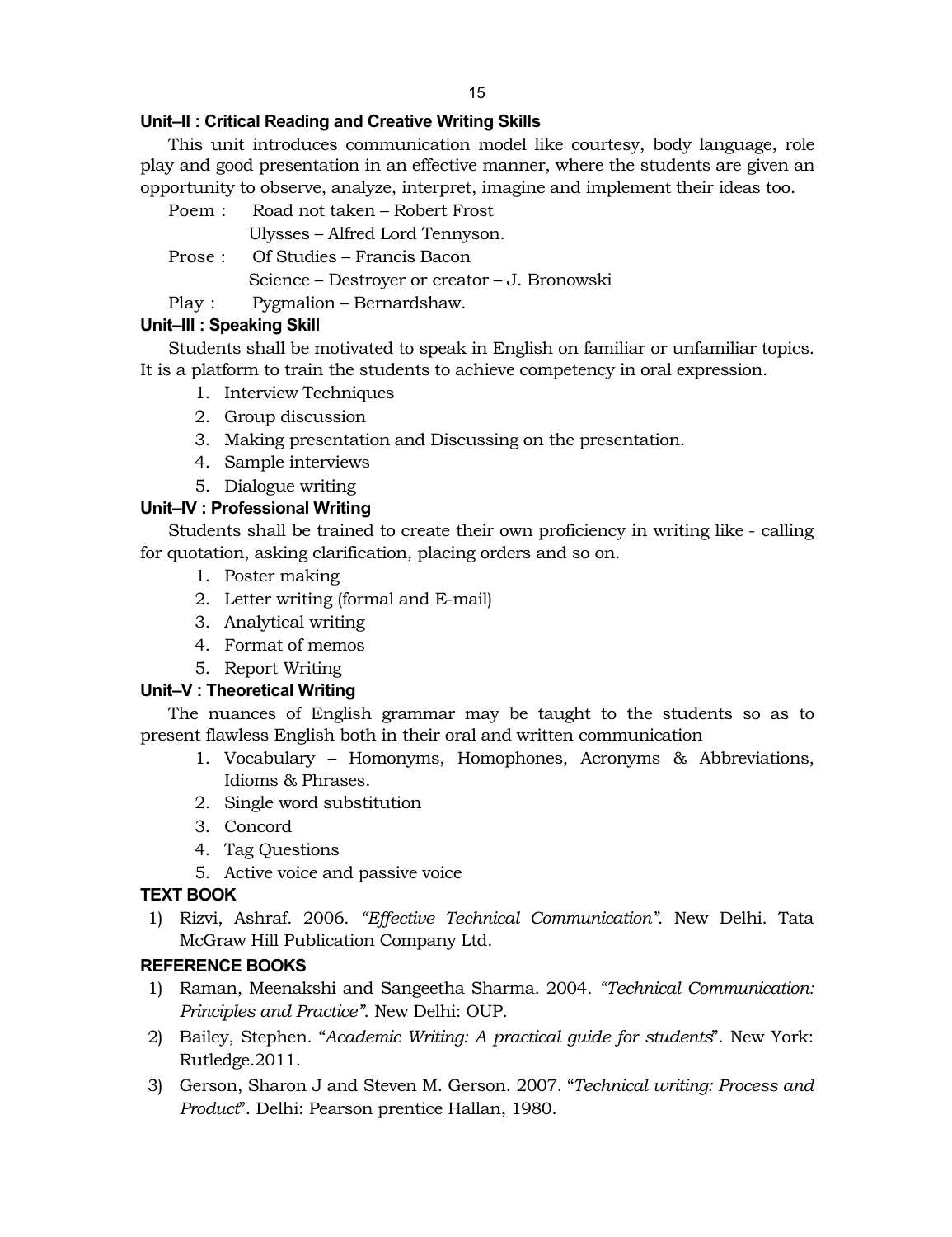15

# **Unit–II : Critical Reading and Creative Writing Skills**

This unit introduces communication model like courtesy, body language, role play and good presentation in an effective manner, where the students are given an opportunity to observe, analyze, interpret, imagine and implement their ideas too.

- Poem : Road not taken Robert Frost Ulysses – Alfred Lord Tennyson.
- Prose : Of Studies Francis Bacon
	- Science Destroyer or creator J. Bronowski
- Play : Pygmalion Bernardshaw.

# **Unit–III : Speaking Skill**

Students shall be motivated to speak in English on familiar or unfamiliar topics. It is a platform to train the students to achieve competency in oral expression.

- 1. Interview Techniques
- 2. Group discussion
- 3. Making presentation and Discussing on the presentation.
- 4. Sample interviews
- 5. Dialogue writing

# **Unit–IV : Professional Writing**

Students shall be trained to create their own proficiency in writing like - calling for quotation, asking clarification, placing orders and so on.

- 1. Poster making
- 2. Letter writing (formal and E-mail)
- 3. Analytical writing
- 4. Format of memos
- 5. Report Writing

# **Unit–V : Theoretical Writing**

The nuances of English grammar may be taught to the students so as to present flawless English both in their oral and written communication

- 1. Vocabulary Homonyms, Homophones, Acronyms & Abbreviations, Idioms & Phrases.
- 2. Single word substitution
- 3. Concord
- 4. Tag Questions
- 5. Active voice and passive voice

# **TEXT BOOK**

1) Rizvi, Ashraf. 2006. *"Effective Technical Communication"*. New Delhi. Tata McGraw Hill Publication Company Ltd.

# **REFERENCE BOOKS**

- 1) Raman, Meenakshi and Sangeetha Sharma. 2004. *"Technical Communication: Principles and Practice"*. New Delhi: OUP.
- 2) Bailey, Stephen. "*Academic Writing: A practical guide for students*". New York: Rutledge.2011.
- 3) Gerson, Sharon J and Steven M. Gerson. 2007. "*Technical writing: Process and Product*". Delhi: Pearson prentice Hallan, 1980.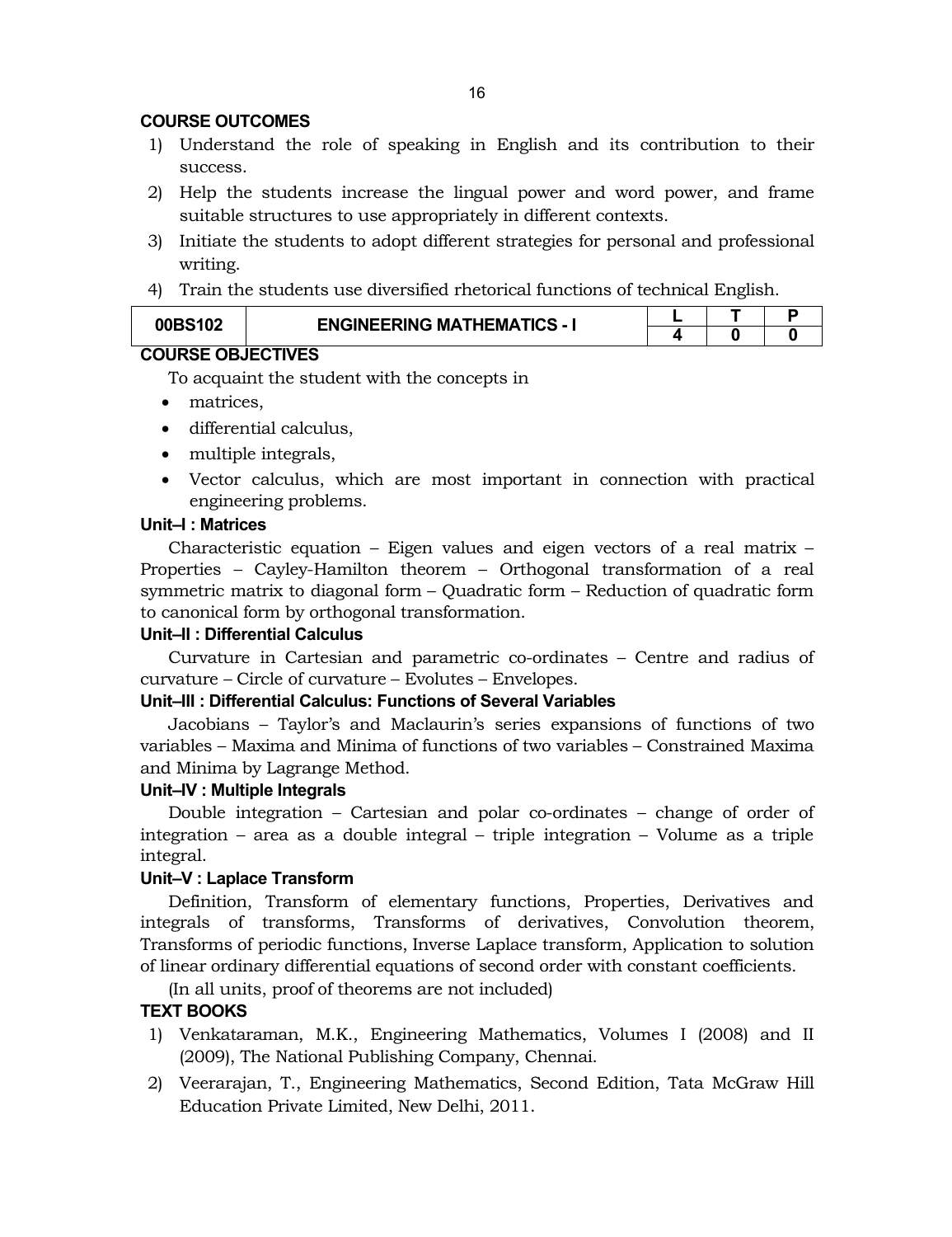#### **COURSE OUTCOMES**

- 1) Understand the role of speaking in English and its contribution to their success.
- 2) Help the students increase the lingual power and word power, and frame suitable structures to use appropriately in different contexts.
- 3) Initiate the students to adopt different strategies for personal and professional writing.
- 4) Train the students use diversified rhetorical functions of technical English.

| 00BS102                  | <b>ENGINEERING MATHEMATICS - I</b> |  |  |  |
|--------------------------|------------------------------------|--|--|--|
|                          |                                    |  |  |  |
| <b>COURSE OBJECTIVES</b> |                                    |  |  |  |

To acquaint the student with the concepts in

- matrices,
- differential calculus,
- multiple integrals,
- Vector calculus, which are most important in connection with practical engineering problems.

#### **Unit–I : Matrices**

Characteristic equation – Eigen values and eigen vectors of a real matrix – Properties – Cayley-Hamilton theorem – Orthogonal transformation of a real symmetric matrix to diagonal form – Quadratic form – Reduction of quadratic form to canonical form by orthogonal transformation.

#### **Unit–II : Differential Calculus**

Curvature in Cartesian and parametric co-ordinates – Centre and radius of curvature – Circle of curvature – Evolutes – Envelopes.

#### **Unit–III : Differential Calculus: Functions of Several Variables**

Jacobians – Taylor's and Maclaurin's series expansions of functions of two variables – Maxima and Minima of functions of two variables – Constrained Maxima and Minima by Lagrange Method.

#### **Unit–IV : Multiple Integrals**

Double integration – Cartesian and polar co-ordinates – change of order of integration – area as a double integral – triple integration – Volume as a triple integral.

#### **Unit–V : Laplace Transform**

Definition, Transform of elementary functions, Properties, Derivatives and integrals of transforms, Transforms of derivatives, Convolution theorem, Transforms of periodic functions, Inverse Laplace transform, Application to solution of linear ordinary differential equations of second order with constant coefficients.

(In all units, proof of theorems are not included)

#### **TEXT BOOKS**

- 1) Venkataraman, M.K., Engineering Mathematics, Volumes I (2008) and II (2009), The National Publishing Company, Chennai.
- 2) Veerarajan, T., Engineering Mathematics, Second Edition, Tata McGraw Hill Education Private Limited, New Delhi, 2011.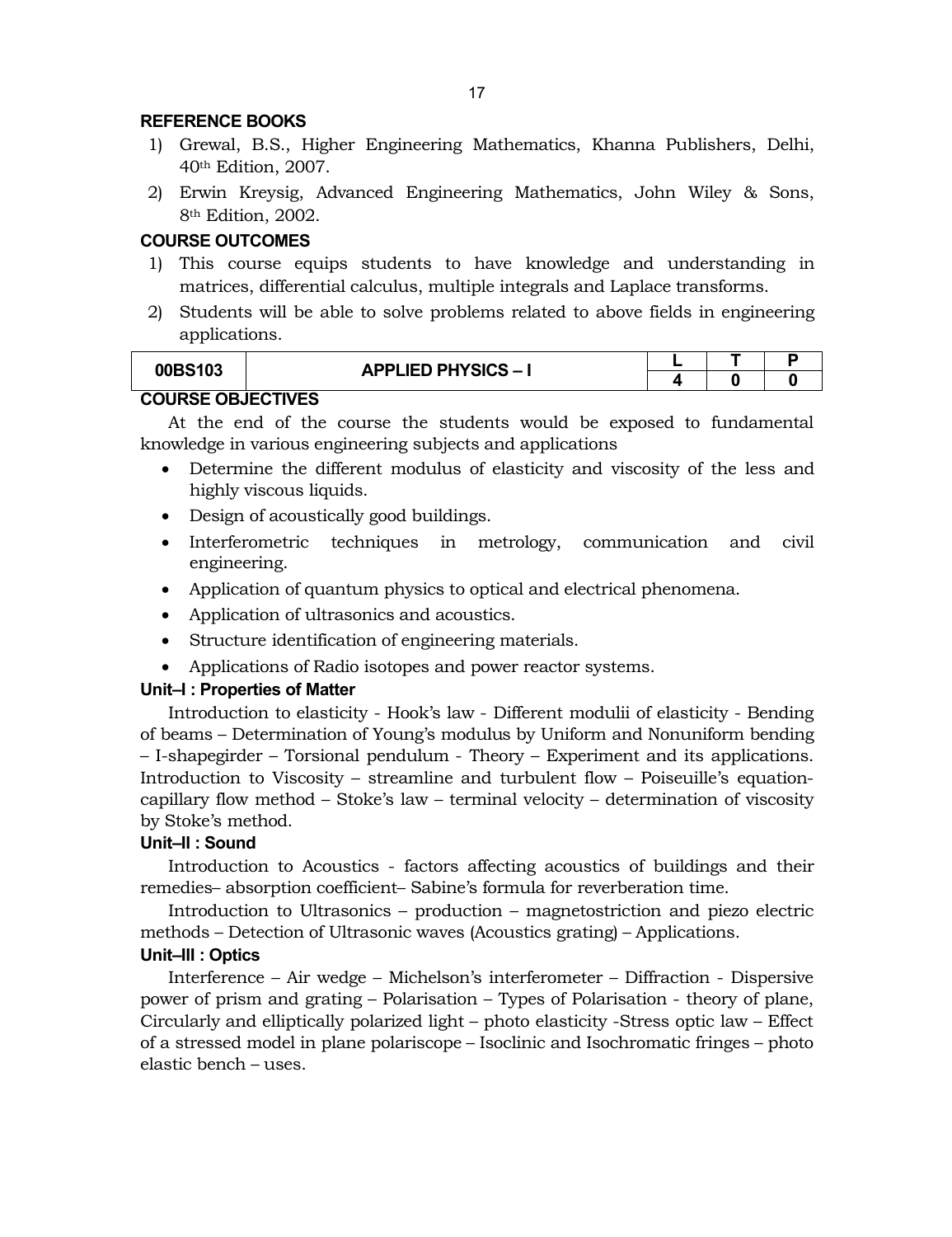#### **REFERENCE BOOKS**

- 1) Grewal, B.S., Higher Engineering Mathematics, Khanna Publishers, Delhi, 40th Edition, 2007.
- 2) Erwin Kreysig, Advanced Engineering Mathematics, John Wiley & Sons, 8th Edition, 2002.

#### **COURSE OUTCOMES**

- 1) This course equips students to have knowledge and understanding in matrices, differential calculus, multiple integrals and Laplace transforms.
- 2) Students will be able to solve problems related to above fields in engineering applications.

| 00BS103 | <b>APPLIED PHYSICS - I</b> |  |  |  |  |  |  |  |
|---------|----------------------------|--|--|--|--|--|--|--|
|         |                            |  |  |  |  |  |  |  |
|         |                            |  |  |  |  |  |  |  |

# **COURSE OBJECTIVES**

At the end of the course the students would be exposed to fundamental knowledge in various engineering subjects and applications

- Determine the different modulus of elasticity and viscosity of the less and highly viscous liquids.
- Design of acoustically good buildings.
- Interferometric techniques in metrology, communication and civil engineering.
- Application of quantum physics to optical and electrical phenomena.
- Application of ultrasonics and acoustics.
- Structure identification of engineering materials.
- Applications of Radio isotopes and power reactor systems.

#### **Unit–I : Properties of Matter**

Introduction to elasticity - Hook's law - Different modulii of elasticity - Bending of beams – Determination of Young's modulus by Uniform and Nonuniform bending – I-shapegirder – Torsional pendulum - Theory – Experiment and its applications. Introduction to Viscosity – streamline and turbulent flow – Poiseuille's equationcapillary flow method – Stoke's law – terminal velocity – determination of viscosity by Stoke's method.

#### **Unit–II : Sound**

Introduction to Acoustics - factors affecting acoustics of buildings and their remedies– absorption coefficient– Sabine's formula for reverberation time.

Introduction to Ultrasonics – production – magnetostriction and piezo electric methods – Detection of Ultrasonic waves (Acoustics grating) – Applications.

# **Unit–III : Optics**

Interference – Air wedge – Michelson's interferometer – Diffraction - Dispersive power of prism and grating – Polarisation – Types of Polarisation - theory of plane, Circularly and elliptically polarized light – photo elasticity -Stress optic law – Effect of a stressed model in plane polariscope – Isoclinic and Isochromatic fringes – photo elastic bench – uses.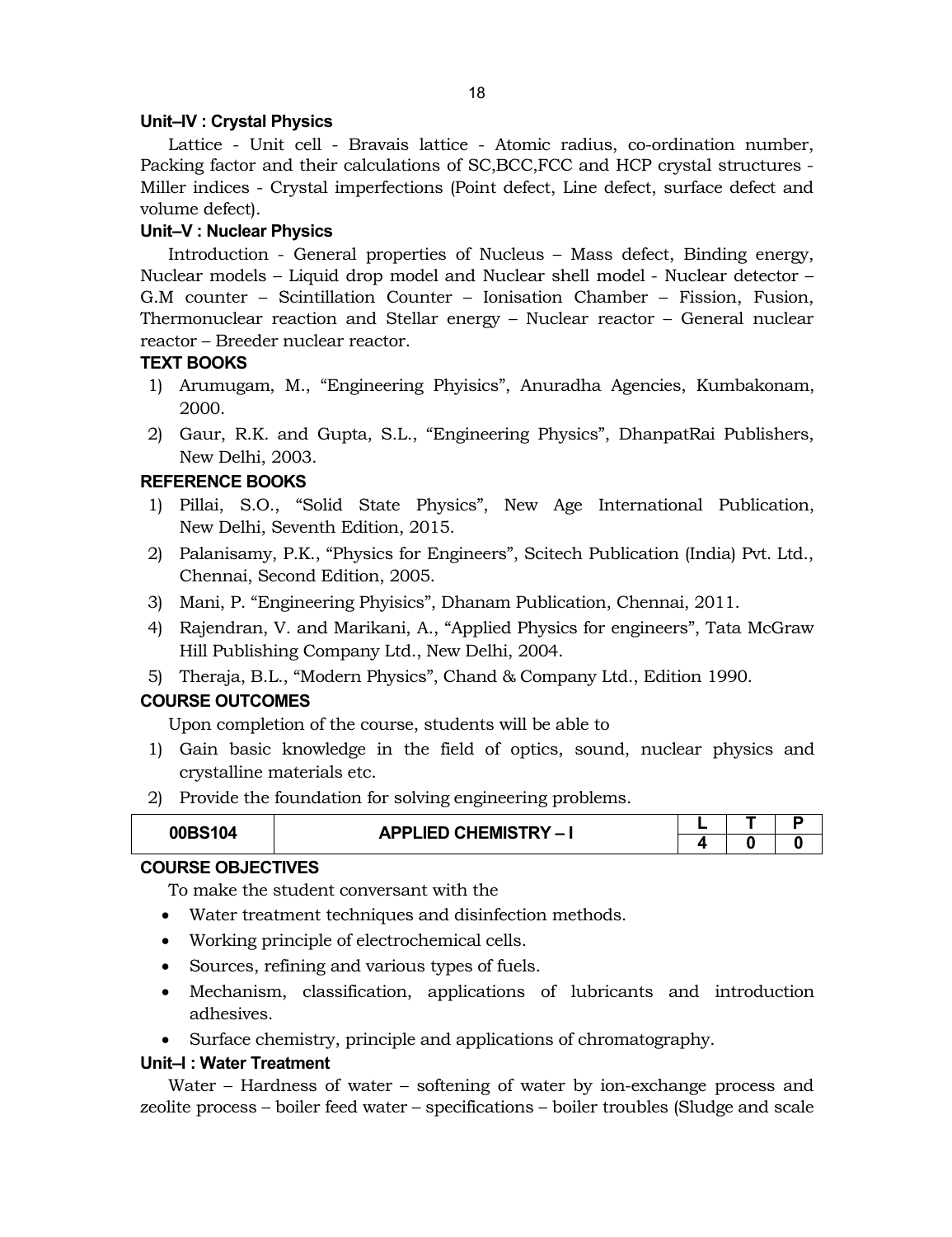#### **Unit–IV : Crystal Physics**

Lattice - Unit cell - Bravais lattice - Atomic radius, co-ordination number, Packing factor and their calculations of SC,BCC,FCC and HCP crystal structures - Miller indices - Crystal imperfections (Point defect, Line defect, surface defect and volume defect).

# **Unit–V : Nuclear Physics**

Introduction - General properties of Nucleus – Mass defect, Binding energy, Nuclear models – Liquid drop model and Nuclear shell model - Nuclear detector – G.M counter – Scintillation Counter – Ionisation Chamber – Fission, Fusion, Thermonuclear reaction and Stellar energy – Nuclear reactor – General nuclear reactor – Breeder nuclear reactor.

### **TEXT BOOKS**

- 1) Arumugam, M., "Engineering Phyisics", Anuradha Agencies, Kumbakonam, 2000.
- 2) Gaur, R.K. and Gupta, S.L., "Engineering Physics", DhanpatRai Publishers, New Delhi, 2003.

### **REFERENCE BOOKS**

- 1) Pillai, S.O., "Solid State Physics", New Age International Publication, New Delhi, Seventh Edition, 2015.
- 2) Palanisamy, P.K., "Physics for Engineers", Scitech Publication (India) Pvt. Ltd., Chennai, Second Edition, 2005.
- 3) Mani, P. "Engineering Phyisics", Dhanam Publication, Chennai, 2011.
- 4) Rajendran, V. and Marikani, A., "Applied Physics for engineers", Tata McGraw Hill Publishing Company Ltd., New Delhi, 2004.
- 5) Theraja, B.L., "Modern Physics", Chand & Company Ltd., Edition 1990.

# **COURSE OUTCOMES**

Upon completion of the course, students will be able to

- 1) Gain basic knowledge in the field of optics, sound, nuclear physics and crystalline materials etc.
- 2) Provide the foundation for solving engineering problems.

| 00BS104 | <b>APPLIED CHEMISTRY-I</b> |  |  |
|---------|----------------------------|--|--|
|         |                            |  |  |

# **COURSE OBJECTIVES**

To make the student conversant with the

- Water treatment techniques and disinfection methods.
- Working principle of electrochemical cells.
- Sources, refining and various types of fuels.
- Mechanism, classification, applications of lubricants and introduction adhesives.
- Surface chemistry, principle and applications of chromatography.

#### **Unit–I : Water Treatment**

Water – Hardness of water – softening of water by ion-exchange process and zeolite process – boiler feed water – specifications – boiler troubles (Sludge and scale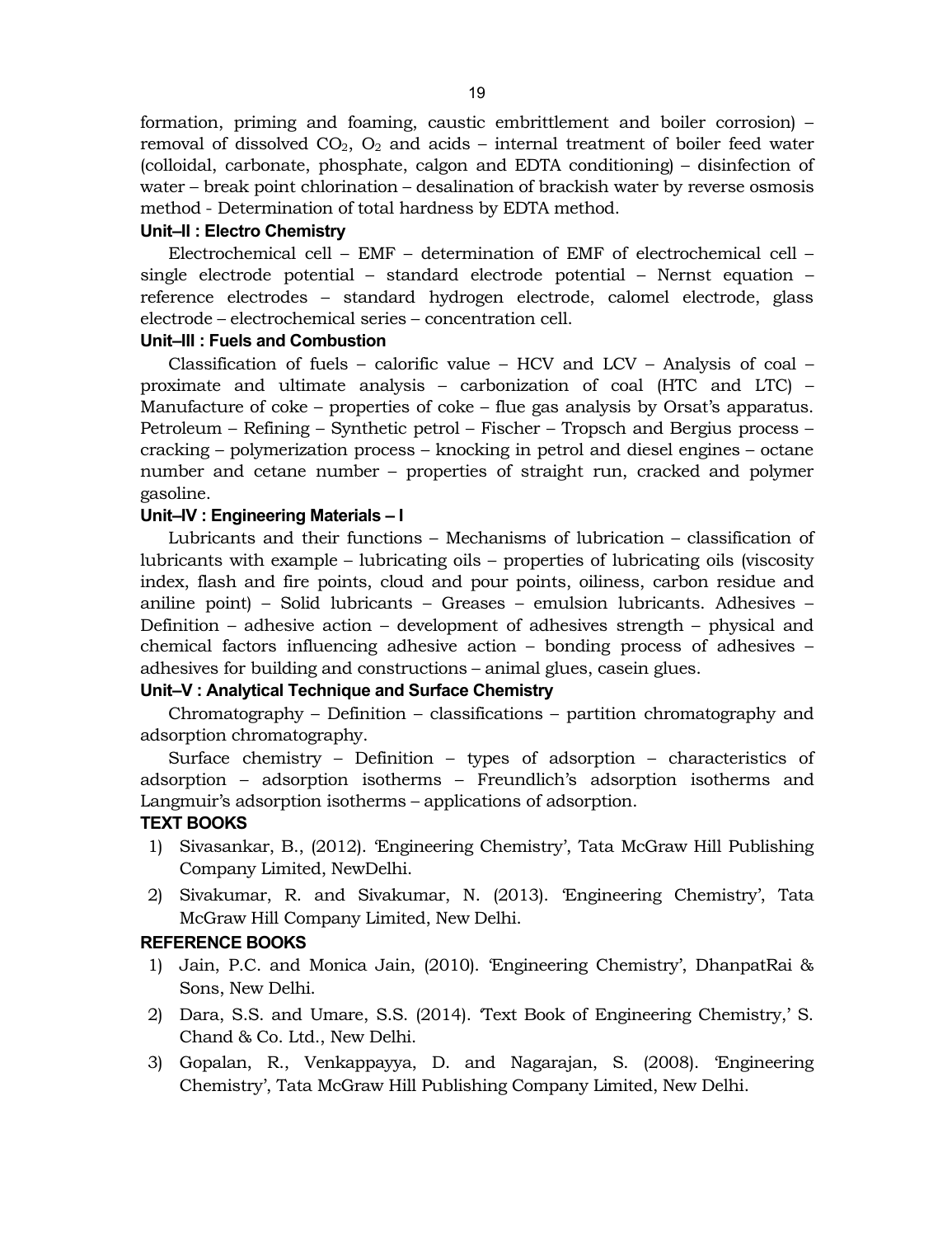formation, priming and foaming, caustic embrittlement and boiler corrosion) – removal of dissolved  $CO<sub>2</sub>$ ,  $O<sub>2</sub>$  and acids – internal treatment of boiler feed water (colloidal, carbonate, phosphate, calgon and EDTA conditioning) – disinfection of water – break point chlorination – desalination of brackish water by reverse osmosis method - Determination of total hardness by EDTA method.

#### **Unit–II : Electro Chemistry**

Electrochemical cell – EMF – determination of EMF of electrochemical cell – single electrode potential – standard electrode potential – Nernst equation – reference electrodes – standard hydrogen electrode, calomel electrode, glass electrode – electrochemical series – concentration cell.

#### **Unit–III : Fuels and Combustion**

Classification of fuels – calorific value – HCV and LCV – Analysis of coal – proximate and ultimate analysis – carbonization of coal (HTC and LTC) – Manufacture of coke – properties of coke – flue gas analysis by Orsat's apparatus. Petroleum – Refining – Synthetic petrol – Fischer – Tropsch and Bergius process – cracking – polymerization process – knocking in petrol and diesel engines – octane number and cetane number – properties of straight run, cracked and polymer gasoline.

### **Unit–IV : Engineering Materials – I**

Lubricants and their functions – Mechanisms of lubrication – classification of lubricants with example – lubricating oils – properties of lubricating oils (viscosity index, flash and fire points, cloud and pour points, oiliness, carbon residue and aniline point) – Solid lubricants – Greases – emulsion lubricants. Adhesives – Definition – adhesive action – development of adhesives strength – physical and chemical factors influencing adhesive action – bonding process of adhesives – adhesives for building and constructions – animal glues, casein glues.

### **Unit–V : Analytical Technique and Surface Chemistry**

Chromatography – Definition – classifications – partition chromatography and adsorption chromatography.

Surface chemistry – Definition – types of adsorption – characteristics of adsorption – adsorption isotherms – Freundlich's adsorption isotherms and Langmuir's adsorption isotherms – applications of adsorption.

# **TEXT BOOKS**

- 1) Sivasankar, B., (2012). 'Engineering Chemistry', Tata McGraw Hill Publishing Company Limited, NewDelhi.
- 2) Sivakumar, R. and Sivakumar, N. (2013). 'Engineering Chemistry', Tata McGraw Hill Company Limited, New Delhi.

#### **REFERENCE BOOKS**

- 1) Jain, P.C. and Monica Jain, (2010). 'Engineering Chemistry', DhanpatRai & Sons, New Delhi.
- 2) Dara, S.S. and Umare, S.S. (2014). 'Text Book of Engineering Chemistry,' S. Chand & Co. Ltd., New Delhi.
- 3) Gopalan, R., Venkappayya, D. and Nagarajan, S. (2008). 'Engineering Chemistry', Tata McGraw Hill Publishing Company Limited, New Delhi.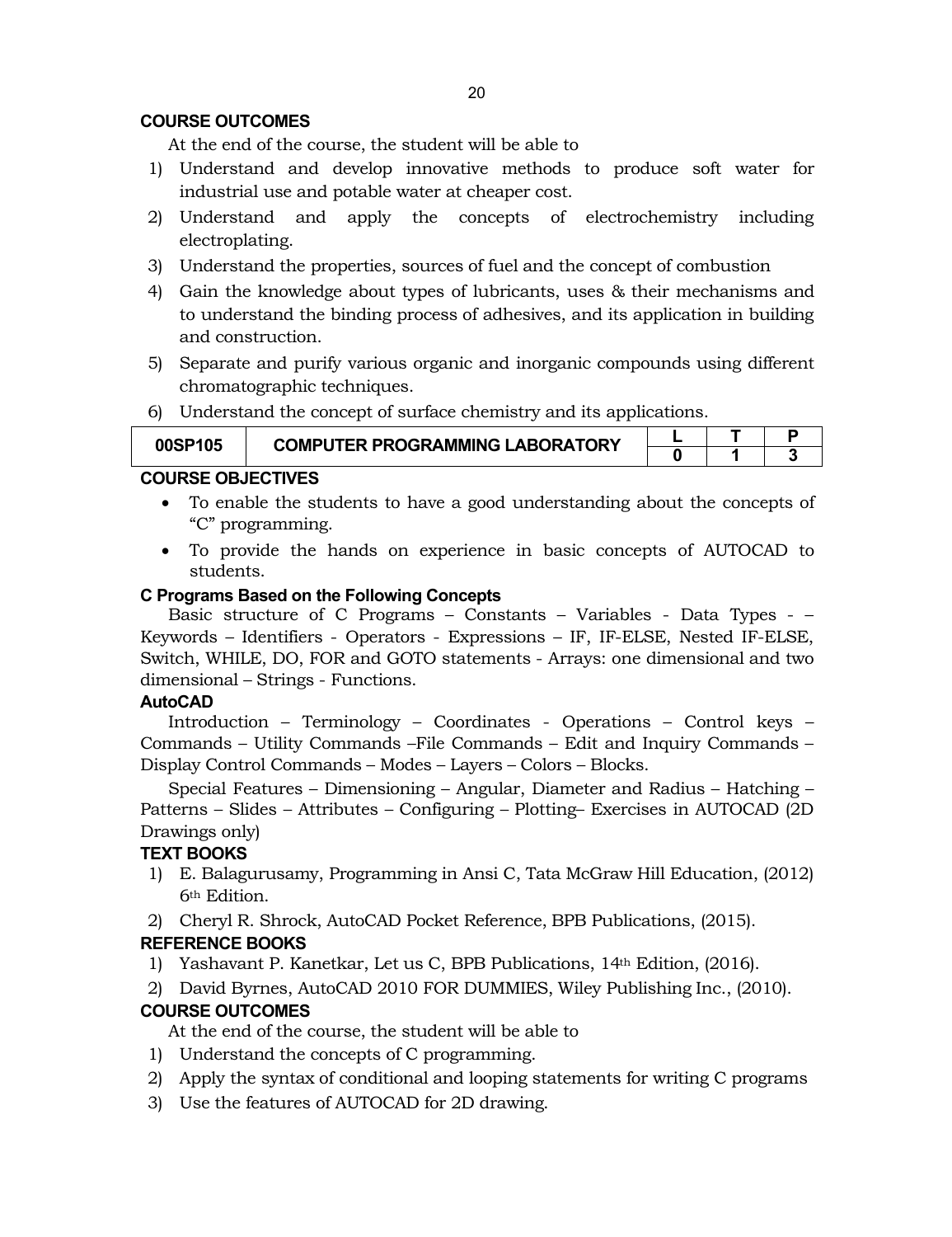# **COURSE OUTCOMES**

At the end of the course, the student will be able to

- 1) Understand and develop innovative methods to produce soft water for industrial use and potable water at cheaper cost.
- 2) Understand and apply the concepts of electrochemistry including electroplating.
- 3) Understand the properties, sources of fuel and the concept of combustion
- 4) Gain the knowledge about types of lubricants, uses & their mechanisms and to understand the binding process of adhesives, and its application in building and construction.
- 5) Separate and purify various organic and inorganic compounds using different chromatographic techniques.
- 6) Understand the concept of surface chemistry and its applications.

| 00SP105 | <b>COMPUTER PROGRAMMING LABORATORY</b> |  |  |
|---------|----------------------------------------|--|--|
|         |                                        |  |  |

### **COURSE OBJECTIVES**

- To enable the students to have a good understanding about the concepts of "C" programming.
- To provide the hands on experience in basic concepts of AUTOCAD to students.

#### **C Programs Based on the Following Concepts**

Basic structure of C Programs – Constants – Variables - Data Types - – Keywords – Identifiers - Operators - Expressions – IF, IF-ELSE, Nested IF-ELSE, Switch, WHILE, DO, FOR and GOTO statements - Arrays: one dimensional and two dimensional – Strings - Functions.

#### **AutoCAD**

Introduction – Terminology – Coordinates - Operations – Control keys – Commands – Utility Commands –File Commands – Edit and Inquiry Commands – Display Control Commands – Modes – Layers – Colors – Blocks.

Special Features – Dimensioning – Angular, Diameter and Radius – Hatching – Patterns – Slides – Attributes – Configuring – Plotting– Exercises in AUTOCAD (2D Drawings only)

# **TEXT BOOKS**

- 1) E. Balagurusamy, Programming in Ansi C, Tata McGraw Hill Education, (2012) 6th Edition.
- 2) Cheryl R. Shrock, AutoCAD Pocket Reference, BPB Publications, (2015).

# **REFERENCE BOOKS**

- 1) Yashavant P. Kanetkar, Let us C, BPB Publications, 14th Edition, (2016).
- 2) David Byrnes, AutoCAD 2010 FOR DUMMIES, Wiley Publishing Inc., (2010).

# **COURSE OUTCOMES**

At the end of the course, the student will be able to

- 1) Understand the concepts of C programming.
- 2) Apply the syntax of conditional and looping statements for writing C programs
- 3) Use the features of AUTOCAD for 2D drawing.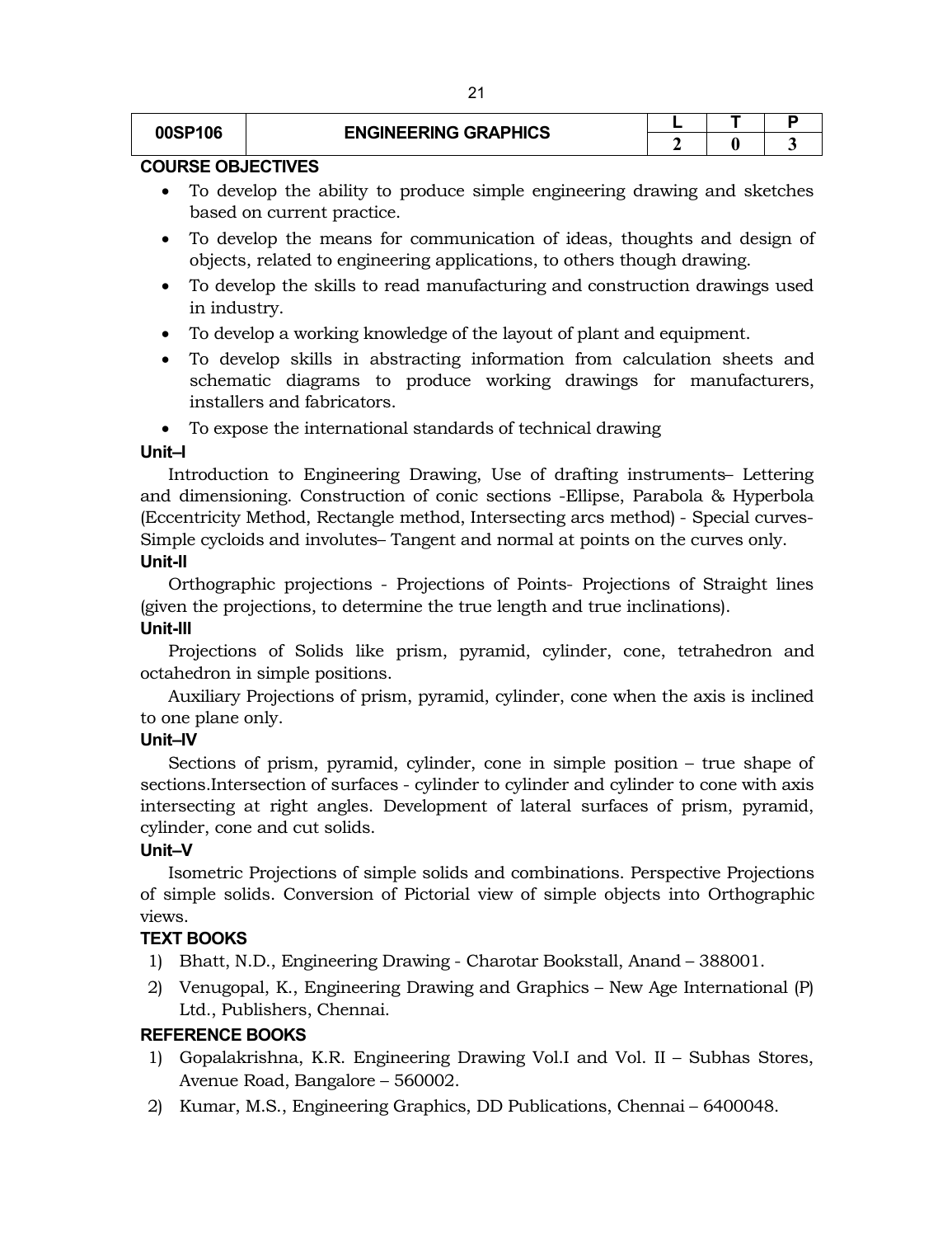# **00SP106**  $|$  **ENGINEERING GRAPHICS**

# **COURSE OBJECTIVES**

- To develop the ability to produce simple engineering drawing and sketches based on current practice.
- To develop the means for communication of ideas, thoughts and design of objects, related to engineering applications, to others though drawing.
- To develop the skills to read manufacturing and construction drawings used in industry.
- To develop a working knowledge of the layout of plant and equipment.
- To develop skills in abstracting information from calculation sheets and schematic diagrams to produce working drawings for manufacturers, installers and fabricators.
- To expose the international standards of technical drawing

### **Unit–I**

Introduction to Engineering Drawing, Use of drafting instruments– Lettering and dimensioning. Construction of conic sections -Ellipse, Parabola & Hyperbola (Eccentricity Method, Rectangle method, Intersecting arcs method) - Special curves-Simple cycloids and involutes– Tangent and normal at points on the curves only. **Unit-II**

Orthographic projections - Projections of Points- Projections of Straight lines (given the projections, to determine the true length and true inclinations).

# **Unit-III**

Projections of Solids like prism, pyramid, cylinder, cone, tetrahedron and octahedron in simple positions.

Auxiliary Projections of prism, pyramid, cylinder, cone when the axis is inclined to one plane only.

# **Unit–IV**

Sections of prism, pyramid, cylinder, cone in simple position – true shape of sections.Intersection of surfaces - cylinder to cylinder and cylinder to cone with axis intersecting at right angles. Development of lateral surfaces of prism, pyramid, cylinder, cone and cut solids.

# **Unit–V**

Isometric Projections of simple solids and combinations. Perspective Projections of simple solids. Conversion of Pictorial view of simple objects into Orthographic views.

# **TEXT BOOKS**

- 1) Bhatt, N.D., Engineering Drawing Charotar Bookstall, Anand 388001.
- 2) Venugopal, K., Engineering Drawing and Graphics New Age International (P) Ltd., Publishers, Chennai.

# **REFERENCE BOOKS**

- 1) Gopalakrishna, K.R. Engineering Drawing Vol.I and Vol. II Subhas Stores, Avenue Road, Bangalore – 560002.
- 2) Kumar, M.S., Engineering Graphics, DD Publications, Chennai 6400048.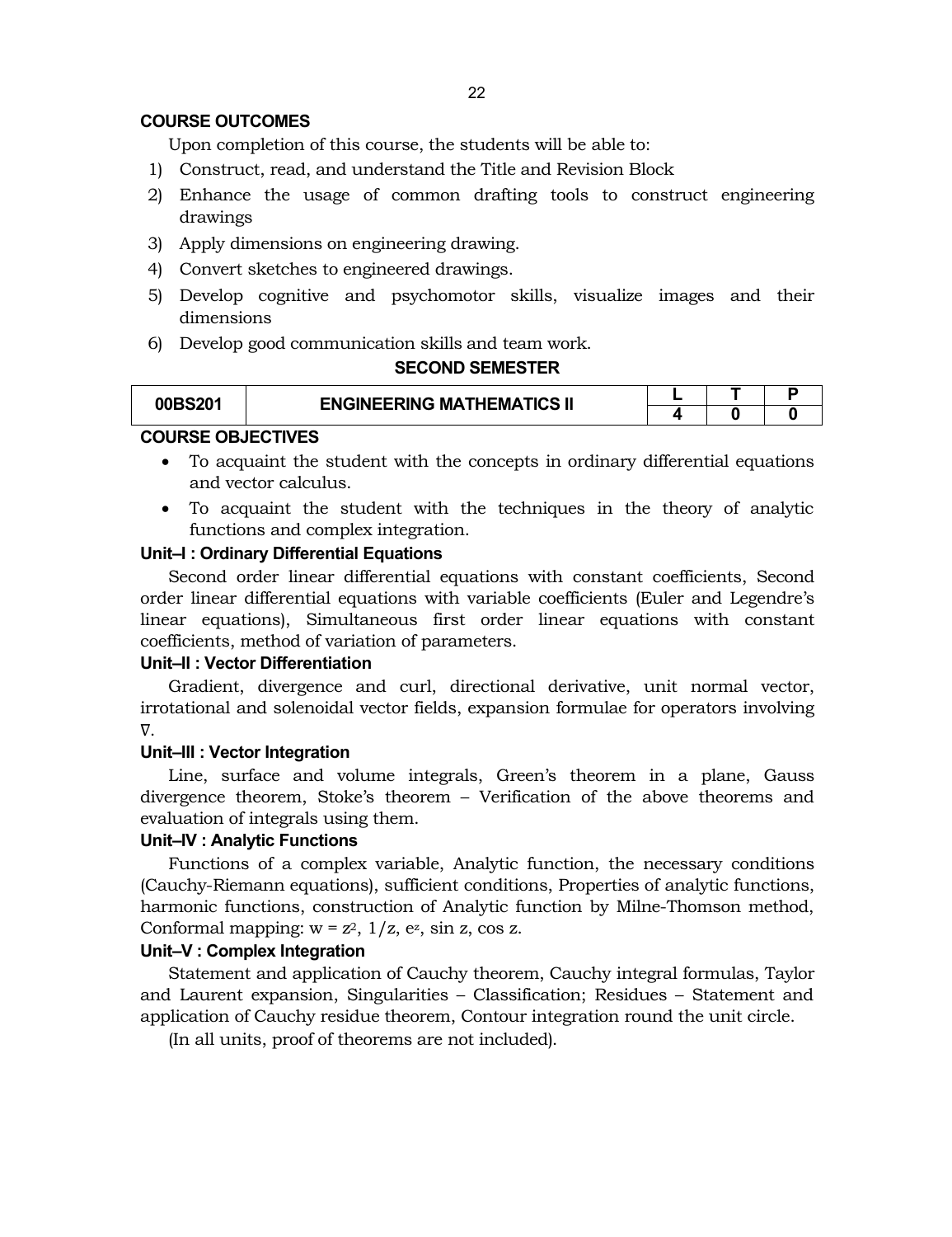#### **COURSE OUTCOMES**

Upon completion of this course, the students will be able to:

- 1) Construct, read, and understand the Title and Revision Block
- 2) Enhance the usage of common drafting tools to construct engineering drawings
- 3) Apply dimensions on engineering drawing.
- 4) Convert sketches to engineered drawings.
- 5) Develop cognitive and psychomotor skills, visualize images and their dimensions
- 6) Develop good communication skills and team work.

### **SECOND SEMESTER**

| 00BS201 | <b>ENGINEERING MATHEMATICS II</b> |  |  |
|---------|-----------------------------------|--|--|
|         |                                   |  |  |

#### **COURSE OBJECTIVES**

- To acquaint the student with the concepts in ordinary differential equations and vector calculus.
- To acquaint the student with the techniques in the theory of analytic functions and complex integration.

#### **Unit–I : Ordinary Differential Equations**

Second order linear differential equations with constant coefficients, Second order linear differential equations with variable coefficients (Euler and Legendre's linear equations), Simultaneous first order linear equations with constant coefficients, method of variation of parameters.

#### **Unit–II : Vector Differentiation**

Gradient, divergence and curl, directional derivative, unit normal vector, irrotational and solenoidal vector fields, expansion formulae for operators involving ∇.

#### **Unit–III : Vector Integration**

Line, surface and volume integrals, Green's theorem in a plane, Gauss divergence theorem, Stoke's theorem – Verification of the above theorems and evaluation of integrals using them.

# **Unit–IV : Analytic Functions**

Functions of a complex variable, Analytic function, the necessary conditions (Cauchy-Riemann equations), sufficient conditions, Properties of analytic functions, harmonic functions, construction of Analytic function by Milne-Thomson method, Conformal mapping:  $w = z^2$ ,  $1/z$ ,  $e^z$ ,  $\sin z$ ,  $\cos z$ .

#### **Unit–V : Complex Integration**

Statement and application of Cauchy theorem, Cauchy integral formulas, Taylor and Laurent expansion, Singularities – Classification; Residues – Statement and application of Cauchy residue theorem, Contour integration round the unit circle.

(In all units, proof of theorems are not included).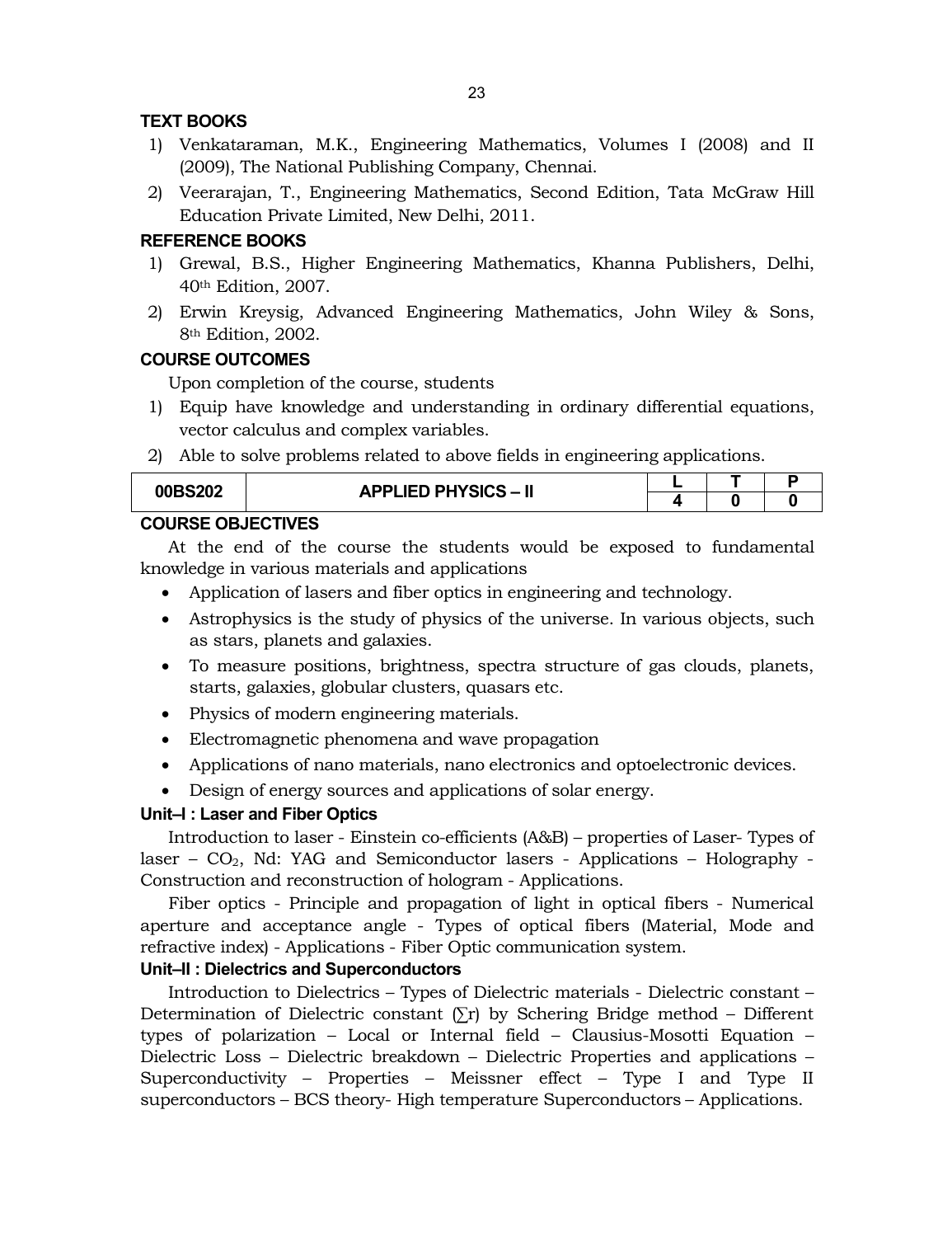## **TEXT BOOKS**

- 1) Venkataraman, M.K., Engineering Mathematics, Volumes I (2008) and II (2009), The National Publishing Company, Chennai.
- 2) Veerarajan, T., Engineering Mathematics, Second Edition, Tata McGraw Hill Education Private Limited, New Delhi, 2011.

# **REFERENCE BOOKS**

- 1) Grewal, B.S., Higher Engineering Mathematics, Khanna Publishers, Delhi, 40th Edition, 2007.
- 2) Erwin Kreysig, Advanced Engineering Mathematics, John Wiley & Sons, 8th Edition, 2002.

### **COURSE OUTCOMES**

Upon completion of the course, students

- 1) Equip have knowledge and understanding in ordinary differential equations, vector calculus and complex variables.
- 2) Able to solve problems related to above fields in engineering applications.

| 00BS202 | <b>APPLIED PHYSICS - II</b> |  |  |
|---------|-----------------------------|--|--|
|         |                             |  |  |

## **COURSE OBJECTIVES**

At the end of the course the students would be exposed to fundamental knowledge in various materials and applications

- Application of lasers and fiber optics in engineering and technology.
- Astrophysics is the study of physics of the universe. In various objects, such as stars, planets and galaxies.
- To measure positions, brightness, spectra structure of gas clouds, planets, starts, galaxies, globular clusters, quasars etc.
- Physics of modern engineering materials.
- Electromagnetic phenomena and wave propagation
- Applications of nano materials, nano electronics and optoelectronic devices.
- Design of energy sources and applications of solar energy.

#### **Unit–I : Laser and Fiber Optics**

Introduction to laser - Einstein co-efficients (A&B) – properties of Laser- Types of laser –  $CO<sub>2</sub>$ , Nd: YAG and Semiconductor lasers - Applications – Holography -Construction and reconstruction of hologram - Applications.

Fiber optics - Principle and propagation of light in optical fibers - Numerical aperture and acceptance angle - Types of optical fibers (Material, Mode and refractive index) - Applications - Fiber Optic communication system.

### **Unit–II : Dielectrics and Superconductors**

Introduction to Dielectrics – Types of Dielectric materials - Dielectric constant – Determination of Dielectric constant  $(\Sigma r)$  by Schering Bridge method – Different types of polarization – Local or Internal field – Clausius-Mosotti Equation – Dielectric Loss – Dielectric breakdown – Dielectric Properties and applications – Superconductivity – Properties – Meissner effect – Type I and Type II superconductors – BCS theory- High temperature Superconductors – Applications.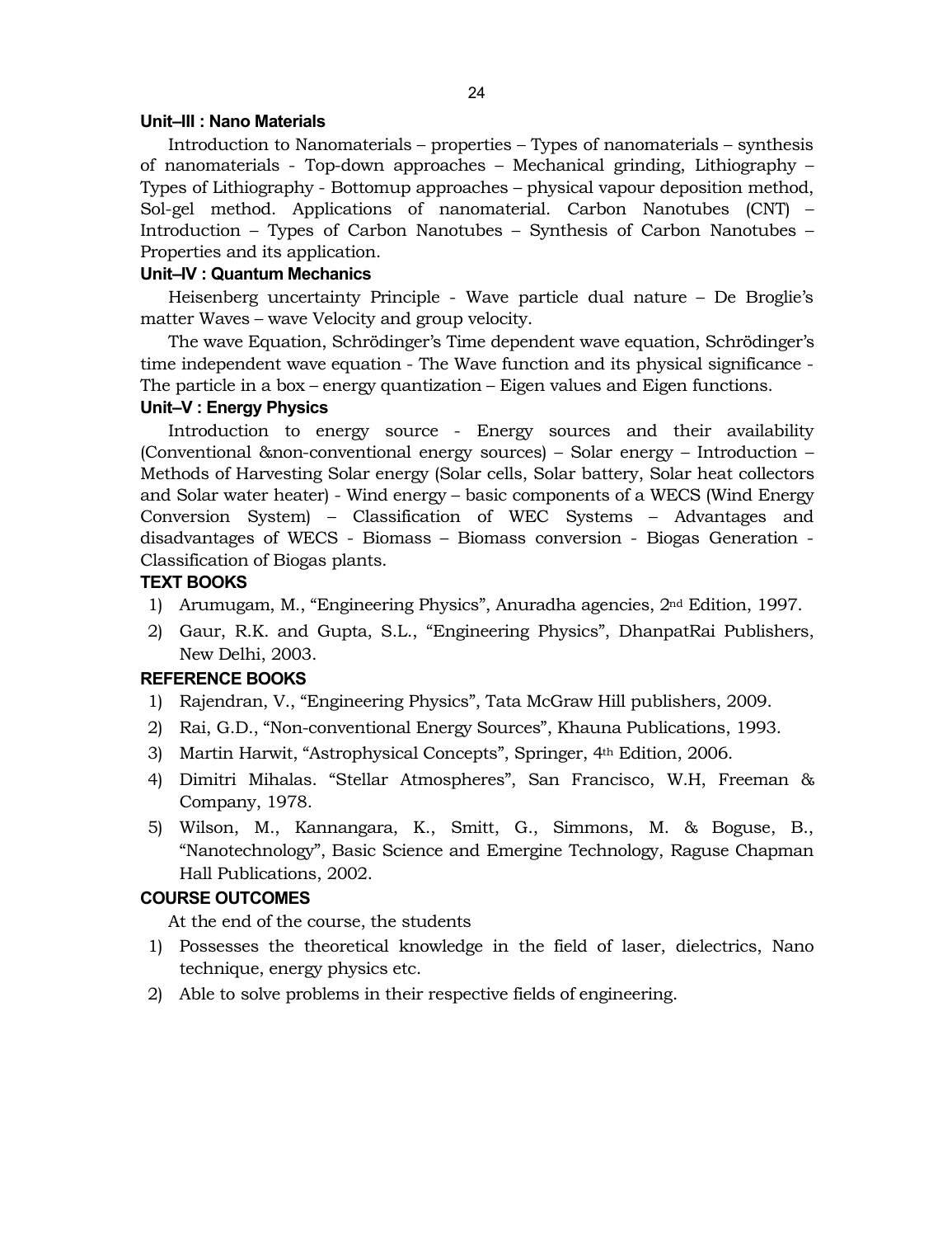#### **Unit–III : Nano Materials**

Introduction to Nanomaterials – properties – Types of nanomaterials – synthesis of nanomaterials - Top-down approaches – Mechanical grinding, Lithiography – Types of Lithiography - Bottomup approaches – physical vapour deposition method, Sol-gel method. Applications of nanomaterial. Carbon Nanotubes (CNT) – Introduction – Types of Carbon Nanotubes – Synthesis of Carbon Nanotubes – Properties and its application.

#### **Unit–IV : Quantum Mechanics**

Heisenberg uncertainty Principle - Wave particle dual nature – De Broglie's matter Waves – wave Velocity and group velocity.

The wave Equation, Schrödinger's Time dependent wave equation, Schrödinger's time independent wave equation - The Wave function and its physical significance - The particle in a box – energy quantization – Eigen values and Eigen functions.

### **Unit–V : Energy Physics**

Introduction to energy source - Energy sources and their availability (Conventional &non-conventional energy sources) – Solar energy – Introduction – Methods of Harvesting Solar energy (Solar cells, Solar battery, Solar heat collectors and Solar water heater) - Wind energy – basic components of a WECS (Wind Energy Conversion System) – Classification of WEC Systems – Advantages and disadvantages of WECS - Biomass – Biomass conversion - Biogas Generation - Classification of Biogas plants.

### **TEXT BOOKS**

- 1) Arumugam, M., "Engineering Physics", Anuradha agencies, 2nd Edition, 1997.
- 2) Gaur, R.K. and Gupta, S.L., "Engineering Physics", DhanpatRai Publishers, New Delhi, 2003.

#### **REFERENCE BOOKS**

- 1) Rajendran, V., "Engineering Physics", Tata McGraw Hill publishers, 2009.
- 2) Rai, G.D., "Non-conventional Energy Sources", Khauna Publications, 1993.
- 3) Martin Harwit, "Astrophysical Concepts", Springer, 4th Edition, 2006.
- 4) Dimitri Mihalas. "Stellar Atmospheres", San Francisco, W.H, Freeman & Company, 1978.
- 5) Wilson, M., Kannangara, K., Smitt, G., Simmons, M. & Boguse, B., "Nanotechnology", Basic Science and Emergine Technology, Raguse Chapman Hall Publications, 2002.

# **COURSE OUTCOMES**

At the end of the course, the students

- 1) Possesses the theoretical knowledge in the field of laser, dielectrics, Nano technique, energy physics etc.
- 2) Able to solve problems in their respective fields of engineering.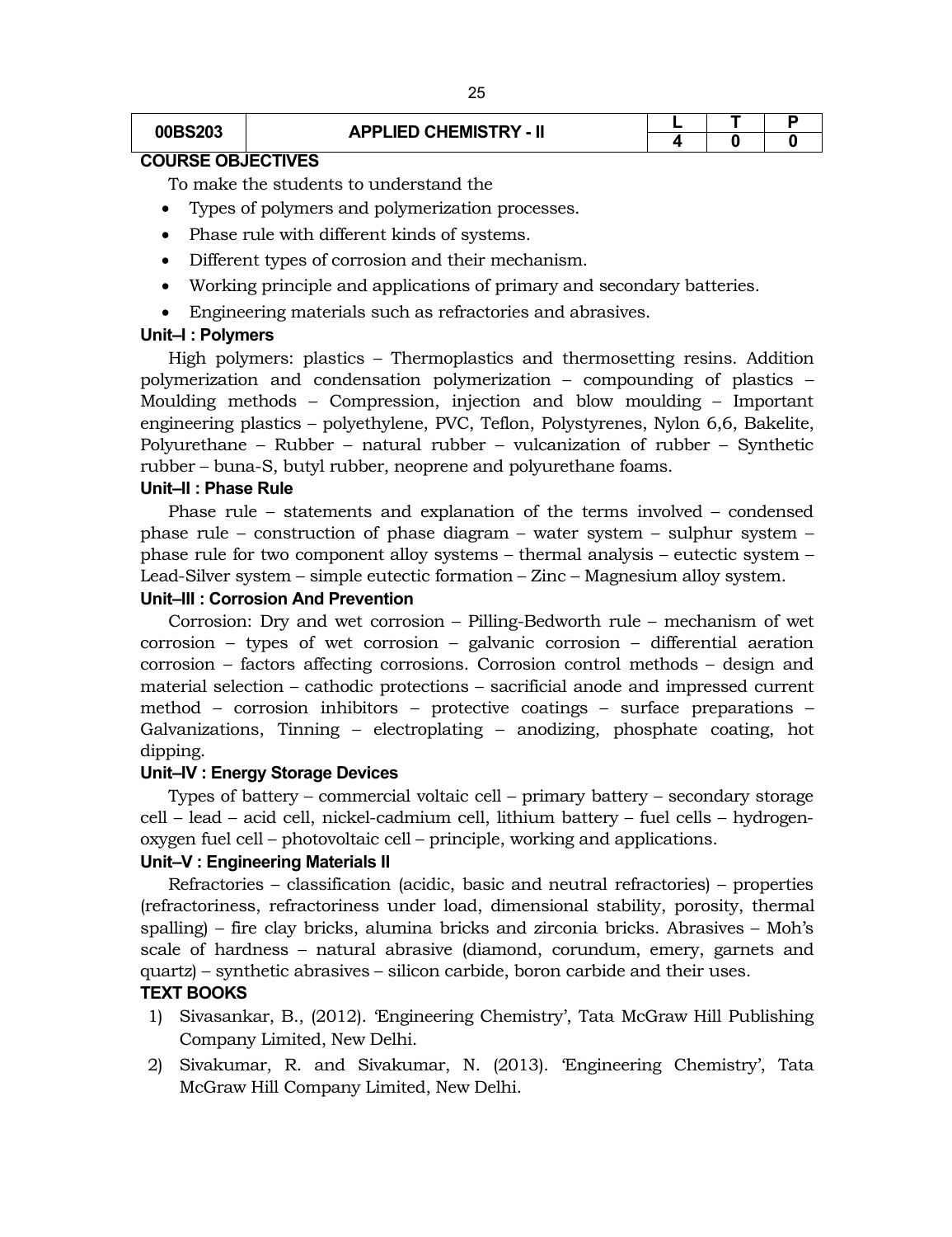# **00BS203 APPLIED CHEMISTRY - II**  $\begin{array}{|c|c|c|c|c|}\hline \textbf{L} & \textbf{T} & \textbf{P} \\ \hline \textbf{4} & \textbf{0} & \textbf{0} \\\hline \end{array}$

# **4 0 0**

# **COURSE OBJECTIVES**

To make the students to understand the

- Types of polymers and polymerization processes.
- Phase rule with different kinds of systems.
- Different types of corrosion and their mechanism.
- Working principle and applications of primary and secondary batteries.
- Engineering materials such as refractories and abrasives.

#### **Unit–I : Polymers**

High polymers: plastics – Thermoplastics and thermosetting resins. Addition polymerization and condensation polymerization – compounding of plastics – Moulding methods – Compression, injection and blow moulding – Important engineering plastics – polyethylene, PVC, Teflon, Polystyrenes, Nylon 6,6, Bakelite, Polyurethane – Rubber – natural rubber – vulcanization of rubber – Synthetic rubber – buna-S, butyl rubber, neoprene and polyurethane foams.

#### **Unit–II : Phase Rule**

Phase rule – statements and explanation of the terms involved – condensed phase rule – construction of phase diagram – water system – sulphur system – phase rule for two component alloy systems – thermal analysis – eutectic system – Lead-Silver system – simple eutectic formation – Zinc – Magnesium alloy system.

#### **Unit–III : Corrosion And Prevention**

Corrosion: Dry and wet corrosion – Pilling-Bedworth rule – mechanism of wet corrosion – types of wet corrosion – galvanic corrosion – differential aeration corrosion – factors affecting corrosions. Corrosion control methods – design and material selection – cathodic protections – sacrificial anode and impressed current method – corrosion inhibitors – protective coatings – surface preparations – Galvanizations, Tinning – electroplating – anodizing, phosphate coating, hot dipping.

#### **Unit–IV : Energy Storage Devices**

Types of battery – commercial voltaic cell – primary battery – secondary storage cell – lead – acid cell, nickel-cadmium cell, lithium battery – fuel cells – hydrogenoxygen fuel cell – photovoltaic cell – principle, working and applications.

#### **Unit–V : Engineering Materials II**

Refractories – classification (acidic, basic and neutral refractories) – properties (refractoriness, refractoriness under load, dimensional stability, porosity, thermal spalling) – fire clay bricks, alumina bricks and zirconia bricks. Abrasives – Moh's scale of hardness – natural abrasive (diamond, corundum, emery, garnets and quartz) – synthetic abrasives – silicon carbide, boron carbide and their uses.

#### **TEXT BOOKS**

- 1) Sivasankar, B., (2012). 'Engineering Chemistry', Tata McGraw Hill Publishing Company Limited, New Delhi.
- 2) Sivakumar, R. and Sivakumar, N. (2013). 'Engineering Chemistry', Tata McGraw Hill Company Limited, New Delhi.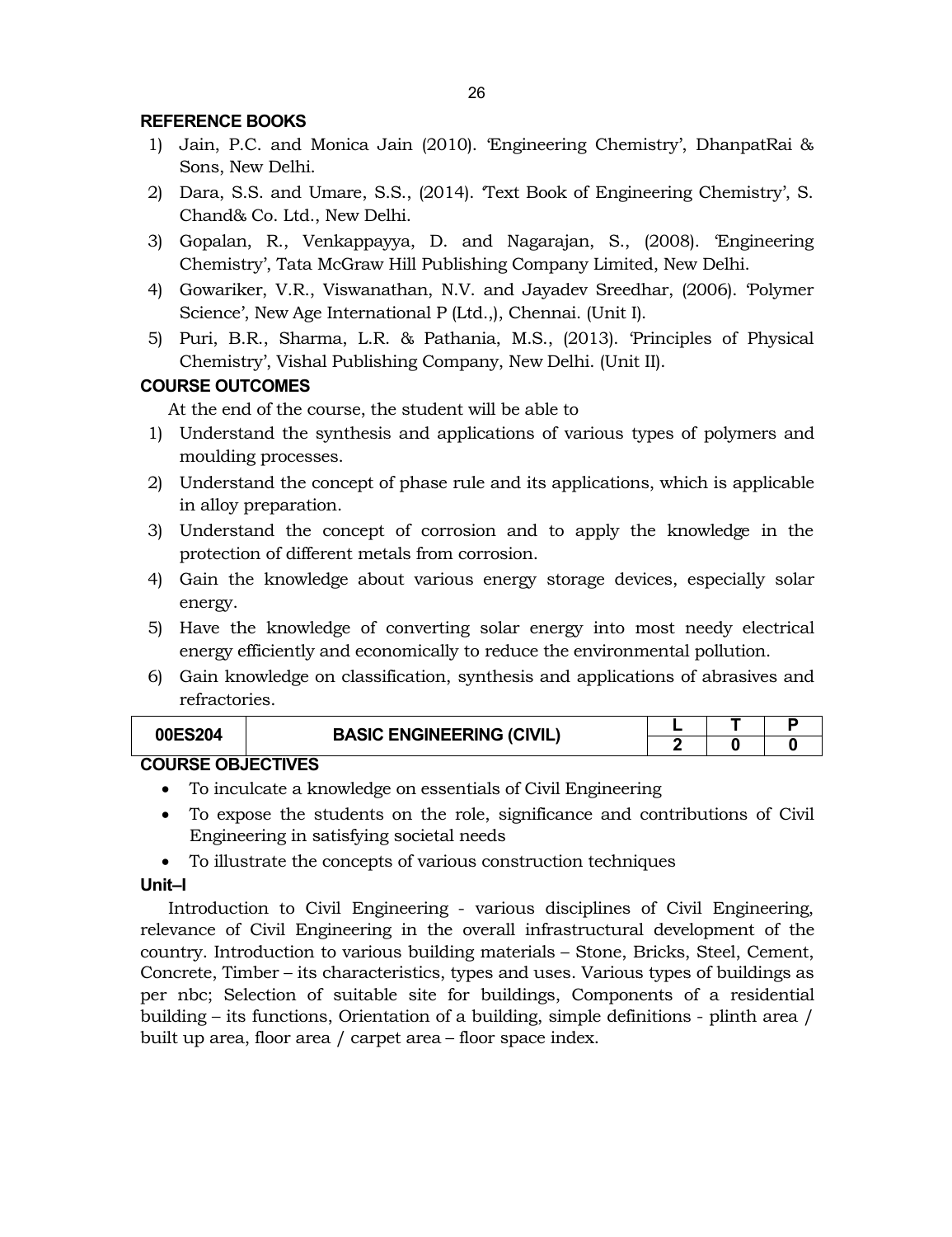## **REFERENCE BOOKS**

- 1) Jain, P.C. and Monica Jain (2010). 'Engineering Chemistry', DhanpatRai & Sons, New Delhi.
- 2) Dara, S.S. and Umare, S.S., (2014). 'Text Book of Engineering Chemistry', S. Chand& Co. Ltd., New Delhi.
- 3) Gopalan, R., Venkappayya, D. and Nagarajan, S., (2008). 'Engineering Chemistry', Tata McGraw Hill Publishing Company Limited, New Delhi.
- 4) Gowariker, V.R., Viswanathan, N.V. and Jayadev Sreedhar, (2006). 'Polymer Science', New Age International P (Ltd.,), Chennai. (Unit I).
- 5) Puri, B.R., Sharma, L.R. & Pathania, M.S., (2013). 'Principles of Physical Chemistry', Vishal Publishing Company, New Delhi. (Unit II).

# **COURSE OUTCOMES**

At the end of the course, the student will be able to

- 1) Understand the synthesis and applications of various types of polymers and moulding processes.
- 2) Understand the concept of phase rule and its applications, which is applicable in alloy preparation.
- 3) Understand the concept of corrosion and to apply the knowledge in the protection of different metals from corrosion.
- 4) Gain the knowledge about various energy storage devices, especially solar energy.
- 5) Have the knowledge of converting solar energy into most needy electrical energy efficiently and economically to reduce the environmental pollution.
- 6) Gain knowledge on classification, synthesis and applications of abrasives and refractories.

| <b>00ES204</b>       | <b>BASIC ENGINEERING (CIVIL)</b> |  |  |  |  |
|----------------------|----------------------------------|--|--|--|--|
|                      |                                  |  |  |  |  |
| COUDER OR IF ATILIES |                                  |  |  |  |  |

# **COURSE OBJECTIVES**

- To inculcate a knowledge on essentials of Civil Engineering
- To expose the students on the role, significance and contributions of Civil Engineering in satisfying societal needs
- To illustrate the concepts of various construction techniques

#### **Unit–I**

Introduction to Civil Engineering - various disciplines of Civil Engineering, relevance of Civil Engineering in the overall infrastructural development of the country. Introduction to various building materials – Stone, Bricks, Steel, Cement, Concrete, Timber – its characteristics, types and uses. Various types of buildings as per nbc; Selection of suitable site for buildings, Components of a residential building – its functions, Orientation of a building, simple definitions - plinth area / built up area, floor area / carpet area – floor space index.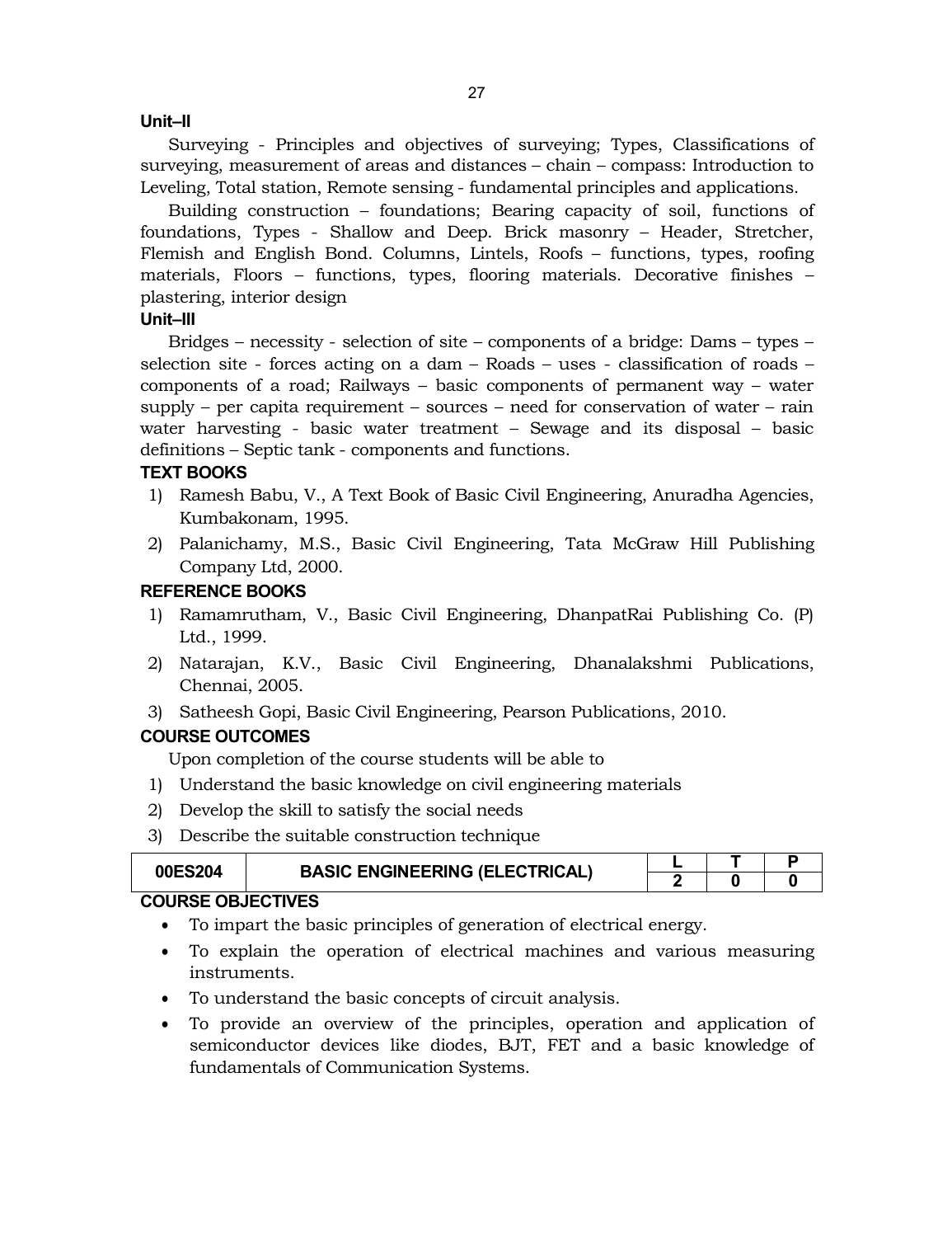#### **Unit–II**

Surveying - Principles and objectives of surveying; Types, Classifications of surveying, measurement of areas and distances – chain – compass: Introduction to Leveling, Total station, Remote sensing - fundamental principles and applications.

Building construction – foundations; Bearing capacity of soil, functions of foundations, Types - Shallow and Deep. Brick masonry – Header, Stretcher, Flemish and English Bond. Columns, Lintels, Roofs – functions, types, roofing materials, Floors – functions, types, flooring materials. Decorative finishes – plastering, interior design

#### **Unit–III**

Bridges – necessity - selection of site – components of a bridge: Dams – types – selection site - forces acting on a dam – Roads – uses - classification of roads – components of a road; Railways – basic components of permanent way – water supply – per capita requirement – sources – need for conservation of water – rain water harvesting - basic water treatment – Sewage and its disposal – basic definitions – Septic tank - components and functions.

#### **TEXT BOOKS**

- 1) Ramesh Babu, V., A Text Book of Basic Civil Engineering, Anuradha Agencies, Kumbakonam, 1995.
- 2) Palanichamy, M.S., Basic Civil Engineering, Tata McGraw Hill Publishing Company Ltd, 2000.

#### **REFERENCE BOOKS**

- 1) Ramamrutham, V., Basic Civil Engineering, DhanpatRai Publishing Co. (P) Ltd., 1999.
- 2) Natarajan, K.V., Basic Civil Engineering, Dhanalakshmi Publications, Chennai, 2005.
- 3) Satheesh Gopi, Basic Civil Engineering, Pearson Publications, 2010.

#### **COURSE OUTCOMES**

Upon completion of the course students will be able to

- 1) Understand the basic knowledge on civil engineering materials
- 2) Develop the skill to satisfy the social needs
- 3) Describe the suitable construction technique

| 00ES204                  | <b>BASIC ENGINEERING (ELECTRICAL)</b> |  |  |
|--------------------------|---------------------------------------|--|--|
|                          |                                       |  |  |
| <b>COURSE OBJECTIVES</b> |                                       |  |  |

#### To impart the basic principles of generation of electrical energy.

- To explain the operation of electrical machines and various measuring instruments.
- To understand the basic concepts of circuit analysis.
- To provide an overview of the principles, operation and application of semiconductor devices like diodes, BJT, FET and a basic knowledge of fundamentals of Communication Systems.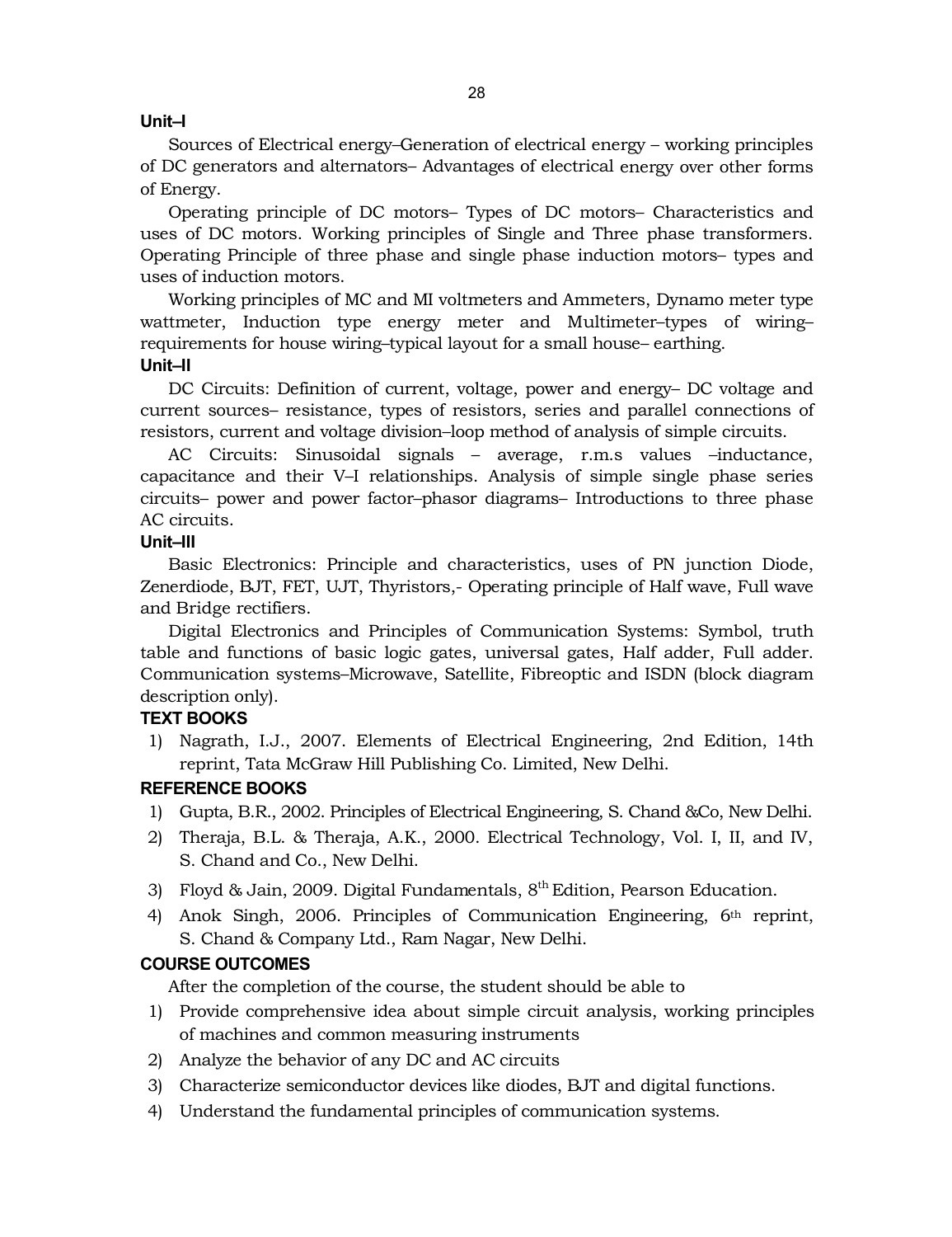#### **Unit–I**

Sources of Electrical energy–Generation of electrical energy – working principles of DC generators and alternators– Advantages of electrical energy over other forms of Energy.

Operating principle of DC motors– Types of DC motors– Characteristics and uses of DC motors. Working principles of Single and Three phase transformers. Operating Principle of three phase and single phase induction motors– types and uses of induction motors.

Working principles of MC and MI voltmeters and Ammeters, Dynamo meter type wattmeter, Induction type energy meter and Multimeter–types of wiring– requirements for house wiring–typical layout for a small house– earthing. **Unit–II**

DC Circuits: Definition of current, voltage, power and energy– DC voltage and current sources– resistance, types of resistors, series and parallel connections of resistors, current and voltage division–loop method of analysis of simple circuits.

AC Circuits: Sinusoidal signals – average, r.m.s values –inductance, capacitance and their V–I relationships. Analysis of simple single phase series circuits– power and power factor–phasor diagrams– Introductions to three phase AC circuits.

#### **Unit–III**

Basic Electronics: Principle and characteristics, uses of PN junction Diode, Zenerdiode, BJT, FET, UJT, Thyristors,- Operating principle of Half wave, Full wave and Bridge rectifiers.

Digital Electronics and Principles of Communication Systems: Symbol, truth table and functions of basic logic gates, universal gates, Half adder, Full adder. Communication systems–Microwave, Satellite, Fibreoptic and ISDN (block diagram description only).

#### **TEXT BOOKS**

1) Nagrath, I.J., 2007. Elements of Electrical Engineering, 2nd Edition, 14th reprint, Tata McGraw Hill Publishing Co. Limited, New Delhi.

#### **REFERENCE BOOKS**

- 1) Gupta, B.R., 2002. Principles of Electrical Engineering, S. Chand &Co, New Delhi.
- 2) Theraja, B.L. & Theraja, A.K., 2000. Electrical Technology, Vol. I, II, and IV, S. Chand and Co., New Delhi.
- 3) Floyd & Jain, 2009. Digital Fundamentals,  $8<sup>th</sup>$  Edition, Pearson Education.
- 4) Anok Singh, 2006. Principles of Communication Engineering, 6th reprint, S. Chand & Company Ltd., Ram Nagar, New Delhi.

# **COURSE OUTCOMES**

After the completion of the course, the student should be able to

- 1) Provide comprehensive idea about simple circuit analysis, working principles of machines and common measuring instruments
- 2) Analyze the behavior of any DC and AC circuits
- 3) Characterize semiconductor devices like diodes, BJT and digital functions.
- 4) Understand the fundamental principles of communication systems.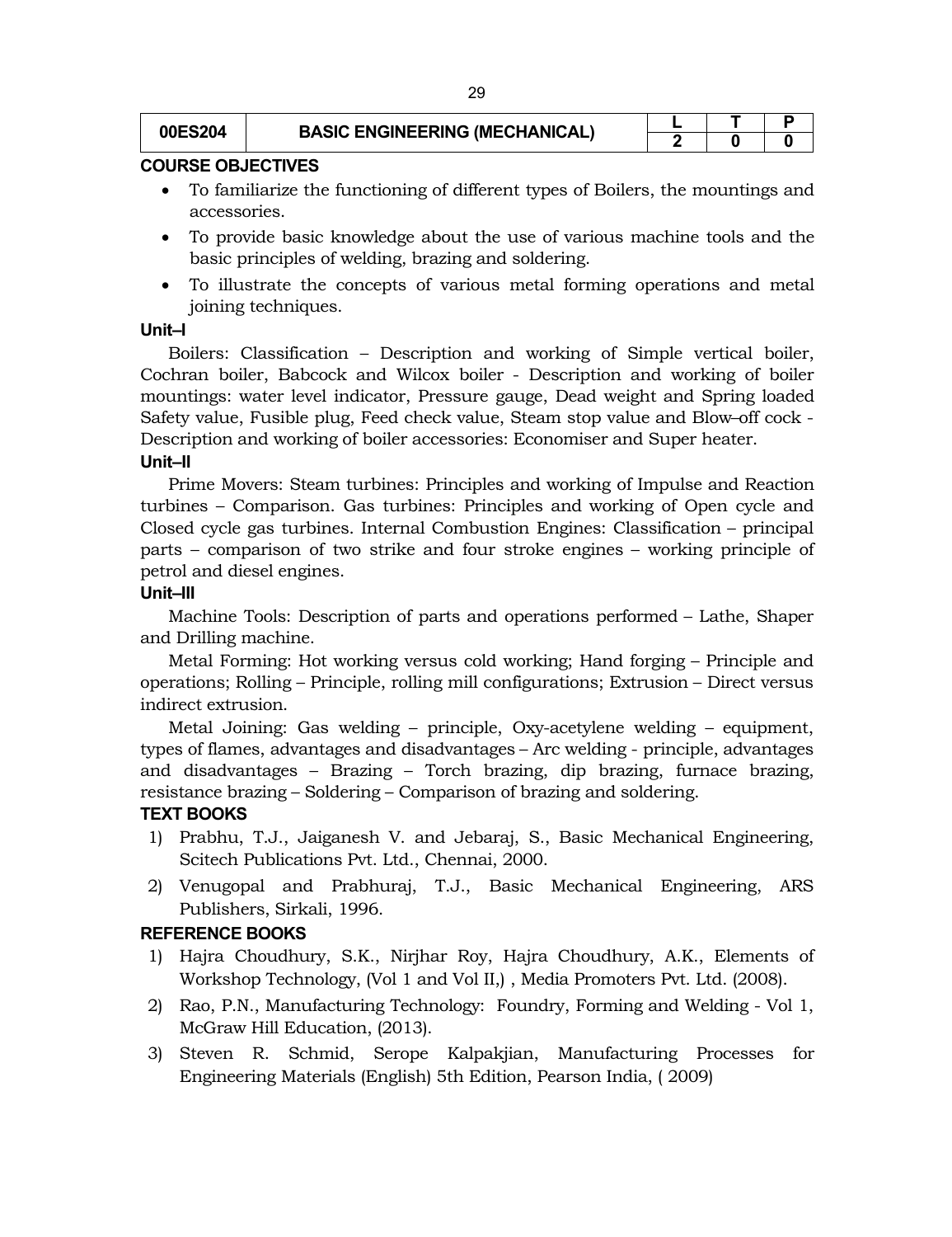| 00ES204 | <b>BASIC ENGINEERING (MECHANICAL)</b> |  |  |
|---------|---------------------------------------|--|--|
|         |                                       |  |  |

### **COURSE OBJECTIVES**

- To familiarize the functioning of different types of Boilers, the mountings and accessories.
- To provide basic knowledge about the use of various machine tools and the basic principles of welding, brazing and soldering.
- To illustrate the concepts of various metal forming operations and metal joining techniques.

### **Unit–I**

Boilers: Classification – Description and working of Simple vertical boiler, Cochran boiler, Babcock and Wilcox boiler - Description and working of boiler mountings: water level indicator, Pressure gauge, Dead weight and Spring loaded Safety value, Fusible plug, Feed check value, Steam stop value and Blow–off cock - Description and working of boiler accessories: Economiser and Super heater.

# **Unit–II**

Prime Movers: Steam turbines: Principles and working of Impulse and Reaction turbines – Comparison. Gas turbines: Principles and working of Open cycle and Closed cycle gas turbines. Internal Combustion Engines: Classification – principal parts – comparison of two strike and four stroke engines – working principle of petrol and diesel engines.

# **Unit–III**

Machine Tools: Description of parts and operations performed – Lathe, Shaper and Drilling machine.

Metal Forming: Hot working versus cold working; Hand forging – Principle and operations; Rolling – Principle, rolling mill configurations; Extrusion – Direct versus indirect extrusion.

Metal Joining: Gas welding – principle, Oxy-acetylene welding – equipment, types of flames, advantages and disadvantages – Arc welding - principle, advantages and disadvantages – Brazing – Torch brazing, dip brazing, furnace brazing, resistance brazing – Soldering – Comparison of brazing and soldering.

# **TEXT BOOKS**

- 1) Prabhu, T.J., Jaiganesh V. and Jebaraj, S., Basic Mechanical Engineering, Scitech Publications Pvt. Ltd., Chennai, 2000.
- 2) Venugopal and Prabhuraj, T.J., Basic Mechanical Engineering, ARS Publishers, Sirkali, 1996.

# **REFERENCE BOOKS**

- 1) Hajra Choudhury, S.K., Nirjhar Roy, Hajra Choudhury, A.K., Elements of Workshop Technology, (Vol 1 and Vol II,) , Media Promoters Pvt. Ltd. (2008).
- 2) Rao, P.N., Manufacturing Technology: Foundry, Forming and Welding Vol 1, McGraw Hill Education, (2013).
- 3) Steven R. Schmid, Serope Kalpakjian, Manufacturing Processes for Engineering Materials (English) 5th Edition, Pearson India, ( 2009)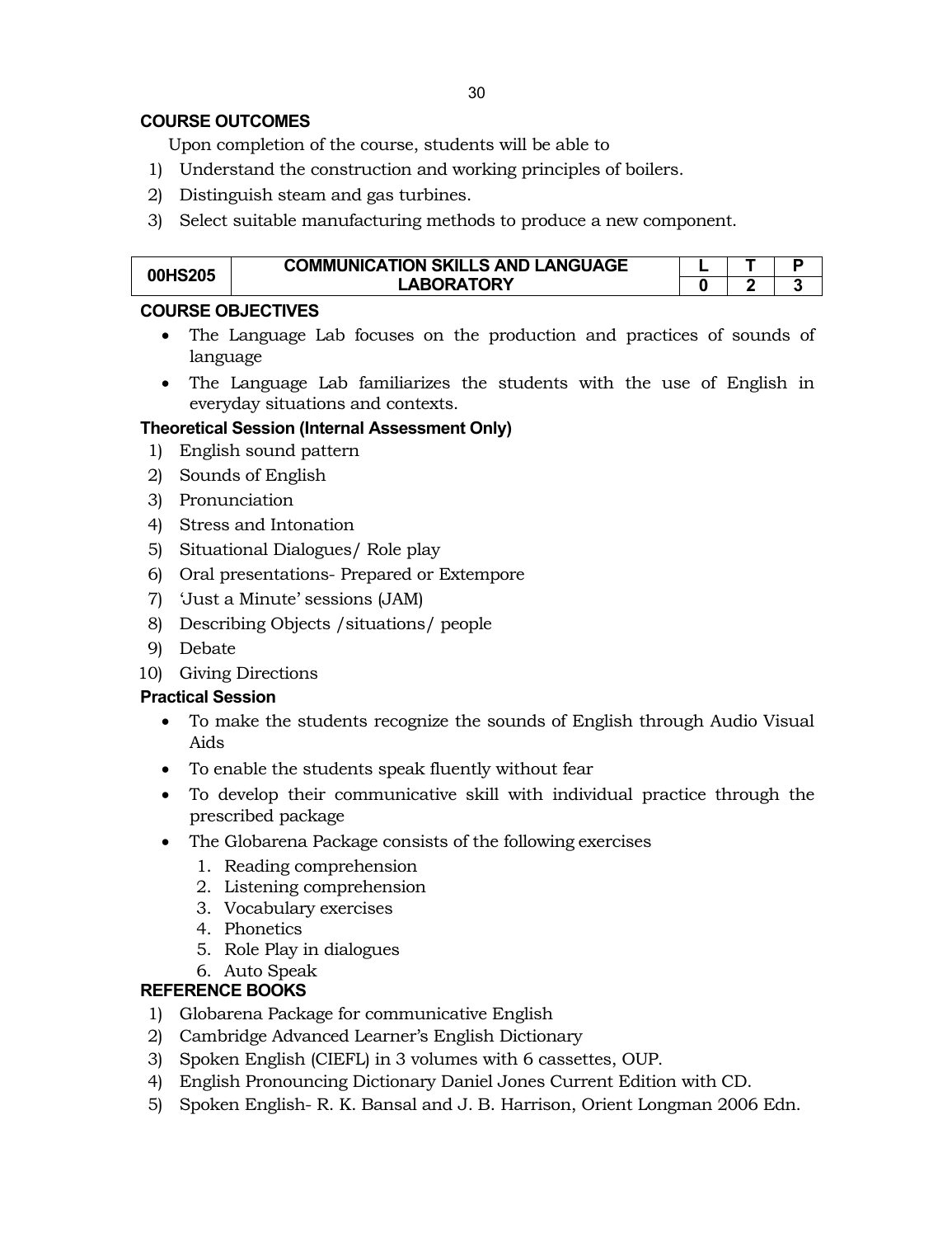# **COURSE OUTCOMES**

Upon completion of the course, students will be able to

- 1) Understand the construction and working principles of boilers.
- 2) Distinguish steam and gas turbines.
- 3) Select suitable manufacturing methods to produce a new component.

| 00HS205 | <b>COMMUNICATION SKILLS AND LANGUAGE</b> |  |         |
|---------|------------------------------------------|--|---------|
|         | LABORATORY                               |  | . .<br> |

# **COURSE OBJECTIVES**

- The Language Lab focuses on the production and practices of sounds of language
- The Language Lab familiarizes the students with the use of English in everyday situations and contexts.

# **Theoretical Session (Internal Assessment Only)**

- 1) English sound pattern
- 2) Sounds of English
- 3) Pronunciation
- 4) Stress and Intonation
- 5) Situational Dialogues/ Role play
- 6) Oral presentations- Prepared or Extempore
- 7) 'Just a Minute' sessions (JAM)
- 8) Describing Objects /situations/ people
- 9) Debate
- 10) Giving Directions

# **Practical Session**

- To make the students recognize the sounds of English through Audio Visual Aids
- To enable the students speak fluently without fear
- To develop their communicative skill with individual practice through the prescribed package
- The Globarena Package consists of the following exercises
	- 1. Reading comprehension
	- 2. Listening comprehension
	- 3. Vocabulary exercises
	- 4. Phonetics
	- 5. Role Play in dialogues
	- 6. Auto Speak

# **REFERENCE BOOKS**

- 1) Globarena Package for communicative English
- 2) Cambridge Advanced Learner's English Dictionary
- 3) Spoken English (CIEFL) in 3 volumes with 6 cassettes, OUP.
- 4) English Pronouncing Dictionary Daniel Jones Current Edition with CD.
- 5) Spoken English- R. K. Bansal and J. B. Harrison, Orient Longman 2006 Edn.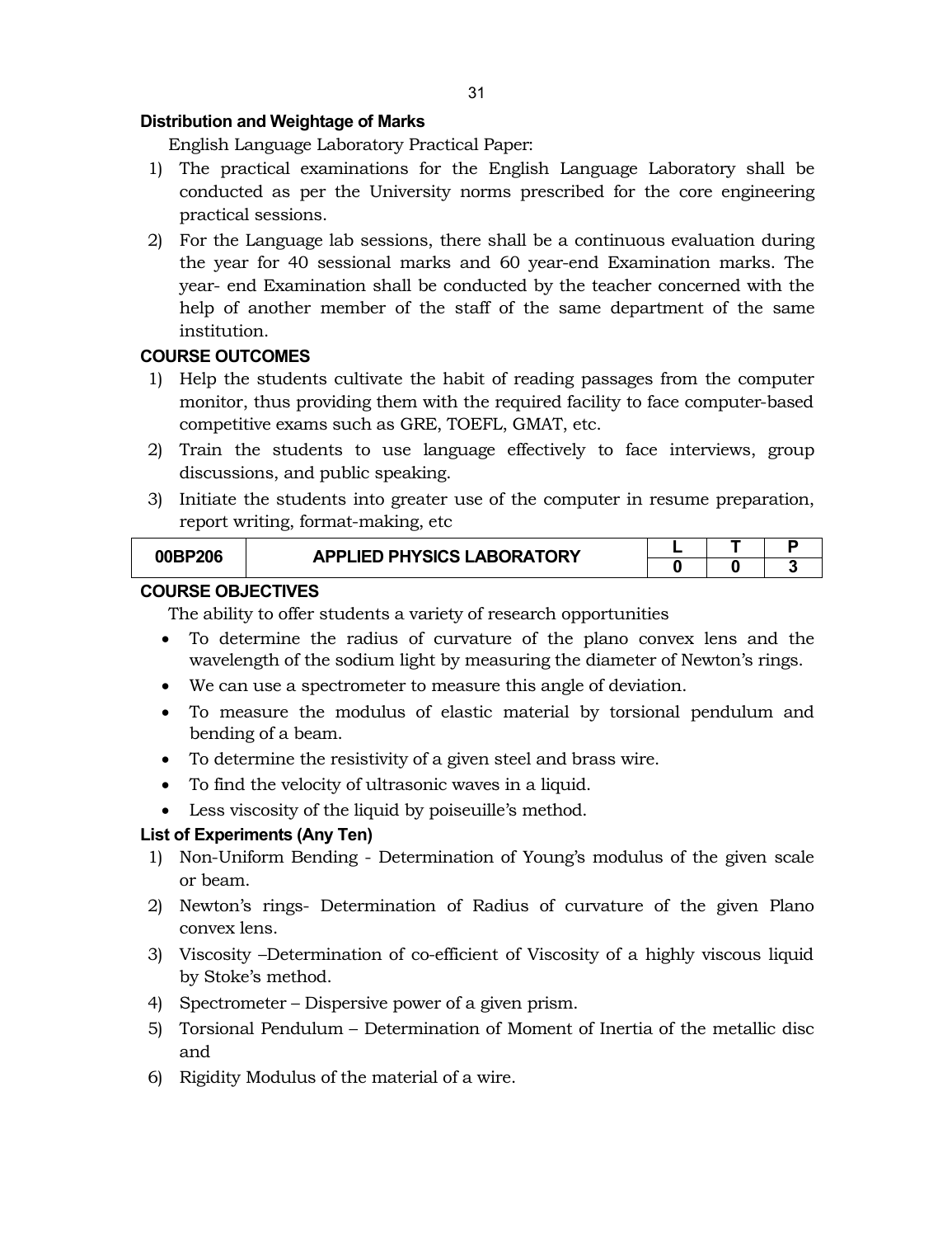#### **Distribution and Weightage of Marks**

English Language Laboratory Practical Paper:

- 1) The practical examinations for the English Language Laboratory shall be conducted as per the University norms prescribed for the core engineering practical sessions.
- 2) For the Language lab sessions, there shall be a continuous evaluation during the year for 40 sessional marks and 60 year-end Examination marks. The year- end Examination shall be conducted by the teacher concerned with the help of another member of the staff of the same department of the same institution.

# **COURSE OUTCOMES**

- 1) Help the students cultivate the habit of reading passages from the computer monitor, thus providing them with the required facility to face computer-based competitive exams such as GRE, TOEFL, GMAT, etc.
- 2) Train the students to use language effectively to face interviews, group discussions, and public speaking.
- 3) Initiate the students into greater use of the computer in resume preparation, report writing, format-making, etc

| <b>BP206</b><br>MKP | <b>APPLIED PHYSICS LABORATORY</b> |  |  |  |  |
|---------------------|-----------------------------------|--|--|--|--|
|                     |                                   |  |  |  |  |
|                     |                                   |  |  |  |  |

### **COURSE OBJECTIVES**

The ability to offer students a variety of research opportunities

- To determine the radius of curvature of the plano convex lens and the wavelength of the sodium light by measuring the diameter of Newton's rings.
- We can use a spectrometer to measure this angle of deviation.
- To measure the modulus of elastic material by torsional pendulum and bending of a beam.
- To determine the resistivity of a given steel and brass wire.
- To find the velocity of ultrasonic waves in a liquid.
- Less viscosity of the liquid by poiseuille's method.

# **List of Experiments (Any Ten)**

- 1) Non-Uniform Bending Determination of Young's modulus of the given scale or beam.
- 2) Newton's rings- Determination of Radius of curvature of the given Plano convex lens.
- 3) Viscosity –Determination of co-efficient of Viscosity of a highly viscous liquid by Stoke's method.
- 4) Spectrometer Dispersive power of a given prism.
- 5) Torsional Pendulum Determination of Moment of Inertia of the metallic disc and
- 6) Rigidity Modulus of the material of a wire.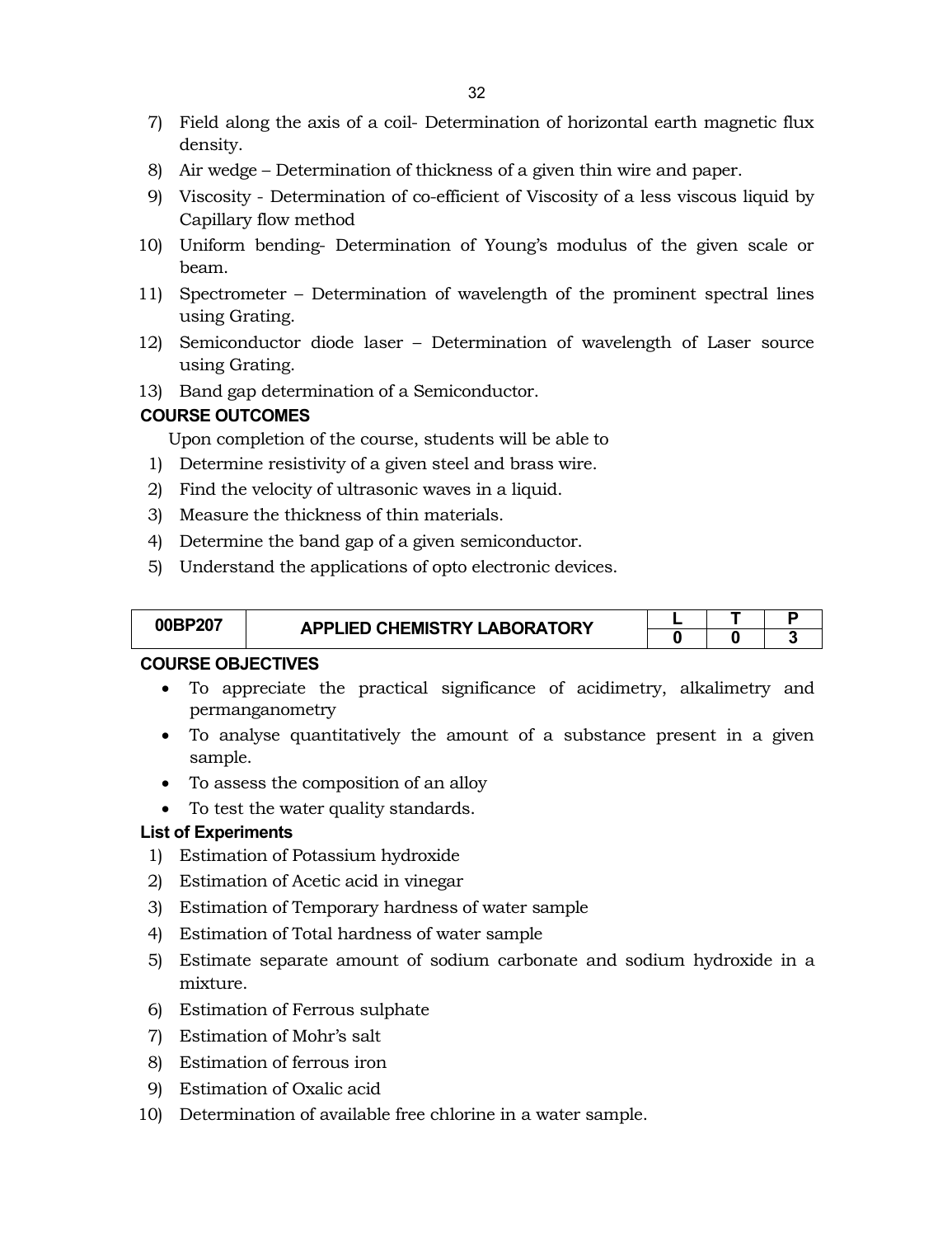- 7) Field along the axis of a coil- Determination of horizontal earth magnetic flux density.
- 8) Air wedge Determination of thickness of a given thin wire and paper.
- 9) Viscosity Determination of co-efficient of Viscosity of a less viscous liquid by Capillary flow method
- 10) Uniform bending- Determination of Young's modulus of the given scale or beam.
- 11) Spectrometer Determination of wavelength of the prominent spectral lines using Grating.
- 12) Semiconductor diode laser Determination of wavelength of Laser source using Grating.
- 13) Band gap determination of a Semiconductor.

### **COURSE OUTCOMES**

Upon completion of the course, students will be able to

- 1) Determine resistivity of a given steel and brass wire.
- 2) Find the velocity of ultrasonic waves in a liquid.
- 3) Measure the thickness of thin materials.
- 4) Determine the band gap of a given semiconductor.
- 5) Understand the applications of opto electronic devices.

| 00BP207 | <b>APPLIED CHEMISTRY LABORATORY</b> |  |  |
|---------|-------------------------------------|--|--|
|         |                                     |  |  |

# **COURSE OBJECTIVES**

- To appreciate the practical significance of acidimetry, alkalimetry and permanganometry
- To analyse quantitatively the amount of a substance present in a given sample.
- To assess the composition of an alloy
- To test the water quality standards.

#### **List of Experiments**

- 1) Estimation of Potassium hydroxide
- 2) Estimation of Acetic acid in vinegar
- 3) Estimation of Temporary hardness of water sample
- 4) Estimation of Total hardness of water sample
- 5) Estimate separate amount of sodium carbonate and sodium hydroxide in a mixture.
- 6) Estimation of Ferrous sulphate
- 7) Estimation of Mohr's salt
- 8) Estimation of ferrous iron
- 9) Estimation of Oxalic acid
- 10) Determination of available free chlorine in a water sample.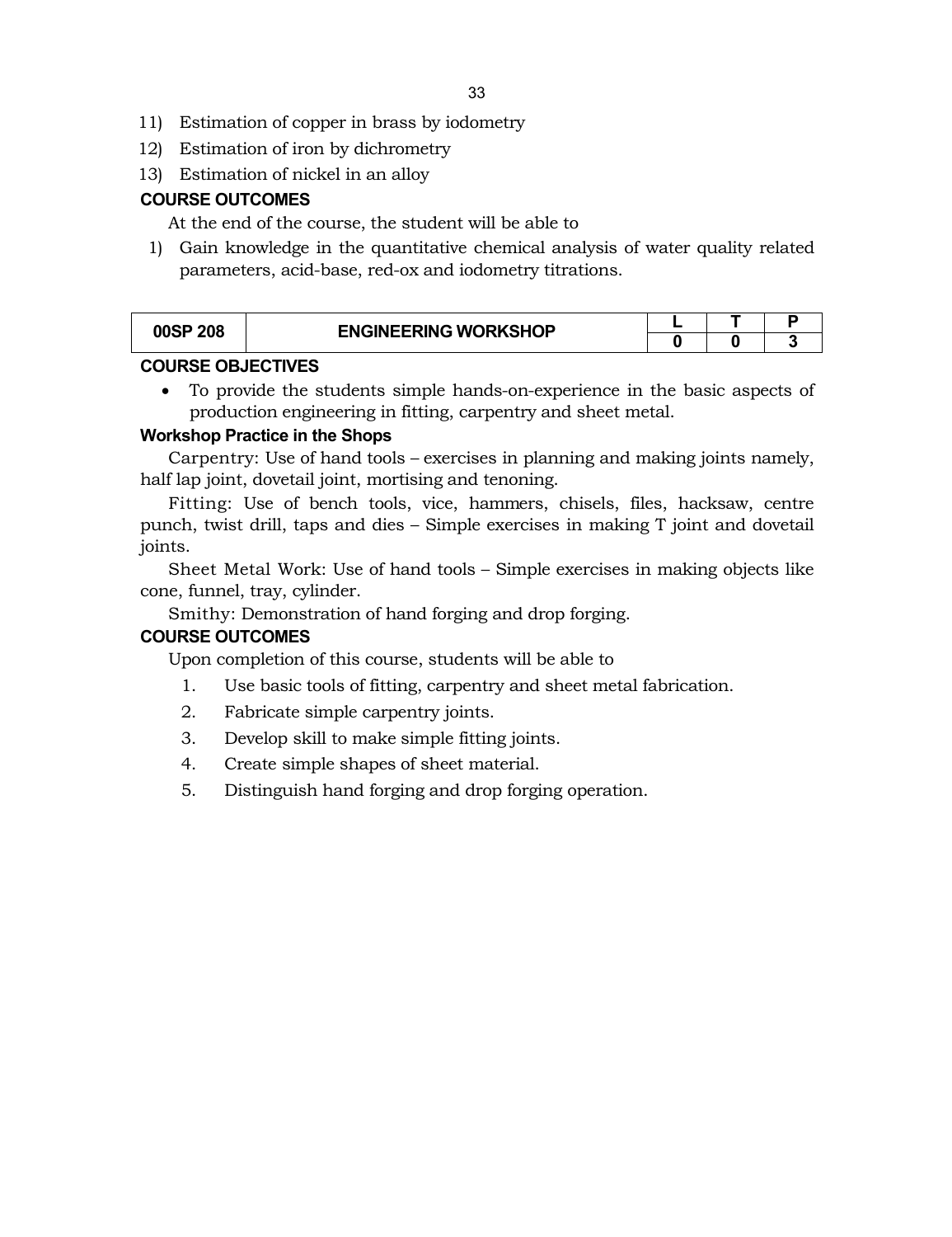- 11) Estimation of copper in brass by iodometry
- 12) Estimation of iron by dichrometry
- 13) Estimation of nickel in an alloy

# **COURSE OUTCOMES**

At the end of the course, the student will be able to

1) Gain knowledge in the quantitative chemical analysis of water quality related parameters, acid-base, red-ox and iodometry titrations.

| 00SP 208 | <b>ENGINEERING WORKSHOP</b> |  |  |
|----------|-----------------------------|--|--|
|          |                             |  |  |

# **COURSE OBJECTIVES**

 To provide the students simple hands-on-experience in the basic aspects of production engineering in fitting, carpentry and sheet metal.

# **Workshop Practice in the Shops**

Carpentry: Use of hand tools – exercises in planning and making joints namely, half lap joint, dovetail joint, mortising and tenoning.

Fitting: Use of bench tools, vice, hammers, chisels, files, hacksaw, centre punch, twist drill, taps and dies – Simple exercises in making T joint and dovetail joints.

Sheet Metal Work: Use of hand tools – Simple exercises in making objects like cone, funnel, tray, cylinder.

Smithy: Demonstration of hand forging and drop forging.

# **COURSE OUTCOMES**

Upon completion of this course, students will be able to

- 1. Use basic tools of fitting, carpentry and sheet metal fabrication.
- 2. Fabricate simple carpentry joints.
- 3. Develop skill to make simple fitting joints.
- 4. Create simple shapes of sheet material.
- 5. Distinguish hand forging and drop forging operation.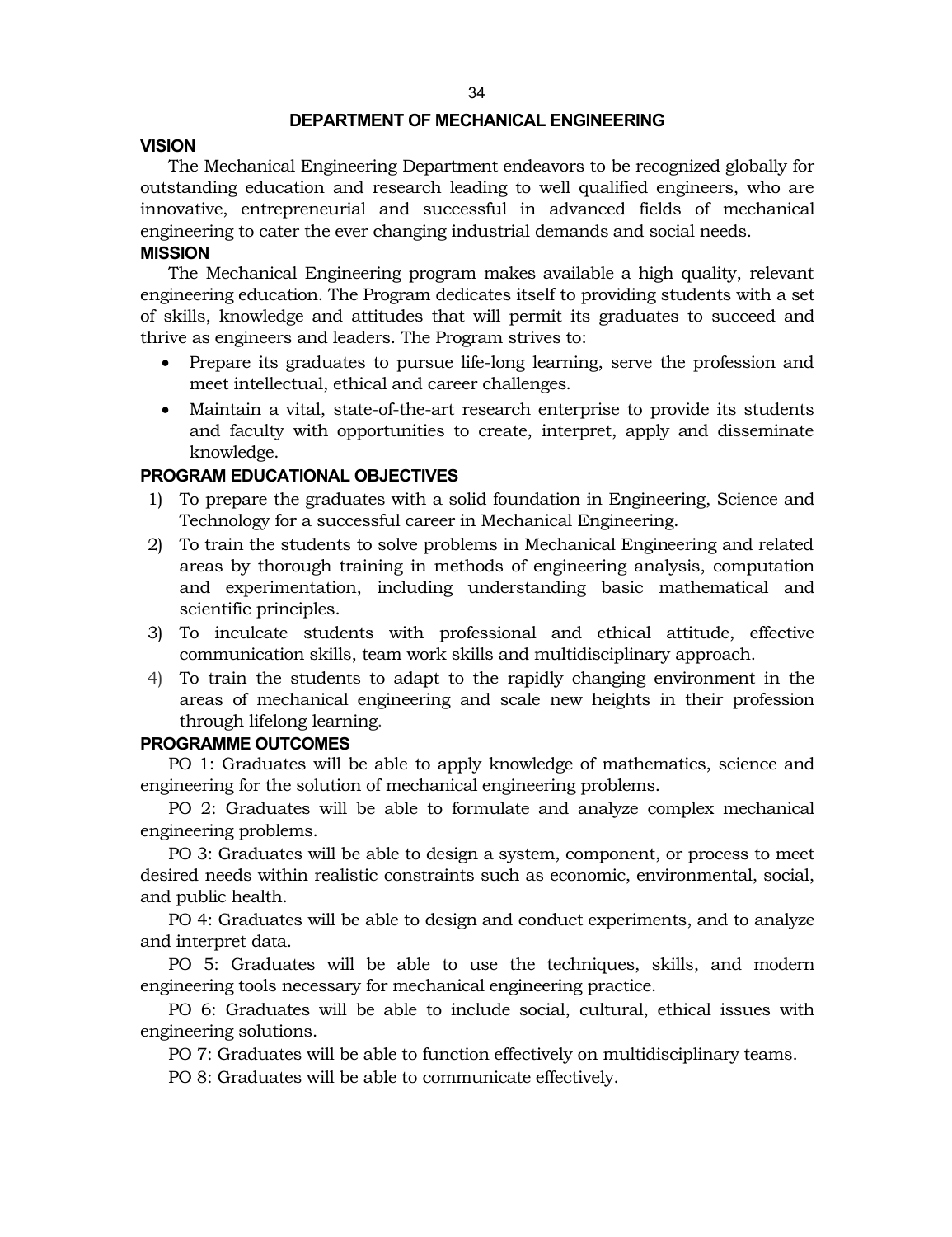#### **DEPARTMENT OF MECHANICAL ENGINEERING**

#### **VISION**

The Mechanical Engineering Department endeavors to be recognized globally for outstanding education and research leading to well qualified engineers, who are innovative, entrepreneurial and successful in advanced fields of mechanical engineering to cater the ever changing industrial demands and social needs.

#### **MISSION**

The Mechanical Engineering program makes available a high quality, relevant engineering education. The Program dedicates itself to providing students with a set of skills, knowledge and attitudes that will permit its graduates to succeed and thrive as engineers and leaders. The Program strives to:

- Prepare its graduates to pursue life-long learning, serve the profession and meet intellectual, ethical and career challenges.
- Maintain a vital, state-of-the-art research enterprise to provide its students and faculty with opportunities to create, interpret, apply and disseminate knowledge.

#### **PROGRAM EDUCATIONAL OBJECTIVES**

- 1) To prepare the graduates with a solid foundation in Engineering, Science and Technology for a successful career in Mechanical Engineering.
- 2) To train the students to solve problems in Mechanical Engineering and related areas by thorough training in methods of engineering analysis, computation and experimentation, including understanding basic mathematical and scientific principles.
- 3) To inculcate students with professional and ethical attitude, effective communication skills, team work skills and multidisciplinary approach.
- 4) To train the students to adapt to the rapidly changing environment in the areas of mechanical engineering and scale new heights in their profession through lifelong learning.

#### **PROGRAMME OUTCOMES**

PO 1: Graduates will be able to apply knowledge of mathematics, science and engineering for the solution of mechanical engineering problems.

PO 2: Graduates will be able to formulate and analyze complex mechanical engineering problems.

PO 3: Graduates will be able to design a system, component, or process to meet desired needs within realistic constraints such as economic, environmental, social, and public health.

PO 4: Graduates will be able to design and conduct experiments, and to analyze and interpret data.

PO 5: Graduates will be able to use the techniques, skills, and modern engineering tools necessary for mechanical engineering practice.

PO 6: Graduates will be able to include social, cultural, ethical issues with engineering solutions.

PO 7: Graduates will be able to function effectively on multidisciplinary teams.

PO 8: Graduates will be able to communicate effectively.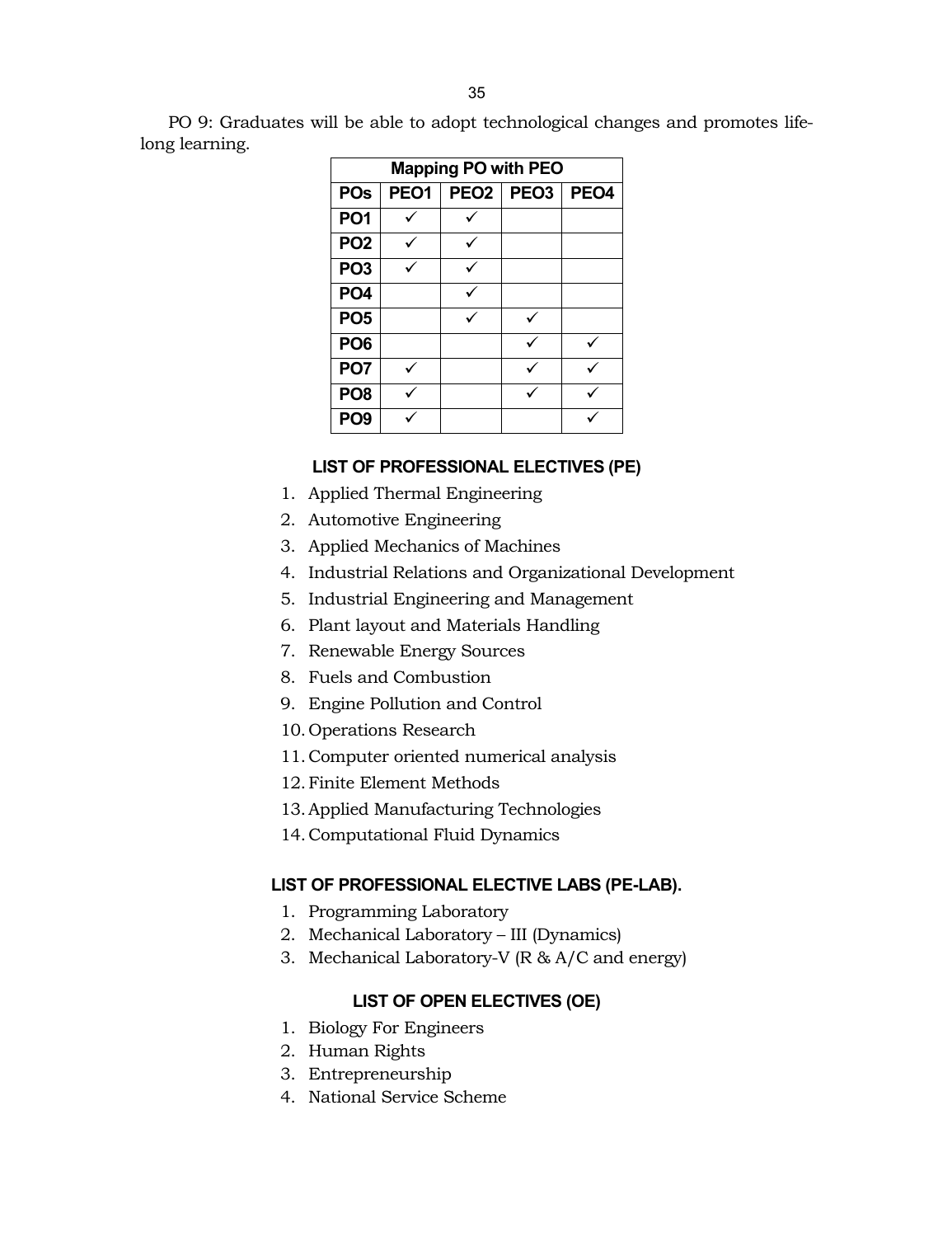PO 9: Graduates will be able to adopt technological changes and promotes lifelong learning.

| <b>Mapping PO with PEO</b> |                  |           |  |                  |  |  |
|----------------------------|------------------|-----------|--|------------------|--|--|
| <b>POs</b>                 | PEO <sub>1</sub> | PEO2 PEO3 |  | PEO <sub>4</sub> |  |  |
| PO <sub>1</sub>            |                  |           |  |                  |  |  |
| PO <sub>2</sub>            |                  |           |  |                  |  |  |
| PO <sub>3</sub>            |                  |           |  |                  |  |  |
| PO <sub>4</sub>            |                  |           |  |                  |  |  |
| PO <sub>5</sub>            |                  |           |  |                  |  |  |
| PO <sub>6</sub>            |                  |           |  |                  |  |  |
| PO <sub>7</sub>            |                  |           |  |                  |  |  |
| PO <sub>8</sub>            |                  |           |  |                  |  |  |
| PO <sub>9</sub>            |                  |           |  |                  |  |  |

# **LIST OF PROFESSIONAL ELECTIVES (PE)**

- 1. Applied Thermal Engineering
- 2. Automotive Engineering
- 3. Applied Mechanics of Machines
- 4. Industrial Relations and Organizational Development
- 5. Industrial Engineering and Management
- 6. Plant layout and Materials Handling
- 7. Renewable Energy Sources
- 8. Fuels and Combustion
- 9. Engine Pollution and Control
- 10. Operations Research
- 11.Computer oriented numerical analysis
- 12.Finite Element Methods
- 13.Applied Manufacturing Technologies
- 14.Computational Fluid Dynamics

# **LIST OF PROFESSIONAL ELECTIVE LABS (PE-LAB).**

- 1. Programming Laboratory
- 2. Mechanical Laboratory III (Dynamics)
- 3. Mechanical Laboratory-V (R & A/C and energy)

# **LIST OF OPEN ELECTIVES (OE)**

- 1. Biology For Engineers
- 2. Human Rights
- 3. Entrepreneurship
- 4. National Service Scheme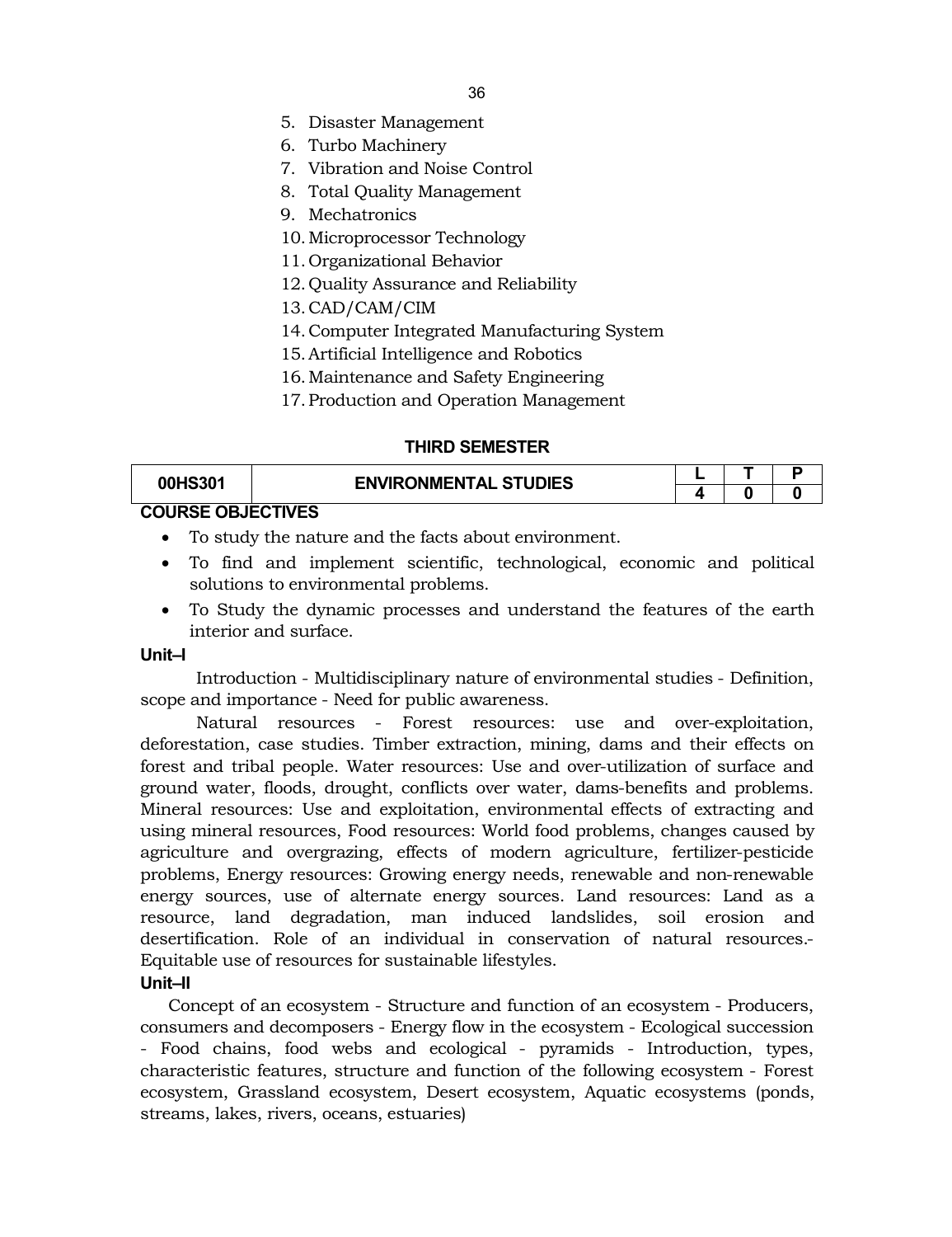- 5. Disaster Management
- 6. Turbo Machinery
- 7. Vibration and Noise Control
- 8. Total Quality Management
- 9. Mechatronics
- 10.Microprocessor Technology
- 11. Organizational Behavior
- 12. Quality Assurance and Reliability
- 13.CAD/CAM/CIM
- 14.Computer Integrated Manufacturing System
- 15.Artificial Intelligence and Robotics
- 16.Maintenance and Safety Engineering
- 17.Production and Operation Management

#### **THIRD SEMESTER**

| 00HS301                  | <b>ENVIRONMENTAL STUDIES</b> |  |  |
|--------------------------|------------------------------|--|--|
|                          |                              |  |  |
| <b>COURSE OBJECTIVES</b> |                              |  |  |

- To study the nature and the facts about environment.
- To find and implement scientific, technological, economic and political solutions to environmental problems.
- To Study the dynamic processes and understand the features of the earth interior and surface.

#### **Unit–I**

Introduction - Multidisciplinary nature of environmental studies - Definition, scope and importance - Need for public awareness.

Natural resources - Forest resources: use and over-exploitation, deforestation, case studies. Timber extraction, mining, dams and their effects on forest and tribal people. Water resources: Use and over-utilization of surface and ground water, floods, drought, conflicts over water, dams-benefits and problems. Mineral resources: Use and exploitation, environmental effects of extracting and using mineral resources, Food resources: World food problems, changes caused by agriculture and overgrazing, effects of modern agriculture, fertilizer-pesticide problems, Energy resources: Growing energy needs, renewable and non-renewable energy sources, use of alternate energy sources. Land resources: Land as a resource, land degradation, man induced landslides, soil erosion and desertification. Role of an individual in conservation of natural resources.- Equitable use of resources for sustainable lifestyles.

#### **Unit–II**

Concept of an ecosystem - Structure and function of an ecosystem - Producers, consumers and decomposers - Energy flow in the ecosystem - Ecological succession - Food chains, food webs and ecological - pyramids - Introduction, types, characteristic features, structure and function of the following ecosystem - Forest ecosystem, Grassland ecosystem, Desert ecosystem, Aquatic ecosystems (ponds, streams, lakes, rivers, oceans, estuaries)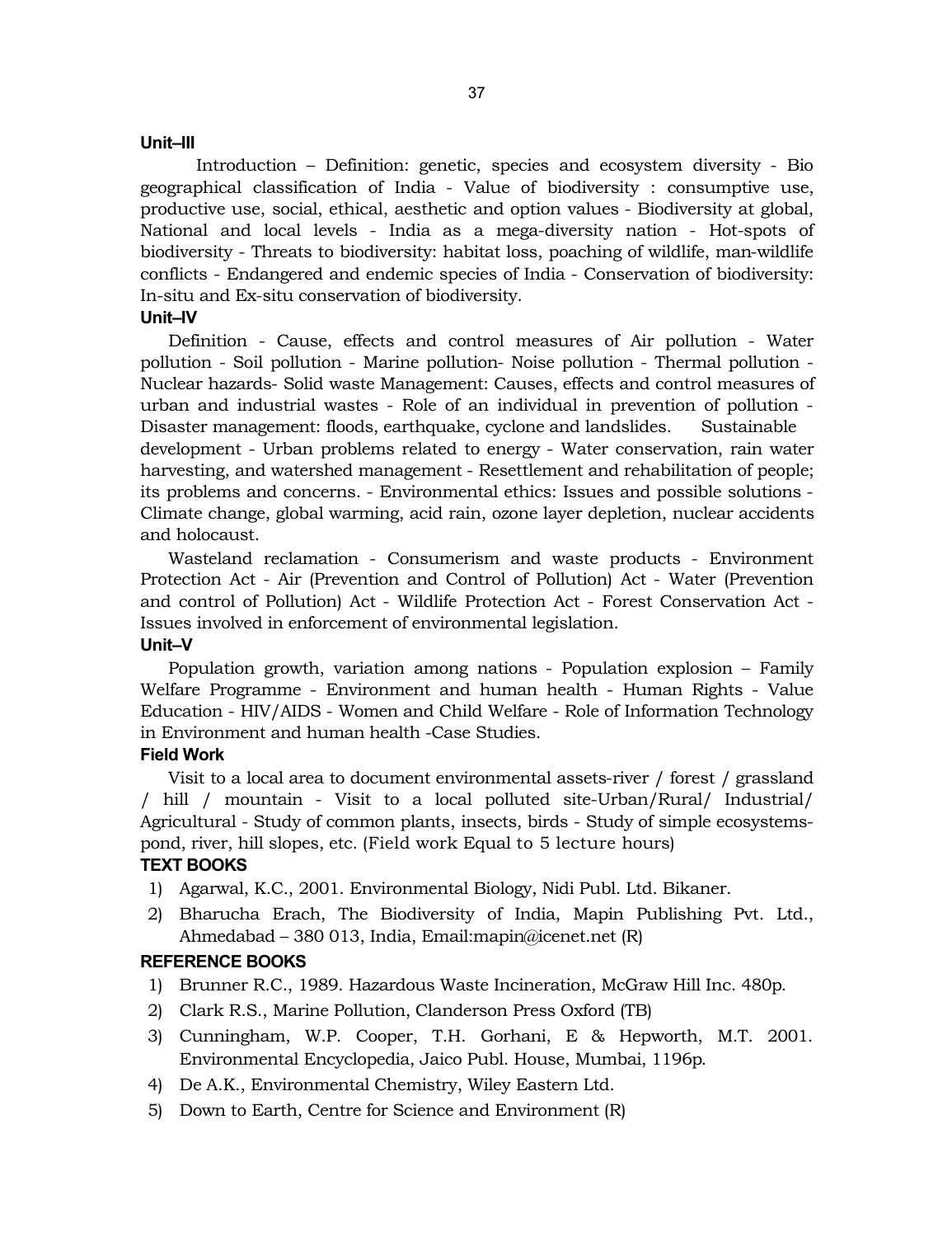#### **Unit–III**

Introduction – Definition: genetic, species and ecosystem diversity - Bio geographical classification of India - Value of biodiversity : consumptive use, productive use, social, ethical, aesthetic and option values - Biodiversity at global, National and local levels - India as a mega-diversity nation - Hot-spots of biodiversity - Threats to biodiversity: habitat loss, poaching of wildlife, man-wildlife conflicts - Endangered and endemic species of India - Conservation of biodiversity: In-situ and Ex-situ conservation of biodiversity.

# **Unit–IV**

Definition - Cause, effects and control measures of Air pollution - Water pollution - Soil pollution - Marine pollution- Noise pollution - Thermal pollution - Nuclear hazards- Solid waste Management: Causes, effects and control measures of urban and industrial wastes - Role of an individual in prevention of pollution - Disaster management: floods, earthquake, cyclone and landslides. Sustainable development - Urban problems related to energy - Water conservation, rain water harvesting, and watershed management - Resettlement and rehabilitation of people; its problems and concerns. - Environmental ethics: Issues and possible solutions - Climate change, global warming, acid rain, ozone layer depletion, nuclear accidents and holocaust.

Wasteland reclamation - Consumerism and waste products - Environment Protection Act - Air (Prevention and Control of Pollution) Act - Water (Prevention and control of Pollution) Act - Wildlife Protection Act - Forest Conservation Act - Issues involved in enforcement of environmental legislation.

#### **Unit–V**

Population growth, variation among nations - Population explosion – Family Welfare Programme - Environment and human health - Human Rights - Value Education - HIV/AIDS - Women and Child Welfare - Role of Information Technology in Environment and human health -Case Studies.

#### **Field Work**

Visit to a local area to document environmental assets-river / forest / grassland / hill / mountain - Visit to a local polluted site-Urban/Rural/ Industrial/ Agricultural - Study of common plants, insects, birds - Study of simple ecosystemspond, river, hill slopes, etc. (Field work Equal to 5 lecture hours)

#### **TEXT BOOKS**

- 1) Agarwal, K.C., 2001. Environmental Biology, Nidi Publ. Ltd. Bikaner.
- 2) Bharucha Erach, The Biodiversity of India, Mapin Publishing Pvt. Ltd., Ahmedabad – 380 013, India, Email:mapin@icenet.net (R)

#### **REFERENCE BOOKS**

- 1) Brunner R.C., 1989. Hazardous Waste Incineration, McGraw Hill Inc. 480p.
- 2) Clark R.S., Marine Pollution, Clanderson Press Oxford (TB)
- 3) Cunningham, W.P. Cooper, T.H. Gorhani, E & Hepworth, M.T. 2001. Environmental Encyclopedia, Jaico Publ. House, Mumbai, 1196p.
- 4) De A.K., Environmental Chemistry, Wiley Eastern Ltd.
- 5) Down to Earth, Centre for Science and Environment (R)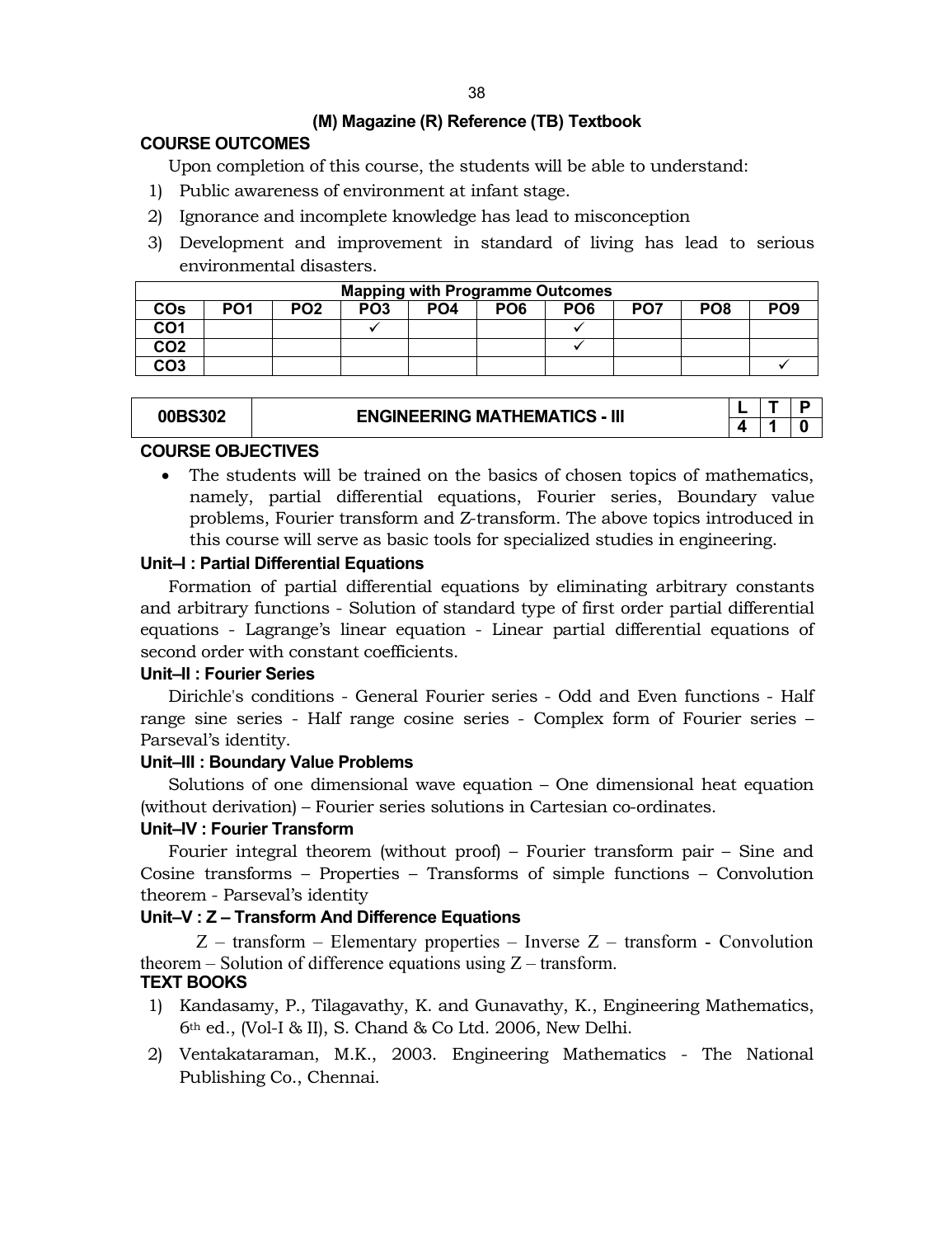# **(M) Magazine (R) Reference (TB) Textbook**

# **COURSE OUTCOMES**

Upon completion of this course, the students will be able to understand:

- 1) Public awareness of environment at infant stage.
- 2) Ignorance and incomplete knowledge has lead to misconception
- 3) Development and improvement in standard of living has lead to serious environmental disasters.

|                 | <b>Mapping with Programme Outcomes</b> |                 |                 |                 |                 |                 |                 |                 |                 |  |  |
|-----------------|----------------------------------------|-----------------|-----------------|-----------------|-----------------|-----------------|-----------------|-----------------|-----------------|--|--|
| COs             | PO <sub>1</sub>                        | PO <sub>2</sub> | PO <sub>3</sub> | PO <sub>4</sub> | PO <sub>6</sub> | PO <sub>6</sub> | PO <sub>7</sub> | PO <sub>8</sub> | PO <sub>9</sub> |  |  |
| CO1             |                                        |                 |                 |                 |                 |                 |                 |                 |                 |  |  |
| CO <sub>2</sub> |                                        |                 |                 |                 |                 |                 |                 |                 |                 |  |  |
| CO <sub>3</sub> |                                        |                 |                 |                 |                 |                 |                 |                 |                 |  |  |

|  | <b>00BS302</b> | <b>ENGINEERING MATHEMATICS - III</b> |  |  |
|--|----------------|--------------------------------------|--|--|
|  |                |                                      |  |  |

# **COURSE OBJECTIVES**

 The students will be trained on the basics of chosen topics of mathematics, namely, partial differential equations, Fourier series, Boundary value problems, Fourier transform and Z-transform. The above topics introduced in this course will serve as basic tools for specialized studies in engineering.

# **Unit–I : Partial Differential Equations**

Formation of partial differential equations by eliminating arbitrary constants and arbitrary functions - Solution of standard type of first order partial differential equations - Lagrange's linear equation - Linear partial differential equations of second order with constant coefficients.

# **Unit–II : Fourier Series**

Dirichle's conditions - General Fourier series - Odd and Even functions - Half range sine series - Half range cosine series - Complex form of Fourier series – Parseval's identity.

# **Unit–III : Boundary Value Problems**

Solutions of one dimensional wave equation – One dimensional heat equation (without derivation) – Fourier series solutions in Cartesian co-ordinates.

# **Unit–IV : Fourier Transform**

Fourier integral theorem (without proof) – Fourier transform pair – Sine and Cosine transforms – Properties – Transforms of simple functions – Convolution theorem - Parseval's identity

# **Unit–V : Z – Transform And Difference Equations**

 $Z$  – transform – Elementary properties – Inverse  $Z$  – transform - Convolution theorem  $-$  Solution of difference equations using  $Z$  – transform. **TEXT BOOKS**

- 1) Kandasamy, P., Tilagavathy, K. and Gunavathy, K., Engineering Mathematics, 6th ed., (Vol-I & II), S. Chand & Co Ltd. 2006, New Delhi.
- 2) Ventakataraman, M.K., 2003. Engineering Mathematics The National Publishing Co., Chennai.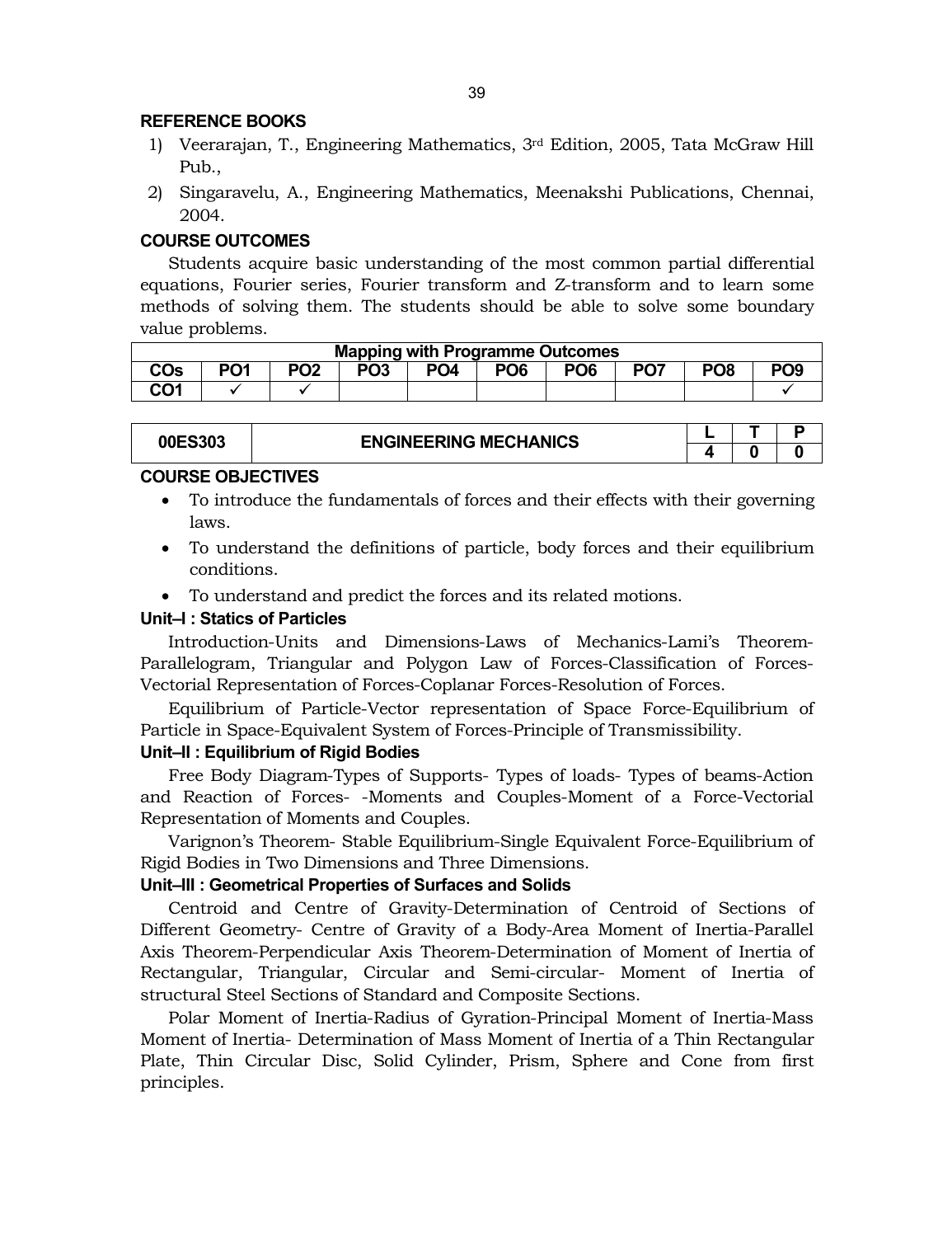#### **REFERENCE BOOKS**

- 1) Veerarajan, T., Engineering Mathematics, 3rd Edition, 2005, Tata McGraw Hill Pub.,
- 2) Singaravelu, A., Engineering Mathematics, Meenakshi Publications, Chennai, 2004.

# **COURSE OUTCOMES**

Students acquire basic understanding of the most common partial differential equations, Fourier series, Fourier transform and Z-transform and to learn some methods of solving them. The students should be able to solve some boundary value problems.

| <b>Mapping with Programme Outcomes</b> |                  |                 |                 |                 |                 |                 |                 |                 |                 |  |
|----------------------------------------|------------------|-----------------|-----------------|-----------------|-----------------|-----------------|-----------------|-----------------|-----------------|--|
| <b>CO<sub>s</sub></b>                  | D <sub>0</sub> 1 | PO <sub>2</sub> | PO <sub>3</sub> | PO <sub>4</sub> | PO <sub>6</sub> | PO <sub>6</sub> | PO <sub>7</sub> | PO <sub>8</sub> | PO <sub>9</sub> |  |
| CO <sub>1</sub>                        |                  |                 |                 |                 |                 |                 |                 |                 |                 |  |

#### **00ES303 ENGINEERING MECHANICS <sup>L</sup> <sup>T</sup> <sup>P</sup>**

# **COURSE OBJECTIVES**

- To introduce the fundamentals of forces and their effects with their governing laws.
- To understand the definitions of particle, body forces and their equilibrium conditions.
- To understand and predict the forces and its related motions.

# **Unit–I : Statics of Particles**

Introduction-Units and Dimensions-Laws of Mechanics-Lami's Theorem-Parallelogram, Triangular and Polygon Law of Forces-Classification of Forces-Vectorial Representation of Forces-Coplanar Forces-Resolution of Forces.

Equilibrium of Particle-Vector representation of Space Force-Equilibrium of Particle in Space-Equivalent System of Forces-Principle of Transmissibility.

# **Unit–II : Equilibrium of Rigid Bodies**

Free Body Diagram-Types of Supports- Types of loads- Types of beams-Action and Reaction of Forces- -Moments and Couples-Moment of a Force-Vectorial Representation of Moments and Couples.

Varignon's Theorem- Stable Equilibrium-Single Equivalent Force-Equilibrium of Rigid Bodies in Two Dimensions and Three Dimensions.

# **Unit–III : Geometrical Properties of Surfaces and Solids**

Centroid and Centre of Gravity-Determination of Centroid of Sections of Different Geometry- Centre of Gravity of a Body-Area Moment of Inertia-Parallel Axis Theorem-Perpendicular Axis Theorem-Determination of Moment of Inertia of Rectangular, Triangular, Circular and Semi-circular- Moment of Inertia of structural Steel Sections of Standard and Composite Sections.

Polar Moment of Inertia-Radius of Gyration-Principal Moment of Inertia-Mass Moment of Inertia- Determination of Mass Moment of Inertia of a Thin Rectangular Plate, Thin Circular Disc, Solid Cylinder, Prism, Sphere and Cone from first principles.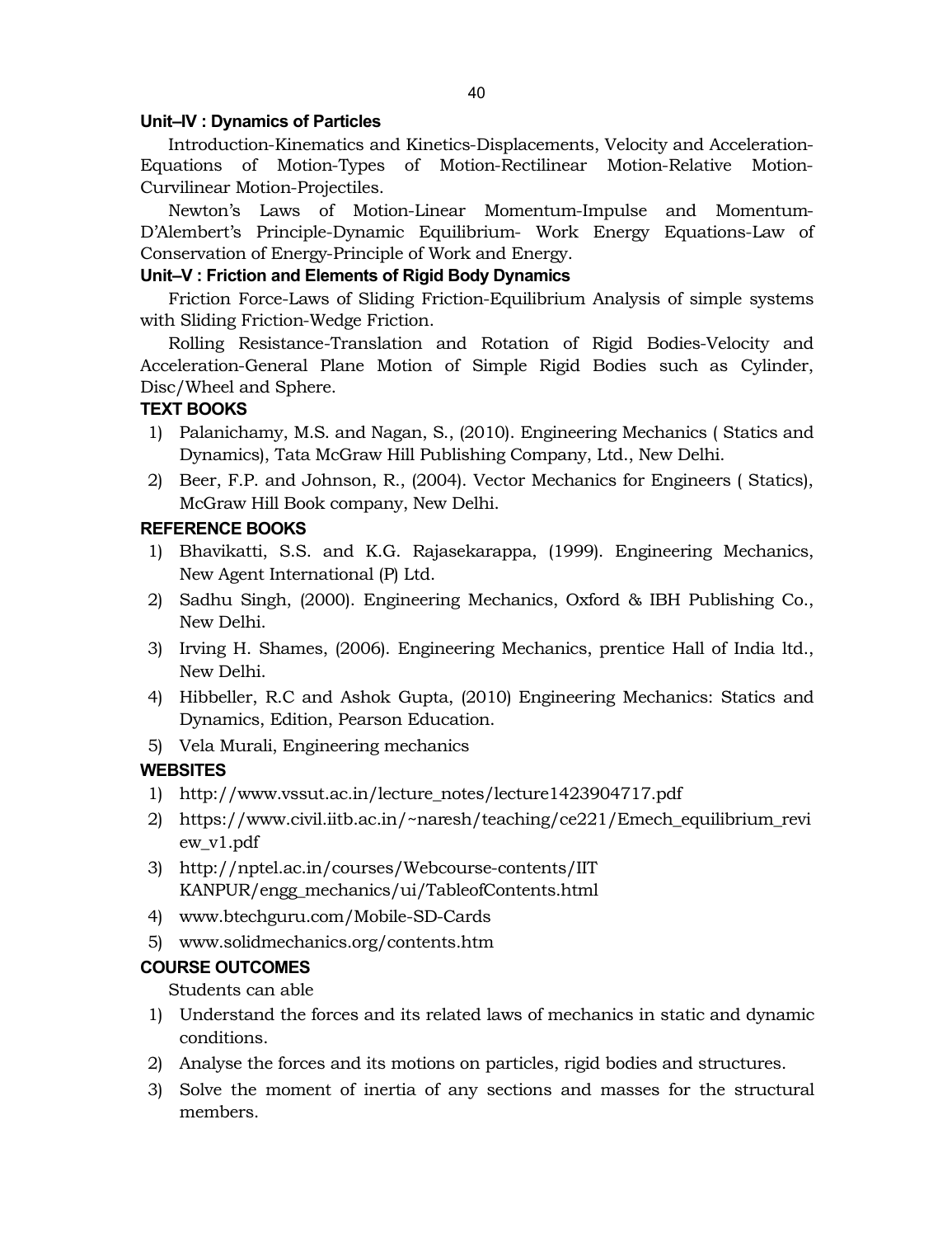# **Unit–IV : Dynamics of Particles**

Introduction-Kinematics and Kinetics-Displacements, Velocity and Acceleration-Equations of Motion-Types of Motion-Rectilinear Motion-Relative Motion-Curvilinear Motion-Projectiles.

Newton's Laws of Motion-Linear Momentum-Impulse and Momentum-D'Alembert's Principle-Dynamic Equilibrium- Work Energy Equations-Law of Conservation of Energy-Principle of Work and Energy.

# **Unit–V : Friction and Elements of Rigid Body Dynamics**

Friction Force-Laws of Sliding Friction-Equilibrium Analysis of simple systems with Sliding Friction-Wedge Friction.

Rolling Resistance-Translation and Rotation of Rigid Bodies-Velocity and Acceleration-General Plane Motion of Simple Rigid Bodies such as Cylinder, Disc/Wheel and Sphere.

# **TEXT BOOKS**

- 1) Palanichamy, M.S. and Nagan, S., (2010). Engineering Mechanics ( Statics and Dynamics), Tata McGraw Hill Publishing Company, Ltd., New Delhi.
- 2) Beer, F.P. and Johnson, R., (2004). Vector Mechanics for Engineers ( Statics), McGraw Hill Book company, New Delhi.

# **REFERENCE BOOKS**

- 1) Bhavikatti, S.S. and K.G. Rajasekarappa, (1999). Engineering Mechanics, New Agent International (P) Ltd.
- 2) Sadhu Singh, (2000). Engineering Mechanics, Oxford & IBH Publishing Co., New Delhi.
- 3) Irving H. Shames, (2006). Engineering Mechanics, prentice Hall of India ltd., New Delhi.
- 4) Hibbeller, R.C and Ashok Gupta, (2010) Engineering Mechanics: Statics and Dynamics, Edition, Pearson Education.
- 5) Vela Murali, Engineering mechanics

# **WEBSITES**

- 1) [http://www.vssut.ac.in/lecture\\_notes/lecture1423904717.pdf](http://www.vssut.ac.in/lecture_notes/lecture1423904717.pdf)
- 2) [https://www.civil.iitb.ac.in/~nares](https://www.civil.iitb.ac.in/~nar)h/teaching/ce221/Emech\_equilibrium\_revi ew\_v1.pdf
- 3) [http://nptel.ac.in/courses/Webcourse-co](http://nptel.ac.in/courses/Webcourse)ntents/IIT KANPUR/engg\_mechanics/ui/TableofContents.html
- 4) [www.btechguru.com/Mobile-S](www.btechguru.com/Mobile)D-Cards
- 5) <www.solidmechanics.org/contents.htm>

# **COURSE OUTCOMES**

Students can able

- 1) Understand the forces and its related laws of mechanics in static and dynamic conditions.
- 2) Analyse the forces and its motions on particles, rigid bodies and structures.
- 3) Solve the moment of inertia of any sections and masses for the structural members.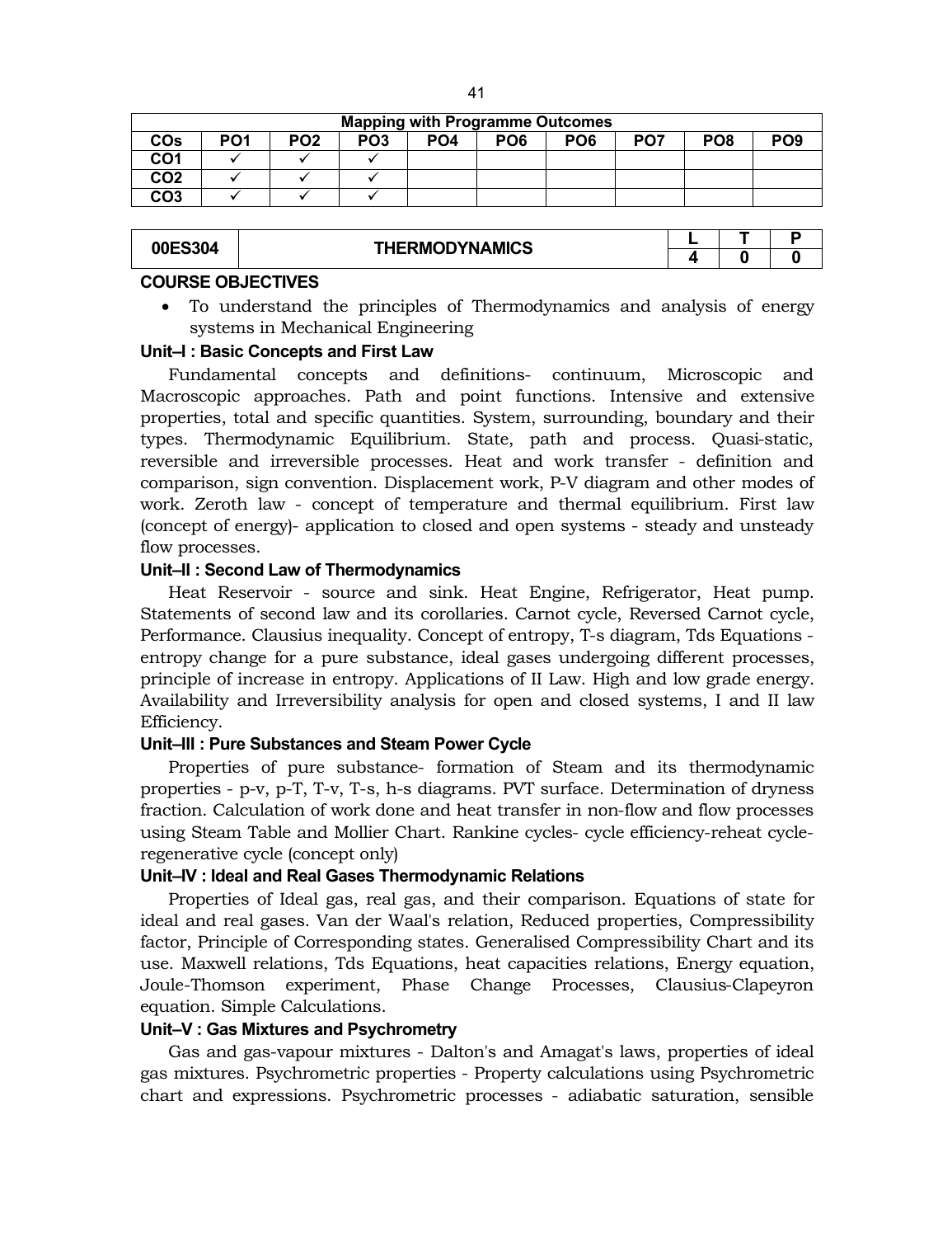|                       | <b>Mapping with Programme Outcomes</b> |                 |                 |     |                 |                 |                 |                 |            |  |  |
|-----------------------|----------------------------------------|-----------------|-----------------|-----|-----------------|-----------------|-----------------|-----------------|------------|--|--|
| <b>CO<sub>s</sub></b> | PO <sub>1</sub>                        | PO <sub>2</sub> | PO <sub>3</sub> | PO4 | PO <sub>6</sub> | PO <sub>6</sub> | PO <sub>7</sub> | PO <sub>8</sub> | <b>PO9</b> |  |  |
| CO <sub>1</sub>       |                                        |                 |                 |     |                 |                 |                 |                 |            |  |  |
| CO <sub>2</sub>       |                                        |                 |                 |     |                 |                 |                 |                 |            |  |  |
| CO <sub>3</sub>       |                                        |                 |                 |     |                 |                 |                 |                 |            |  |  |

| 00ES304 | <b>THERMODYNAMICS</b> |  |  |
|---------|-----------------------|--|--|
|         |                       |  |  |

#### **COURSE OBJECTIVES**

 To understand the principles of Thermodynamics and analysis of energy systems in Mechanical Engineering

# **Unit–I : Basic Concepts and First Law**

Fundamental concepts and definitions- continuum, Microscopic and Macroscopic approaches. Path and point functions. Intensive and extensive properties, total and specific quantities. System, surrounding, boundary and their types. Thermodynamic Equilibrium. State, path and process. Quasi-static, reversible and irreversible processes. Heat and work transfer - definition and comparison, sign convention. Displacement work, P-V diagram and other modes of work. Zeroth law - concept of temperature and thermal equilibrium. First law (concept of energy)- application to closed and open systems - steady and unsteady flow processes.

#### **Unit–II : Second Law of Thermodynamics**

Heat Reservoir - source and sink. Heat Engine, Refrigerator, Heat pump. Statements of second law and its corollaries. Carnot cycle, Reversed Carnot cycle, Performance. Clausius inequality. Concept of entropy, T-s diagram, Tds Equations entropy change for a pure substance, ideal gases undergoing different processes, principle of increase in entropy. Applications of II Law. High and low grade energy. Availability and Irreversibility analysis for open and closed systems, I and II law Efficiency.

# **Unit–III : Pure Substances and Steam Power Cycle**

Properties of pure substance- formation of Steam and its thermodynamic properties - p-v, p-T, T-v, T-s, h-s diagrams. PVT surface. Determination of dryness fraction. Calculation of work done and heat transfer in non-flow and flow processes using Steam Table and Mollier Chart. Rankine cycles- cycle efficiency-reheat cycleregenerative cycle (concept only)

#### **Unit–IV : Ideal and Real Gases Thermodynamic Relations**

Properties of Ideal gas, real gas, and their comparison. Equations of state for ideal and real gases. Van der Waal's relation, Reduced properties, Compressibility factor, Principle of Corresponding states. Generalised Compressibility Chart and its use. Maxwell relations, Tds Equations, heat capacities relations, Energy equation, Joule-Thomson experiment, Phase Change Processes, Clausius-Clapeyron equation. Simple Calculations.

#### **Unit–V : Gas Mixtures and Psychrometry**

Gas and gas-vapour mixtures - Dalton's and Amagat's laws, properties of ideal gas mixtures. Psychrometric properties - Property calculations using Psychrometric chart and expressions. Psychrometric processes - adiabatic saturation, sensible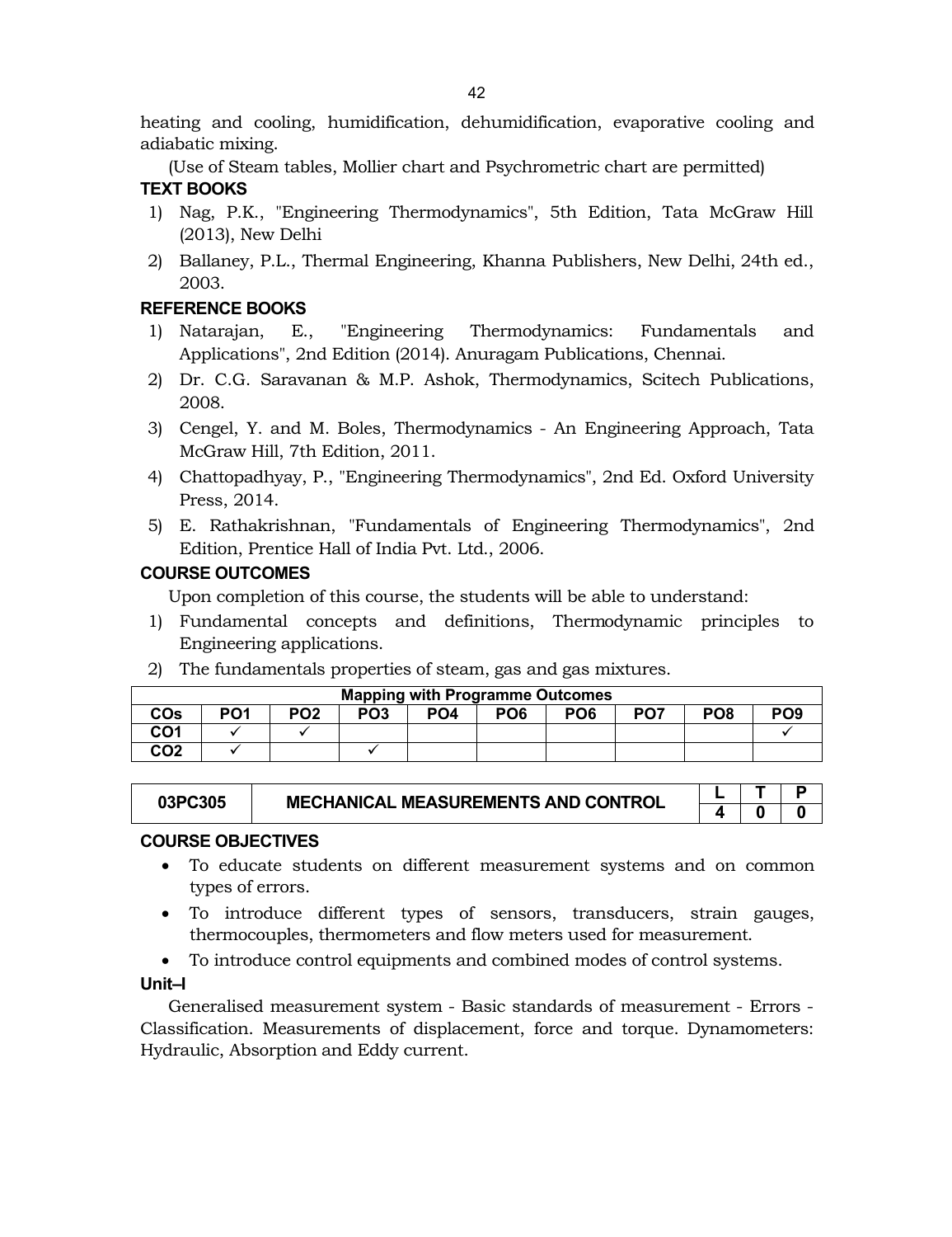heating and cooling, humidification, dehumidification, evaporative cooling and adiabatic mixing.

(Use of Steam tables, Mollier chart and Psychrometric chart are permitted) **TEXT BOOKS**

- 1) Nag, P.K., "Engineering Thermodynamics", 5th Edition, Tata McGraw Hill (2013), New Delhi
- 2) Ballaney, P.L., Thermal Engineering, Khanna Publishers, New Delhi, 24th ed., 2003.

# **REFERENCE BOOKS**

- 1) Natarajan, E., "Engineering Thermodynamics: Fundamentals and Applications", 2nd Edition (2014). Anuragam Publications, Chennai.
- 2) Dr. C.G. Saravanan & M.P. Ashok, Thermodynamics, Scitech Publications, 2008.
- 3) Cengel, Y. and M. Boles, Thermodynamics An Engineering Approach, Tata McGraw Hill, 7th Edition, 2011.
- 4) Chattopadhyay, P., "Engineering Thermodynamics", 2nd Ed. Oxford University Press, 2014.
- 5) E. Rathakrishnan, "Fundamentals of Engineering Thermodynamics", 2nd Edition, Prentice Hall of India Pvt. Ltd., 2006.

# **COURSE OUTCOMES**

Upon completion of this course, the students will be able to understand:

- 1) Fundamental concepts and definitions, Thermodynamic principles to Engineering applications.
- 2) The fundamentals properties of steam, gas and gas mixtures.

|                 | <b>Mapping with Programme Outcomes</b> |                 |                 |     |                 |                 |                 |                 |                 |  |  |
|-----------------|----------------------------------------|-----------------|-----------------|-----|-----------------|-----------------|-----------------|-----------------|-----------------|--|--|
| COs             | PO <sub>1</sub>                        | PO <sub>2</sub> | PO <sub>3</sub> | PO4 | PO <sub>6</sub> | PO <sub>6</sub> | PO <sub>7</sub> | PO <sub>8</sub> | PO <sub>9</sub> |  |  |
| CO1             |                                        |                 |                 |     |                 |                 |                 |                 |                 |  |  |
| CO <sub>2</sub> |                                        |                 |                 |     |                 |                 |                 |                 |                 |  |  |

| 03PC305 | <b>MECHANICAL MEASUREMENTS AND CONTROL</b> |  |  |
|---------|--------------------------------------------|--|--|
|         |                                            |  |  |

# **COURSE OBJECTIVES**

- To educate students on different measurement systems and on common types of errors.
- To introduce different types of sensors, transducers, strain gauges, thermocouples, thermometers and flow meters used for measurement.

To introduce control equipments and combined modes of control systems.

# **Unit–I**

Generalised measurement system - Basic standards of measurement - Errors - Classification. Measurements of displacement, force and torque. Dynamometers: Hydraulic, Absorption and Eddy current.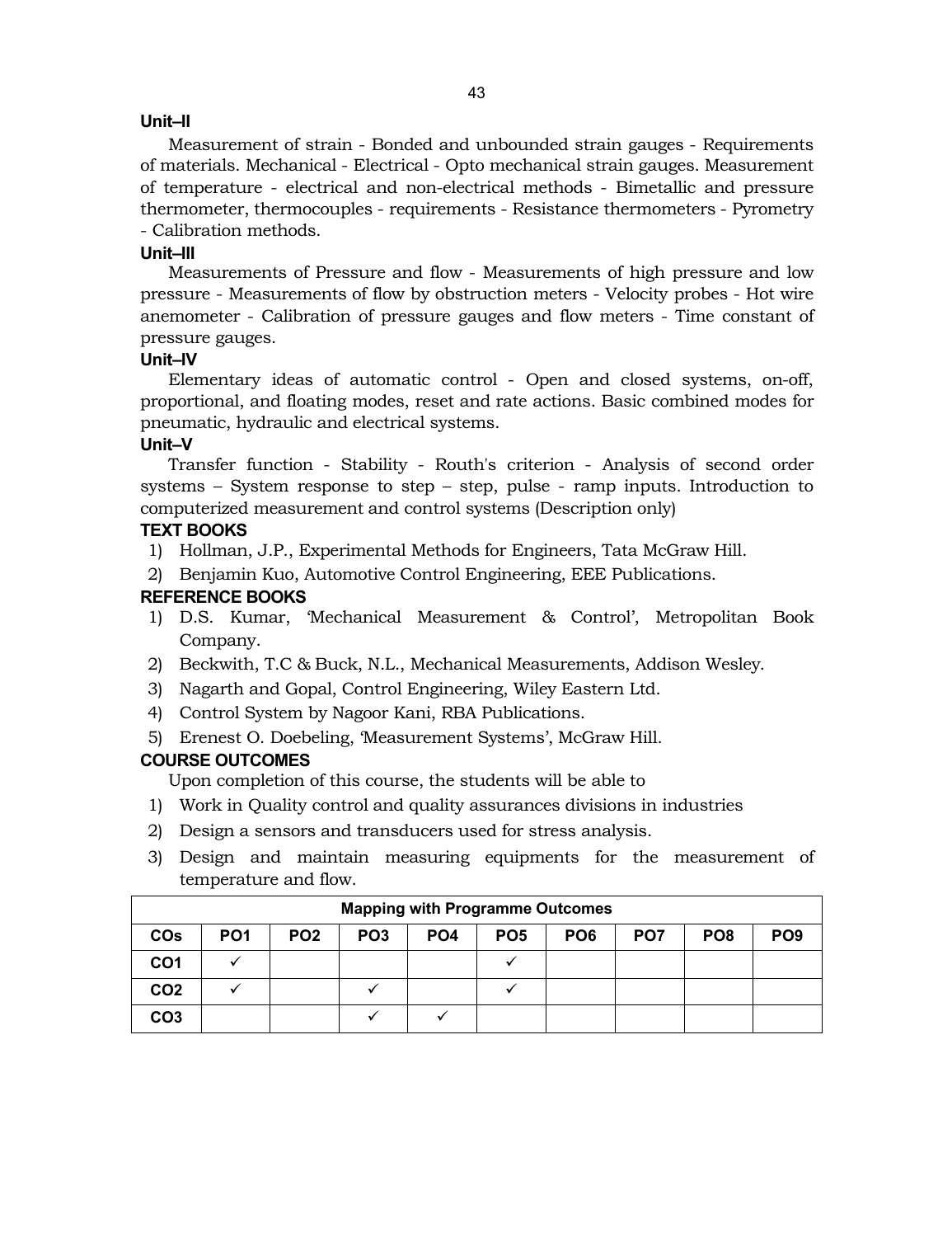#### **Unit–II**

Measurement of strain - Bonded and unbounded strain gauges - Requirements of materials. Mechanical - Electrical - Opto mechanical strain gauges. Measurement of temperature - electrical and non-electrical methods - Bimetallic and pressure thermometer, thermocouples - requirements - Resistance thermometers - Pyrometry - Calibration methods.

#### **Unit–III**

Measurements of Pressure and flow - Measurements of high pressure and low pressure - Measurements of flow by obstruction meters - Velocity probes - Hot wire anemometer - Calibration of pressure gauges and flow meters - Time constant of pressure gauges.

#### **Unit–IV**

Elementary ideas of automatic control - Open and closed systems, on-off, proportional, and floating modes, reset and rate actions. Basic combined modes for pneumatic, hydraulic and electrical systems.

# **Unit–V**

Transfer function - Stability - Routh's criterion - Analysis of second order systems – System response to step – step, pulse - ramp inputs. Introduction to computerized measurement and control systems (Description only)

# **TEXT BOOKS**

- 1) Hollman, J.P., Experimental Methods for Engineers, Tata McGraw Hill.
- 2) Benjamin Kuo, Automotive Control Engineering, EEE Publications.

# **REFERENCE BOOKS**

- 1) D.S. Kumar, 'Mechanical Measurement & Control', Metropolitan Book Company.
- 2) Beckwith, T.C & Buck, N.L., Mechanical Measurements, Addison Wesley.
- 3) Nagarth and Gopal, Control Engineering, Wiley Eastern Ltd.
- 4) Control System by Nagoor Kani, RBA Publications.
- 5) Erenest O. Doebeling, 'Measurement Systems', McGraw Hill.

# **COURSE OUTCOMES**

Upon completion of this course, the students will be able to

- 1) Work in Quality control and quality assurances divisions in industries
- 2) Design a sensors and transducers used for stress analysis.
- 3) Design and maintain measuring equipments for the measurement of temperature and flow.

|                 | <b>Mapping with Programme Outcomes</b> |                 |                 |                 |                 |                 |                 |                 |                 |  |  |  |
|-----------------|----------------------------------------|-----------------|-----------------|-----------------|-----------------|-----------------|-----------------|-----------------|-----------------|--|--|--|
| <b>COs</b>      | PO <sub>1</sub>                        | PO <sub>2</sub> | PO <sub>3</sub> | PO <sub>4</sub> | PO <sub>5</sub> | PO <sub>6</sub> | PO <sub>7</sub> | PO <sub>8</sub> | PO <sub>9</sub> |  |  |  |
| CO1             |                                        |                 |                 |                 |                 |                 |                 |                 |                 |  |  |  |
| CO <sub>2</sub> |                                        |                 |                 |                 |                 |                 |                 |                 |                 |  |  |  |
| CO <sub>3</sub> |                                        |                 |                 |                 |                 |                 |                 |                 |                 |  |  |  |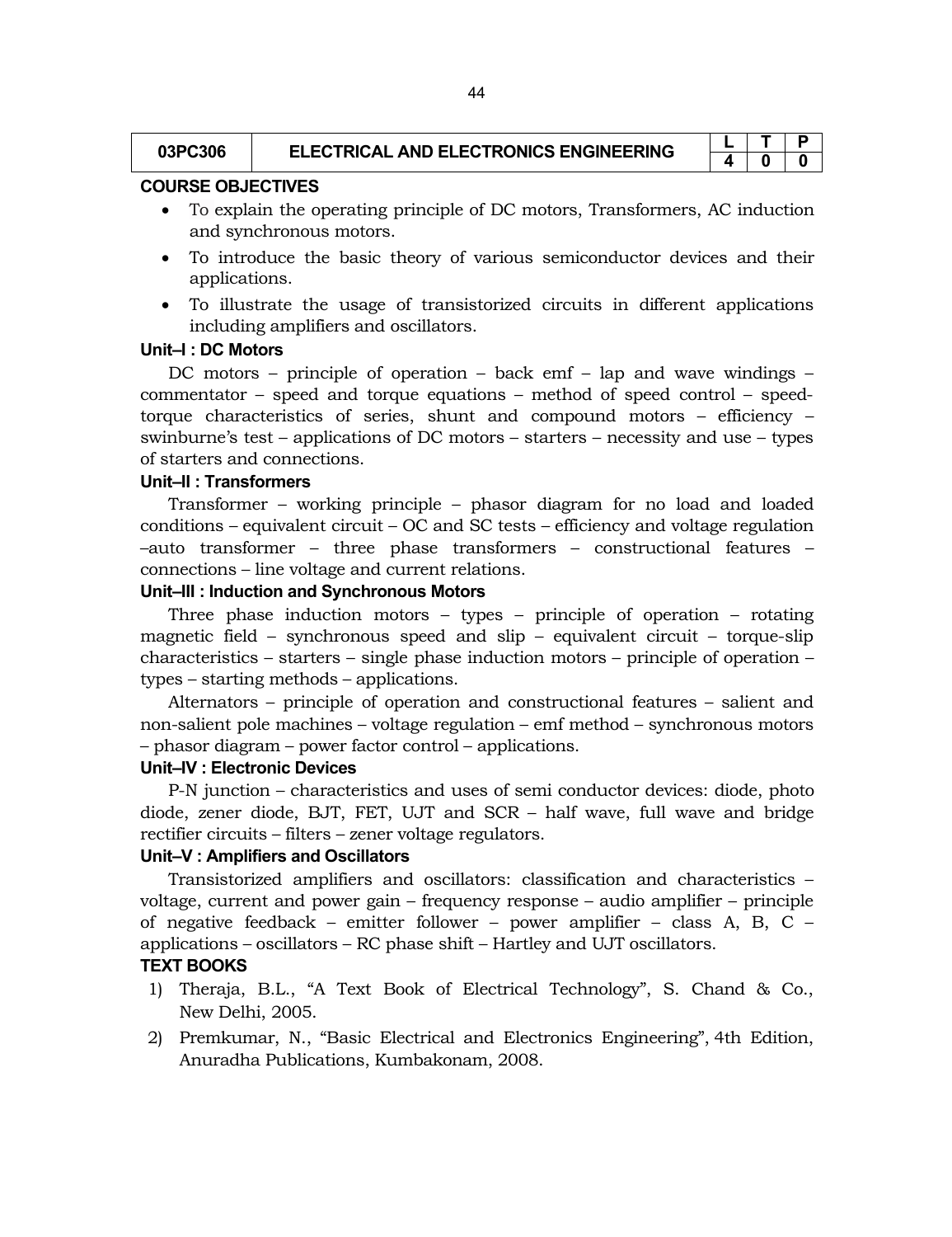| 03PC306 | <b>ELECTRICAL AND ELECTRONICS ENGINEERING</b> |  |  |
|---------|-----------------------------------------------|--|--|
|         |                                               |  |  |

#### **COURSE OBJECTIVES**

- To explain the operating principle of DC motors, Transformers, AC induction and synchronous motors.
- To introduce the basic theory of various semiconductor devices and their applications.
- To illustrate the usage of transistorized circuits in different applications including amplifiers and oscillators.

# **Unit–I : DC Motors**

DC motors – principle of operation – back emf – lap and wave windings – commentator – speed and torque equations – method of speed control – speedtorque characteristics of series, shunt and compound motors – efficiency – swinburne's test – applications of DC motors – starters – necessity and use – types of starters and connections.

#### **Unit–II : Transformers**

Transformer – working principle – phasor diagram for no load and loaded conditions – equivalent circuit – OC and SC tests – efficiency and voltage regulation –auto transformer – three phase transformers – constructional features – connections – line voltage and current relations.

#### **Unit–III : Induction and Synchronous Motors**

Three phase induction motors – types – principle of operation – rotating magnetic field – synchronous speed and slip – equivalent circuit – torque-slip characteristics – starters – single phase induction motors – principle of operation – types – starting methods – applications.

Alternators – principle of operation and constructional features – salient and non-salient pole machines – voltage regulation – emf method – synchronous motors – phasor diagram – power factor control – applications.

# **Unit–IV : Electronic Devices**

P-N junction – characteristics and uses of semi conductor devices: diode, photo diode, zener diode, BJT, FET, UJT and SCR – half wave, full wave and bridge rectifier circuits – filters – zener voltage regulators.

#### **Unit–V : Amplifiers and Oscillators**

Transistorized amplifiers and oscillators: classification and characteristics – voltage, current and power gain – frequency response – audio amplifier – principle of negative feedback – emitter follower – power amplifier – class A, B, C – applications – oscillators – RC phase shift – Hartley and UJT oscillators.

# **TEXT BOOKS**

- 1) Theraja, B.L., "A Text Book of Electrical Technology", S. Chand & Co., New Delhi, 2005.
- 2) Premkumar, N., "Basic Electrical and Electronics Engineering", 4th Edition, Anuradha Publications, Kumbakonam, 2008.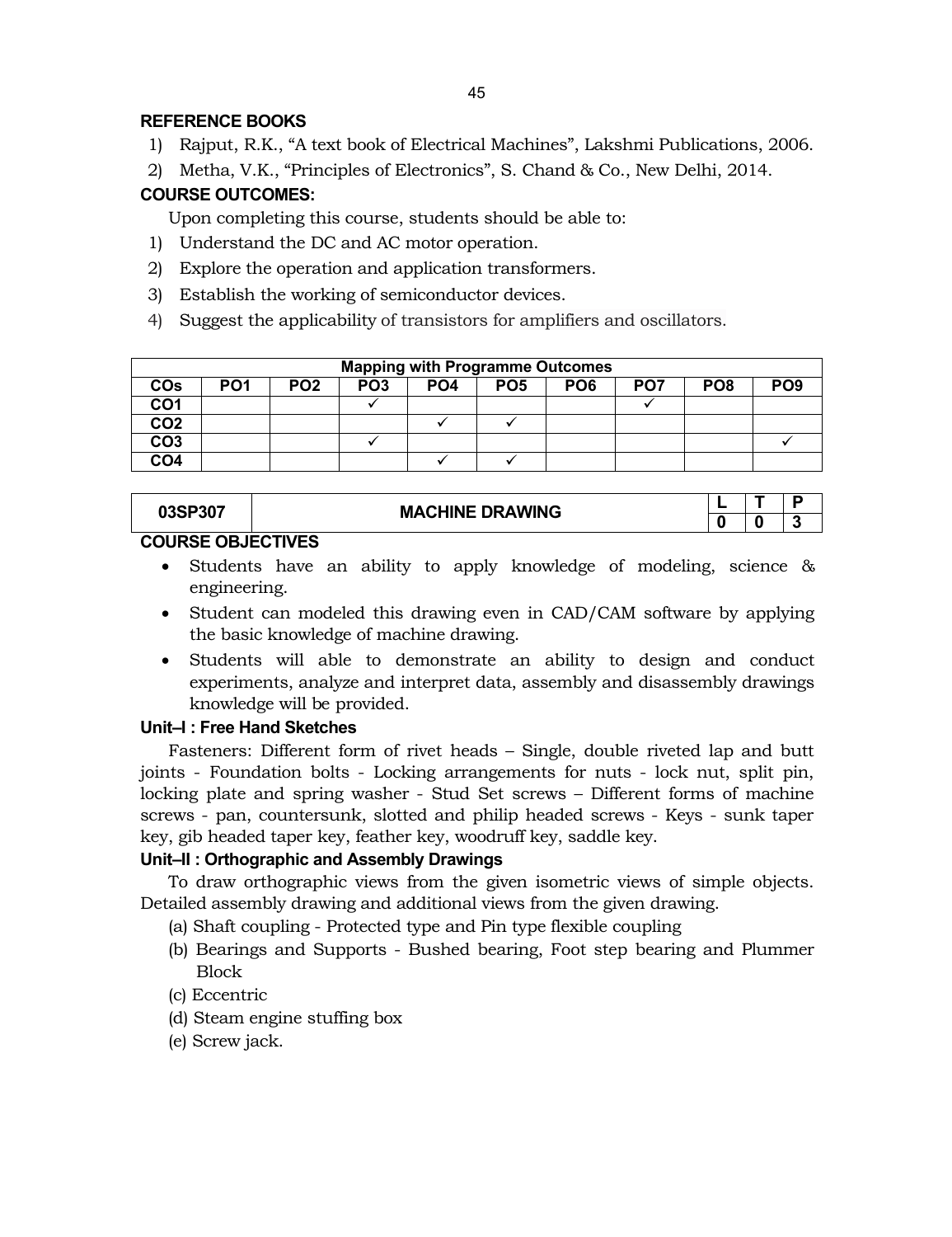# **REFERENCE BOOKS**

- 1) Rajput, R.K., "A text book of Electrical Machines", Lakshmi Publications, 2006.
- 2) Metha, V.K., "Principles of Electronics", S. Chand & Co., New Delhi, 2014.

# **COURSE OUTCOMES:**

Upon completing this course, students should be able to:

- 1) Understand the DC and AC motor operation.
- 2) Explore the operation and application transformers.
- 3) Establish the working of semiconductor devices.
- 4) Suggest the applicability of transistors for amplifiers and oscillators.

|                 | <b>Mapping with Programme Outcomes</b> |                 |                 |                 |                 |                 |     |                 |                 |  |  |
|-----------------|----------------------------------------|-----------------|-----------------|-----------------|-----------------|-----------------|-----|-----------------|-----------------|--|--|
| <b>COs</b>      | PO <sub>1</sub>                        | PO <sub>2</sub> | PO <sub>3</sub> | PO <sub>4</sub> | PO <sub>5</sub> | PO <sub>6</sub> | PO7 | PO <sub>8</sub> | PO <sub>9</sub> |  |  |
| CO <sub>1</sub> |                                        |                 |                 |                 |                 |                 |     |                 |                 |  |  |
| CO <sub>2</sub> |                                        |                 |                 |                 |                 |                 |     |                 |                 |  |  |
| CO <sub>3</sub> |                                        |                 |                 |                 |                 |                 |     |                 |                 |  |  |
| CO <sub>4</sub> |                                        |                 |                 |                 |                 |                 |     |                 |                 |  |  |

|       | <b>MACHINE DRAWING</b> |                                                                 |  |      |  |  |  |  |  |  |  |
|-------|------------------------|-----------------------------------------------------------------|--|------|--|--|--|--|--|--|--|
| ו טכי |                        |                                                                 |  | - 12 |  |  |  |  |  |  |  |
|       |                        | $A$ $A$ $B$ $A$ $B$ $A$ $B$ $B$ $B$ $A$ $F$ $A$ $F$ $A$ $F$ $A$ |  |      |  |  |  |  |  |  |  |

# **COURSE OBJECTIVES**

- Students have an ability to apply knowledge of modeling, science & engineering.
- Student can modeled this drawing even in CAD/CAM software by applying the basic knowledge of machine drawing.
- Students will able to demonstrate an ability to design and conduct experiments, analyze and interpret data, assembly and disassembly drawings knowledge will be provided.

# **Unit–I : Free Hand Sketches**

Fasteners: Different form of rivet heads – Single, double riveted lap and butt joints - Foundation bolts - Locking arrangements for nuts - lock nut, split pin, locking plate and spring washer - Stud Set screws – Different forms of machine screws - pan, countersunk, slotted and philip headed screws - Keys - sunk taper key, gib headed taper key, feather key, woodruff key, saddle key.

# **Unit–II : Orthographic and Assembly Drawings**

To draw orthographic views from the given isometric views of simple objects. Detailed assembly drawing and additional views from the given drawing.

- (a) Shaft coupling Protected type and Pin type flexible coupling
- (b) Bearings and Supports Bushed bearing, Foot step bearing and Plummer Block
- (c) Eccentric
- (d) Steam engine stuffing box
- (e) Screw jack.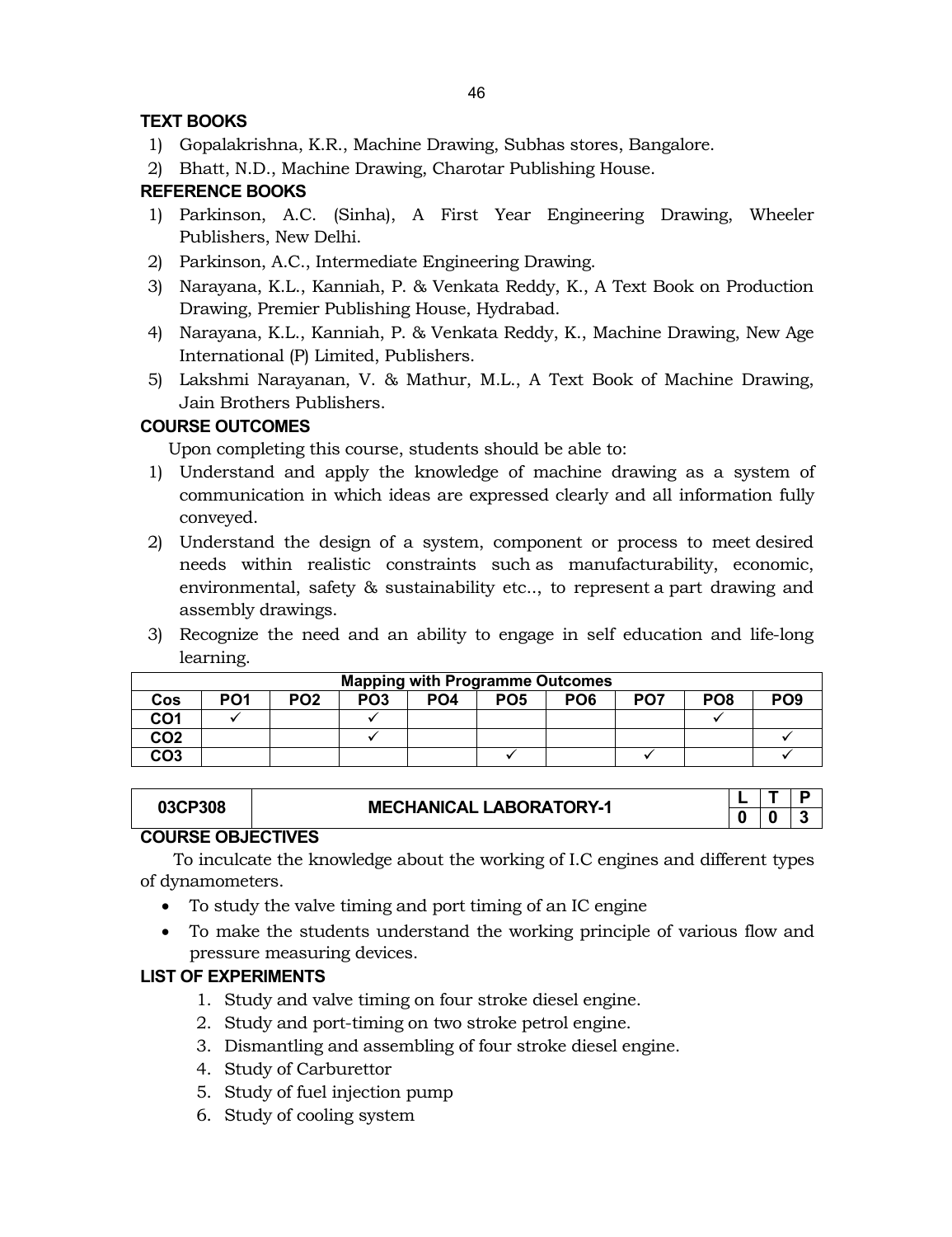# **TEXT BOOKS**

- 1) Gopalakrishna, K.R., Machine Drawing, Subhas stores, Bangalore.
- 2) Bhatt, N.D., Machine Drawing, Charotar Publishing House.

# **REFERENCE BOOKS**

- 1) Parkinson, A.C. (Sinha), A First Year Engineering Drawing, Wheeler Publishers, New Delhi.
- 2) Parkinson, A.C., Intermediate Engineering Drawing.
- 3) Narayana, K.L., Kanniah, P. & Venkata Reddy, K., A Text Book on Production Drawing, Premier Publishing House, Hydrabad.
- 4) Narayana, K.L., Kanniah, P. & Venkata Reddy, K., Machine Drawing, New Age International (P) Limited, Publishers.
- 5) Lakshmi Narayanan, V. & Mathur, M.L., A Text Book of Machine Drawing, Jain Brothers Publishers.

# **COURSE OUTCOMES**

Upon completing this course, students should be able to:

- 1) Understand and apply the knowledge of machine drawing as a system of communication in which ideas are expressed clearly and all information fully conveyed.
- 2) Understand the design of a system, component or process to meet desired needs within realistic constraints such as manufacturability, economic, environmental, safety & sustainability etc.., to represent a part drawing and assembly drawings.
- 3) Recognize the need and an ability to engage in self education and life-long learning.

|                 | <b>Mapping with Programme Outcomes</b> |                 |                 |                 |                 |                 |                 |                 |                 |  |  |  |
|-----------------|----------------------------------------|-----------------|-----------------|-----------------|-----------------|-----------------|-----------------|-----------------|-----------------|--|--|--|
| Cos             | PO <sub>1</sub>                        | PO <sub>2</sub> | PO <sub>3</sub> | PO <sub>4</sub> | PO <sub>5</sub> | PO <sub>6</sub> | PO <sub>7</sub> | PO <sub>8</sub> | PO <sub>9</sub> |  |  |  |
| CO1             |                                        |                 |                 |                 |                 |                 |                 |                 |                 |  |  |  |
| CO <sub>2</sub> |                                        |                 |                 |                 |                 |                 |                 |                 |                 |  |  |  |
| CO <sub>3</sub> |                                        |                 |                 |                 |                 |                 |                 |                 |                 |  |  |  |

# **03CP308 MECHANICAL LABORATORY-1**

**L T P 0 0 3**

# **COURSE OBJECTIVES**

To inculcate the knowledge about the working of I.C engines and different types of dynamometers.

- To study the valve timing and port timing of an IC engine
- To make the students understand the working principle of various flow and pressure measuring devices.

# **LIST OF EXPERIMENTS**

- 1. Study and valve timing on four stroke diesel engine.
- 2. Study and port-timing on two stroke petrol engine.
- 3. Dismantling and assembling of four stroke diesel engine.
- 4. Study of Carburettor
- 5. Study of fuel injection pump
- 6. Study of cooling system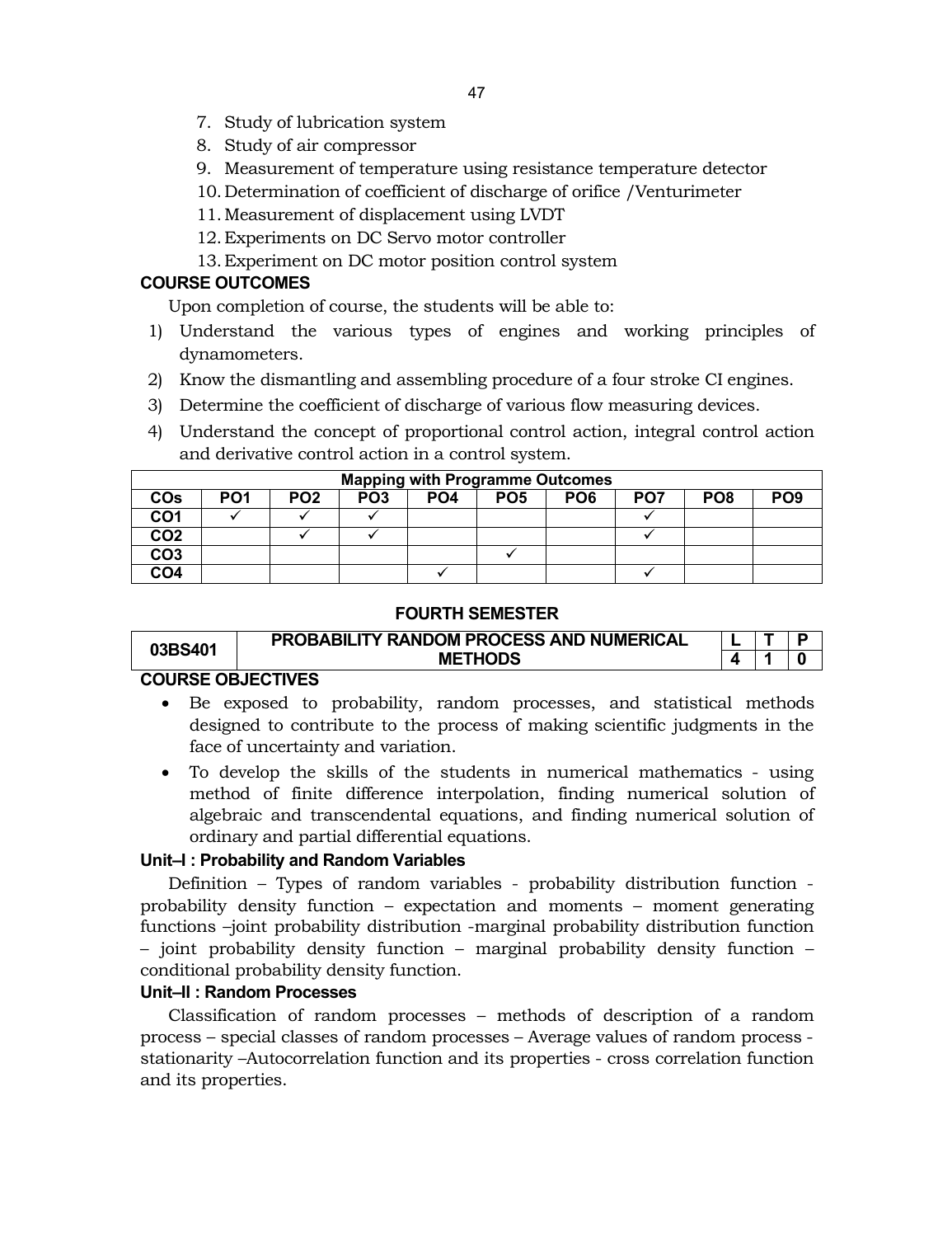- 7. Study of lubrication system
- 8. Study of air compressor
- 9. Measurement of temperature using resistance temperature detector
- 10. Determination of coefficient of discharge of orifice /Venturimeter
- 11.Measurement of displacement using LVDT
- 12.Experiments on DC Servo motor controller
- 13.Experiment on DC motor position control system

# **COURSE OUTCOMES**

Upon completion of course, the students will be able to:

- 1) Understand the various types of engines and working principles of dynamometers.
- 2) Know the dismantling and assembling procedure of a four stroke CI engines.
- 3) Determine the coefficient of discharge of various flow measuring devices.
- 4) Understand the concept of proportional control action, integral control action and derivative control action in a control system.

|                       | <b>Mapping with Programme Outcomes</b> |                 |                 |                 |                 |                 |     |                 |                 |  |  |  |
|-----------------------|----------------------------------------|-----------------|-----------------|-----------------|-----------------|-----------------|-----|-----------------|-----------------|--|--|--|
| <b>CO<sub>s</sub></b> | PO <sub>1</sub>                        | PO <sub>2</sub> | PO <sub>3</sub> | PO <sub>4</sub> | PO <sub>5</sub> | PO <sub>6</sub> | PO7 | PO <sub>8</sub> | PO <sub>9</sub> |  |  |  |
| CO <sub>1</sub>       |                                        |                 |                 |                 |                 |                 |     |                 |                 |  |  |  |
| CO <sub>2</sub>       |                                        |                 |                 |                 |                 |                 |     |                 |                 |  |  |  |
| CO <sub>3</sub>       |                                        |                 |                 |                 |                 |                 |     |                 |                 |  |  |  |
| CO <sub>4</sub>       |                                        |                 |                 |                 |                 |                 |     |                 |                 |  |  |  |

# **FOURTH SEMESTER**

| 03BS401 | PROBABILITY RANDOM PROCESS AND NUMERICAL |  |  |
|---------|------------------------------------------|--|--|
|         | <b>METHODS</b>                           |  |  |
|         | _________                                |  |  |

# **COURSE OBJECTIVES**

- Be exposed to probability, random processes, and statistical methods designed to contribute to the process of making scientific judgments in the face of uncertainty and variation.
- To develop the skills of the students in numerical mathematics using method of finite difference interpolation, finding numerical solution of algebraic and transcendental equations, and finding numerical solution of ordinary and partial differential equations.

# **Unit–I : Probability and Random Variables**

Definition – Types of random variables - probability distribution function probability density function – expectation and moments – moment generating functions –joint probability distribution -marginal probability distribution function – joint probability density function – marginal probability density function – conditional probability density function.

# **Unit–II : Random Processes**

Classification of random processes – methods of description of a random process – special classes of random processes – Average values of random process stationarity –Autocorrelation function and its properties - cross correlation function and its properties.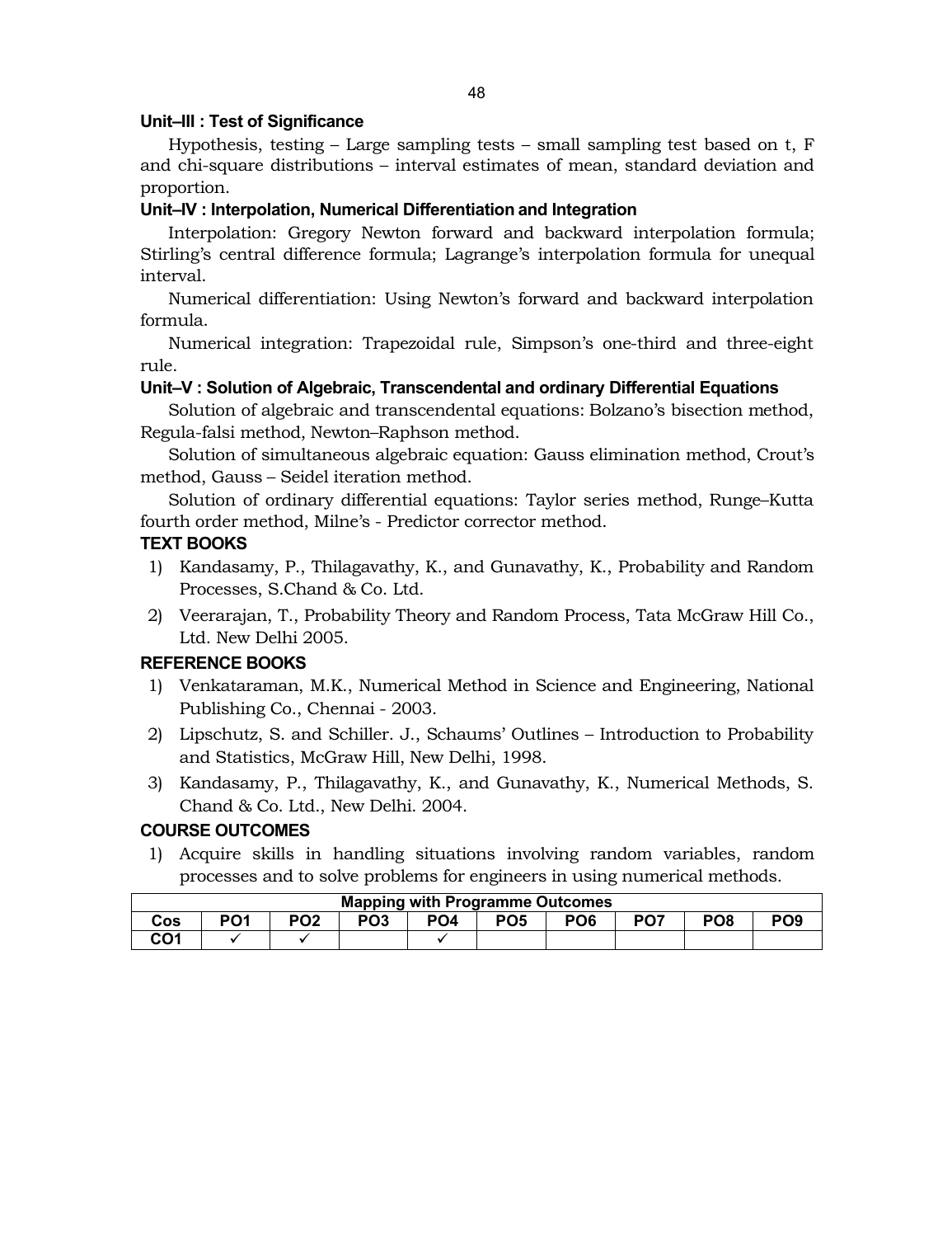# **Unit–III : Test of Significance**

Hypothesis, testing – Large sampling tests – small sampling test based on t, F and chi-square distributions – interval estimates of mean, standard deviation and proportion.

# **Unit–IV : Interpolation, Numerical Differentiation and Integration**

Interpolation: Gregory Newton forward and backward interpolation formula; Stirling's central difference formula; Lagrange's interpolation formula for unequal interval.

Numerical differentiation: Using Newton's forward and backward interpolation formula.

Numerical integration: Trapezoidal rule, Simpson's one-third and three-eight rule.

# **Unit–V : Solution of Algebraic, Transcendental and ordinary Differential Equations**

Solution of algebraic and transcendental equations: Bolzano's bisection method, Regula-falsi method, Newton–Raphson method.

Solution of simultaneous algebraic equation: Gauss elimination method, Crout's method, Gauss – Seidel iteration method.

Solution of ordinary differential equations: Taylor series method, Runge–Kutta fourth order method, Milne's - Predictor corrector method.

# **TEXT BOOKS**

- 1) Kandasamy, P., Thilagavathy, K., and Gunavathy, K., Probability and Random Processes, S.Chand & Co. Ltd.
- 2) Veerarajan, T., Probability Theory and Random Process, Tata McGraw Hill Co., Ltd. New Delhi 2005.

# **REFERENCE BOOKS**

- 1) Venkataraman, M.K., Numerical Method in Science and Engineering, National Publishing Co., Chennai - 2003.
- 2) Lipschutz, S. and Schiller. J., Schaums' Outlines Introduction to Probability and Statistics, McGraw Hill, New Delhi, 1998.
- 3) Kandasamy, P., Thilagavathy, K., and Gunavathy, K., Numerical Methods, S. Chand & Co. Ltd., New Delhi. 2004.

# **COURSE OUTCOMES**

1) Acquire skills in handling situations involving random variables, random processes and to solve problems for engineers in using numerical methods.

|     | <b>Mapping with Programme Outcomes</b> |                 |                 |     |                 |                 |                 |                 |                 |  |  |  |
|-----|----------------------------------------|-----------------|-----------------|-----|-----------------|-----------------|-----------------|-----------------|-----------------|--|--|--|
| Cos | PO <sub>1</sub>                        | PO <sub>2</sub> | PO <sub>3</sub> | PO4 | PO <sub>5</sub> | PO <sub>6</sub> | PO <sub>7</sub> | PO <sub>8</sub> | PO <sub>9</sub> |  |  |  |
| CO1 |                                        |                 |                 |     |                 |                 |                 |                 |                 |  |  |  |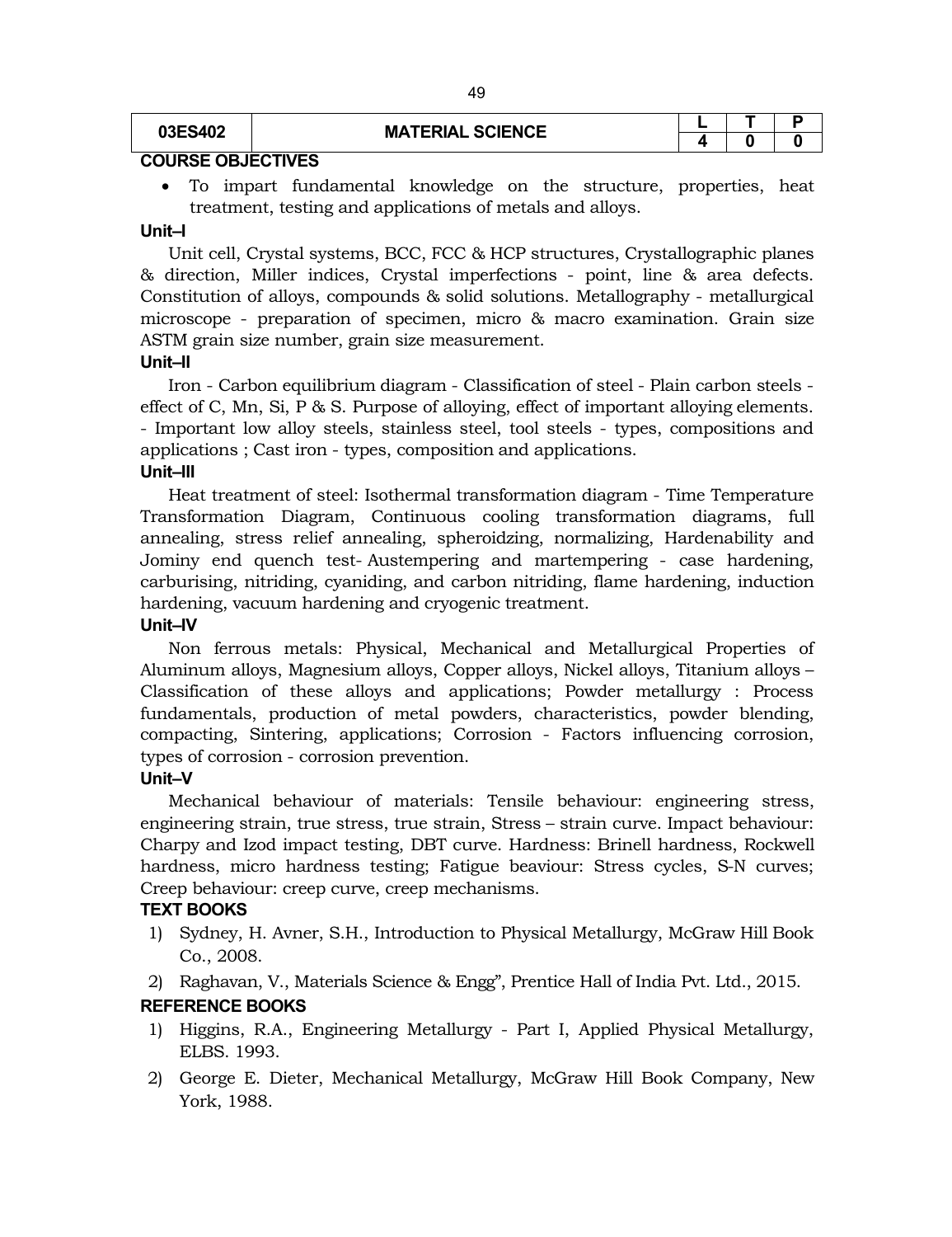**03ES402 MATERIAL SCIENCE <sup>L</sup> <sup>T</sup> <sup>P</sup> 4 0 0**

# **COURSE OBJECTIVES**

 To impart fundamental knowledge on the structure, properties, heat treatment, testing and applications of metals and alloys.

# **Unit–I**

Unit cell, Crystal systems, BCC, FCC & HCP structures, Crystallographic planes & direction, Miller indices, Crystal imperfections - point, line & area defects. Constitution of alloys, compounds & solid solutions. Metallography - metallurgical microscope - preparation of specimen, micro & macro examination. Grain size ASTM grain size number, grain size measurement.

#### **Unit–II**

Iron - Carbon equilibrium diagram - Classification of steel - Plain carbon steels effect of C, Mn, Si, P & S. Purpose of alloying, effect of important alloying elements. - Important low alloy steels, stainless steel, tool steels - types, compositions and applications ; Cast iron - types, composition and applications.

# **Unit–III**

Heat treatment of steel: Isothermal transformation diagram - Time Temperature Transformation Diagram, Continuous cooling transformation diagrams, full annealing, stress relief annealing, spheroidzing, normalizing, Hardenability and Jominy end quench test- Austempering and martempering - case hardening, carburising, nitriding, cyaniding, and carbon nitriding, flame hardening, induction hardening, vacuum hardening and cryogenic treatment.

#### **Unit–IV**

Non ferrous metals: Physical, Mechanical and Metallurgical Properties of Aluminum alloys, Magnesium alloys, Copper alloys, Nickel alloys, Titanium alloys – Classification of these alloys and applications; Powder metallurgy : Process fundamentals, production of metal powders, characteristics, powder blending, compacting, Sintering, applications; Corrosion - Factors influencing corrosion, types of corrosion - corrosion prevention.

#### **Unit–V**

Mechanical behaviour of materials: Tensile behaviour: engineering stress, engineering strain, true stress, true strain, Stress – strain curve. Impact behaviour: Charpy and Izod impact testing, DBT curve. Hardness: Brinell hardness, Rockwell hardness, micro hardness testing; Fatigue beaviour: Stress cycles, S-N curves; Creep behaviour: creep curve, creep mechanisms.

# **TEXT BOOKS**

- 1) Sydney, H. Avner, S.H., Introduction to Physical Metallurgy, McGraw Hill Book Co., 2008.
- 2) Raghavan, V., Materials Science & Engg", Prentice Hall of India Pvt. Ltd., 2015.

# **REFERENCE BOOKS**

- 1) Higgins, R.A., Engineering Metallurgy Part I, Applied Physical Metallurgy, ELBS. 1993.
- 2) George E. Dieter, Mechanical Metallurgy, McGraw Hill Book Company, New York, 1988.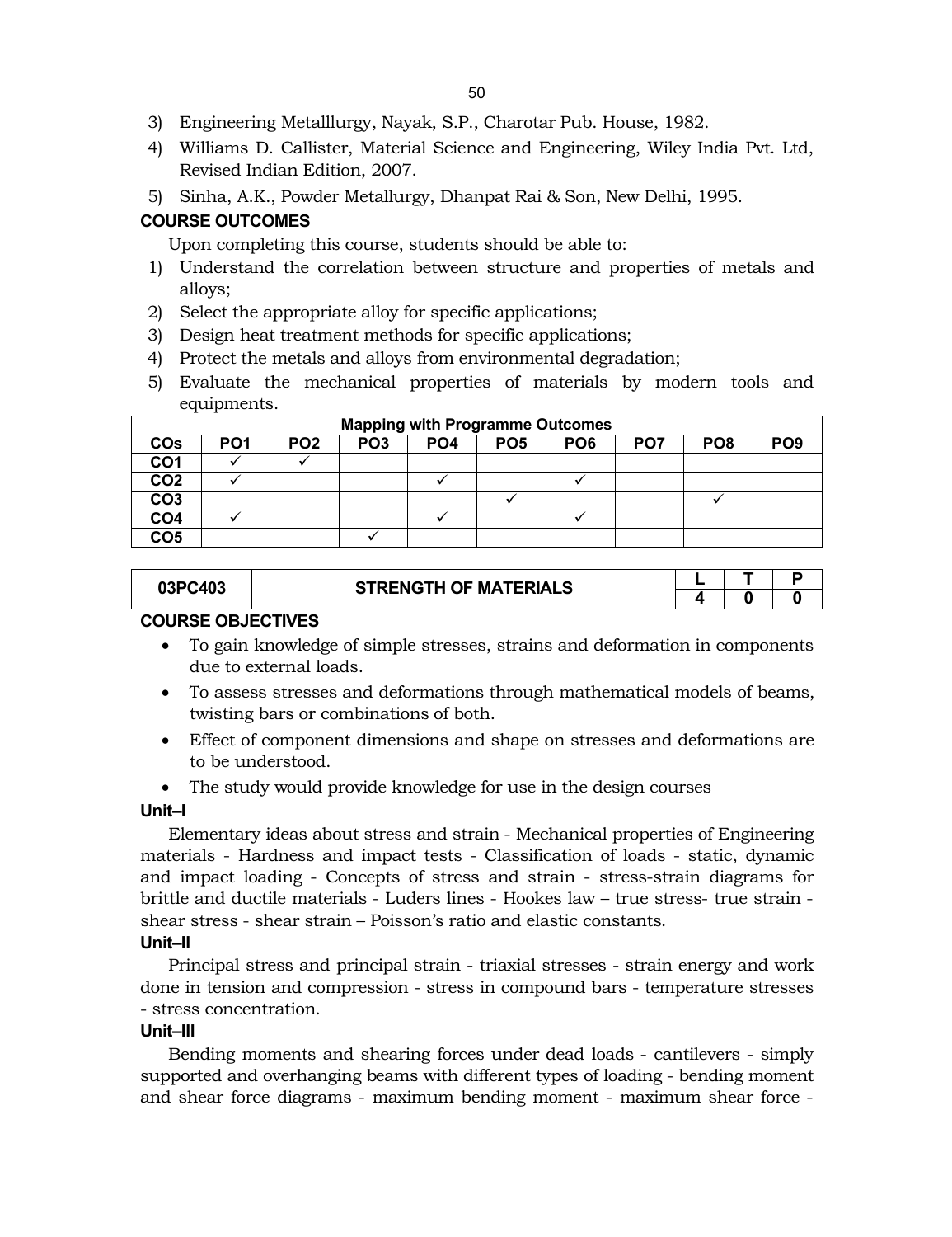- 3) Engineering Metalllurgy, Nayak, S.P., Charotar Pub. House, 1982.
- 4) Williams D. Callister, Material Science and Engineering, Wiley India Pvt. Ltd, Revised Indian Edition, 2007.
- 5) Sinha, A.K., Powder Metallurgy, Dhanpat Rai & Son, New Delhi, 1995.

# **COURSE OUTCOMES**

Upon completing this course, students should be able to:

- 1) Understand the correlation between structure and properties of metals and alloys;
- 2) Select the appropriate alloy for specific applications;
- 3) Design heat treatment methods for specific applications;
- 4) Protect the metals and alloys from environmental degradation;
- 5) Evaluate the mechanical properties of materials by modern tools and equipments.

|                 | <b>Mapping with Programme Outcomes</b> |                 |                 |                 |                 |                 |                 |                 |                 |  |  |  |
|-----------------|----------------------------------------|-----------------|-----------------|-----------------|-----------------|-----------------|-----------------|-----------------|-----------------|--|--|--|
| <b>COs</b>      | PO <sub>1</sub>                        | PO <sub>2</sub> | PO <sub>3</sub> | PO <sub>4</sub> | PO <sub>5</sub> | PO <sub>6</sub> | PO <sub>7</sub> | PO <sub>8</sub> | PO <sub>9</sub> |  |  |  |
| CO <sub>1</sub> |                                        |                 |                 |                 |                 |                 |                 |                 |                 |  |  |  |
| CO <sub>2</sub> |                                        |                 |                 |                 |                 |                 |                 |                 |                 |  |  |  |
| CO <sub>3</sub> |                                        |                 |                 |                 |                 |                 |                 |                 |                 |  |  |  |
| CO <sub>4</sub> |                                        |                 |                 |                 |                 |                 |                 |                 |                 |  |  |  |
| CO <sub>5</sub> |                                        |                 |                 |                 |                 |                 |                 |                 |                 |  |  |  |

# **03PC403 STRENGTH OF MATERIALS L T P**<br>**4 0 0 4 0 0**

# **COURSE OBJECTIVES**

- To gain knowledge of simple stresses, strains and deformation in components due to external loads.
- To assess stresses and deformations through mathematical models of beams, twisting bars or combinations of both.
- Effect of component dimensions and shape on stresses and deformations are to be understood.
- The study would provide knowledge for use in the design courses

# **Unit–I**

Elementary ideas about stress and strain - Mechanical properties of Engineering materials - Hardness and impact tests - Classification of loads - static, dynamic and impact loading - Concepts of stress and strain - stress-strain diagrams for brittle and ductile materials - Luders lines - Hookes law – true stress- true strain shear stress - shear strain – Poisson's ratio and elastic constants.

# **Unit–II**

Principal stress and principal strain - triaxial stresses - strain energy and work done in tension and compression - stress in compound bars - temperature stresses - stress concentration.

# **Unit–III**

Bending moments and shearing forces under dead loads - cantilevers - simply supported and overhanging beams with different types of loading - bending moment and shear force diagrams - maximum bending moment - maximum shear force -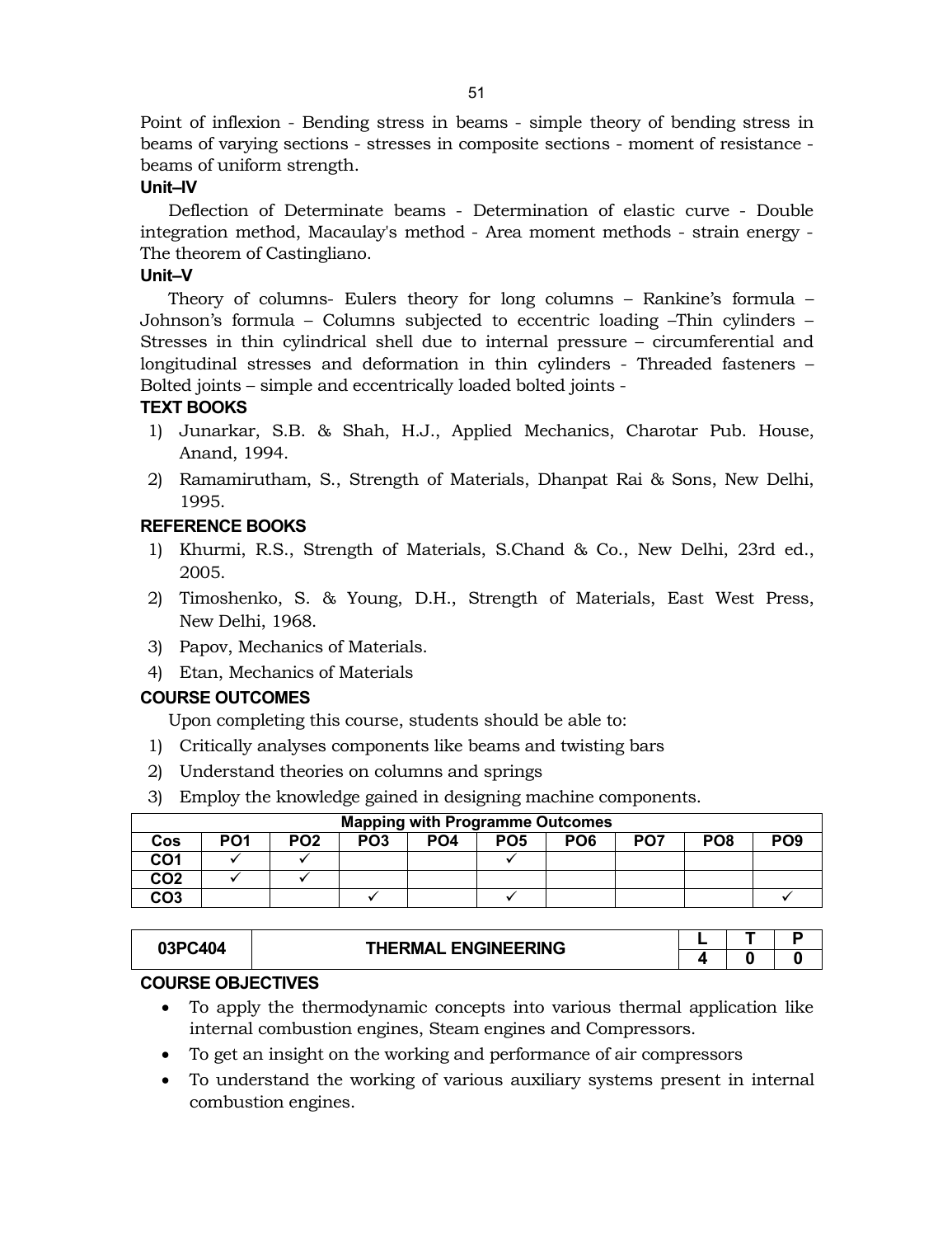Point of inflexion - Bending stress in beams - simple theory of bending stress in beams of varying sections - stresses in composite sections - moment of resistance beams of uniform strength.

# **Unit–IV**

Deflection of Determinate beams - Determination of elastic curve - Double integration method, Macaulay's method - Area moment methods - strain energy - The theorem of Castingliano.

# **Unit–V**

Theory of columns- Eulers theory for long columns – Rankine's formula – Johnson's formula – Columns subjected to eccentric loading –Thin cylinders – Stresses in thin cylindrical shell due to internal pressure – circumferential and longitudinal stresses and deformation in thin cylinders - Threaded fasteners – Bolted joints – simple and eccentrically loaded bolted joints -

# **TEXT BOOKS**

- 1) Junarkar, S.B. & Shah, H.J., Applied Mechanics, Charotar Pub. House, Anand, 1994.
- 2) Ramamirutham, S., Strength of Materials, Dhanpat Rai & Sons, New Delhi, 1995.

# **REFERENCE BOOKS**

- 1) Khurmi, R.S., Strength of Materials, S.Chand & Co., New Delhi, 23rd ed., 2005.
- 2) Timoshenko, S. & Young, D.H., Strength of Materials, East West Press, New Delhi, 1968.
- 3) Papov, Mechanics of Materials.
- 4) Etan, Mechanics of Materials

# **COURSE OUTCOMES**

Upon completing this course, students should be able to:

- 1) Critically analyses components like beams and twisting bars
- 2) Understand theories on columns and springs
- 3) Employ the knowledge gained in designing machine components.

|                 | <b>Mapping with Programme Outcomes</b> |                 |                 |                 |                 |                 |                 |                 |                 |  |  |  |
|-----------------|----------------------------------------|-----------------|-----------------|-----------------|-----------------|-----------------|-----------------|-----------------|-----------------|--|--|--|
| Cos             | PO <sub>1</sub>                        | PO <sub>2</sub> | PO <sub>3</sub> | PO <sub>4</sub> | PO <sub>5</sub> | PO <sub>6</sub> | PO <sub>7</sub> | PO <sub>8</sub> | PO <sub>9</sub> |  |  |  |
| CO <sub>1</sub> |                                        |                 |                 |                 |                 |                 |                 |                 |                 |  |  |  |
| CO <sub>2</sub> |                                        |                 |                 |                 |                 |                 |                 |                 |                 |  |  |  |
| CO3             |                                        |                 |                 |                 |                 |                 |                 |                 |                 |  |  |  |

| 03PC404 | <b>THERMAL ENGINEERING</b> |  |  |
|---------|----------------------------|--|--|
|         |                            |  |  |

# **COURSE OBJECTIVES**

- To apply the thermodynamic concepts into various thermal application like internal combustion engines, Steam engines and Compressors.
- To get an insight on the working and performance of air compressors
- To understand the working of various auxiliary systems present in internal combustion engines.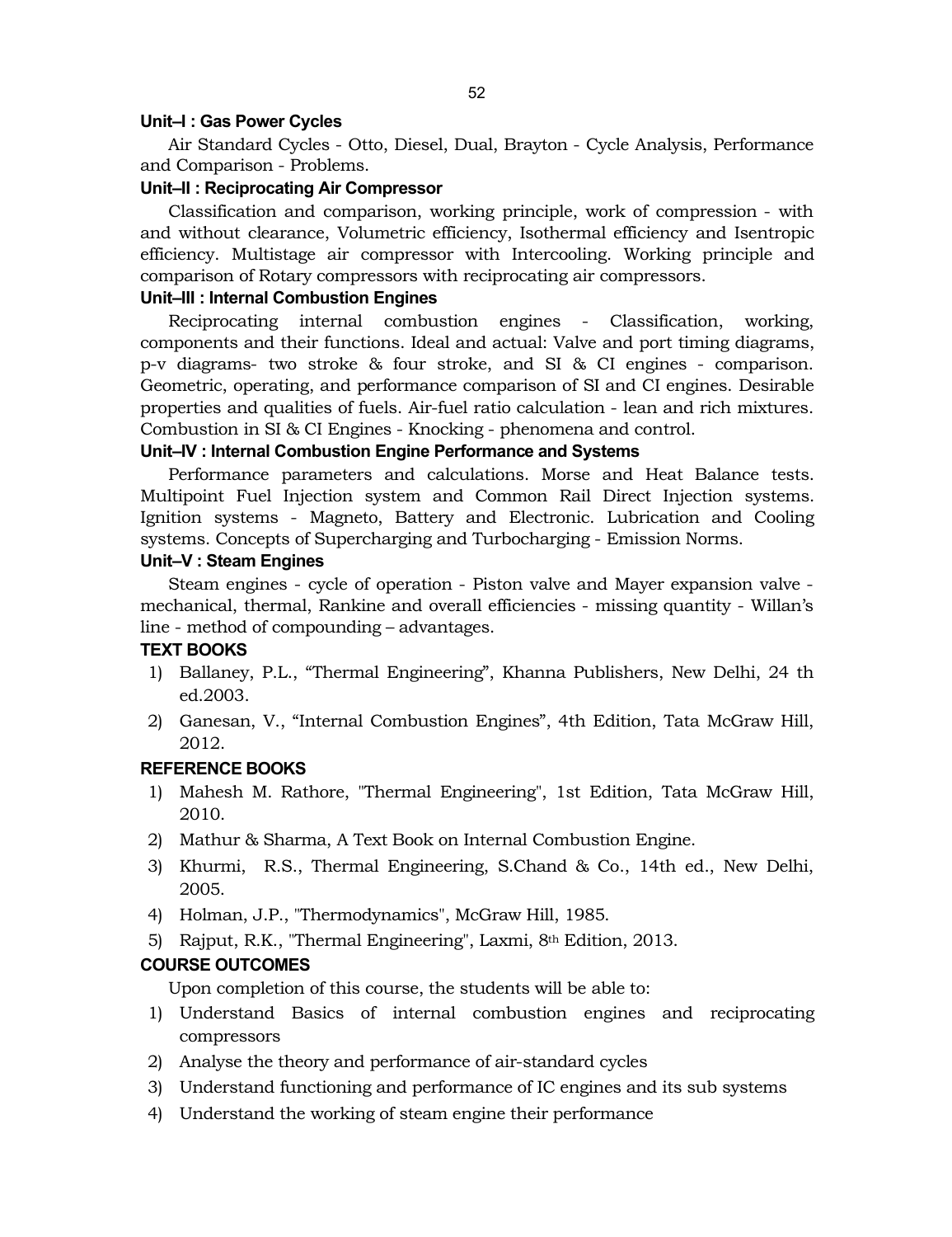# **Unit–I : Gas Power Cycles**

Air Standard Cycles - Otto, Diesel, Dual, Brayton - Cycle Analysis, Performance and Comparison - Problems.

# **Unit–II : Reciprocating Air Compressor**

Classification and comparison, working principle, work of compression - with and without clearance, Volumetric efficiency, Isothermal efficiency and Isentropic efficiency. Multistage air compressor with Intercooling. Working principle and comparison of Rotary compressors with reciprocating air compressors.

# **Unit–III : Internal Combustion Engines**

Reciprocating internal combustion engines - Classification, working, components and their functions. Ideal and actual: Valve and port timing diagrams, p-v diagrams- two stroke & four stroke, and SI & CI engines - comparison. Geometric, operating, and performance comparison of SI and CI engines. Desirable properties and qualities of fuels. Air-fuel ratio calculation - lean and rich mixtures. Combustion in SI & CI Engines - Knocking - phenomena and control.

# **Unit–IV : Internal Combustion Engine Performance and Systems**

Performance parameters and calculations. Morse and Heat Balance tests. Multipoint Fuel Injection system and Common Rail Direct Injection systems. Ignition systems - Magneto, Battery and Electronic. Lubrication and Cooling systems. Concepts of Supercharging and Turbocharging - Emission Norms.

# **Unit–V : Steam Engines**

Steam engines - cycle of operation - Piston valve and Mayer expansion valve mechanical, thermal, Rankine and overall efficiencies - missing quantity - Willan's line - method of compounding – advantages.

# **TEXT BOOKS**

- 1) Ballaney, P.L., "Thermal Engineering", Khanna Publishers, New Delhi, 24 th ed.2003.
- 2) Ganesan, V., "Internal Combustion Engines", 4th Edition, Tata McGraw Hill, 2012.

# **REFERENCE BOOKS**

- 1) Mahesh M. Rathore, "Thermal Engineering", 1st Edition, Tata McGraw Hill, 2010.
- 2) Mathur & Sharma, A Text Book on Internal Combustion Engine.
- 3) Khurmi, R.S., Thermal Engineering, S.Chand & Co., 14th ed., New Delhi, 2005.
- 4) Holman, J.P., "Thermodynamics", McGraw Hill, 1985.
- 5) Rajput, R.K., "Thermal Engineering", Laxmi, 8th Edition, 2013.

# **COURSE OUTCOMES**

Upon completion of this course, the students will be able to:

- 1) Understand Basics of internal combustion engines and reciprocating compressors
- 2) Analyse the theory and performance of air-standard cycles
- 3) Understand functioning and performance of IC engines and its sub systems
- 4) Understand the working of steam engine their performance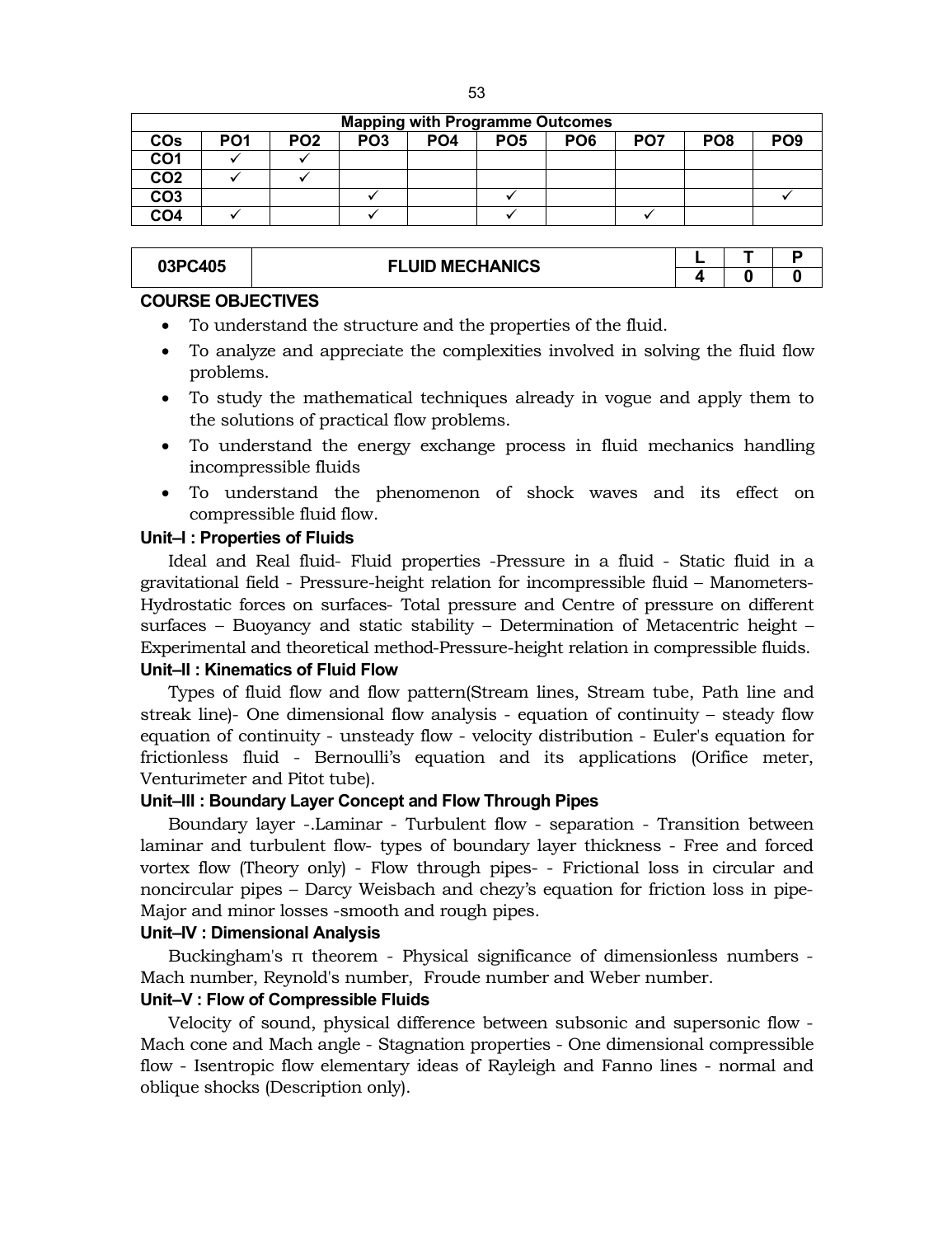| <b>Mapping with Programme Outcomes</b> |                 |                 |                 |                 |                 |                 |                 |                 |  |  |  |
|----------------------------------------|-----------------|-----------------|-----------------|-----------------|-----------------|-----------------|-----------------|-----------------|--|--|--|
| PO <sub>1</sub>                        | PO <sub>2</sub> | PO <sub>3</sub> | PO <sub>4</sub> | PO <sub>5</sub> | PO <sub>6</sub> | PO <sub>7</sub> | PO <sub>8</sub> | PO <sub>9</sub> |  |  |  |
|                                        |                 |                 |                 |                 |                 |                 |                 |                 |  |  |  |
|                                        |                 |                 |                 |                 |                 |                 |                 |                 |  |  |  |
|                                        |                 |                 |                 |                 |                 |                 |                 |                 |  |  |  |
|                                        |                 |                 |                 |                 |                 |                 |                 |                 |  |  |  |
|                                        |                 |                 |                 |                 |                 |                 |                 |                 |  |  |  |

| 03PC405 | <b>FLUID MECHANICS</b> |  |  |
|---------|------------------------|--|--|
|         |                        |  |  |

#### **COURSE OBJECTIVES**

- To understand the structure and the properties of the fluid.
- To analyze and appreciate the complexities involved in solving the fluid flow problems.
- To study the mathematical techniques already in vogue and apply them to the solutions of practical flow problems.
- To understand the energy exchange process in fluid mechanics handling incompressible fluids
- To understand the phenomenon of shock waves and its effect on compressible fluid flow.

# **Unit–I : Properties of Fluids**

Ideal and Real fluid- Fluid properties -Pressure in a fluid - Static fluid in a gravitational field - Pressure-height relation for incompressible fluid – Manometers-Hydrostatic forces on surfaces- Total pressure and Centre of pressure on different surfaces – Buoyancy and static stability – Determination of Metacentric height – Experimental and theoretical method-Pressure-height relation in compressible fluids.

# **Unit–II : Kinematics of Fluid Flow**

Types of fluid flow and flow pattern(Stream lines, Stream tube, Path line and streak line)- One dimensional flow analysis - equation of continuity – steady flow equation of continuity - unsteady flow - velocity distribution - Euler's equation for frictionless fluid - Bernoulli's equation and its applications (Orifice meter, Venturimeter and Pitot tube).

# **Unit–III : Boundary Layer Concept and Flow Through Pipes**

Boundary layer -.Laminar - Turbulent flow - separation - Transition between laminar and turbulent flow- types of boundary layer thickness - Free and forced vortex flow (Theory only) - Flow through pipes- - Frictional loss in circular and noncircular pipes – Darcy Weisbach and chezy's equation for friction loss in pipe-Major and minor losses -smooth and rough pipes.

# **Unit–IV : Dimensional Analysis**

Buckingham's π theorem - Physical significance of dimensionless numbers - Mach number, Reynold's number, Froude number and Weber number.

# **Unit–V : Flow of Compressible Fluids**

Velocity of sound, physical difference between subsonic and supersonic flow - Mach cone and Mach angle - Stagnation properties - One dimensional compressible flow - Isentropic flow elementary ideas of Rayleigh and Fanno lines - normal and oblique shocks (Description only).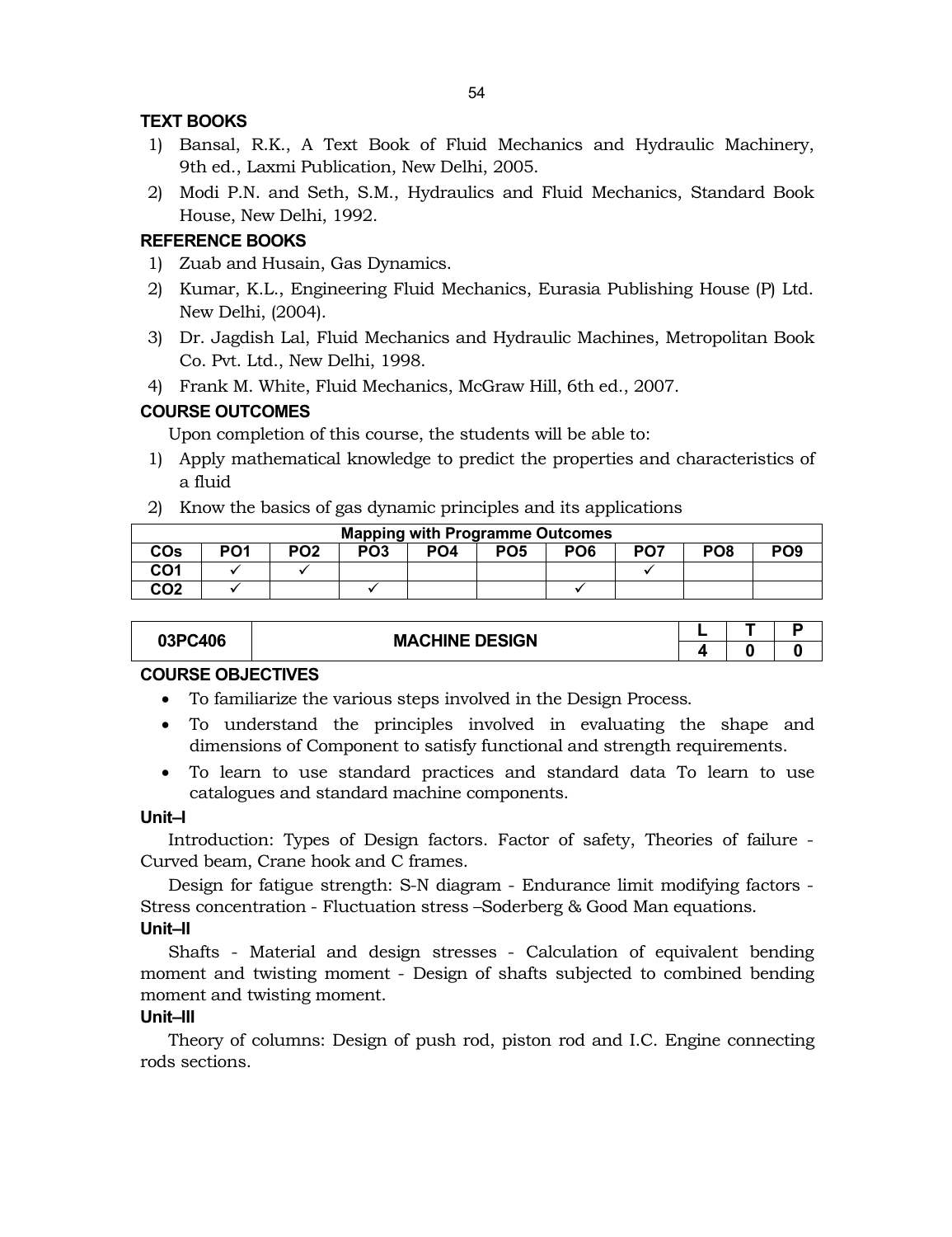# **TEXT BOOKS**

- 1) Bansal, R.K., A Text Book of Fluid Mechanics and Hydraulic Machinery, 9th ed., Laxmi Publication, New Delhi, 2005.
- 2) Modi P.N. and Seth, S.M., Hydraulics and Fluid Mechanics, Standard Book House, New Delhi, 1992.

# **REFERENCE BOOKS**

- 1) Zuab and Husain, Gas Dynamics.
- 2) Kumar, K.L., Engineering Fluid Mechanics, Eurasia Publishing House (P) Ltd. New Delhi, (2004).
- 3) Dr. Jagdish Lal, Fluid Mechanics and Hydraulic Machines, Metropolitan Book Co. Pvt. Ltd., New Delhi, 1998.
- 4) Frank M. White, Fluid Mechanics, McGraw Hill, 6th ed., 2007.

# **COURSE OUTCOMES**

Upon completion of this course, the students will be able to:

- 1) Apply mathematical knowledge to predict the properties and characteristics of a fluid
- 2) Know the basics of gas dynamic principles and its applications

|            | <b>Mapping with Programme Outcomes</b> |                 |                 |                 |                 |                 |                 |                 |                 |  |  |  |
|------------|----------------------------------------|-----------------|-----------------|-----------------|-----------------|-----------------|-----------------|-----------------|-----------------|--|--|--|
| <b>COs</b> | PO <sub>1</sub>                        | PO <sub>2</sub> | PO <sub>3</sub> | PO <sub>4</sub> | PO <sub>5</sub> | PO <sub>6</sub> | PO <sub>7</sub> | PO <sub>8</sub> | PO <sub>9</sub> |  |  |  |
| CO1        |                                        |                 |                 |                 |                 |                 |                 |                 |                 |  |  |  |
| CO2        |                                        |                 |                 |                 |                 |                 |                 |                 |                 |  |  |  |

| 03PC406 | <b>MACHINE DESIGN</b> |  |  |
|---------|-----------------------|--|--|
|         |                       |  |  |

# **COURSE OBJECTIVES**

- To familiarize the various steps involved in the Design Process.
- To understand the principles involved in evaluating the shape and dimensions of Component to satisfy functional and strength requirements.
- To learn to use standard practices and standard data To learn to use catalogues and standard machine components.

# **Unit–I**

Introduction: Types of Design factors. Factor of safety, Theories of failure - Curved beam, Crane hook and C frames.

Design for fatigue strength: S-N diagram - Endurance limit modifying factors - Stress concentration - Fluctuation stress –Soderberg & Good Man equations. **Unit–II**

Shafts - Material and design stresses - Calculation of equivalent bending moment and twisting moment - Design of shafts subjected to combined bending moment and twisting moment.

# **Unit–III**

Theory of columns: Design of push rod, piston rod and I.C. Engine connecting rods sections.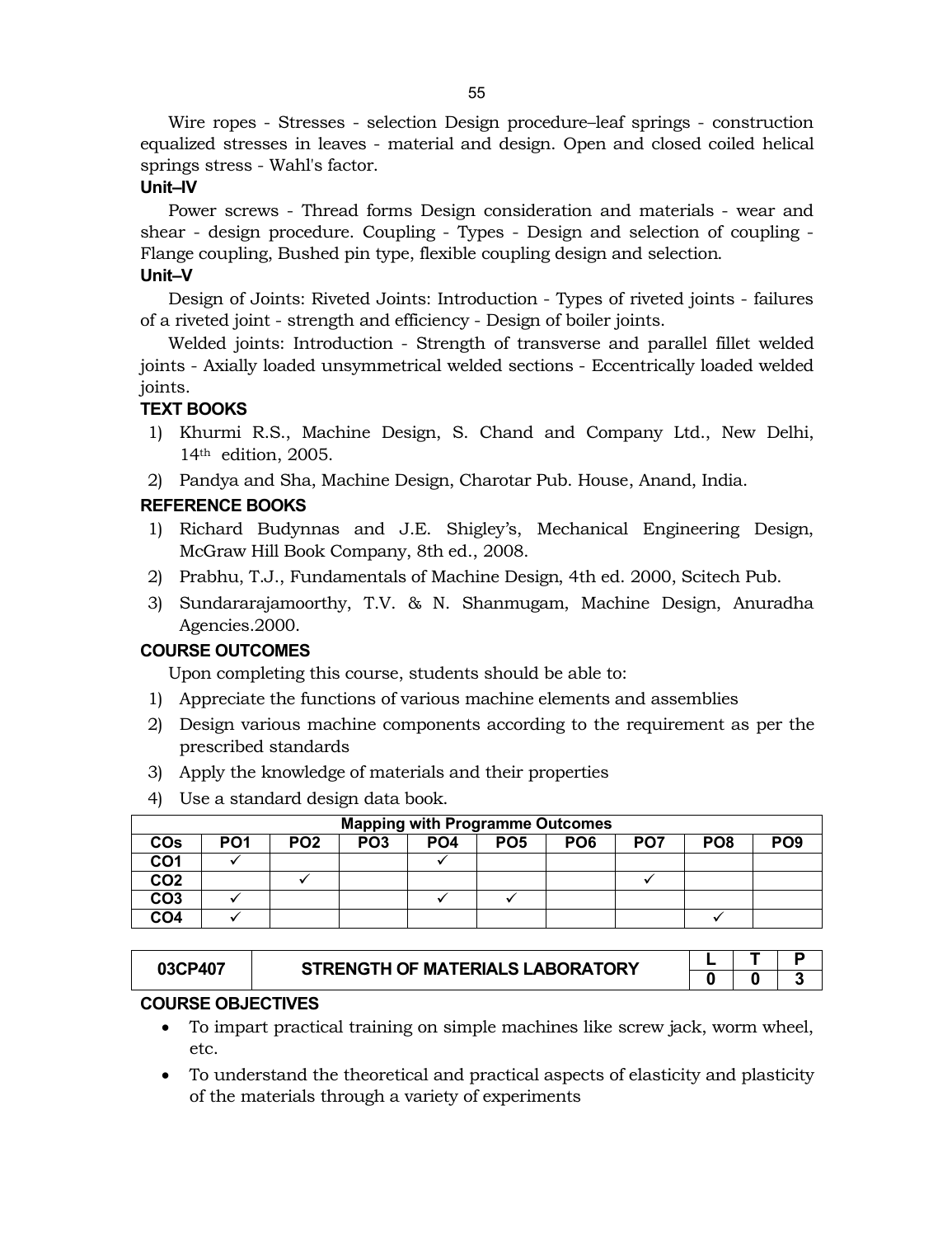Wire ropes - Stresses - selection Design procedure–leaf springs - construction equalized stresses in leaves - material and design. Open and closed coiled helical springs stress - Wahl's factor.

# **Unit–IV**

Power screws - Thread forms Design consideration and materials - wear and shear - design procedure. Coupling - Types - Design and selection of coupling - Flange coupling, Bushed pin type, flexible coupling design and selection. **Unit–V**

Design of Joints: Riveted Joints: Introduction - Types of riveted joints - failures of a riveted joint - strength and efficiency - Design of boiler joints.

Welded joints: Introduction - Strength of transverse and parallel fillet welded joints - Axially loaded unsymmetrical welded sections - Eccentrically loaded welded joints.

# **TEXT BOOKS**

- 1) Khurmi R.S., Machine Design, S. Chand and Company Ltd., New Delhi, 14th edition, 2005.
- 2) Pandya and Sha, Machine Design, Charotar Pub. House, Anand, India.

# **REFERENCE BOOKS**

- 1) Richard Budynnas and J.E. Shigley's, Mechanical Engineering Design, McGraw Hill Book Company, 8th ed., 2008.
- 2) Prabhu, T.J., Fundamentals of Machine Design, 4th ed. 2000, Scitech Pub.
- 3) Sundararajamoorthy, T.V. & N. Shanmugam, Machine Design, Anuradha Agencies.2000.

# **COURSE OUTCOMES**

Upon completing this course, students should be able to:

- 1) Appreciate the functions of various machine elements and assemblies
- 2) Design various machine components according to the requirement as per the prescribed standards
- 3) Apply the knowledge of materials and their properties
- 4) Use a standard design data book.

|                 | <b>Mapping with Programme Outcomes</b> |                 |                 |                 |                 |                 |                 |                 |                 |  |  |  |
|-----------------|----------------------------------------|-----------------|-----------------|-----------------|-----------------|-----------------|-----------------|-----------------|-----------------|--|--|--|
| <b>COs</b>      | PO <sub>1</sub>                        | PO <sub>2</sub> | PO <sub>3</sub> | PO <sub>4</sub> | PO <sub>5</sub> | PO <sub>6</sub> | PO <sub>7</sub> | PO <sub>8</sub> | PO <sub>9</sub> |  |  |  |
| CO1             |                                        |                 |                 |                 |                 |                 |                 |                 |                 |  |  |  |
| CO <sub>2</sub> |                                        |                 |                 |                 |                 |                 |                 |                 |                 |  |  |  |
| CO <sub>3</sub> |                                        |                 |                 |                 |                 |                 |                 |                 |                 |  |  |  |
| CO <sub>4</sub> |                                        |                 |                 |                 |                 |                 |                 |                 |                 |  |  |  |

| 03CP407 | STRENGTH OF MATERIALS LABORATORY |  |  |
|---------|----------------------------------|--|--|
|         |                                  |  |  |

# **COURSE OBJECTIVES**

- To impart practical training on simple machines like screw jack, worm wheel, etc.
- To understand the theoretical and practical aspects of elasticity and plasticity of the materials through a variety of experiments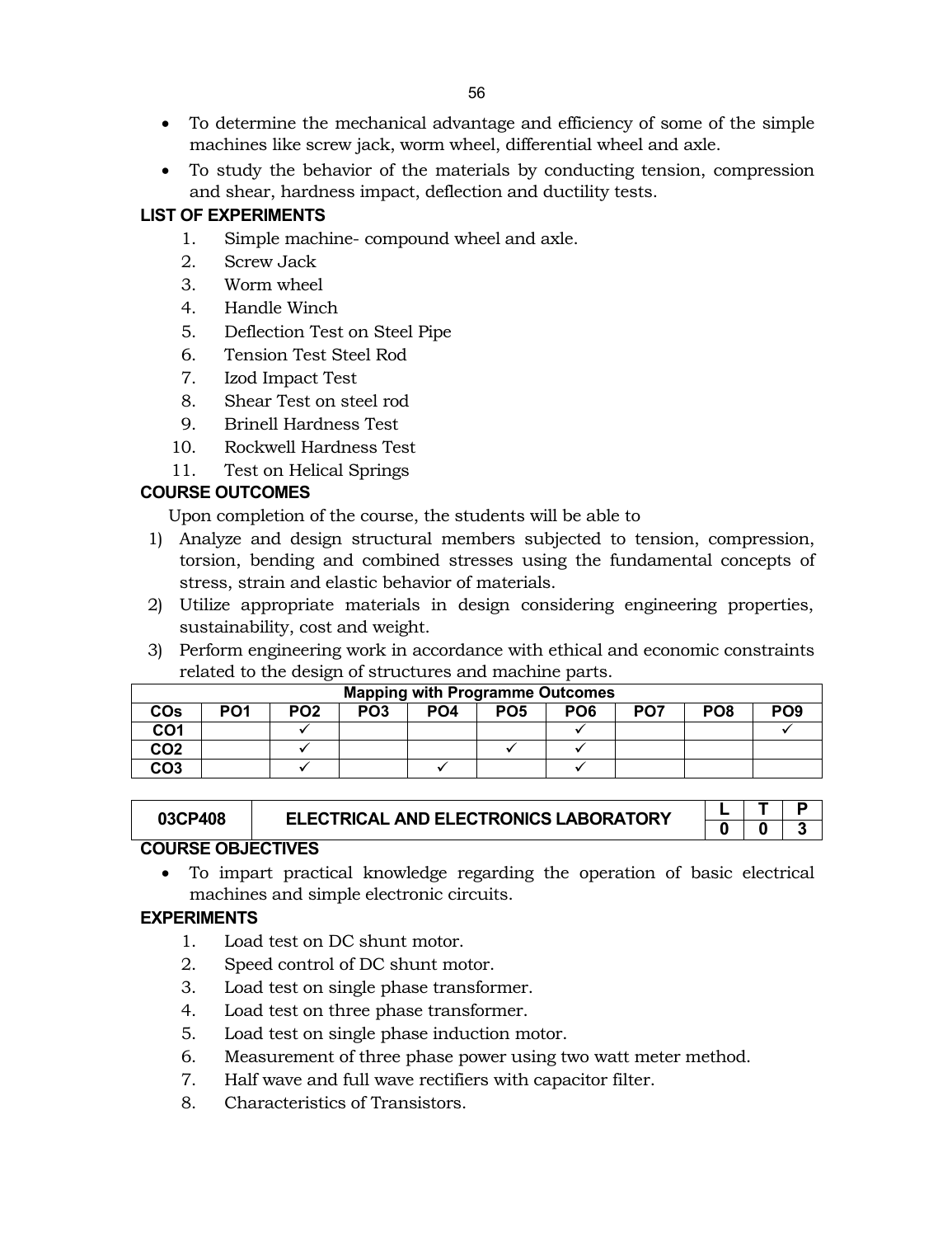- To determine the mechanical advantage and efficiency of some of the simple machines like screw jack, worm wheel, differential wheel and axle.
- To study the behavior of the materials by conducting tension, compression and shear, hardness impact, deflection and ductility tests.

# **LIST OF EXPERIMENTS**

- 1. Simple machine- compound wheel and axle.
- 2. Screw Jack
- 3. Worm wheel
- 4. Handle Winch
- 5. Deflection Test on Steel Pipe
- 6. Tension Test Steel Rod
- 7. Izod Impact Test
- 8. Shear Test on steel rod
- 9. Brinell Hardness Test
- 10. Rockwell Hardness Test
- 11. Test on Helical Springs

# **COURSE OUTCOMES**

Upon completion of the course, the students will be able to

- 1) Analyze and design structural members subjected to tension, compression, torsion, bending and combined stresses using the fundamental concepts of stress, strain and elastic behavior of materials.
- 2) Utilize appropriate materials in design considering engineering properties, sustainability, cost and weight.
- 3) Perform engineering work in accordance with ethical and economic constraints related to the design of structures and machine parts.

|                 |                 |                 | <b>Mapping with Programme Outcomes</b> |                 |                 |                 |                 |                 |                 |
|-----------------|-----------------|-----------------|----------------------------------------|-----------------|-----------------|-----------------|-----------------|-----------------|-----------------|
| <b>COs</b>      | PO <sub>1</sub> | PO <sub>2</sub> | PO <sub>3</sub>                        | PO <sub>4</sub> | PO <sub>5</sub> | PO <sub>6</sub> | PO <sub>7</sub> | PO <sub>8</sub> | PO <sub>9</sub> |
| CO1             |                 |                 |                                        |                 |                 |                 |                 |                 |                 |
| CO <sub>2</sub> |                 |                 |                                        |                 |                 |                 |                 |                 |                 |
| CO <sub>3</sub> |                 |                 |                                        |                 |                 |                 |                 |                 |                 |

| 03CP408             | <b>ELECTRICAL AND ELECTRONICS LABORATORY</b> |  |  |
|---------------------|----------------------------------------------|--|--|
|                     |                                              |  |  |
| COLIDER OR IECTIVES |                                              |  |  |

# **COURSE OBJECTIVES**

 To impart practical knowledge regarding the operation of basic electrical machines and simple electronic circuits.

# **EXPERIMENTS**

- 1. Load test on DC shunt motor.
- 2. Speed control of DC shunt motor.
- 3. Load test on single phase transformer.
- 4. Load test on three phase transformer.
- 5. Load test on single phase induction motor.
- 6. Measurement of three phase power using two watt meter method.
- 7. Half wave and full wave rectifiers with capacitor filter.
- 8. Characteristics of Transistors.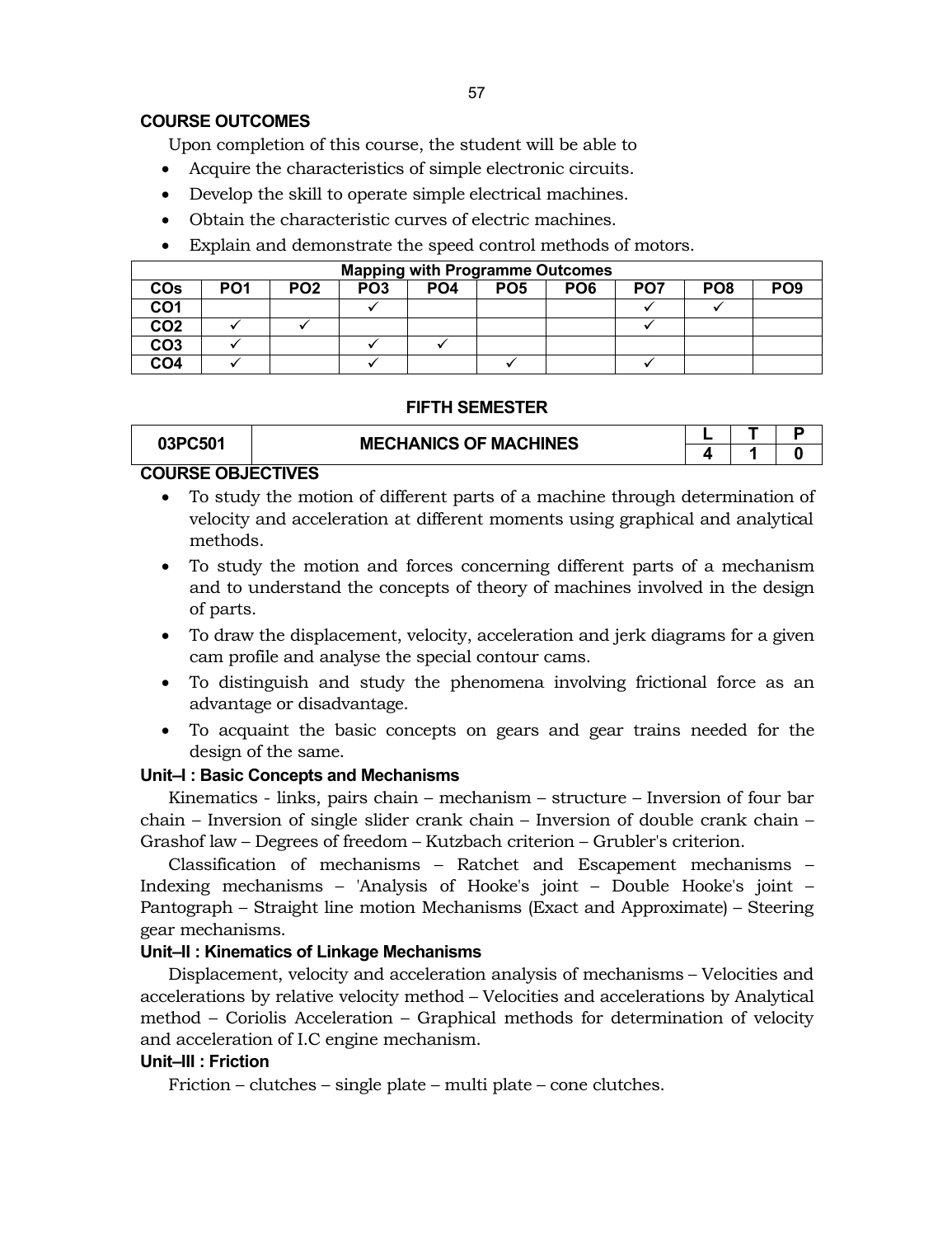# **COURSE OUTCOMES**

Upon completion of this course, the student will be able to

- Acquire the characteristics of simple electronic circuits.
- Develop the skill to operate simple electrical machines.
- Obtain the characteristic curves of electric machines.
- Explain and demonstrate the speed control methods of motors.

|                 |                 |                 |                 | <b>Mapping with Programme Outcomes</b> |                 |                 |                 |                 |                 |
|-----------------|-----------------|-----------------|-----------------|----------------------------------------|-----------------|-----------------|-----------------|-----------------|-----------------|
| COs             | PO <sub>1</sub> | PO <sub>2</sub> | PO <sub>3</sub> | PO <sub>4</sub>                        | PO <sub>5</sub> | PO <sub>6</sub> | PO <sub>7</sub> | PO <sub>8</sub> | PO <sub>9</sub> |
| CO1             |                 |                 |                 |                                        |                 |                 |                 |                 |                 |
| CO <sub>2</sub> |                 |                 |                 |                                        |                 |                 |                 |                 |                 |
| CO <sub>3</sub> |                 |                 |                 |                                        |                 |                 |                 |                 |                 |
| CO4             |                 |                 |                 |                                        |                 |                 |                 |                 |                 |

#### **FIFTH SEMESTER**

| 03PC501 | <b>MECHANICS OF MACHINES</b> |  |  |
|---------|------------------------------|--|--|
|         |                              |  |  |

# **COURSE OBJECTIVES**

- To study the motion of different parts of a machine through determination of velocity and acceleration at different moments using graphical and analytical methods.
- To study the motion and forces concerning different parts of a mechanism and to understand the concepts of theory of machines involved in the design of parts.
- To draw the displacement, velocity, acceleration and jerk diagrams for a given cam profile and analyse the special contour cams.
- To distinguish and study the phenomena involving frictional force as an advantage or disadvantage.
- To acquaint the basic concepts on gears and gear trains needed for the design of the same.

# **Unit–I : Basic Concepts and Mechanisms**

Kinematics - links, pairs chain – mechanism – structure – Inversion of four bar chain – Inversion of single slider crank chain – Inversion of double crank chain – Grashof law – Degrees of freedom – Kutzbach criterion – Grubler's criterion.

Classification of mechanisms – Ratchet and Escapement mechanisms – Indexing mechanisms – 'Analysis of Hooke's joint – Double Hooke's joint – Pantograph – Straight line motion Mechanisms (Exact and Approximate) – Steering gear mechanisms.

# **Unit–II : Kinematics of Linkage Mechanisms**

Displacement, velocity and acceleration analysis of mechanisms – Velocities and accelerations by relative velocity method – Velocities and accelerations by Analytical method – Coriolis Acceleration – Graphical methods for determination of velocity and acceleration of I.C engine mechanism.

# **Unit–III : Friction**

Friction – clutches – single plate – multi plate – cone clutches.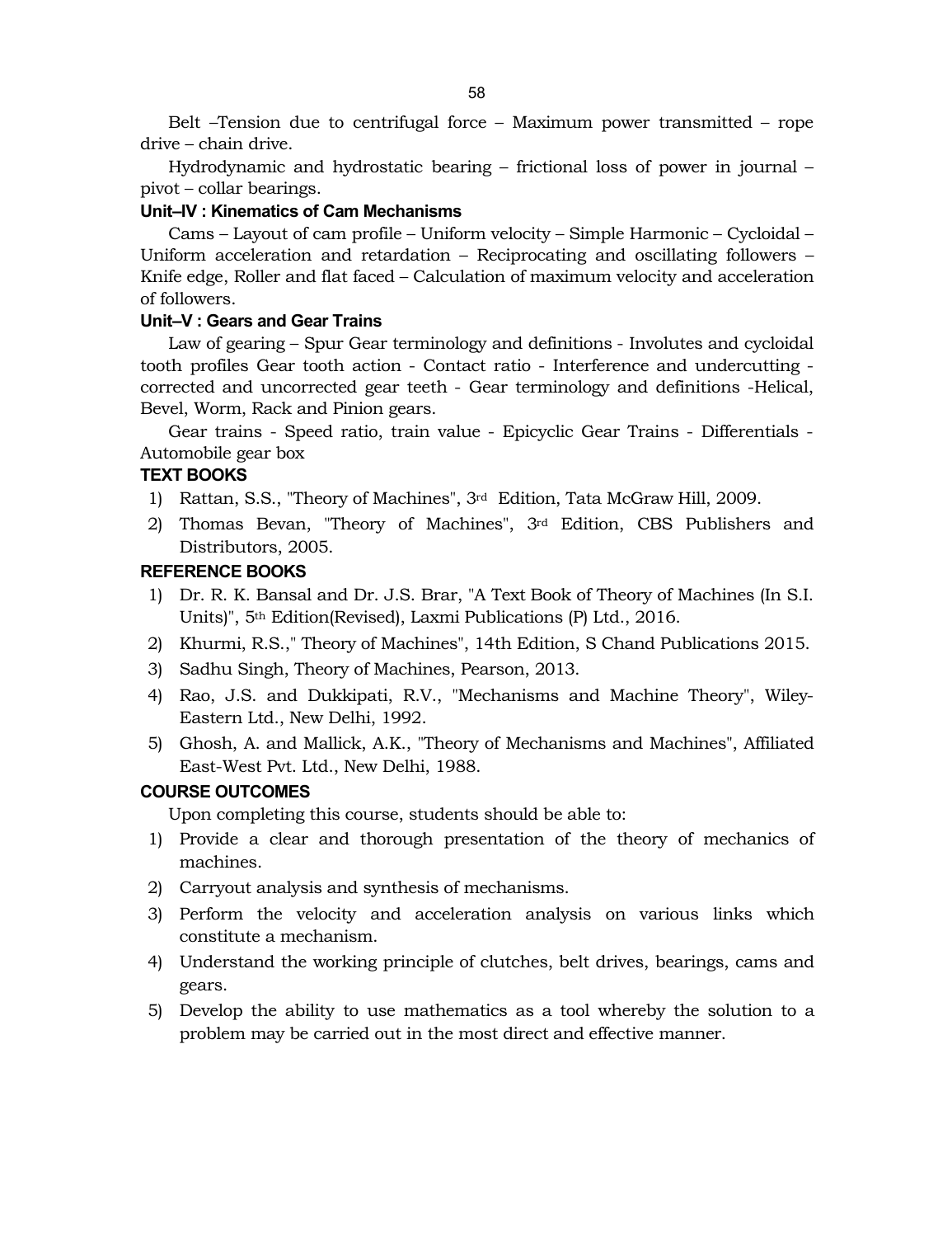Belt –Tension due to centrifugal force – Maximum power transmitted – rope drive – chain drive.

Hydrodynamic and hydrostatic bearing – frictional loss of power in journal – pivot – collar bearings.

# **Unit–IV : Kinematics of Cam Mechanisms**

Cams – Layout of cam profile – Uniform velocity – Simple Harmonic – Cycloidal – Uniform acceleration and retardation – Reciprocating and oscillating followers – Knife edge, Roller and flat faced – Calculation of maximum velocity and acceleration of followers.

# **Unit–V : Gears and Gear Trains**

Law of gearing – Spur Gear terminology and definitions - Involutes and cycloidal tooth profiles Gear tooth action - Contact ratio - Interference and undercutting corrected and uncorrected gear teeth - Gear terminology and definitions -Helical, Bevel, Worm, Rack and Pinion gears.

Gear trains - Speed ratio, train value - Epicyclic Gear Trains - Differentials - Automobile gear box

# **TEXT BOOKS**

- 1) Rattan, S.S., "Theory of Machines", 3rd Edition, Tata McGraw Hill, 2009.
- 2) Thomas Bevan, "Theory of Machines", 3rd Edition, CBS Publishers and Distributors, 2005.

# **REFERENCE BOOKS**

- 1) Dr. R. K. Bansal and Dr. J.S. Brar, "A Text Book of Theory of Machines (In S.I. Units)", 5th Edition(Revised), Laxmi Publications (P) Ltd., 2016.
- 2) Khurmi, R.S.," Theory of Machines", 14th Edition, S Chand Publications 2015.
- 3) Sadhu Singh, Theory of Machines, Pearson, 2013.
- 4) Rao, J.S. and Dukkipati, R.V., "Mechanisms and Machine Theory", Wiley-Eastern Ltd., New Delhi, 1992.
- 5) Ghosh, A. and Mallick, A.K., "Theory of Mechanisms and Machines", Affiliated East-West Pvt. Ltd., New Delhi, 1988.

# **COURSE OUTCOMES**

Upon completing this course, students should be able to:

- 1) Provide a clear and thorough presentation of the theory of mechanics of machines.
- 2) Carryout analysis and synthesis of mechanisms.
- 3) Perform the velocity and acceleration analysis on various links which constitute a mechanism.
- 4) Understand the working principle of clutches, belt drives, bearings, cams and gears.
- 5) Develop the ability to use mathematics as a tool whereby the solution to a problem may be carried out in the most direct and effective manner.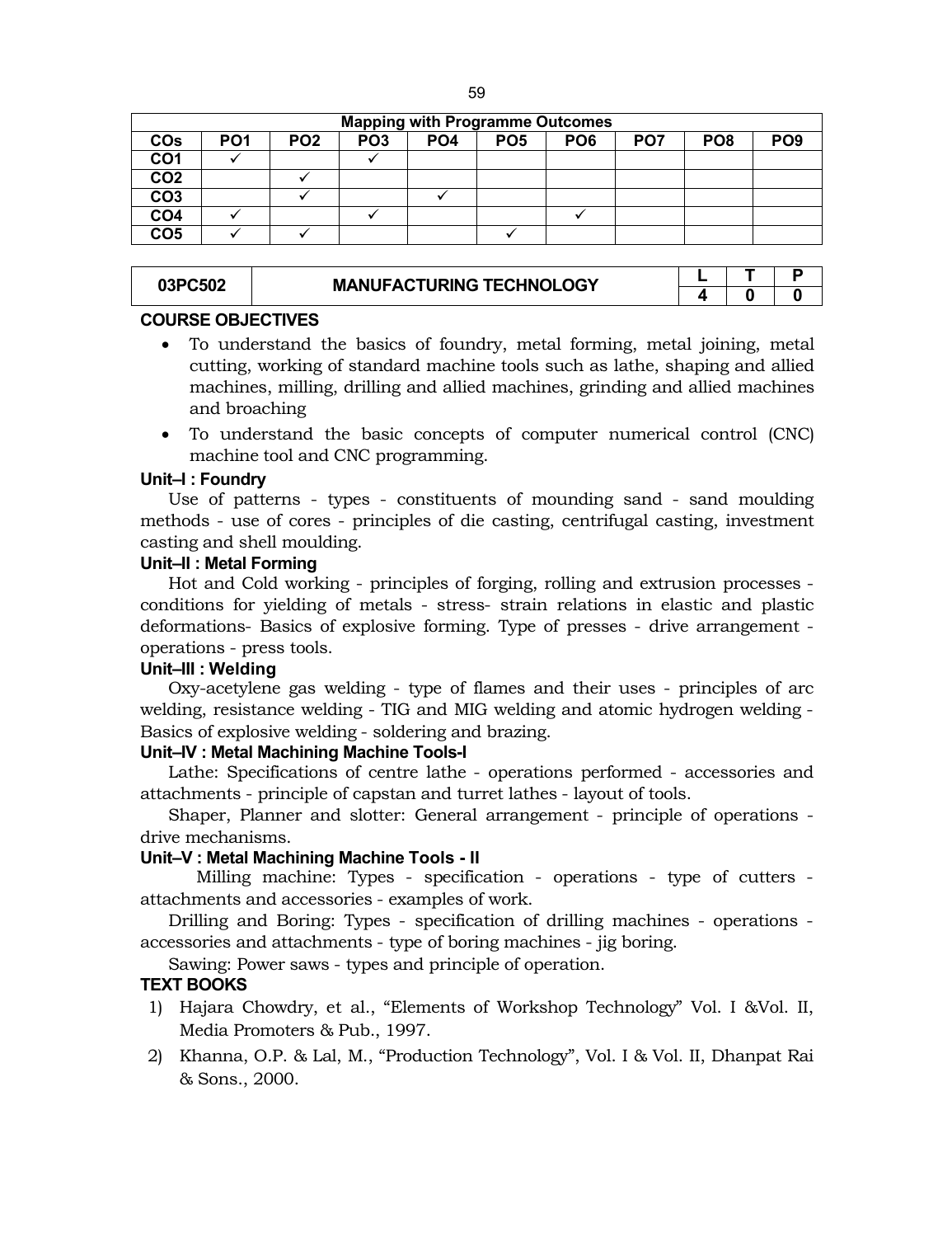| ٩<br>. .<br>۰.<br>۰.<br>۰.<br>×<br>×<br>w |  |
|-------------------------------------------|--|
|-------------------------------------------|--|

|                 |                 |                 |                 |                 |                 | <b>Mapping with Programme Outcomes</b> |                 |                 |                 |
|-----------------|-----------------|-----------------|-----------------|-----------------|-----------------|----------------------------------------|-----------------|-----------------|-----------------|
| COs             | PO <sub>1</sub> | PO <sub>2</sub> | PO <sub>3</sub> | PO <sub>4</sub> | PO <sub>5</sub> | PO <sub>6</sub>                        | PO <sub>7</sub> | PO <sub>8</sub> | PO <sub>9</sub> |
| CO <sub>1</sub> |                 |                 |                 |                 |                 |                                        |                 |                 |                 |
| CO <sub>2</sub> |                 |                 |                 |                 |                 |                                        |                 |                 |                 |
| CO <sub>3</sub> |                 |                 |                 |                 |                 |                                        |                 |                 |                 |
| CO <sub>4</sub> |                 |                 |                 |                 |                 |                                        |                 |                 |                 |
| CO <sub>5</sub> |                 |                 |                 |                 |                 |                                        |                 |                 |                 |

| 03PC502 | <b>MANUFACTURING TECHNOLOGY</b> |  |  |
|---------|---------------------------------|--|--|
|         |                                 |  |  |

# **4 0 0**

# **COURSE OBJECTIVES**

- To understand the basics of foundry, metal forming, metal joining, metal cutting, working of standard machine tools such as lathe, shaping and allied machines, milling, drilling and allied machines, grinding and allied machines and broaching
- To understand the basic concepts of computer numerical control (CNC) machine tool and CNC programming.

# **Unit–I : Foundry**

Use of patterns - types - constituents of mounding sand - sand moulding methods - use of cores - principles of die casting, centrifugal casting, investment casting and shell moulding.

# **Unit–II : Metal Forming**

Hot and Cold working - principles of forging, rolling and extrusion processes conditions for yielding of metals - stress- strain relations in elastic and plastic deformations- Basics of explosive forming. Type of presses - drive arrangement operations - press tools.

# **Unit–III : Welding**

Oxy-acetylene gas welding - type of flames and their uses - principles of arc welding, resistance welding - TIG and MIG welding and atomic hydrogen welding - Basics of explosive welding - soldering and brazing.

# **Unit–IV : Metal Machining Machine Tools-I**

Lathe: Specifications of centre lathe - operations performed - accessories and attachments - principle of capstan and turret lathes - layout of tools.

Shaper, Planner and slotter: General arrangement - principle of operations drive mechanisms.

# **Unit–V : Metal Machining Machine Tools - II**

Milling machine: Types - specification - operations - type of cutters attachments and accessories - examples of work.

Drilling and Boring: Types - specification of drilling machines - operations accessories and attachments - type of boring machines - jig boring.

Sawing: Power saws - types and principle of operation.

# **TEXT BOOKS**

- 1) Hajara Chowdry, et al., "Elements of Workshop Technology" Vol. I &Vol. II, Media Promoters & Pub., 1997.
- 2) Khanna, O.P. & Lal, M., "Production Technology", Vol. I & Vol. II, Dhanpat Rai & Sons., 2000.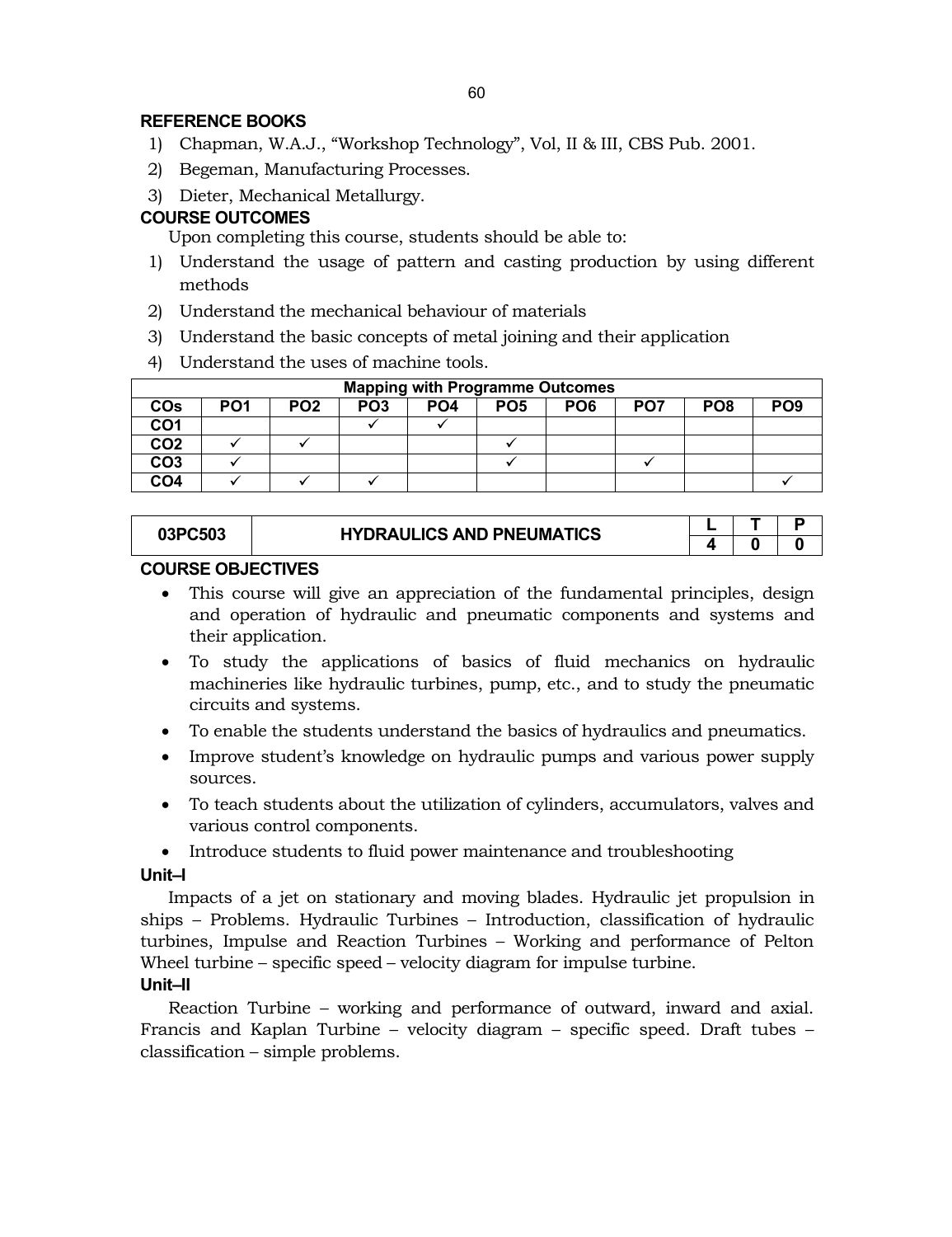# **REFERENCE BOOKS**

- 1) Chapman, W.A.J., "Workshop Technology", Vol, II & III, CBS Pub. 2001.
- 2) Begeman, Manufacturing Processes.
- 3) Dieter, Mechanical Metallurgy.

# **COURSE OUTCOMES**

Upon completing this course, students should be able to:

- 1) Understand the usage of pattern and casting production by using different methods
- 2) Understand the mechanical behaviour of materials
- 3) Understand the basic concepts of metal joining and their application
- 4) Understand the uses of machine tools.

|                 |                 |                 |                 |                 | <b>Mapping with Programme Outcomes</b> |                 |                 |                 |                 |
|-----------------|-----------------|-----------------|-----------------|-----------------|----------------------------------------|-----------------|-----------------|-----------------|-----------------|
| <b>COs</b>      | PO <sub>1</sub> | PO <sub>2</sub> | PO <sub>3</sub> | PO <sub>4</sub> | PO <sub>5</sub>                        | PO <sub>6</sub> | PO <sub>7</sub> | PO <sub>8</sub> | PO <sub>9</sub> |
| CO <sub>1</sub> |                 |                 |                 |                 |                                        |                 |                 |                 |                 |
| CO <sub>2</sub> |                 |                 |                 |                 |                                        |                 |                 |                 |                 |
| CO <sub>3</sub> |                 |                 |                 |                 |                                        |                 |                 |                 |                 |
| CO <sub>4</sub> |                 |                 |                 |                 |                                        |                 |                 |                 |                 |

| 03PC503 | <b>HYDRAULICS AND PNEUMATICS</b> |  |  |
|---------|----------------------------------|--|--|
|         |                                  |  |  |

# **COURSE OBJECTIVES**

- This course will give an appreciation of the fundamental principles, design and operation of hydraulic and pneumatic components and systems and their application.
- To study the applications of basics of fluid mechanics on hydraulic machineries like hydraulic turbines, pump, etc., and to study the pneumatic circuits and systems.
- To enable the students understand the basics of hydraulics and pneumatics.
- Improve student's knowledge on hydraulic pumps and various power supply sources.
- To teach students about the utilization of cylinders, accumulators, valves and various control components.
- Introduce students to fluid power maintenance and troubleshooting

# **Unit–I**

Impacts of a jet on stationary and moving blades. Hydraulic jet propulsion in ships – Problems. Hydraulic Turbines – Introduction, classification of hydraulic turbines, Impulse and Reaction Turbines – Working and performance of Pelton Wheel turbine – specific speed – velocity diagram for impulse turbine. **Unit–II**

Reaction Turbine – working and performance of outward, inward and axial. Francis and Kaplan Turbine – velocity diagram – specific speed. Draft tubes – classification – simple problems.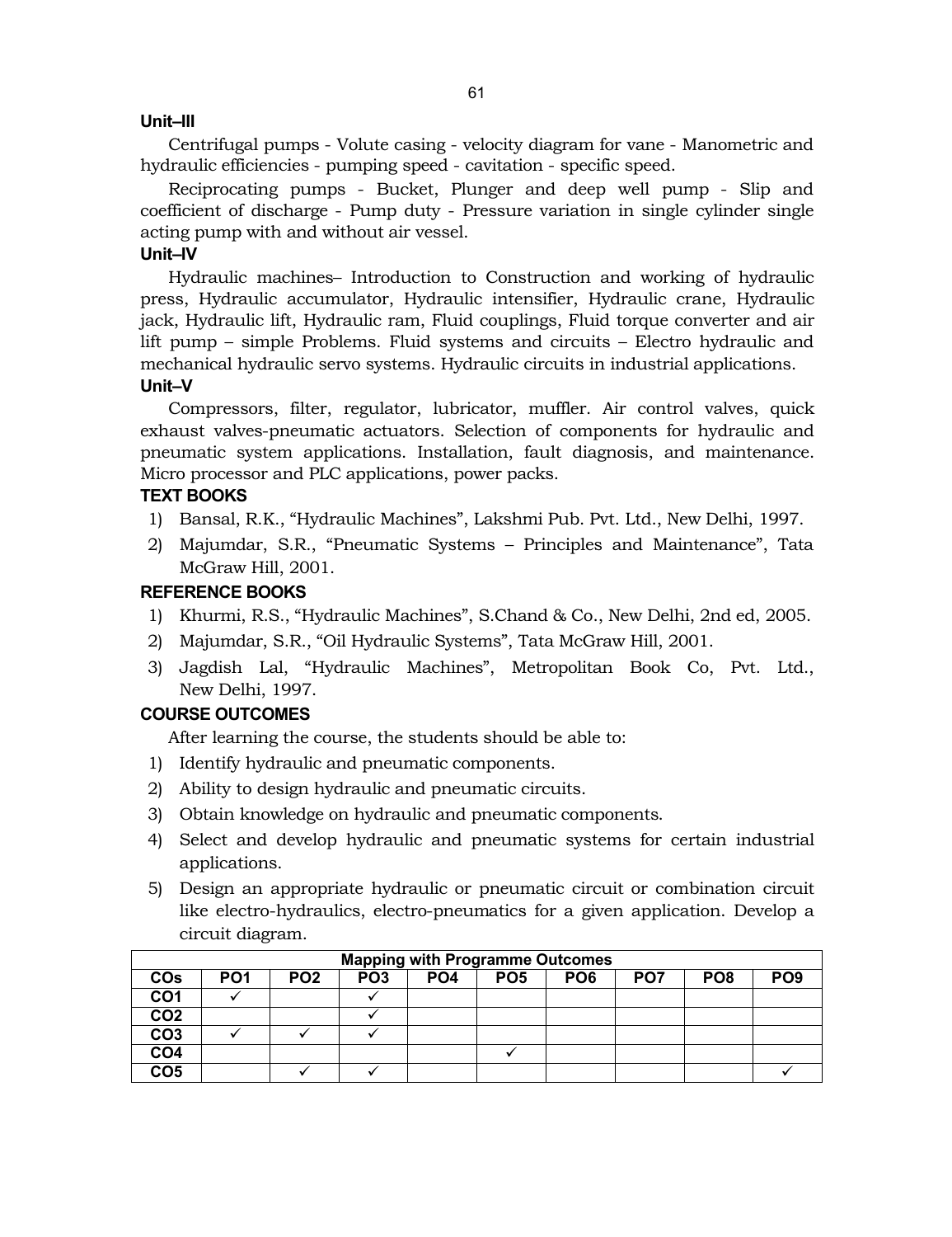# **Unit–III**

Centrifugal pumps - Volute casing - velocity diagram for vane - Manometric and hydraulic efficiencies - pumping speed - cavitation - specific speed.

Reciprocating pumps - Bucket, Plunger and deep well pump - Slip and coefficient of discharge - Pump duty - Pressure variation in single cylinder single acting pump with and without air vessel.

# **Unit–IV**

Hydraulic machines– Introduction to Construction and working of hydraulic press, Hydraulic accumulator, Hydraulic intensifier, Hydraulic crane, Hydraulic jack, Hydraulic lift, Hydraulic ram, Fluid couplings, Fluid torque converter and air lift pump – simple Problems. Fluid systems and circuits – Electro hydraulic and mechanical hydraulic servo systems. Hydraulic circuits in industrial applications. **Unit–V**

Compressors, filter, regulator, lubricator, muffler. Air control valves, quick exhaust valves-pneumatic actuators. Selection of components for hydraulic and pneumatic system applications. Installation, fault diagnosis, and maintenance. Micro processor and PLC applications, power packs.

# **TEXT BOOKS**

- 1) Bansal, R.K., "Hydraulic Machines", Lakshmi Pub. Pvt. Ltd., New Delhi, 1997.
- 2) Majumdar, S.R., "Pneumatic Systems Principles and Maintenance", Tata McGraw Hill, 2001.

# **REFERENCE BOOKS**

- 1) Khurmi, R.S., "Hydraulic Machines", S.Chand & Co., New Delhi, 2nd ed, 2005.
- 2) Majumdar, S.R., "Oil Hydraulic Systems", Tata McGraw Hill, 2001.
- 3) Jagdish Lal, "Hydraulic Machines", Metropolitan Book Co, Pvt. Ltd., New Delhi, 1997.

# **COURSE OUTCOMES**

After learning the course, the students should be able to:

- 1) Identify hydraulic and pneumatic components.
- 2) Ability to design hydraulic and pneumatic circuits.
- 3) Obtain knowledge on hydraulic and pneumatic components.
- 4) Select and develop hydraulic and pneumatic systems for certain industrial applications.
- 5) Design an appropriate hydraulic or pneumatic circuit or combination circuit like electro-hydraulics, electro-pneumatics for a given application. Develop a circuit diagram.

|                 |                 |                 |                 |                 | <b>Mapping with Programme Outcomes</b> |                 |                 |                 |                 |
|-----------------|-----------------|-----------------|-----------------|-----------------|----------------------------------------|-----------------|-----------------|-----------------|-----------------|
| COs             | PO <sub>1</sub> | PO <sub>2</sub> | PO <sub>3</sub> | PO <sub>4</sub> | PO <sub>5</sub>                        | PO <sub>6</sub> | PO <sub>7</sub> | PO <sub>8</sub> | PO <sub>9</sub> |
| CO <sub>1</sub> |                 |                 |                 |                 |                                        |                 |                 |                 |                 |
| CO <sub>2</sub> |                 |                 |                 |                 |                                        |                 |                 |                 |                 |
| CO <sub>3</sub> |                 |                 |                 |                 |                                        |                 |                 |                 |                 |
| CO <sub>4</sub> |                 |                 |                 |                 |                                        |                 |                 |                 |                 |
| CO <sub>5</sub> |                 |                 |                 |                 |                                        |                 |                 |                 |                 |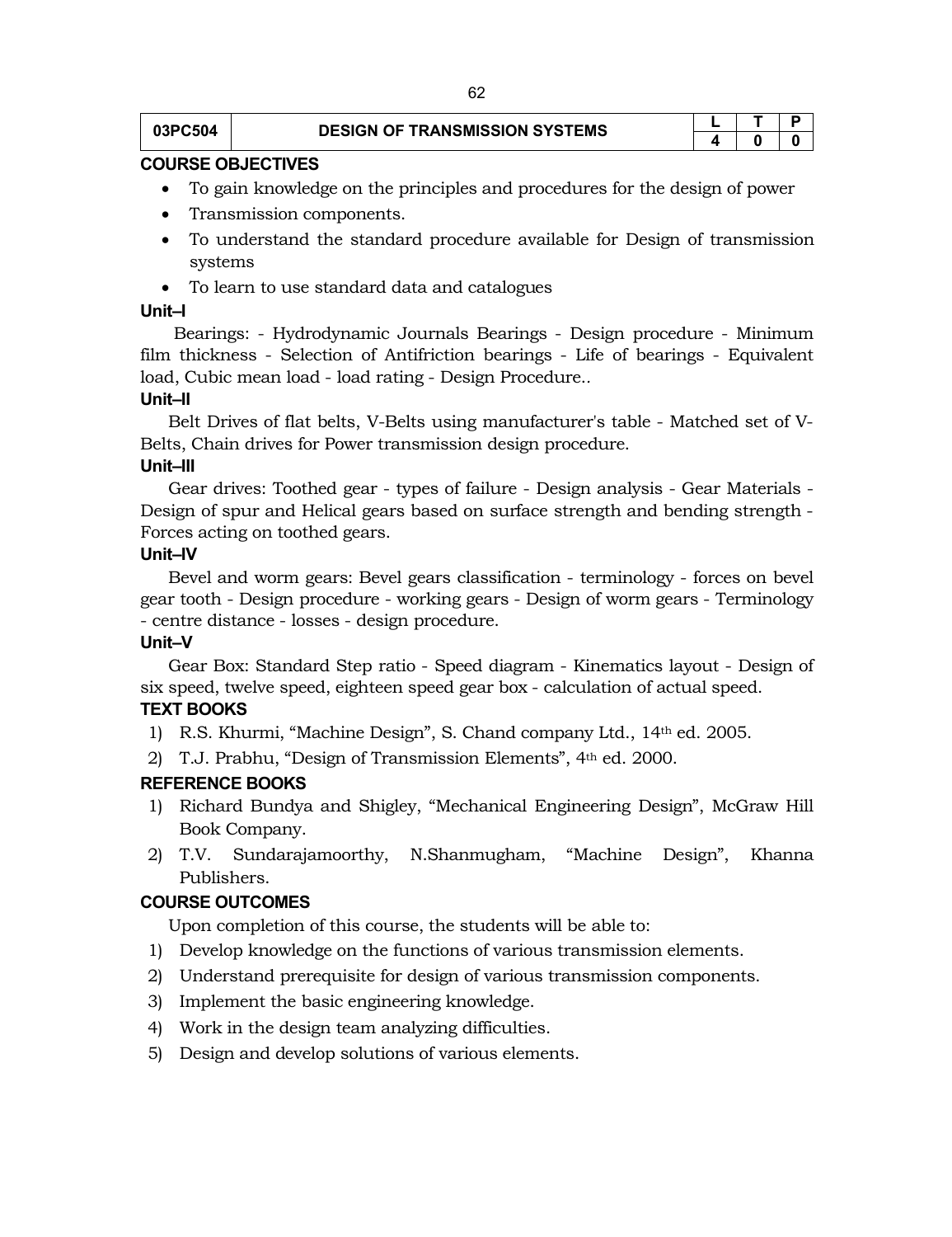# **03PC504 DESIGN OF TRANSMISSION SYSTEMS L**  $\begin{array}{|c|c|c|c|}\hline \textbf{L} & \textbf{T} & \textbf{D} \ \hline \textbf{q} & \textbf{q} & \textbf{p} \ \hline \textbf{r} & \textbf{p} & \textbf{p} & \textbf{p} \ \hline \textbf{r} & \textbf{p} & \textbf{p} & \textbf{p} \ \hline \textbf{r} & \textbf{p} & \textbf{p} & \textbf{p} \ \hline \textbf{r} & \textbf{p} & \textbf$

**4 0 0**

# **COURSE OBJECTIVES**

- To gain knowledge on the principles and procedures for the design of power
- Transmission components.
- To understand the standard procedure available for Design of transmission systems
- To learn to use standard data and catalogues

# **Unit–I**

Bearings: - Hydrodynamic Journals Bearings - Design procedure - Minimum film thickness - Selection of Antifriction bearings - Life of bearings - Equivalent load, Cubic mean load - load rating - Design Procedure.*.* 

# **Unit–II**

Belt Drives of flat belts, V-Belts using manufacturer's table - Matched set of V-Belts, Chain drives for Power transmission design procedure.

# **Unit–III**

Gear drives: Toothed gear - types of failure - Design analysis - Gear Materials - Design of spur and Helical gears based on surface strength and bending strength - Forces acting on toothed gears.

# **Unit–IV**

Bevel and worm gears: Bevel gears classification - terminology - forces on bevel gear tooth - Design procedure - working gears - Design of worm gears - Terminology - centre distance - losses - design procedure.

# **Unit–V**

Gear Box: Standard Step ratio - Speed diagram - Kinematics layout - Design of six speed, twelve speed, eighteen speed gear box - calculation of actual speed.

# **TEXT BOOKS**

- 1) R.S. Khurmi, "Machine Design", S. Chand company Ltd., 14th ed. 2005.
- 2) T.J. Prabhu, "Design of Transmission Elements", 4th ed. 2000.

# **REFERENCE BOOKS**

- 1) Richard Bundya and Shigley, "Mechanical Engineering Design", McGraw Hill Book Company.
- 2) T.V. Sundarajamoorthy, N.Shanmugham, "Machine Design", Khanna Publishers.

# **COURSE OUTCOMES**

Upon completion of this course, the students will be able to:

- 1) Develop knowledge on the functions of various transmission elements.
- 2) Understand prerequisite for design of various transmission components.
- 3) Implement the basic engineering knowledge.
- 4) Work in the design team analyzing difficulties.
- 5) Design and develop solutions of various elements.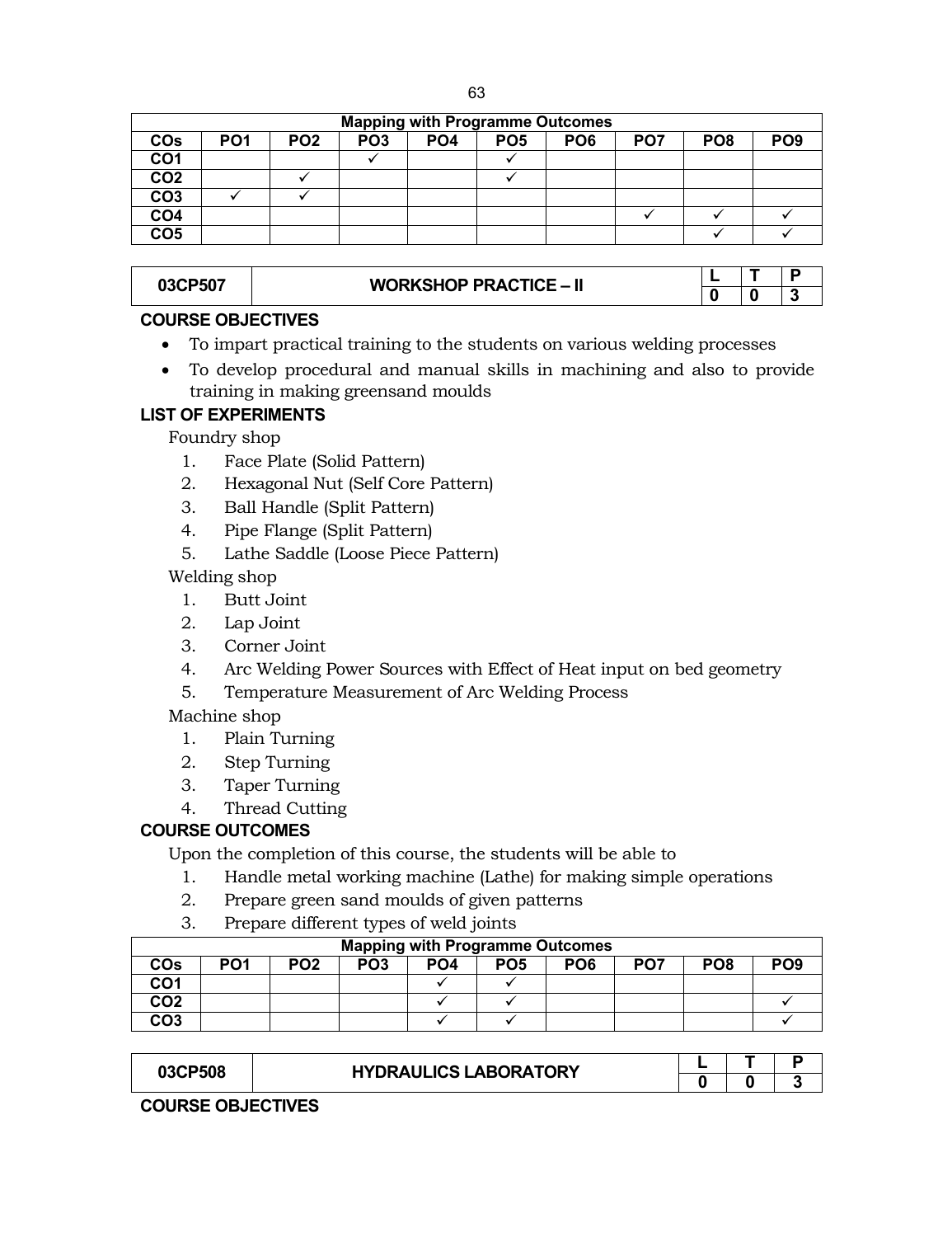| . .<br>전 사<br>I<br>×<br>۰.<br>٠<br>×<br>$\sim$<br>$-$ |
|-------------------------------------------------------|
|-------------------------------------------------------|

| <b>Mapping with Programme Outcomes</b> |                 |                 |                 |                 |                 |                 |                 |                 |                 |  |  |
|----------------------------------------|-----------------|-----------------|-----------------|-----------------|-----------------|-----------------|-----------------|-----------------|-----------------|--|--|
| COs                                    | PO <sub>1</sub> | PO <sub>2</sub> | PO <sub>3</sub> | PO <sub>4</sub> | PO <sub>5</sub> | PO <sub>6</sub> | PO <sub>7</sub> | PO <sub>8</sub> | PO <sub>9</sub> |  |  |
| CO <sub>1</sub>                        |                 |                 |                 |                 |                 |                 |                 |                 |                 |  |  |
| CO <sub>2</sub>                        |                 |                 |                 |                 |                 |                 |                 |                 |                 |  |  |
| CO <sub>3</sub>                        |                 |                 |                 |                 |                 |                 |                 |                 |                 |  |  |
| CO <sub>4</sub>                        |                 |                 |                 |                 |                 |                 |                 |                 |                 |  |  |
| CO <sub>5</sub>                        |                 |                 |                 |                 |                 |                 |                 |                 |                 |  |  |
|                                        |                 |                 |                 |                 |                 |                 |                 |                 |                 |  |  |

# **03CP507 WORKSHOP PRACTICE – II**  $\begin{array}{|c|c|c|c|c|}\hline \textbf{L} & \textbf{T} & \textbf{P} \ \hline \textbf{0} & \textbf{0} & \textbf{3} \ \hline \end{array}$

# **0 0 3**

# **COURSE OBJECTIVES**

- To impart practical training to the students on various welding processes
- To develop procedural and manual skills in machining and also to provide training in making greensand moulds

# **LIST OF EXPERIMENTS**

Foundry shop

- 1. Face Plate (Solid Pattern)
- 2. Hexagonal Nut (Self Core Pattern)
- 3. Ball Handle (Split Pattern)
- 4. Pipe Flange (Split Pattern)
- 5. Lathe Saddle (Loose Piece Pattern)

Welding shop

- 1. Butt Joint
- 2. Lap Joint
- 3. Corner Joint
- 4. Arc Welding Power Sources with Effect of Heat input on bed geometry
- 5. Temperature Measurement of Arc Welding Process

# Machine shop

- 1. Plain Turning
- 2. Step Turning
- 3. Taper Turning
- 4. Thread Cutting

# **COURSE OUTCOMES**

Upon the completion of this course, the students will be able to

- 1. Handle metal working machine (Lathe) for making simple operations
- 2. Prepare green sand moulds of given patterns
- 3. Prepare different types of weld joints

| <b>Mapping with Programme Outcomes</b> |                 |                 |                 |                 |                 |                 |                 |                 |                 |  |  |  |
|----------------------------------------|-----------------|-----------------|-----------------|-----------------|-----------------|-----------------|-----------------|-----------------|-----------------|--|--|--|
| COs                                    | PO <sub>1</sub> | PO <sub>2</sub> | PO <sub>3</sub> | PO <sub>4</sub> | PO <sub>5</sub> | PO <sub>6</sub> | PO <sub>7</sub> | PO <sub>8</sub> | PO <sub>9</sub> |  |  |  |
| CO <sub>1</sub>                        |                 |                 |                 |                 |                 |                 |                 |                 |                 |  |  |  |
| CO <sub>2</sub>                        |                 |                 |                 |                 |                 |                 |                 |                 |                 |  |  |  |
| CO <sub>3</sub>                        |                 |                 |                 |                 |                 |                 |                 |                 |                 |  |  |  |

| 03CP508 | <b>HYDRAULICS LABORATORY</b> |  |  |
|---------|------------------------------|--|--|
|         |                              |  |  |

**COURSE OBJECTIVES**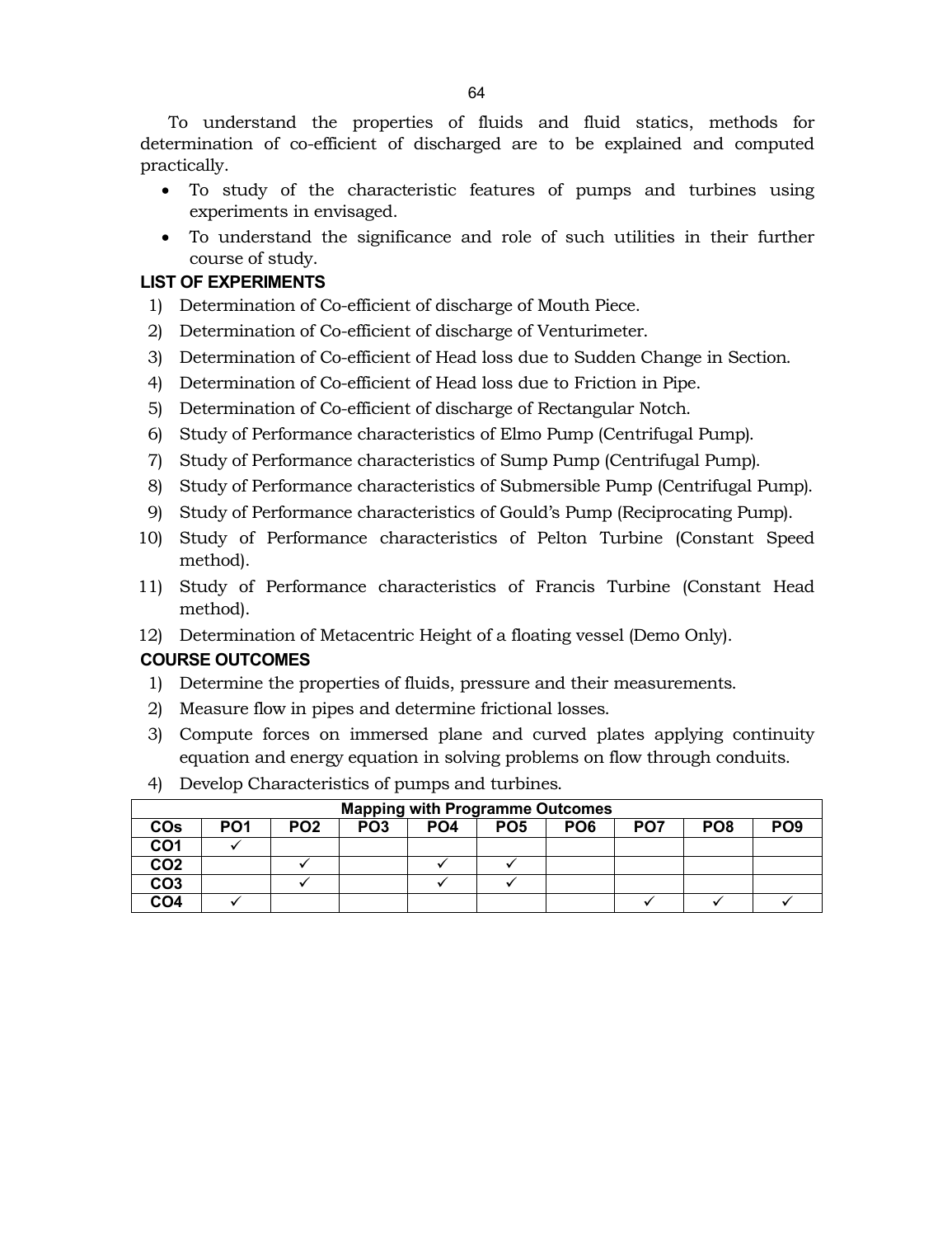To understand the properties of fluids and fluid statics, methods for determination of co-efficient of discharged are to be explained and computed practically.

- To study of the characteristic features of pumps and turbines using experiments in envisaged.
- To understand the significance and role of such utilities in their further course of study.

# **LIST OF EXPERIMENTS**

- 1) Determination of Co-efficient of discharge of Mouth Piece.
- 2) Determination of Co-efficient of discharge of Venturimeter.
- 3) Determination of Co-efficient of Head loss due to Sudden Change in Section.
- 4) Determination of Co-efficient of Head loss due to Friction in Pipe.
- 5) Determination of Co-efficient of discharge of Rectangular Notch.
- 6) Study of Performance characteristics of Elmo Pump (Centrifugal Pump).
- 7) Study of Performance characteristics of Sump Pump (Centrifugal Pump).
- 8) Study of Performance characteristics of Submersible Pump (Centrifugal Pump).
- 9) Study of Performance characteristics of Gould's Pump (Reciprocating Pump).
- 10) Study of Performance characteristics of Pelton Turbine (Constant Speed method).
- 11) Study of Performance characteristics of Francis Turbine (Constant Head method).
- 12) Determination of Metacentric Height of a floating vessel (Demo Only).

# **COURSE OUTCOMES**

- 1) Determine the properties of fluids, pressure and their measurements.
- 2) Measure flow in pipes and determine frictional losses.
- 3) Compute forces on immersed plane and curved plates applying continuity equation and energy equation in solving problems on flow through conduits.
- 4) Develop Characteristics of pumps and turbines.

| <b>Mapping with Programme Outcomes</b> |                 |                 |                 |                 |                 |                 |                 |                 |                 |  |  |
|----------------------------------------|-----------------|-----------------|-----------------|-----------------|-----------------|-----------------|-----------------|-----------------|-----------------|--|--|
| <b>COs</b>                             | PO <sub>1</sub> | PO <sub>2</sub> | PO <sub>3</sub> | PO <sub>4</sub> | PO <sub>5</sub> | PO <sub>6</sub> | PO <sub>7</sub> | PO <sub>8</sub> | PO <sub>9</sub> |  |  |
| CO1                                    |                 |                 |                 |                 |                 |                 |                 |                 |                 |  |  |
| CO <sub>2</sub>                        |                 |                 |                 |                 |                 |                 |                 |                 |                 |  |  |
| CO <sub>3</sub>                        |                 |                 |                 |                 |                 |                 |                 |                 |                 |  |  |
| CO <sub>4</sub>                        |                 |                 |                 |                 |                 |                 |                 |                 |                 |  |  |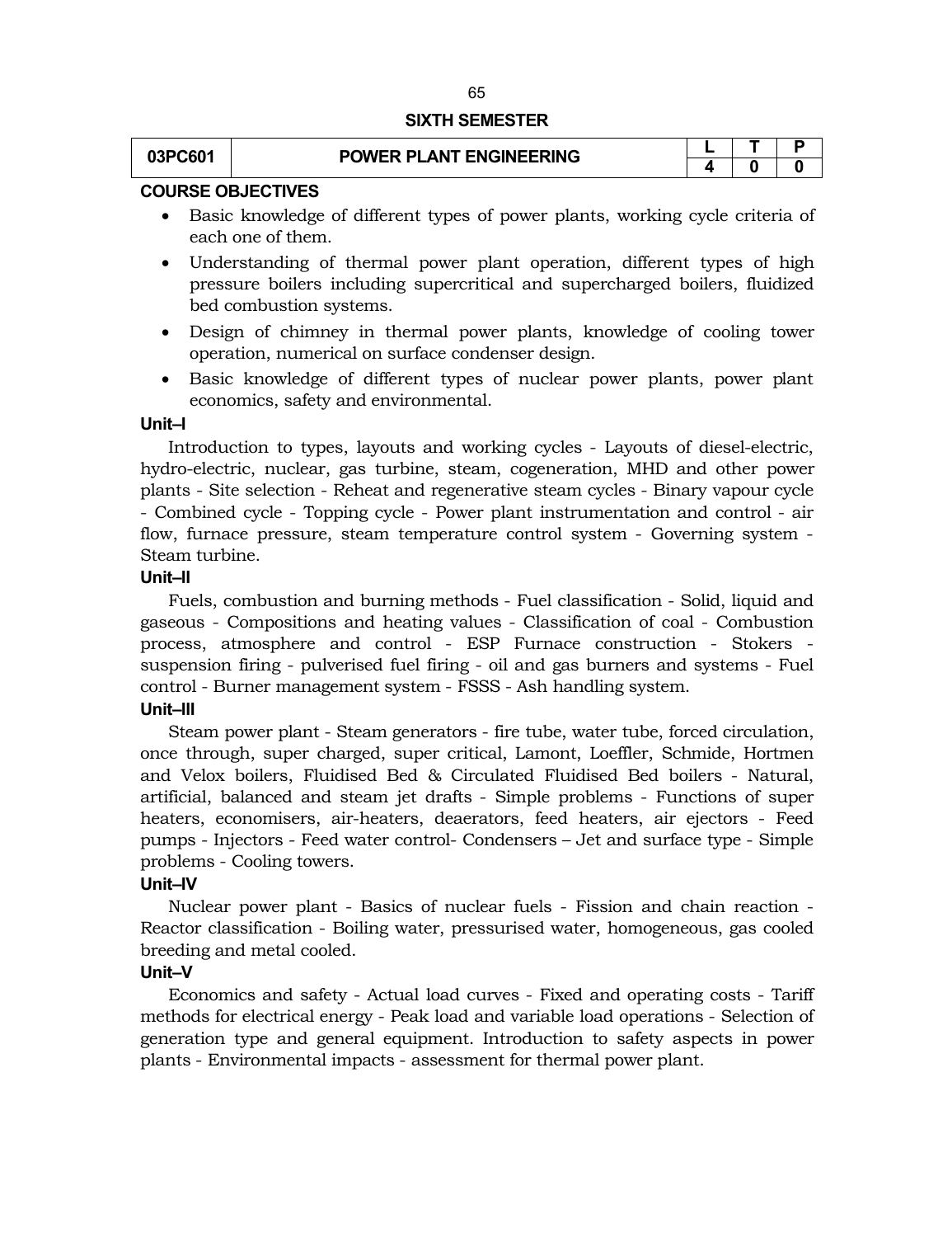#### **SIXTH SEMESTER**

| 03PC601 | <b>POWER PLANT ENGINEERING</b> |  |  |
|---------|--------------------------------|--|--|
|         |                                |  |  |

# **COURSE OBJECTIVES**

- Basic knowledge of different types of power plants, working cycle criteria of each one of them.
- Understanding of thermal power plant operation, different types of high pressure boilers including supercritical and supercharged boilers, fluidized bed combustion systems.
- Design of chimney in thermal power plants, knowledge of cooling tower operation, numerical on surface condenser design.
- Basic knowledge of different types of nuclear power plants, power plant economics, safety and environmental.

#### **Unit–I**

Introduction to types, layouts and working cycles - Layouts of diesel-electric, hydro-electric, nuclear, gas turbine, steam, cogeneration, MHD and other power plants - Site selection - Reheat and regenerative steam cycles - Binary vapour cycle - Combined cycle - Topping cycle - Power plant instrumentation and control - air flow, furnace pressure, steam temperature control system - Governing system - Steam turbine.

# **Unit–II**

Fuels, combustion and burning methods - Fuel classification - Solid, liquid and gaseous - Compositions and heating values - Classification of coal - Combustion process, atmosphere and control - ESP Furnace construction - Stokers suspension firing - pulverised fuel firing - oil and gas burners and systems - Fuel control - Burner management system - FSSS - Ash handling system.

# **Unit–III**

Steam power plant - Steam generators - fire tube, water tube, forced circulation, once through, super charged, super critical, Lamont, Loeffler, Schmide, Hortmen and Velox boilers, Fluidised Bed & Circulated Fluidised Bed boilers - Natural, artificial, balanced and steam jet drafts - Simple problems - Functions of super heaters, economisers, air-heaters, deaerators, feed heaters, air ejectors - Feed pumps - Injectors - Feed water control- Condensers – Jet and surface type - Simple problems - Cooling towers.

# **Unit–IV**

Nuclear power plant - Basics of nuclear fuels - Fission and chain reaction - Reactor classification - Boiling water, pressurised water, homogeneous, gas cooled breeding and metal cooled.

# **Unit–V**

Economics and safety - Actual load curves - Fixed and operating costs - Tariff methods for electrical energy - Peak load and variable load operations - Selection of generation type and general equipment. Introduction to safety aspects in power plants - Environmental impacts - assessment for thermal power plant.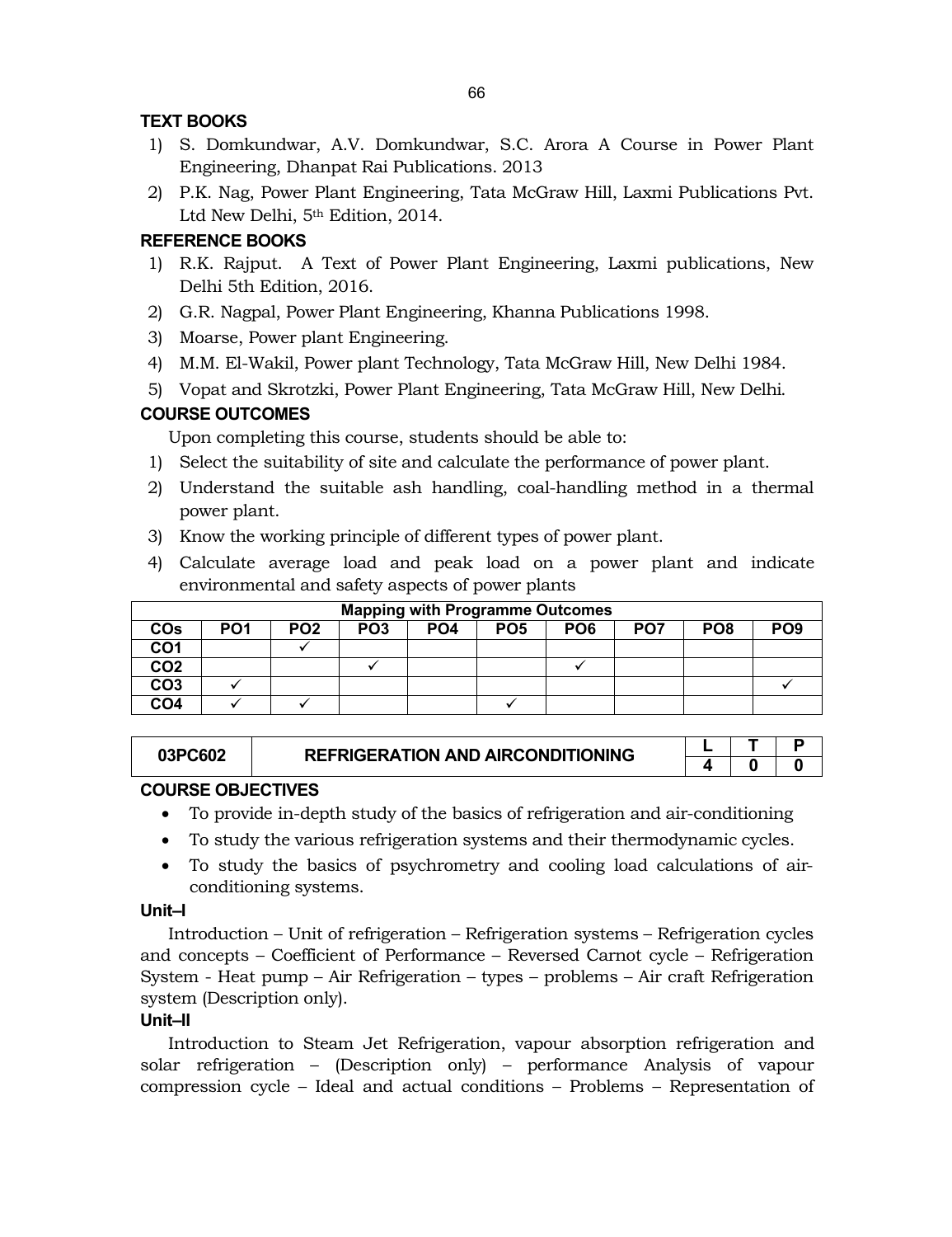# **TEXT BOOKS**

- 1) S. Domkundwar, A.V. Domkundwar, S.C. Arora A Course in Power Plant Engineering, Dhanpat Rai Publications. 2013
- 2) P.K. Nag, Power Plant Engineering, Tata McGraw Hill, Laxmi Publications Pvt. Ltd New Delhi, 5<sup>th</sup> Edition, 2014.

# **REFERENCE BOOKS**

- 1) R.K. Rajput. A Text of Power Plant Engineering, Laxmi publications, New Delhi 5th Edition, 2016.
- 2) G.R. Nagpal, Power Plant Engineering, Khanna Publications 1998.
- 3) Moarse, Power plant Engineering.
- 4) M.M. El-Wakil, Power plant Technology, Tata McGraw Hill, New Delhi 1984.
- 5) Vopat and Skrotzki, Power Plant Engineering, Tata McGraw Hill, New Delhi.

# **COURSE OUTCOMES**

Upon completing this course, students should be able to:

- 1) Select the suitability of site and calculate the performance of power plant.
- 2) Understand the suitable ash handling, coal-handling method in a thermal power plant.
- 3) Know the working principle of different types of power plant.
- 4) Calculate average load and peak load on a power plant and indicate environmental and safety aspects of power plants

| <b>Mapping with Programme Outcomes</b> |     |                 |                 |                 |                 |                 |                 |                 |                 |  |  |  |
|----------------------------------------|-----|-----------------|-----------------|-----------------|-----------------|-----------------|-----------------|-----------------|-----------------|--|--|--|
| <b>COs</b>                             | PO1 | PO <sub>2</sub> | PO <sub>3</sub> | PO <sub>4</sub> | PO <sub>5</sub> | PO <sub>6</sub> | PO <sub>7</sub> | PO <sub>8</sub> | PO <sub>9</sub> |  |  |  |
| CO <sub>1</sub>                        |     |                 |                 |                 |                 |                 |                 |                 |                 |  |  |  |
| CO <sub>2</sub>                        |     |                 |                 |                 |                 |                 |                 |                 |                 |  |  |  |
| CO <sub>3</sub>                        |     |                 |                 |                 |                 |                 |                 |                 |                 |  |  |  |
| CO <sub>4</sub>                        |     |                 |                 |                 |                 |                 |                 |                 |                 |  |  |  |

| 03PC602 | <b>REFRIGERATION AND AIRCONDITIONING</b> |  |  |
|---------|------------------------------------------|--|--|
|         |                                          |  |  |

# **COURSE OBJECTIVES**

- To provide in-depth study of the basics of refrigeration and air-conditioning
- To study the various refrigeration systems and their thermodynamic cycles.
- To study the basics of psychrometry and cooling load calculations of airconditioning systems.

# **Unit–I**

Introduction – Unit of refrigeration – Refrigeration systems – Refrigeration cycles and concepts – Coefficient of Performance – Reversed Carnot cycle – Refrigeration System - Heat pump – Air Refrigeration – types – problems – Air craft Refrigeration system (Description only).

# **Unit–II**

Introduction to Steam Jet Refrigeration, vapour absorption refrigeration and solar refrigeration – (Description only) – performance Analysis of vapour compression cycle – Ideal and actual conditions – Problems – Representation of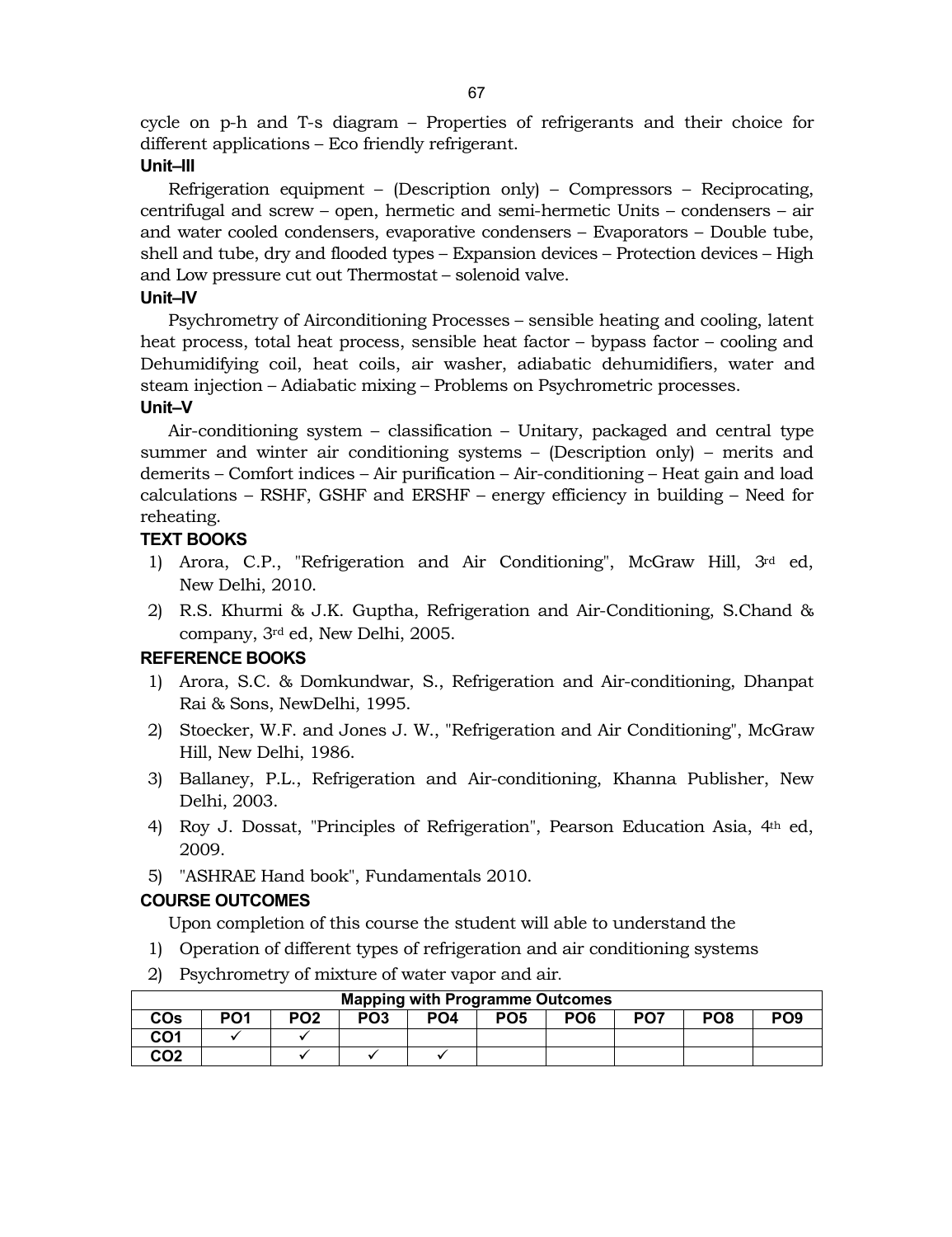cycle on p-h and T-s diagram – Properties of refrigerants and their choice for different applications – Eco friendly refrigerant.

# **Unit–III**

Refrigeration equipment – (Description only) – Compressors – Reciprocating, centrifugal and screw – open, hermetic and semi-hermetic Units – condensers – air and water cooled condensers, evaporative condensers – Evaporators – Double tube, shell and tube, dry and flooded types – Expansion devices – Protection devices – High and Low pressure cut out Thermostat – solenoid valve.

# **Unit–IV**

Psychrometry of Airconditioning Processes – sensible heating and cooling, latent heat process, total heat process, sensible heat factor – bypass factor – cooling and Dehumidifying coil, heat coils, air washer, adiabatic dehumidifiers, water and steam injection – Adiabatic mixing – Problems on Psychrometric processes.

# **Unit–V**

Air-conditioning system – classification – Unitary, packaged and central type summer and winter air conditioning systems – (Description only) – merits and demerits – Comfort indices – Air purification – Air-conditioning – Heat gain and load calculations – RSHF, GSHF and ERSHF – energy efficiency in building – Need for reheating.

# **TEXT BOOKS**

- 1) Arora, C.P., "Refrigeration and Air Conditioning", McGraw Hill, 3rd ed, New Delhi, 2010.
- 2) R.S. Khurmi & J.K. Guptha, Refrigeration and Air-Conditioning, S.Chand & company, 3rd ed, New Delhi, 2005.

# **REFERENCE BOOKS**

- 1) Arora, S.C. & Domkundwar, S., Refrigeration and Air-conditioning, Dhanpat Rai & Sons, NewDelhi, 1995.
- 2) Stoecker, W.F. and Jones J. W., "Refrigeration and Air Conditioning", McGraw Hill, New Delhi, 1986.
- 3) Ballaney, P.L., Refrigeration and Air-conditioning, Khanna Publisher, New Delhi, 2003.
- 4) Roy J. Dossat, "Principles of Refrigeration", Pearson Education Asia, 4th ed, 2009.
- 5) "ASHRAE Hand book", Fundamentals 2010.

# **COURSE OUTCOMES**

Upon completion of this course the student will able to understand the

- 1) Operation of different types of refrigeration and air conditioning systems
- 2) Psychrometry of mixture of water vapor and air.

| <b>Mapping with Programme Outcomes</b> |                                                                                                                                     |  |  |  |  |  |  |  |  |  |  |  |
|----------------------------------------|-------------------------------------------------------------------------------------------------------------------------------------|--|--|--|--|--|--|--|--|--|--|--|
| <b>COs</b>                             | PO <sub>9</sub><br>PO3<br>PO7<br>PO <sub>2</sub><br>PO <sub>5</sub><br>PO <sub>6</sub><br>PO <sub>1</sub><br>PO <sub>8</sub><br>PO4 |  |  |  |  |  |  |  |  |  |  |  |
| CO1                                    |                                                                                                                                     |  |  |  |  |  |  |  |  |  |  |  |
| CO2                                    |                                                                                                                                     |  |  |  |  |  |  |  |  |  |  |  |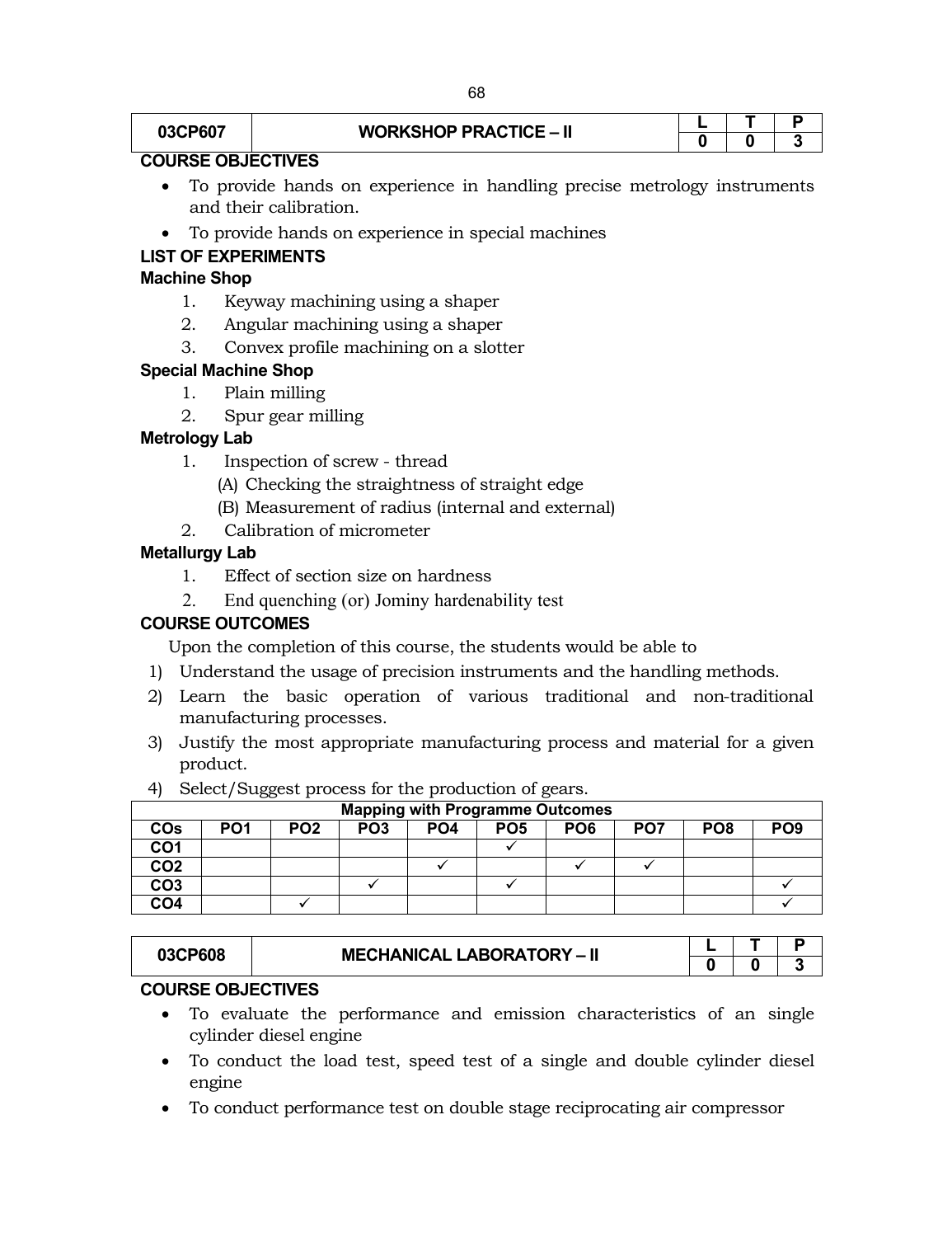# **03CP607 WORKSHOP PRACTICE – II**

# **COURSE OBJECTIVES**

- To provide hands on experience in handling precise metrology instruments and their calibration.
- To provide hands on experience in special machines

# **LIST OF EXPERIMENTS**

# **Machine Shop**

- 1. Keyway machining using a shaper
- 2. Angular machining using a shaper
- 3. Convex profile machining on a slotter

# **Special Machine Shop**

- 1. Plain milling
- 2. Spur gear milling

# **Metrology Lab**

- 1. Inspection of screw thread
	- (A) Checking the straightness of straight edge
	- (B) Measurement of radius (internal and external)
- 2. Calibration of micrometer

# **Metallurgy Lab**

- 1. Effect of section size on hardness
- 2. End quenching (or) Jominy hardenability test

# **COURSE OUTCOMES**

Upon the completion of this course, the students would be able to

- 1) Understand the usage of precision instruments and the handling methods.
- 2) Learn the basic operation of various traditional and non-traditional manufacturing processes.
- 3) Justify the most appropriate manufacturing process and material for a given product.
- 4) Select/Suggest process for the production of gears.

|                 | <b>Mapping with Programme Outcomes</b> |                 |                 |                 |                 |                 |                 |                 |                 |  |  |  |  |
|-----------------|----------------------------------------|-----------------|-----------------|-----------------|-----------------|-----------------|-----------------|-----------------|-----------------|--|--|--|--|
| <b>COs</b>      | PO <sub>1</sub>                        | PO <sub>2</sub> | PO <sub>3</sub> | PO <sub>4</sub> | PO <sub>5</sub> | PO <sub>6</sub> | PO <sub>7</sub> | PO <sub>8</sub> | PO <sub>9</sub> |  |  |  |  |
| CO <sub>1</sub> |                                        |                 |                 |                 |                 |                 |                 |                 |                 |  |  |  |  |
| CO <sub>2</sub> |                                        |                 |                 |                 |                 |                 |                 |                 |                 |  |  |  |  |
| CO <sub>3</sub> |                                        |                 |                 |                 |                 |                 |                 |                 |                 |  |  |  |  |
| CO <sub>4</sub> |                                        |                 |                 |                 |                 |                 |                 |                 |                 |  |  |  |  |

| 03CP608 | <b>MECHANICAL LABORATORY - II</b> |  |  |
|---------|-----------------------------------|--|--|
|         |                                   |  |  |

# **COURSE OBJECTIVES**

- To evaluate the performance and emission characteristics of an single cylinder diesel engine
- To conduct the load test, speed test of a single and double cylinder diesel engine
- To conduct performance test on double stage reciprocating air compressor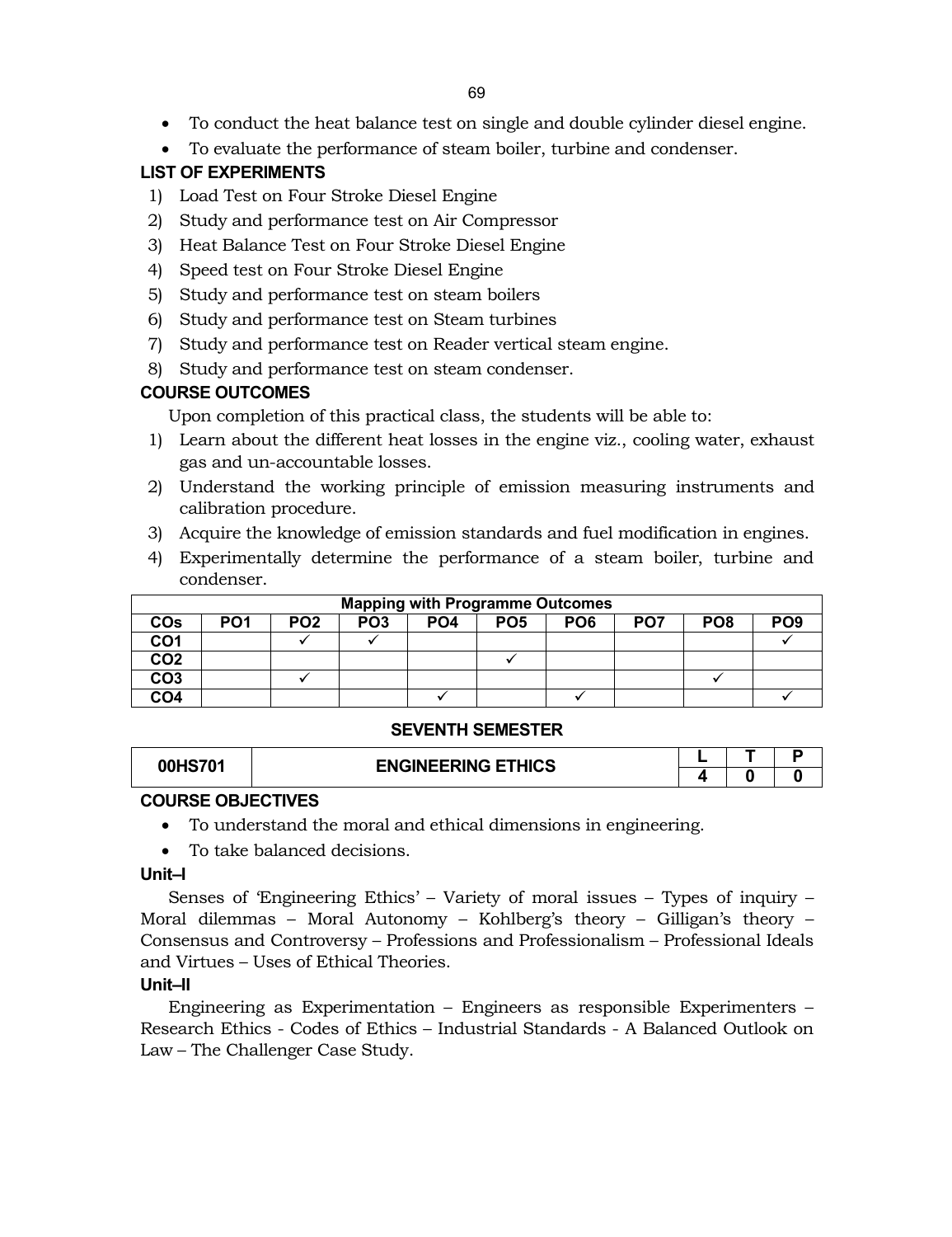- To conduct the heat balance test on single and double cylinder diesel engine.
- To evaluate the performance of steam boiler, turbine and condenser.

# **LIST OF EXPERIMENTS**

- 1) Load Test on Four Stroke Diesel Engine
- 2) Study and performance test on Air Compressor
- 3) Heat Balance Test on Four Stroke Diesel Engine
- 4) Speed test on Four Stroke Diesel Engine
- 5) Study and performance test on steam boilers
- 6) Study and performance test on Steam turbines
- 7) Study and performance test on Reader vertical steam engine.
- 8) Study and performance test on steam condenser.

# **COURSE OUTCOMES**

Upon completion of this practical class, the students will be able to:

- 1) Learn about the different heat losses in the engine viz., cooling water, exhaust gas and un-accountable losses.
- 2) Understand the working principle of emission measuring instruments and calibration procedure.
- 3) Acquire the knowledge of emission standards and fuel modification in engines.
- 4) Experimentally determine the performance of a steam boiler, turbine and condenser.

|                 | <b>Mapping with Programme Outcomes</b> |                 |                 |                 |                 |                 |                 |                 |                 |  |  |  |
|-----------------|----------------------------------------|-----------------|-----------------|-----------------|-----------------|-----------------|-----------------|-----------------|-----------------|--|--|--|
| <b>COs</b>      | PO <sub>1</sub>                        | PO <sub>2</sub> | PO <sub>3</sub> | PO <sub>4</sub> | PO <sub>5</sub> | PO <sub>6</sub> | PO <sub>7</sub> | PO <sub>8</sub> | PO <sub>9</sub> |  |  |  |
| CO1             |                                        |                 |                 |                 |                 |                 |                 |                 |                 |  |  |  |
| CO <sub>2</sub> |                                        |                 |                 |                 |                 |                 |                 |                 |                 |  |  |  |
| CO <sub>3</sub> |                                        |                 |                 |                 |                 |                 |                 |                 |                 |  |  |  |
| CO <sub>4</sub> |                                        |                 |                 |                 |                 |                 |                 |                 |                 |  |  |  |

# **SEVENTH SEMESTER**

| 00HS701 | <b>ENGINEERING ETHICS</b> |  |  |
|---------|---------------------------|--|--|
|         |                           |  |  |

# **COURSE OBJECTIVES**

- To understand the moral and ethical dimensions in engineering.
- To take balanced decisions.

# **Unit–I**

Senses of 'Engineering Ethics' – Variety of moral issues – Types of inquiry – Moral dilemmas – Moral Autonomy – Kohlberg's theory – Gilligan's theory – Consensus and Controversy – Professions and Professionalism – Professional Ideals and Virtues – Uses of Ethical Theories.

# **Unit–II**

Engineering as Experimentation – Engineers as responsible Experimenters – Research Ethics - Codes of Ethics – Industrial Standards - A Balanced Outlook on Law – The Challenger Case Study.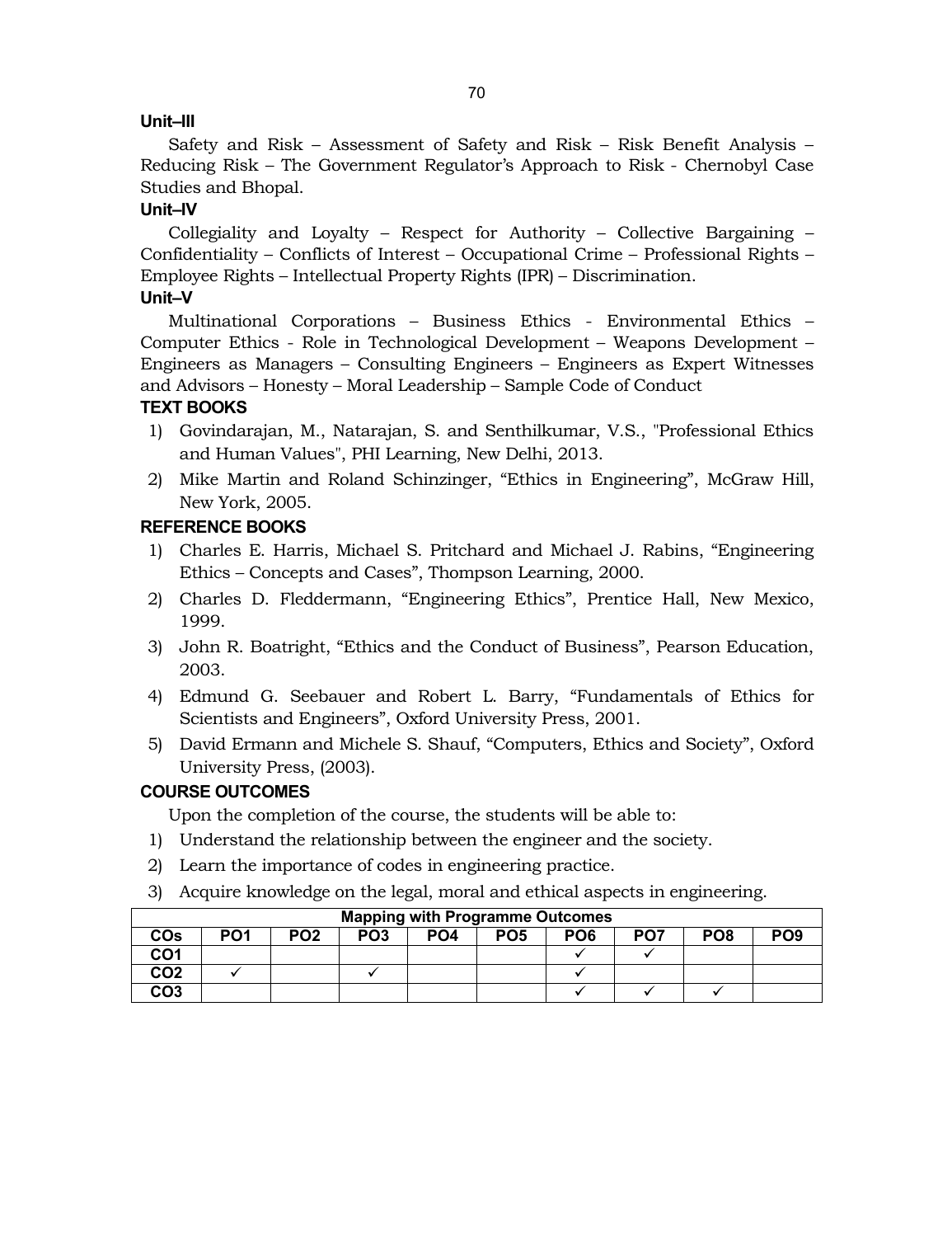# **Unit–III**

Safety and Risk – Assessment of Safety and Risk – Risk Benefit Analysis – Reducing Risk – The Government Regulator's Approach to Risk - Chernobyl Case Studies and Bhopal.

# **Unit–IV**

Collegiality and Loyalty – Respect for Authority – Collective Bargaining – Confidentiality – Conflicts of Interest – Occupational Crime – Professional Rights – Employee Rights – Intellectual Property Rights (IPR) – Discrimination. **Unit–V**

Multinational Corporations – Business Ethics - Environmental Ethics – Computer Ethics - Role in Technological Development – Weapons Development – Engineers as Managers – Consulting Engineers – Engineers as Expert Witnesses and Advisors – Honesty – Moral Leadership – Sample Code of Conduct

# **TEXT BOOKS**

- 1) Govindarajan, M., Natarajan, S. and Senthilkumar, V.S., "Professional Ethics and Human Values", PHI Learning, New Delhi, 2013.
- 2) Mike Martin and Roland Schinzinger, "Ethics in Engineering", McGraw Hill, New York, 2005.

# **REFERENCE BOOKS**

- 1) Charles E. Harris, Michael S. Pritchard and Michael J. Rabins, "Engineering Ethics – Concepts and Cases", Thompson Learning, 2000.
- 2) Charles D. Fleddermann, "Engineering Ethics", Prentice Hall, New Mexico, 1999.
- 3) John R. Boatright, "Ethics and the Conduct of Business", Pearson Education, 2003.
- 4) Edmund G. Seebauer and Robert L. Barry, "Fundamentals of Ethics for Scientists and Engineers", Oxford University Press, 2001.
- 5) David Ermann and Michele S. Shauf, "Computers, Ethics and Society", Oxford University Press, (2003).

# **COURSE OUTCOMES**

Upon the completion of the course, the students will be able to:

- 1) Understand the relationship between the engineer and the society.
- 2) Learn the importance of codes in engineering practice.
- 3) Acquire knowledge on the legal, moral and ethical aspects in engineering.

| <b>Mapping with Programme Outcomes</b> |                 |                 |                 |                 |                 |                 |                 |                 |                 |
|----------------------------------------|-----------------|-----------------|-----------------|-----------------|-----------------|-----------------|-----------------|-----------------|-----------------|
| COs                                    | PO <sub>1</sub> | PO <sub>2</sub> | PO <sub>3</sub> | PO <sub>4</sub> | PO <sub>5</sub> | PO <sub>6</sub> | PO <sub>7</sub> | PO <sub>8</sub> | PO <sub>9</sub> |
| CO1                                    |                 |                 |                 |                 |                 |                 |                 |                 |                 |
| CO <sub>2</sub>                        |                 |                 |                 |                 |                 |                 |                 |                 |                 |
| CO <sub>3</sub>                        |                 |                 |                 |                 |                 |                 |                 |                 |                 |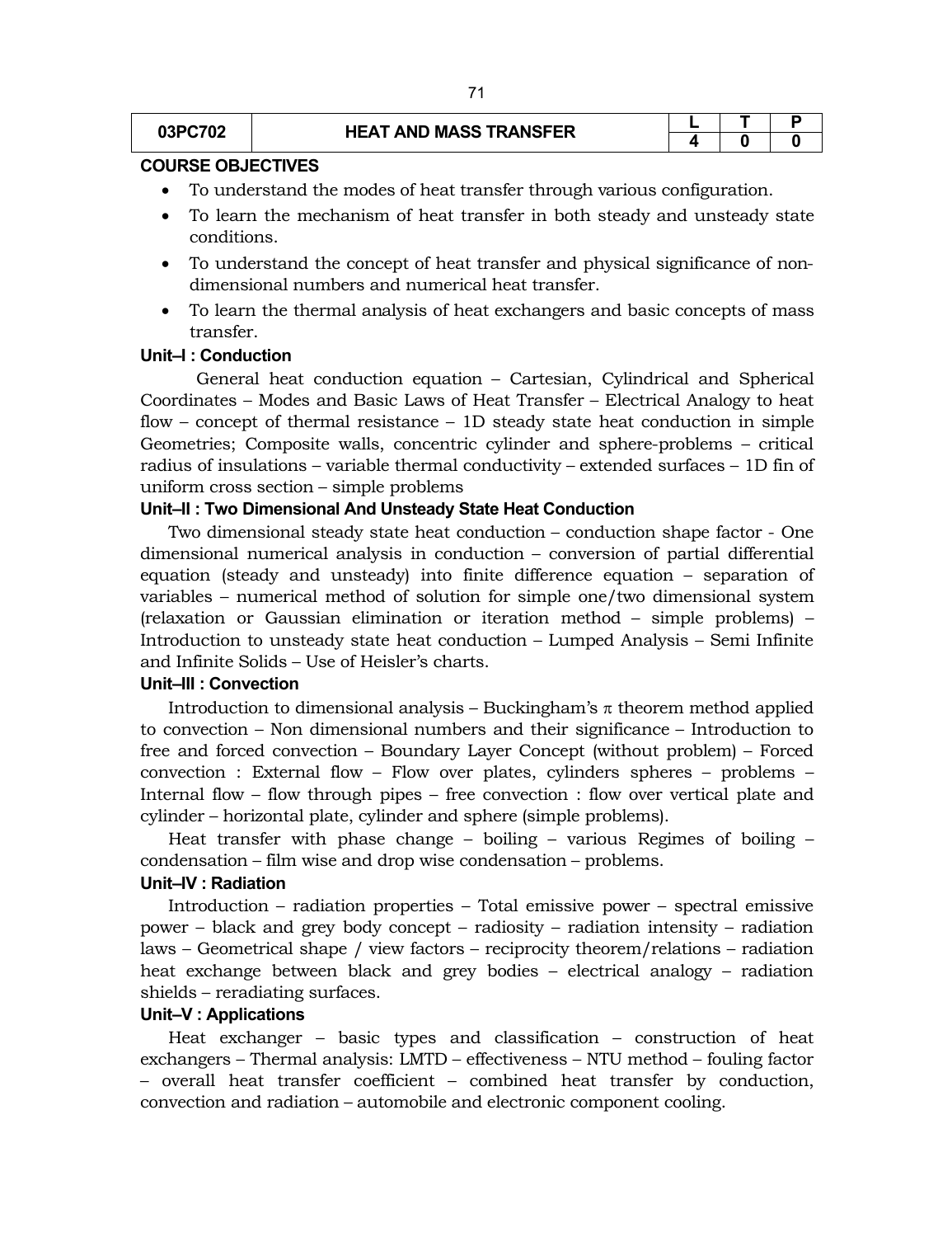# **03PC702 HEAT AND MASS TRANSFER**

#### **COURSE OBJECTIVES**

- To understand the modes of heat transfer through various configuration.
- To learn the mechanism of heat transfer in both steady and unsteady state conditions.
- To understand the concept of heat transfer and physical significance of nondimensional numbers and numerical heat transfer.
- To learn the thermal analysis of heat exchangers and basic concepts of mass transfer.

# **Unit–I : Conduction**

General heat conduction equation – Cartesian, Cylindrical and Spherical Coordinates – Modes and Basic Laws of Heat Transfer – Electrical Analogy to heat flow – concept of thermal resistance – 1D steady state heat conduction in simple Geometries; Composite walls, concentric cylinder and sphere-problems – critical radius of insulations – variable thermal conductivity – extended surfaces – 1D fin of uniform cross section – simple problems

# **Unit–II : Two Dimensional And Unsteady State Heat Conduction**

Two dimensional steady state heat conduction – conduction shape factor - One dimensional numerical analysis in conduction – conversion of partial differential equation (steady and unsteady) into finite difference equation – separation of variables – numerical method of solution for simple one/two dimensional system (relaxation or Gaussian elimination or iteration method – simple problems) – Introduction to unsteady state heat conduction – Lumped Analysis – Semi Infinite and Infinite Solids – Use of Heisler's charts.

# **Unit–III : Convection**

Introduction to dimensional analysis – Buckingham's  $\pi$  theorem method applied to convection – Non dimensional numbers and their significance – Introduction to free and forced convection – Boundary Layer Concept (without problem) – Forced convection : External flow – Flow over plates, cylinders spheres – problems – Internal flow – flow through pipes – free convection : flow over vertical plate and cylinder – horizontal plate, cylinder and sphere (simple problems).

Heat transfer with phase change – boiling – various Regimes of boiling – condensation – film wise and drop wise condensation – problems.

# **Unit–IV : Radiation**

Introduction – radiation properties – Total emissive power – spectral emissive power – black and grey body concept – radiosity – radiation intensity – radiation laws – Geometrical shape / view factors – reciprocity theorem/relations – radiation heat exchange between black and grey bodies – electrical analogy – radiation shields – reradiating surfaces.

#### **Unit–V : Applications**

Heat exchanger – basic types and classification – construction of heat exchangers – Thermal analysis: LMTD – effectiveness – NTU method – fouling factor – overall heat transfer coefficient – combined heat transfer by conduction, convection and radiation – automobile and electronic component cooling.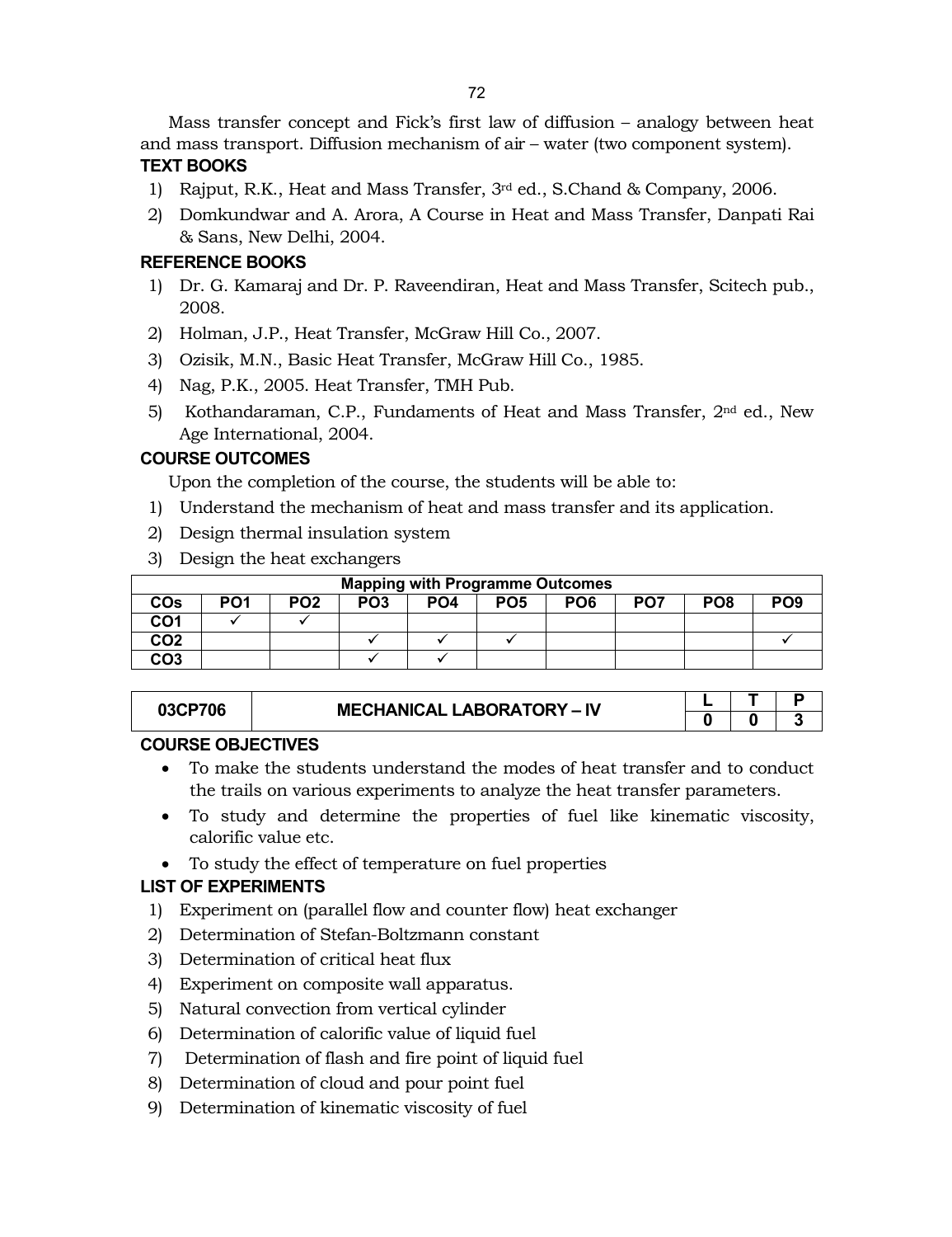Mass transfer concept and Fick's first law of diffusion – analogy between heat and mass transport. Diffusion mechanism of air – water (two component system).

# **TEXT BOOKS**

- 1) Rajput, R.K., Heat and Mass Transfer, 3rd ed., S.Chand & Company, 2006.
- 2) Domkundwar and A. Arora, A Course in Heat and Mass Transfer, Danpati Rai & Sans, New Delhi, 2004.

# **REFERENCE BOOKS**

- 1) Dr. G. Kamaraj and Dr. P. Raveendiran, Heat and Mass Transfer, Scitech pub., 2008.
- 2) Holman, J.P., Heat Transfer, McGraw Hill Co., 2007.
- 3) Ozisik, M.N., Basic Heat Transfer, McGraw Hill Co., 1985.
- 4) Nag, P.K., 2005. Heat Transfer, TMH Pub.
- 5) Kothandaraman, C.P., Fundaments of Heat and Mass Transfer,  $2<sup>nd</sup>$  ed., New Age International, 2004.

# **COURSE OUTCOMES**

Upon the completion of the course, the students will be able to:

- 1) Understand the mechanism of heat and mass transfer and its application.
- 2) Design thermal insulation system
- 3) Design the heat exchangers

| <b>Mapping with Programme Outcomes</b> |                 |                 |                 |                 |                 |                 |                 |                 |                 |
|----------------------------------------|-----------------|-----------------|-----------------|-----------------|-----------------|-----------------|-----------------|-----------------|-----------------|
| COs                                    | PO <sub>1</sub> | PO <sub>2</sub> | PO <sub>3</sub> | PO <sub>4</sub> | PO <sub>5</sub> | PO <sub>6</sub> | PO <sub>7</sub> | PO <sub>8</sub> | PO <sub>9</sub> |
| CO1                                    |                 |                 |                 |                 |                 |                 |                 |                 |                 |
| CO2                                    |                 |                 |                 |                 |                 |                 |                 |                 |                 |
| CO <sub>3</sub>                        |                 |                 |                 |                 |                 |                 |                 |                 |                 |

| <b>03CP</b><br>706 | <b>MECHANICAL LABORATORY - IV</b> |  |     |
|--------------------|-----------------------------------|--|-----|
|                    |                                   |  | . . |

# **COURSE OBJECTIVES**

- To make the students understand the modes of heat transfer and to conduct the trails on various experiments to analyze the heat transfer parameters.
- To study and determine the properties of fuel like kinematic viscosity, calorific value etc.
- To study the effect of temperature on fuel properties

# **LIST OF EXPERIMENTS**

- 1) Experiment on (parallel flow and counter flow) heat exchanger
- 2) Determination of Stefan-Boltzmann constant
- 3) Determination of critical heat flux
- 4) Experiment on composite wall apparatus.
- 5) Natural convection from vertical cylinder
- 6) Determination of calorific value of liquid fuel
- 7) Determination of flash and fire point of liquid fuel
- 8) Determination of cloud and pour point fuel
- 9) Determination of kinematic viscosity of fuel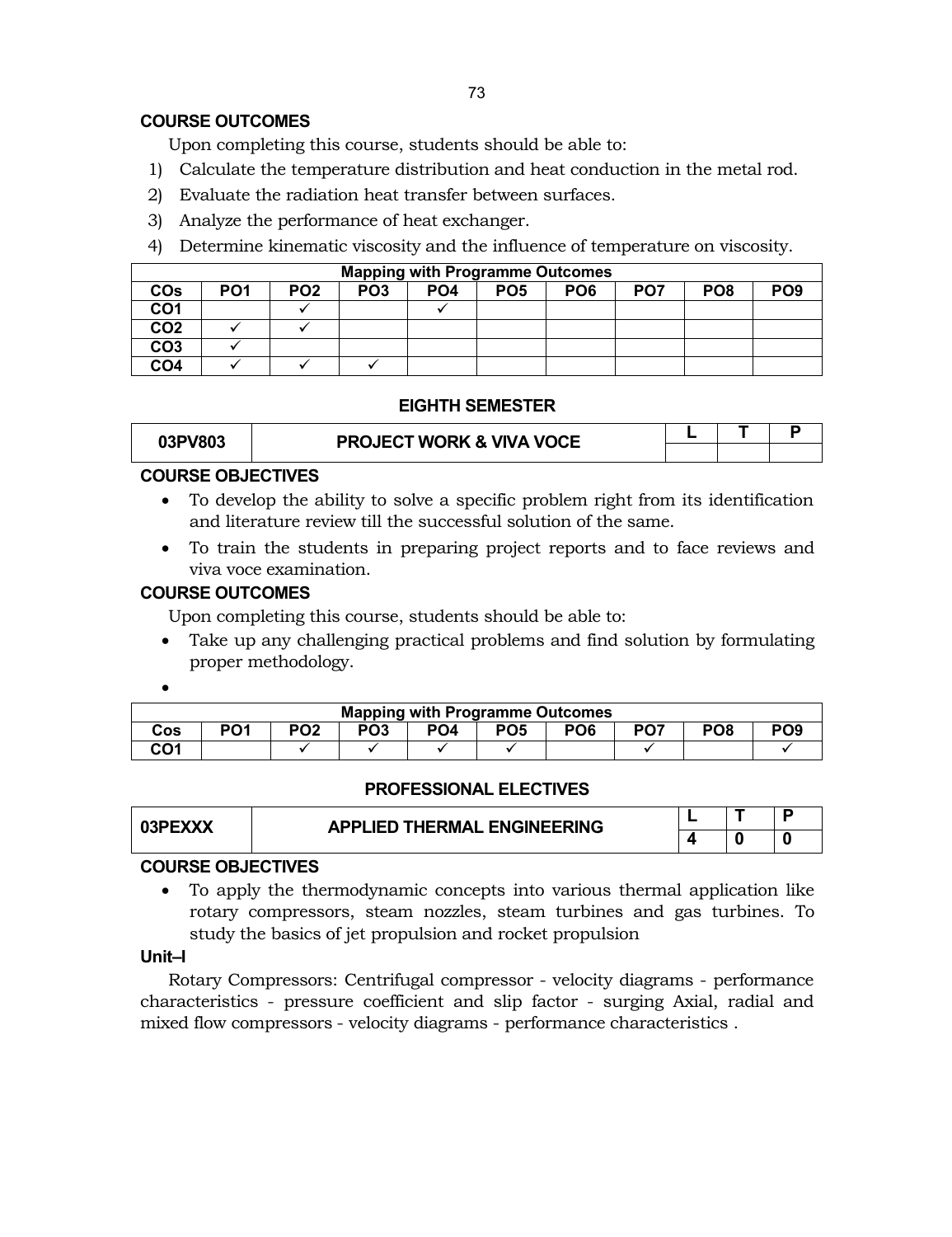# **COURSE OUTCOMES**

Upon completing this course, students should be able to:

- 1) Calculate the temperature distribution and heat conduction in the metal rod.
- 2) Evaluate the radiation heat transfer between surfaces.
- 3) Analyze the performance of heat exchanger.
- 4) Determine kinematic viscosity and the influence of temperature on viscosity.

|                 | <b>Mapping with Programme Outcomes</b> |                 |                 |                 |                 |                 |                 |                 |                 |  |  |
|-----------------|----------------------------------------|-----------------|-----------------|-----------------|-----------------|-----------------|-----------------|-----------------|-----------------|--|--|
| COs             | PO1                                    | PO <sub>2</sub> | PO <sub>3</sub> | PO <sub>4</sub> | PO <sub>5</sub> | PO <sub>6</sub> | PO <sub>7</sub> | PO <sub>8</sub> | PO <sub>9</sub> |  |  |
| CO1             |                                        |                 |                 |                 |                 |                 |                 |                 |                 |  |  |
| CO <sub>2</sub> |                                        |                 |                 |                 |                 |                 |                 |                 |                 |  |  |
| CO <sub>3</sub> |                                        |                 |                 |                 |                 |                 |                 |                 |                 |  |  |
| CO <sub>4</sub> |                                        |                 |                 |                 |                 |                 |                 |                 |                 |  |  |

## **EIGHTH SEMESTER**

| 03PV803 | <b>PROJECT WORK &amp; VIVA VOCE</b> |  |  |
|---------|-------------------------------------|--|--|
|         |                                     |  |  |

# **COURSE OBJECTIVES**

- To develop the ability to solve a specific problem right from its identification and literature review till the successful solution of the same.
- To train the students in preparing project reports and to face reviews and viva voce examination.

# **COURSE OUTCOMES**

Upon completing this course, students should be able to:

 Take up any challenging practical problems and find solution by formulating proper methodology.

 $\bullet$ 

|     | <b>Mapping with Programme Outcomes</b> |                 |                 |                 |                 |                 |                 |                 |                 |  |  |
|-----|----------------------------------------|-----------------|-----------------|-----------------|-----------------|-----------------|-----------------|-----------------|-----------------|--|--|
| Cos | PO <sub>1</sub>                        | PO <sub>2</sub> | PO <sub>3</sub> | PO <sub>4</sub> | PO <sub>5</sub> | PO <sub>6</sub> | PO <sub>7</sub> | PO <sub>8</sub> | PO <sub>9</sub> |  |  |
| CO1 |                                        |                 |                 |                 |                 |                 |                 |                 |                 |  |  |

#### **PROFESSIONAL ELECTIVES**

| 03PEXXX | <b>APPLIED THERMAL ENGINEERING</b> |  |  |
|---------|------------------------------------|--|--|
|         |                                    |  |  |

# **COURSE OBJECTIVES**

 To apply the thermodynamic concepts into various thermal application like rotary compressors, steam nozzles, steam turbines and gas turbines. To study the basics of jet propulsion and rocket propulsion

# **Unit–I**

Rotary Compressors: Centrifugal compressor - velocity diagrams - performance characteristics - pressure coefficient and slip factor - surging Axial, radial and mixed flow compressors - velocity diagrams - performance characteristics .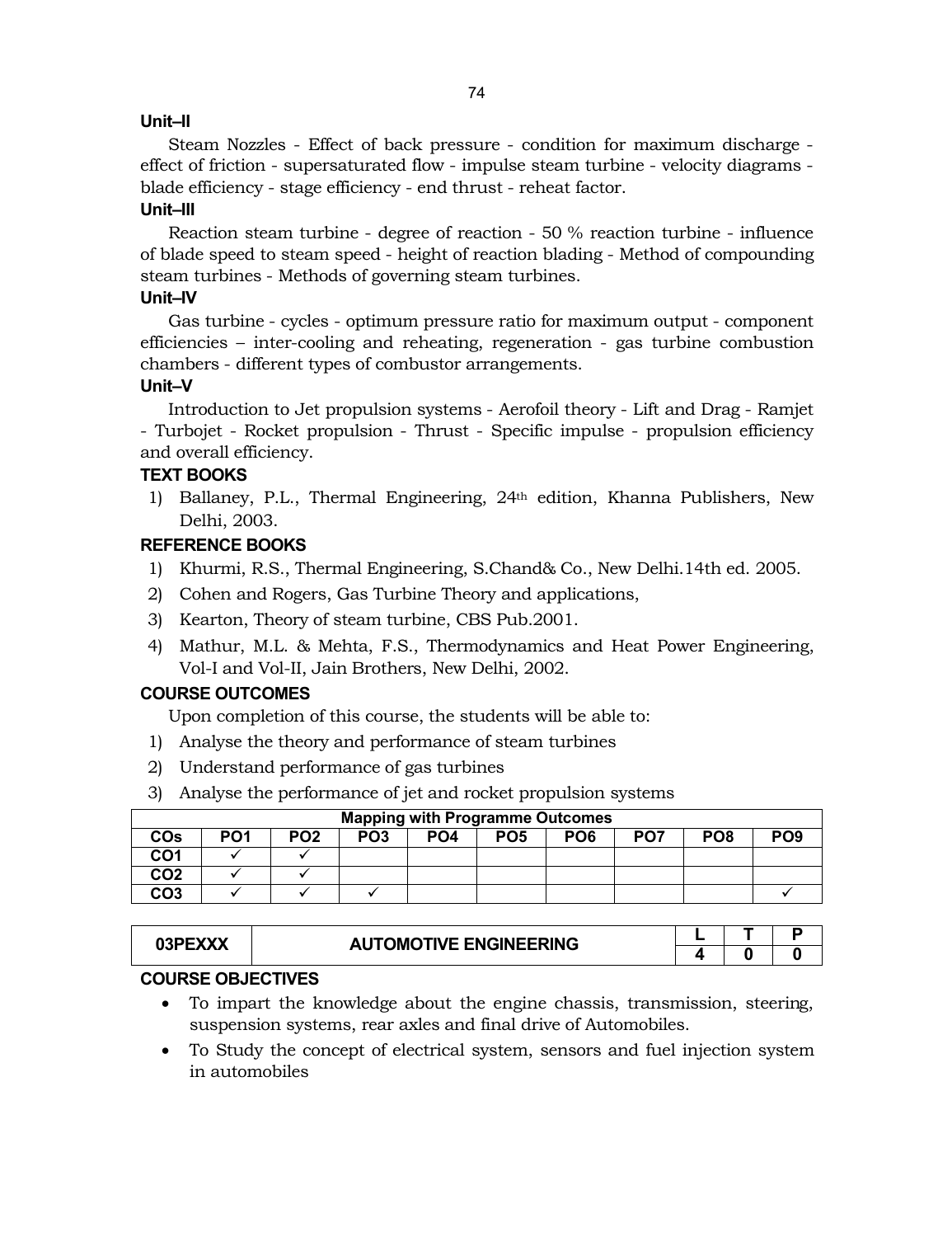# **Unit–II**

Steam Nozzles - Effect of back pressure - condition for maximum discharge effect of friction - supersaturated flow - impulse steam turbine - velocity diagrams blade efficiency - stage efficiency - end thrust - reheat factor.

# **Unit–III**

Reaction steam turbine - degree of reaction - 50 % reaction turbine - influence of blade speed to steam speed - height of reaction blading - Method of compounding steam turbines - Methods of governing steam turbines.

# **Unit–IV**

Gas turbine - cycles - optimum pressure ratio for maximum output - component efficiencies – inter-cooling and reheating, regeneration - gas turbine combustion chambers - different types of combustor arrangements.

# **Unit–V**

Introduction to Jet propulsion systems - Aerofoil theory - Lift and Drag - Ramjet - Turbojet - Rocket propulsion - Thrust - Specific impulse - propulsion efficiency and overall efficiency.

# **TEXT BOOKS**

1) Ballaney, P.L., Thermal Engineering, 24th edition, Khanna Publishers, New Delhi, 2003.

## **REFERENCE BOOKS**

- 1) Khurmi, R.S., Thermal Engineering, S.Chand& Co., New Delhi.14th ed. 2005.
- 2) Cohen and Rogers, Gas Turbine Theory and applications,
- 3) Kearton, Theory of steam turbine, CBS Pub.2001.
- 4) Mathur, M.L. & Mehta, F.S., Thermodynamics and Heat Power Engineering, Vol-I and Vol-II, Jain Brothers, New Delhi, 2002.

# **COURSE OUTCOMES**

Upon completion of this course, the students will be able to:

- 1) Analyse the theory and performance of steam turbines
- 2) Understand performance of gas turbines
- 3) Analyse the performance of jet and rocket propulsion systems

|                 | <b>Mapping with Programme Outcomes</b> |                 |                 |                 |                 |                 |                 |                 |                 |  |  |
|-----------------|----------------------------------------|-----------------|-----------------|-----------------|-----------------|-----------------|-----------------|-----------------|-----------------|--|--|
| COs             | PO <sub>1</sub>                        | PO <sub>2</sub> | PO <sub>3</sub> | PO <sub>4</sub> | PO <sub>5</sub> | PO <sub>6</sub> | PO <sub>7</sub> | PO <sub>8</sub> | PO <sub>9</sub> |  |  |
| CO1             |                                        |                 |                 |                 |                 |                 |                 |                 |                 |  |  |
| CO <sub>2</sub> |                                        |                 |                 |                 |                 |                 |                 |                 |                 |  |  |
| CO <sub>3</sub> |                                        |                 |                 |                 |                 |                 |                 |                 |                 |  |  |

| $J3PEXX^{\prime\prime}$ | <b>AUTOMOTIVE ENGINEERING</b> |  |  |
|-------------------------|-------------------------------|--|--|
|                         |                               |  |  |

# **COURSE OBJECTIVES**

- To impart the knowledge about the engine chassis, transmission, steering, suspension systems, rear axles and final drive of Automobiles.
- To Study the concept of electrical system, sensors and fuel injection system in automobiles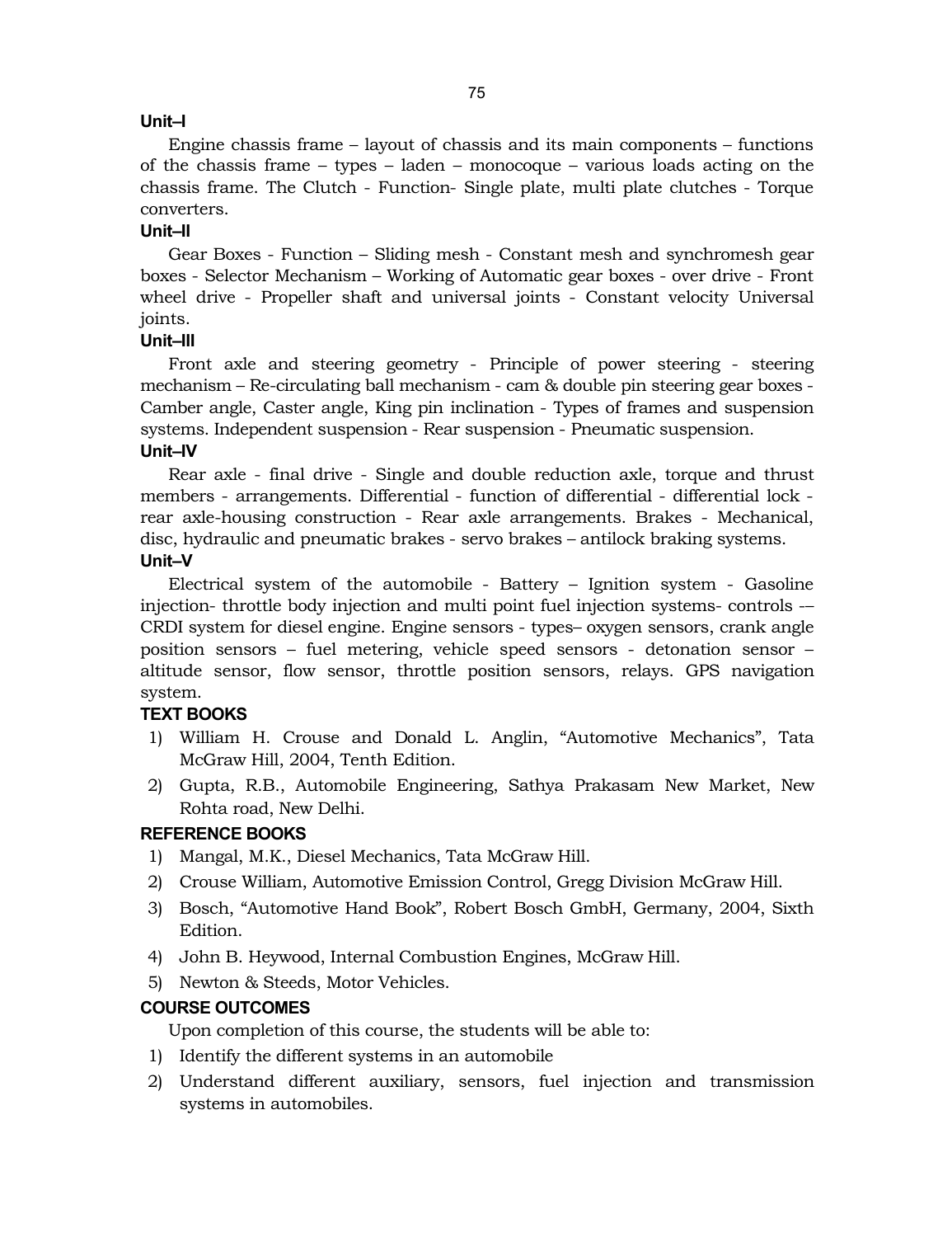#### **Unit–I**

Engine chassis frame – layout of chassis and its main components – functions of the chassis frame – types – laden – monocoque – various loads acting on the chassis frame. The Clutch - Function- Single plate, multi plate clutches - Torque converters.

## **Unit–II**

Gear Boxes - Function – Sliding mesh - Constant mesh and synchromesh gear boxes - Selector Mechanism – Working of Automatic gear boxes - over drive - Front wheel drive - Propeller shaft and universal joints - Constant velocity Universal joints.

# **Unit–III**

Front axle and steering geometry - Principle of power steering - steering mechanism – Re-circulating ball mechanism - cam & double pin steering gear boxes - Camber angle, Caster angle, King pin inclination - Types of frames and suspension systems. Independent suspension - Rear suspension - Pneumatic suspension.

## **Unit–IV**

Rear axle - final drive - Single and double reduction axle, torque and thrust members - arrangements. Differential - function of differential - differential lock rear axle-housing construction - Rear axle arrangements. Brakes - Mechanical, disc, hydraulic and pneumatic brakes - servo brakes – antilock braking systems.

# **Unit–V**

Electrical system of the automobile - Battery – Ignition system - Gasoline injection- throttle body injection and multi point fuel injection systems- controls -– CRDI system for diesel engine. Engine sensors - types– oxygen sensors, crank angle position sensors – fuel metering, vehicle speed sensors - detonation sensor – altitude sensor, flow sensor, throttle position sensors, relays. GPS navigation system.

# **TEXT BOOKS**

- 1) William H. Crouse and Donald L. Anglin, "Automotive Mechanics", Tata McGraw Hill, 2004, Tenth Edition.
- 2) Gupta, R.B., Automobile Engineering, Sathya Prakasam New Market, New Rohta road, New Delhi.

# **REFERENCE BOOKS**

- 1) Mangal, M.K., Diesel Mechanics, Tata McGraw Hill.
- 2) Crouse William, Automotive Emission Control, Gregg Division McGraw Hill.
- 3) Bosch, "Automotive Hand Book", Robert Bosch GmbH, Germany, 2004, Sixth Edition.
- 4) John B. Heywood, Internal Combustion Engines, McGraw Hill.
- 5) Newton & Steeds, Motor Vehicles.

# **COURSE OUTCOMES**

Upon completion of this course, the students will be able to:

- 1) Identify the different systems in an automobile
- 2) Understand different auxiliary, sensors, fuel injection and transmission systems in automobiles.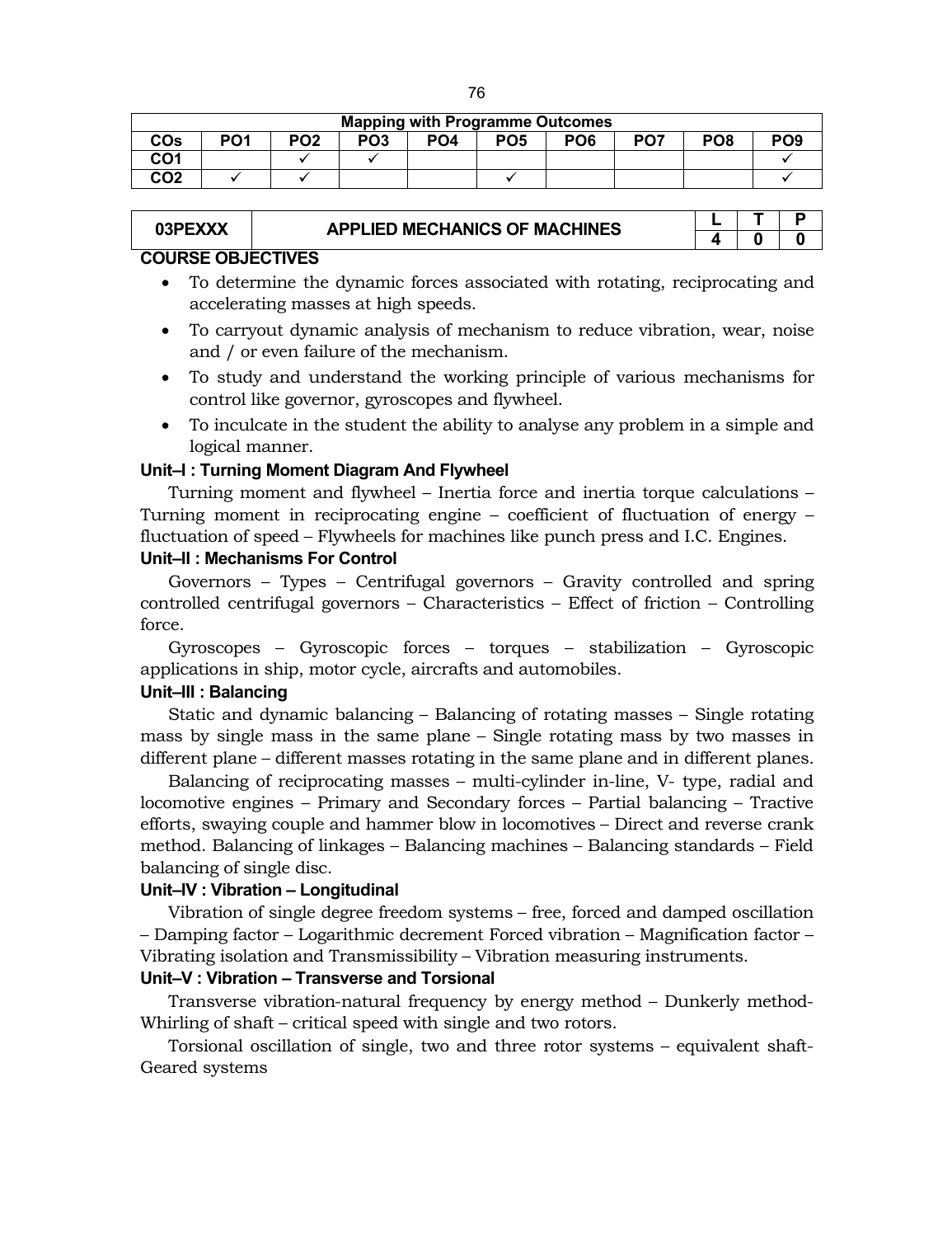|  | <b>Mapping with Programme Outcomes</b> |
|--|----------------------------------------|
|--|----------------------------------------|

|                   | <b>Mapping With Fogramme Outcomes</b> |                 |                 |                 |                 |                 |                 |                 |                 |  |  |  |
|-------------------|---------------------------------------|-----------------|-----------------|-----------------|-----------------|-----------------|-----------------|-----------------|-----------------|--|--|--|
| <b>COs</b>        | PO1                                   | PO <sub>2</sub> | PO <sub>3</sub> | PO <sub>4</sub> | PO <sub>5</sub> | PO <sub>6</sub> | PO <sub>7</sub> | PO <sub>8</sub> | PO <sub>9</sub> |  |  |  |
| <b>CO1</b><br>וטט |                                       |                 |                 |                 |                 |                 |                 |                 |                 |  |  |  |
| CO <sub>2</sub>   |                                       |                 |                 |                 |                 |                 |                 |                 |                 |  |  |  |

# **03PEXXX APPLIED MECHANICS OF MACHINES**

# **COURSE OBJECTIVES**

- To determine the dynamic forces associated with rotating, reciprocating and accelerating masses at high speeds.
- To carryout dynamic analysis of mechanism to reduce vibration, wear, noise and / or even failure of the mechanism.
- To study and understand the working principle of various mechanisms for control like governor, gyroscopes and flywheel.
- To inculcate in the student the ability to analyse any problem in a simple and logical manner.

#### **Unit–I : Turning Moment Diagram And Flywheel**

Turning moment and flywheel – Inertia force and inertia torque calculations – Turning moment in reciprocating engine – coefficient of fluctuation of energy – fluctuation of speed – Flywheels for machines like punch press and I.C. Engines. **Unit–II : Mechanisms For Control**

Governors – Types – Centrifugal governors – Gravity controlled and spring controlled centrifugal governors – Characteristics – Effect of friction – Controlling force.

Gyroscopes – Gyroscopic forces – torques – stabilization – Gyroscopic applications in ship, motor cycle, aircrafts and automobiles.

#### **Unit–III : Balancing**

Static and dynamic balancing – Balancing of rotating masses – Single rotating mass by single mass in the same plane – Single rotating mass by two masses in different plane – different masses rotating in the same plane and in different planes.

Balancing of reciprocating masses – multi-cylinder in-line, V- type, radial and locomotive engines – Primary and Secondary forces – Partial balancing – Tractive efforts, swaying couple and hammer blow in locomotives – Direct and reverse crank method. Balancing of linkages – Balancing machines – Balancing standards – Field balancing of single disc.

#### **Unit–IV : Vibration – Longitudinal**

Vibration of single degree freedom systems – free, forced and damped oscillation – Damping factor – Logarithmic decrement Forced vibration – Magnification factor – Vibrating isolation and Transmissibility – Vibration measuring instruments.

# **Unit–V : Vibration – Transverse and Torsional**

Transverse vibration-natural frequency by energy method – Dunkerly method-Whirling of shaft – critical speed with single and two rotors.

Torsional oscillation of single, two and three rotor systems – equivalent shaft-Geared systems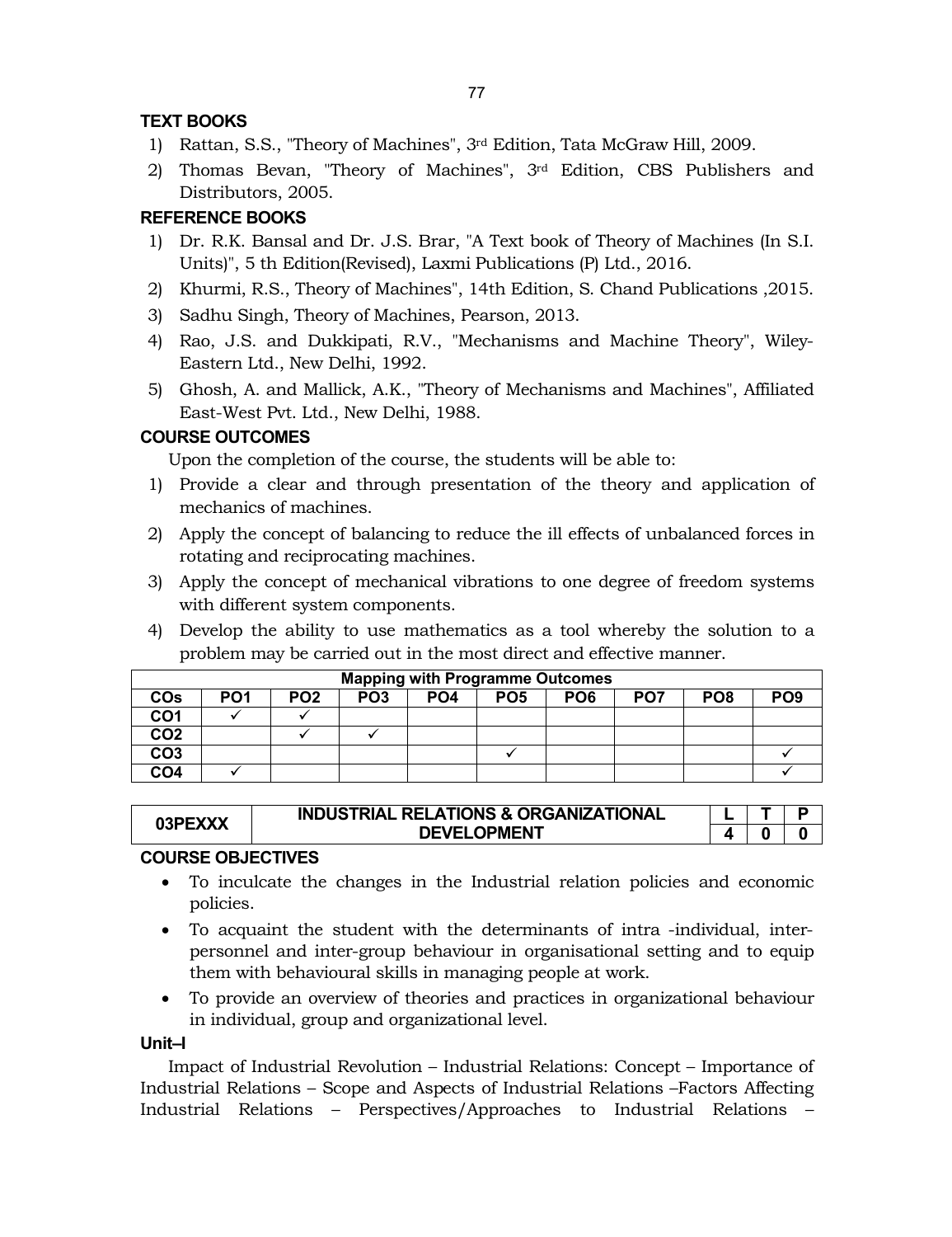# **TEXT BOOKS**

- 1) Rattan, S.S., "Theory of Machines", 3rd Edition, Tata McGraw Hill, 2009.
- 2) Thomas Bevan, "Theory of Machines", 3rd Edition, CBS Publishers and Distributors, 2005.

# **REFERENCE BOOKS**

- 1) Dr. R.K. Bansal and Dr. J.S. Brar, "A Text book of Theory of Machines (In S.I. Units)", 5 th Edition(Revised), Laxmi Publications (P) Ltd., 2016.
- 2) Khurmi, R.S., Theory of Machines", 14th Edition, S. Chand Publications ,2015.
- 3) Sadhu Singh, Theory of Machines, Pearson, 2013.
- 4) Rao, J.S. and Dukkipati, R.V., "Mechanisms and Machine Theory", Wiley-Eastern Ltd., New Delhi, 1992.
- 5) Ghosh, A. and Mallick, A.K., "Theory of Mechanisms and Machines", Affiliated East-West Pvt. Ltd., New Delhi, 1988.

# **COURSE OUTCOMES**

Upon the completion of the course, the students will be able to:

- 1) Provide a clear and through presentation of the theory and application of mechanics of machines.
- 2) Apply the concept of balancing to reduce the ill effects of unbalanced forces in rotating and reciprocating machines.
- 3) Apply the concept of mechanical vibrations to one degree of freedom systems with different system components.
- 4) Develop the ability to use mathematics as a tool whereby the solution to a problem may be carried out in the most direct and effective manner.

|                 | <b>Mapping with Programme Outcomes</b> |                 |                 |                 |                 |                 |                 |                 |                 |  |  |  |
|-----------------|----------------------------------------|-----------------|-----------------|-----------------|-----------------|-----------------|-----------------|-----------------|-----------------|--|--|--|
| <b>COs</b>      | PO <sub>1</sub>                        | PO <sub>2</sub> | PO <sub>3</sub> | PO <sub>4</sub> | PO <sub>5</sub> | PO <sub>6</sub> | PO <sub>7</sub> | PO <sub>8</sub> | PO <sub>9</sub> |  |  |  |
| CO <sub>1</sub> |                                        |                 |                 |                 |                 |                 |                 |                 |                 |  |  |  |
| CO <sub>2</sub> |                                        |                 |                 |                 |                 |                 |                 |                 |                 |  |  |  |
| CO <sub>3</sub> |                                        |                 |                 |                 |                 |                 |                 |                 |                 |  |  |  |
| CO <sub>4</sub> |                                        |                 |                 |                 |                 |                 |                 |                 |                 |  |  |  |

| 03PEXXX | <b>INDUSTRIAL RELATIONS &amp; ORGANIZATIONAL</b> |  |  |
|---------|--------------------------------------------------|--|--|
|         | <b>DEVELOPMENT</b>                               |  |  |

# **COURSE OBJECTIVES**

- To inculcate the changes in the Industrial relation policies and economic policies.
- To acquaint the student with the determinants of intra -individual, interpersonnel and inter-group behaviour in organisational setting and to equip them with behavioural skills in managing people at work.
- To provide an overview of theories and practices in organizational behaviour in individual, group and organizational level.

#### **Unit–I**

Impact of Industrial Revolution – Industrial Relations: Concept – Importance of Industrial Relations – Scope and Aspects of Industrial Relations –Factors Affecting Industrial Relations – Perspectives/Approaches to Industrial Relations –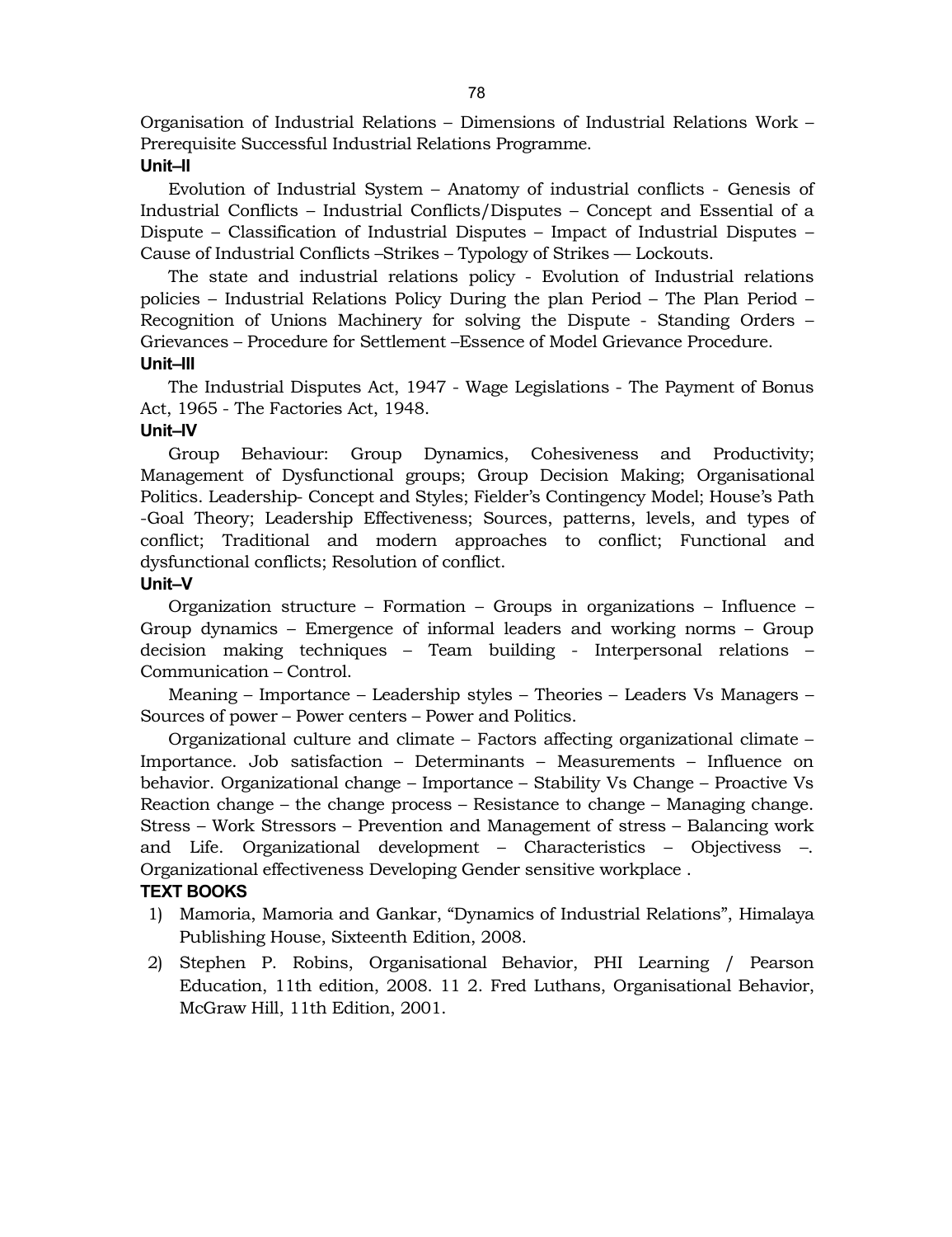Organisation of Industrial Relations – Dimensions of Industrial Relations Work – Prerequisite Successful Industrial Relations Programme.

#### **Unit–II**

Evolution of Industrial System – Anatomy of industrial conflicts - Genesis of Industrial Conflicts – Industrial Conflicts/Disputes – Concept and Essential of a Dispute – Classification of Industrial Disputes – Impact of Industrial Disputes – Cause of Industrial Conflicts –Strikes – Typology of Strikes –– Lockouts.

The state and industrial relations policy - Evolution of Industrial relations policies – Industrial Relations Policy During the plan Period – The Plan Period – Recognition of Unions Machinery for solving the Dispute - Standing Orders – Grievances – Procedure for Settlement –Essence of Model Grievance Procedure. **Unit–III**

The Industrial Disputes Act, 1947 - Wage Legislations - The Payment of Bonus Act, 1965 - The Factories Act, 1948.

# **Unit–IV**

Group Behaviour: Group Dynamics, Cohesiveness and Productivity; Management of Dysfunctional groups; Group Decision Making; Organisational Politics. Leadership- Concept and Styles; Fielder's Contingency Model; House's Path -Goal Theory; Leadership Effectiveness; Sources, patterns, levels, and types of conflict; Traditional and modern approaches to conflict; Functional and dysfunctional conflicts; Resolution of conflict.

#### **Unit–V**

Organization structure – Formation – Groups in organizations – Influence – Group dynamics – Emergence of informal leaders and working norms – Group decision making techniques – Team building - Interpersonal relations – Communication – Control.

Meaning – Importance – Leadership styles – Theories – Leaders Vs Managers – Sources of power – Power centers – Power and Politics.

Organizational culture and climate – Factors affecting organizational climate – Importance. Job satisfaction – Determinants – Measurements – Influence on behavior. Organizational change – Importance – Stability Vs Change – Proactive Vs Reaction change – the change process – Resistance to change – Managing change. Stress – Work Stressors – Prevention and Management of stress – Balancing work and Life. Organizational development – Characteristics – Objectivess –. Organizational effectiveness Developing Gender sensitive workplace .

# **TEXT BOOKS**

- 1) Mamoria, Mamoria and Gankar, "Dynamics of Industrial Relations", Himalaya Publishing House, Sixteenth Edition, 2008.
- 2) Stephen P. Robins, Organisational Behavior, PHI Learning / Pearson Education, 11th edition, 2008. 11 2. Fred Luthans, Organisational Behavior, McGraw Hill, 11th Edition, 2001.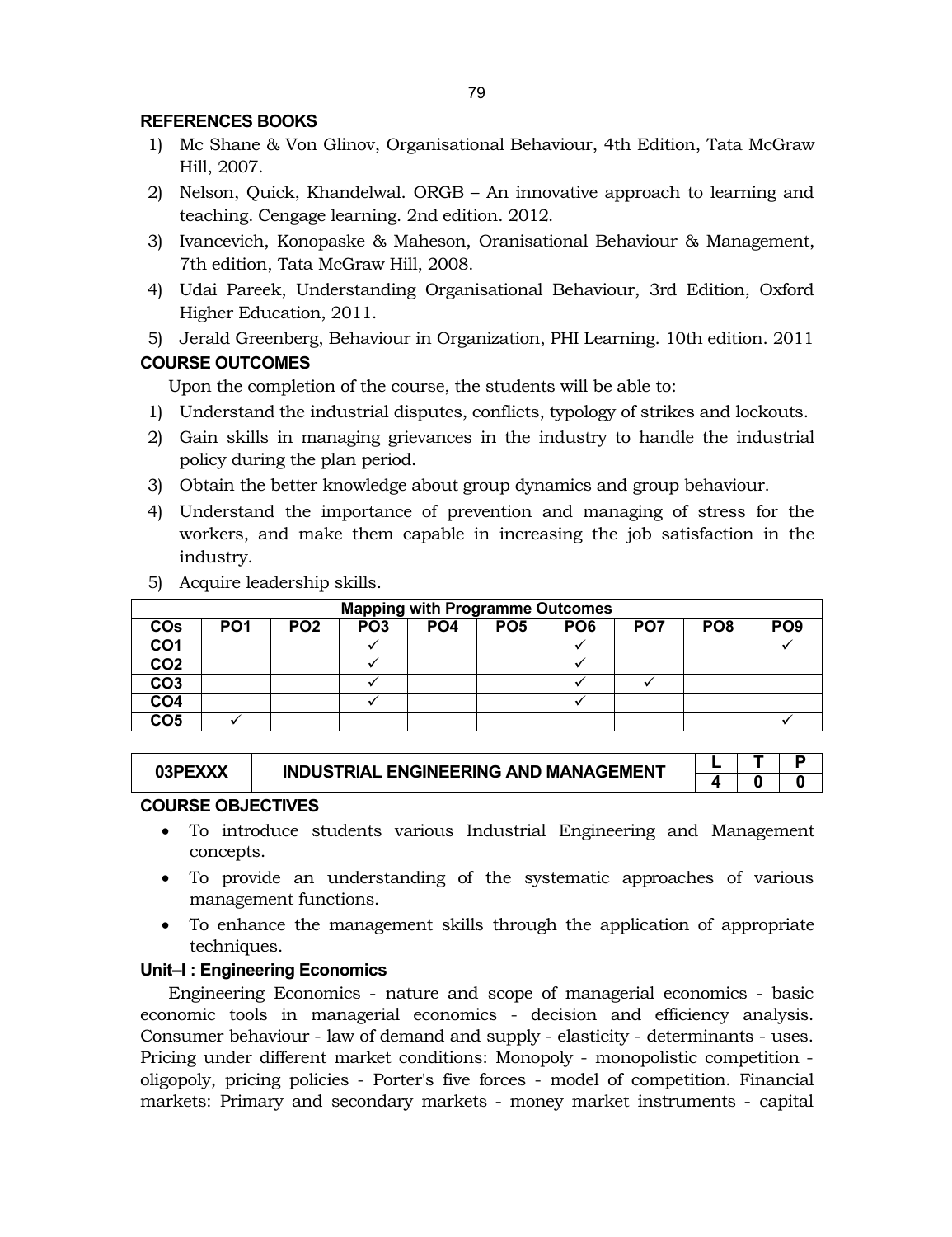# **REFERENCES BOOKS**

- 1) Mc Shane & Von Glinov, Organisational Behaviour, 4th Edition, Tata McGraw Hill, 2007.
- 2) Nelson, Quick, Khandelwal. ORGB An innovative approach to learning and teaching. Cengage learning. 2nd edition. 2012.
- 3) Ivancevich, Konopaske & Maheson, Oranisational Behaviour & Management, 7th edition, Tata McGraw Hill, 2008.
- 4) Udai Pareek, Understanding Organisational Behaviour, 3rd Edition, Oxford Higher Education, 2011.
- 5) Jerald Greenberg, Behaviour in Organization, PHI Learning. 10th edition. 2011 **COURSE OUTCOMES**

Upon the completion of the course, the students will be able to:

- 1) Understand the industrial disputes, conflicts, typology of strikes and lockouts.
- 2) Gain skills in managing grievances in the industry to handle the industrial policy during the plan period.
- 3) Obtain the better knowledge about group dynamics and group behaviour.
- 4) Understand the importance of prevention and managing of stress for the workers, and make them capable in increasing the job satisfaction in the industry.

|                 | <b>Mapping with Programme Outcomes</b> |                 |                 |                 |                 |                 |                 |                 |                 |  |  |  |
|-----------------|----------------------------------------|-----------------|-----------------|-----------------|-----------------|-----------------|-----------------|-----------------|-----------------|--|--|--|
| <b>COs</b>      | PO <sub>1</sub>                        | PO <sub>2</sub> | PO <sub>3</sub> | PO <sub>4</sub> | PO <sub>5</sub> | PO <sub>6</sub> | PO <sub>7</sub> | PO <sub>8</sub> | PO <sub>9</sub> |  |  |  |
| CO <sub>1</sub> |                                        |                 |                 |                 |                 |                 |                 |                 |                 |  |  |  |
| CO <sub>2</sub> |                                        |                 |                 |                 |                 |                 |                 |                 |                 |  |  |  |
| CO <sub>3</sub> |                                        |                 |                 |                 |                 |                 |                 |                 |                 |  |  |  |
| CO <sub>4</sub> |                                        |                 |                 |                 |                 |                 |                 |                 |                 |  |  |  |
| CO <sub>5</sub> |                                        |                 |                 |                 |                 |                 |                 |                 |                 |  |  |  |

5) Acquire leadership skills.

# 03PEXXX **I** INDUSTRIAL ENGINEERING AND MANAGEMENT  $\begin{array}{|c|c|c|c|c|}\n\hline\n\text{L} & \text{T} & \text{P} \\
\hline\n\text{L} & \text{O} & \text{O}\n\end{array}$

**4 0 0**

#### **COURSE OBJECTIVES**

- To introduce students various Industrial Engineering and Management concepts.
- To provide an understanding of the systematic approaches of various management functions.
- To enhance the management skills through the application of appropriate techniques.

#### **Unit–I : Engineering Economics**

Engineering Economics - nature and scope of managerial economics - basic economic tools in managerial economics - decision and efficiency analysis. Consumer behaviour - law of demand and supply - elasticity - determinants - uses. Pricing under different market conditions: Monopoly - monopolistic competition oligopoly, pricing policies - Porter's five forces - model of competition. Financial markets: Primary and secondary markets - money market instruments - capital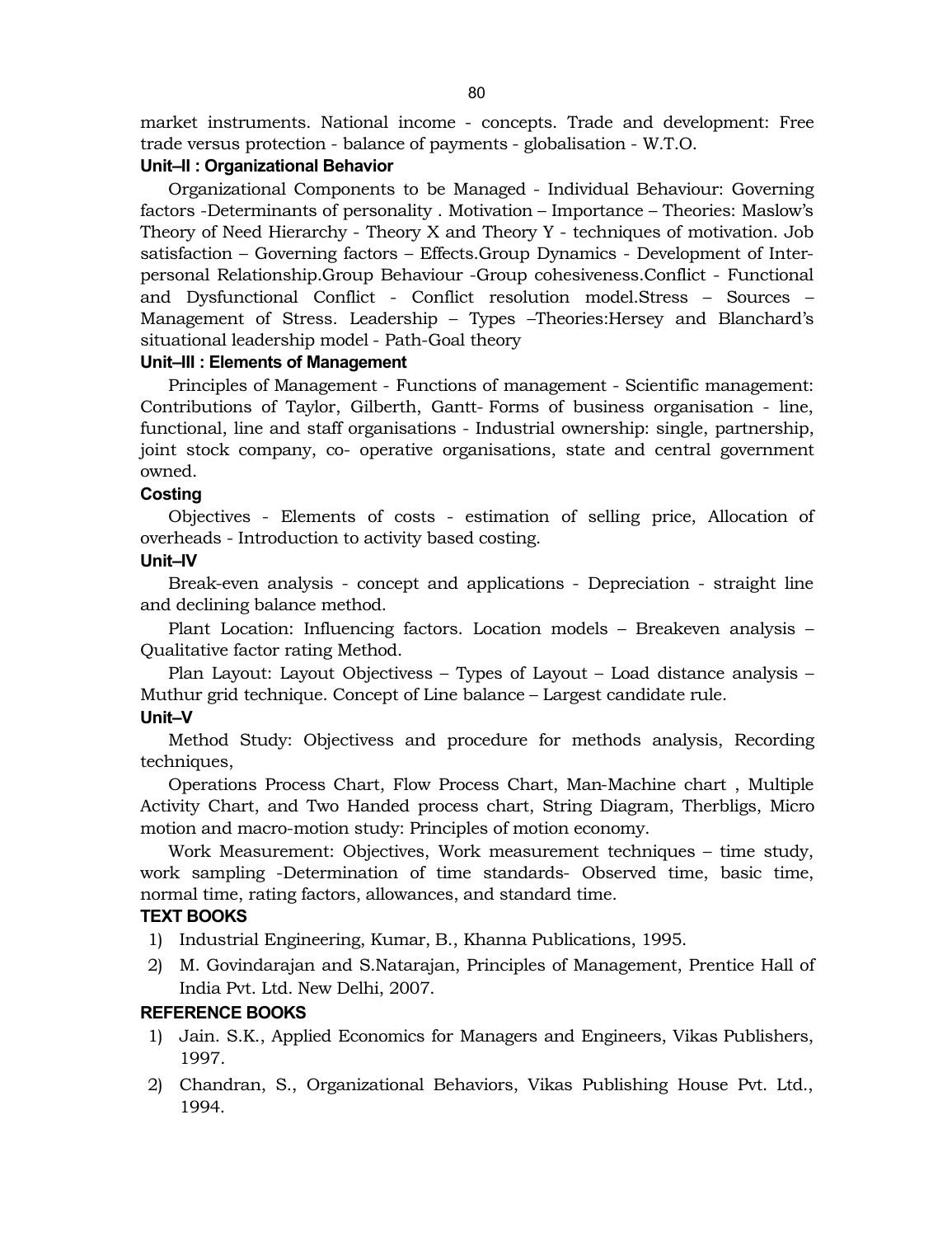market instruments. National income - concepts. Trade and development: Free

trade versus protection - balance of payments - globalisation - W.T.O.

#### **Unit–II : Organizational Behavior**

Organizational Components to be Managed - Individual Behaviour: Governing factors -Determinants of personality . Motivation – Importance – Theories: Maslow's Theory of Need Hierarchy - Theory X and Theory Y - techniques of motivation. Job satisfaction – Governing factors – Effects.Group Dynamics - Development of Interpersonal Relationship.Group Behaviour -Group cohesiveness.Conflict - Functional and Dysfunctional Conflict - Conflict resolution model.Stress – Sources – Management of Stress. Leadership – Types –Theories:Hersey and Blanchard's situational leadership model - Path-Goal theory

#### **Unit–III : Elements of Management**

Principles of Management - Functions of management - Scientific management: Contributions of Taylor, Gilberth, Gantt- Forms of business organisation - line, functional, line and staff organisations - Industrial ownership: single, partnership, joint stock company, co- operative organisations, state and central government owned.

#### **Costing**

Objectives - Elements of costs - estimation of selling price, Allocation of overheads - Introduction to activity based costing.

#### **Unit–IV**

Break-even analysis - concept and applications - Depreciation - straight line and declining balance method.

Plant Location: Influencing factors. Location models – Breakeven analysis – Qualitative factor rating Method.

Plan Layout: Layout Objectivess – Types of Layout – Load distance analysis – Muthur grid technique. Concept of Line balance – Largest candidate rule. **Unit–V**

Method Study: Objectivess and procedure for methods analysis, Recording techniques,

Operations Process Chart, Flow Process Chart, Man-Machine chart , Multiple Activity Chart, and Two Handed process chart, String Diagram, Therbligs, Micro motion and macro-motion study: Principles of motion economy.

Work Measurement: Objectives, Work measurement techniques – time study, work sampling -Determination of time standards- Observed time, basic time, normal time, rating factors, allowances, and standard time.

#### **TEXT BOOKS**

- 1) Industrial Engineering, Kumar, B., Khanna Publications, 1995.
- 2) M. Govindarajan and S.Natarajan, Principles of Management, Prentice Hall of India Pvt. Ltd. New Delhi, 2007.

#### **REFERENCE BOOKS**

- 1) Jain. S.K., Applied Economics for Managers and Engineers, Vikas Publishers, 1997.
- 2) Chandran, S., Organizational Behaviors, Vikas Publishing House Pvt. Ltd., 1994.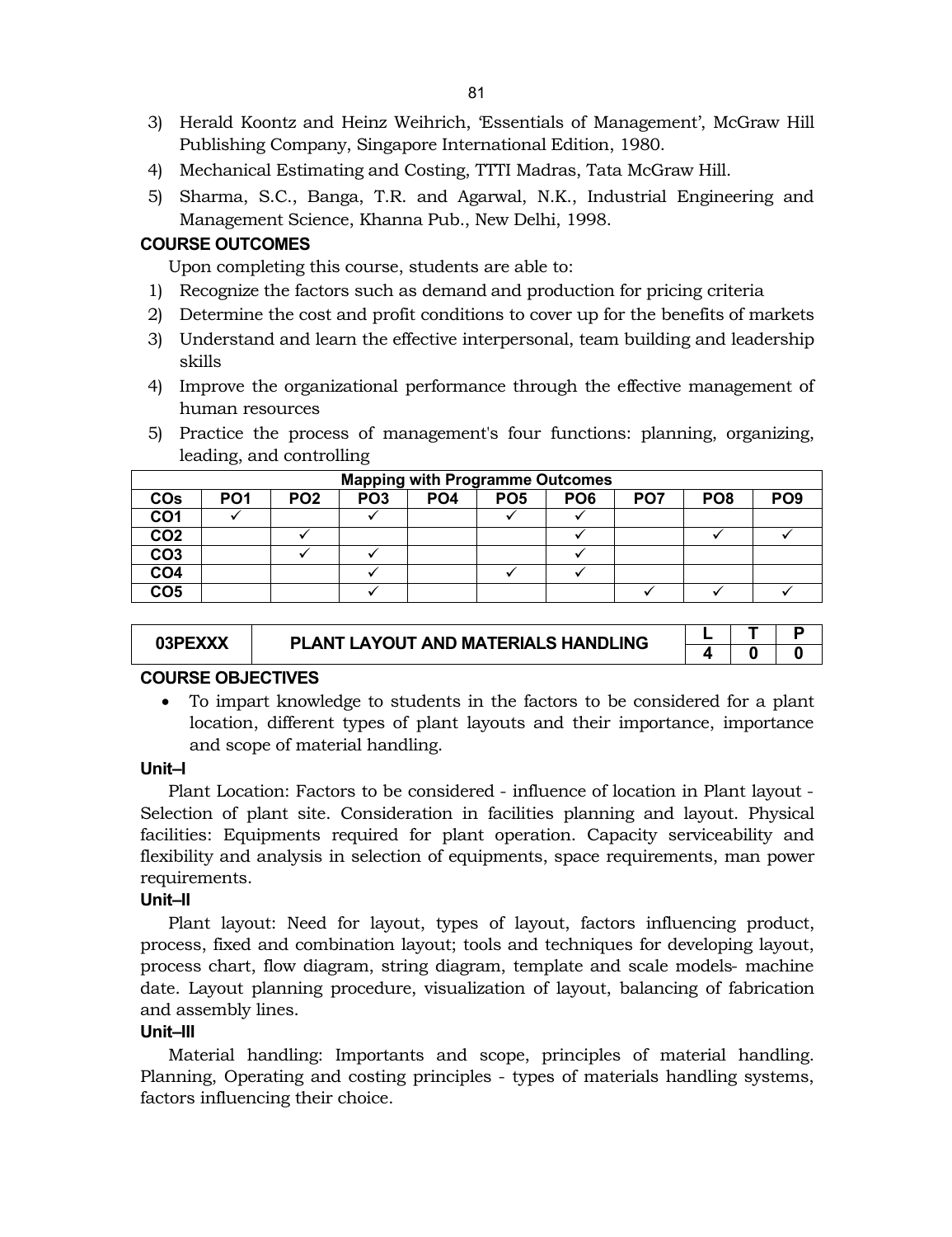- 3) Herald Koontz and Heinz Weihrich, 'Essentials of Management', McGraw Hill Publishing Company, Singapore International Edition, 1980.
- 4) Mechanical Estimating and Costing, TTTI Madras, Tata McGraw Hill.
- 5) Sharma, S.C., Banga, T.R. and Agarwal, N.K., Industrial Engineering and Management Science, Khanna Pub., New Delhi, 1998.

# **COURSE OUTCOMES**

Upon completing this course, students are able to:

- 1) Recognize the factors such as demand and production for pricing criteria
- 2) Determine the cost and profit conditions to cover up for the benefits of markets
- 3) Understand and learn the effective interpersonal, team building and leadership skills
- 4) Improve the organizational performance through the effective management of human resources
- 5) Practice the process of management's four functions: planning, organizing, leading, and controlling

|                 | <b>Mapping with Programme Outcomes</b> |                 |                 |                 |                 |                 |                 |                 |                 |  |  |  |
|-----------------|----------------------------------------|-----------------|-----------------|-----------------|-----------------|-----------------|-----------------|-----------------|-----------------|--|--|--|
| COs             | PO <sub>1</sub>                        | PO <sub>2</sub> | PO <sub>3</sub> | PO <sub>4</sub> | PO <sub>5</sub> | PO <sub>6</sub> | PO <sub>7</sub> | PO <sub>8</sub> | PO <sub>9</sub> |  |  |  |
| CO <sub>1</sub> |                                        |                 |                 |                 |                 |                 |                 |                 |                 |  |  |  |
| CO <sub>2</sub> |                                        |                 |                 |                 |                 |                 |                 |                 |                 |  |  |  |
| CO <sub>3</sub> |                                        |                 |                 |                 |                 |                 |                 |                 |                 |  |  |  |
| CO <sub>4</sub> |                                        |                 |                 |                 |                 |                 |                 |                 |                 |  |  |  |
| CO <sub>5</sub> |                                        |                 |                 |                 |                 |                 |                 |                 |                 |  |  |  |

#### **Mapping with Programme Outcomes**

| 03PEXXX |
|---------|
|         |

# **DEANT LAYOUT AND MATERIALS HANDLING**  $\begin{array}{|c|c|c|c|c|}\n\hline\n\textbf{L} & \textbf{T} & \textbf{P} \\
\hline\n\textbf{A} & \textbf{0} & \textbf{0}\n\end{array}$

**4 0 0**

# **COURSE OBJECTIVES**

 To impart knowledge to students in the factors to be considered for a plant location, different types of plant layouts and their importance, importance and scope of material handling.

#### **Unit–I**

Plant Location: Factors to be considered - influence of location in Plant layout - Selection of plant site. Consideration in facilities planning and layout. Physical facilities: Equipments required for plant operation. Capacity serviceability and flexibility and analysis in selection of equipments, space requirements, man power requirements.

#### **Unit–II**

Plant layout: Need for layout, types of layout, factors influencing product, process, fixed and combination layout; tools and techniques for developing layout, process chart, flow diagram, string diagram, template and scale models- machine date. Layout planning procedure, visualization of layout, balancing of fabrication and assembly lines.

#### **Unit–III**

Material handling: Importants and scope, principles of material handling. Planning, Operating and costing principles - types of materials handling systems, factors influencing their choice.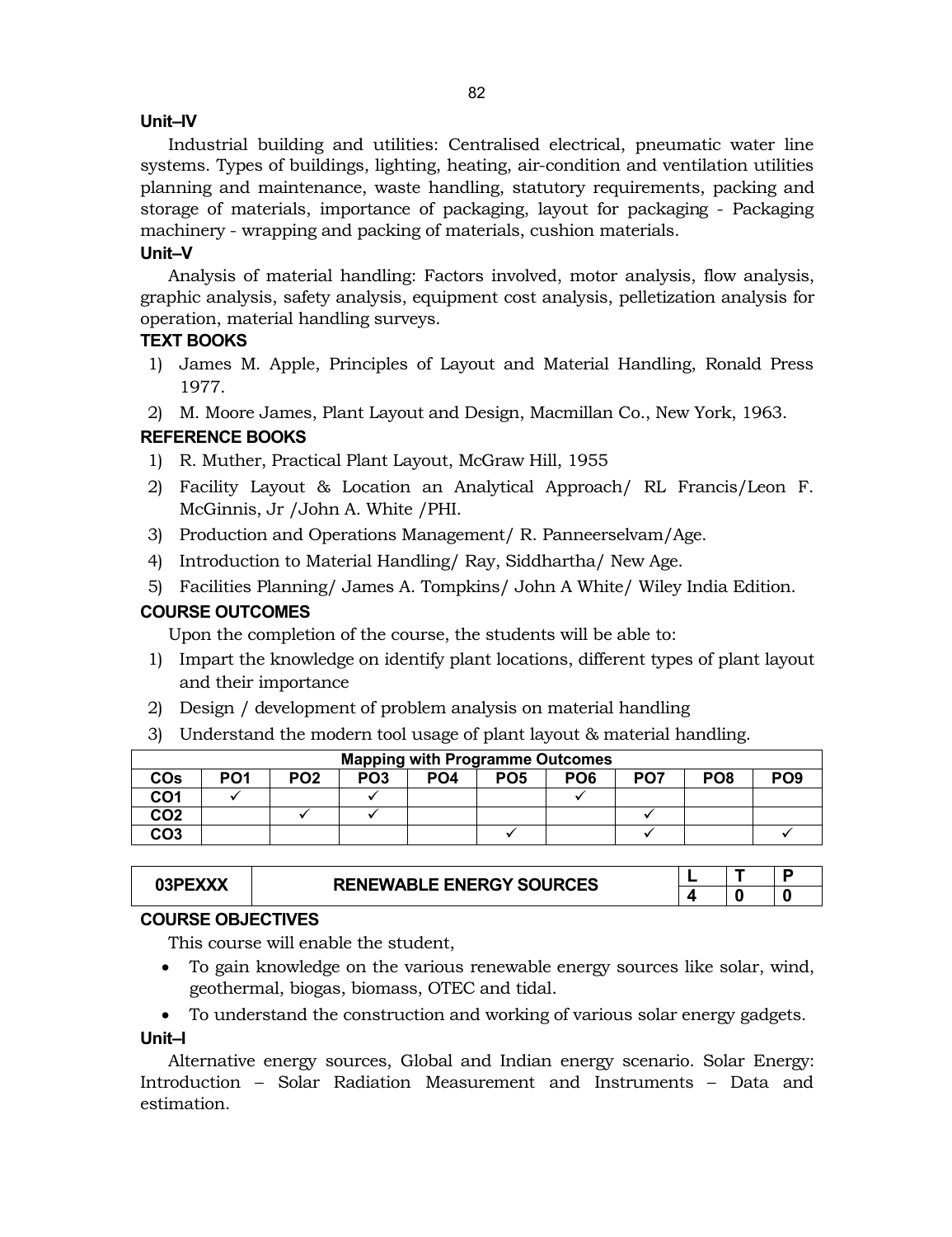## **Unit–IV**

Industrial building and utilities: Centralised electrical, pneumatic water line systems. Types of buildings, lighting, heating, air-condition and ventilation utilities planning and maintenance, waste handling, statutory requirements, packing and storage of materials, importance of packaging, layout for packaging - Packaging machinery - wrapping and packing of materials, cushion materials.

# **Unit–V**

Analysis of material handling: Factors involved, motor analysis, flow analysis, graphic analysis, safety analysis, equipment cost analysis, pelletization analysis for operation, material handling surveys.

# **TEXT BOOKS**

1) James M. Apple, Principles of Layout and Material Handling, Ronald Press 1977.

2) M. Moore James, Plant Layout and Design, Macmillan Co., New York, 1963.

# **REFERENCE BOOKS**

- 1) R. Muther, Practical Plant Layout, McGraw Hill, 1955
- 2) Facility Layout & Location an Analytical Approach/ RL Francis/Leon F. McGinnis, Jr /John A. White /PHI.
- 3) Production and Operations Management/ R. Panneerselvam/Age.
- 4) Introduction to Material Handling/ Ray, Siddhartha/ New Age.
- 5) Facilities Planning/ James A. Tompkins/ John A White/ Wiley India Edition.

# **COURSE OUTCOMES**

Upon the completion of the course, the students will be able to:

- 1) Impart the knowledge on identify plant locations, different types of plant layout and their importance
- 2) Design / development of problem analysis on material handling
- 3) Understand the modern tool usage of plant layout & material handling.

|                 | <b>Mapping with Programme Outcomes</b> |                 |                 |                 |                 |                 |                 |                 |                 |  |  |  |
|-----------------|----------------------------------------|-----------------|-----------------|-----------------|-----------------|-----------------|-----------------|-----------------|-----------------|--|--|--|
| COs             | PO <sub>1</sub>                        | PO <sub>2</sub> | PO <sub>3</sub> | PO <sub>4</sub> | PO <sub>5</sub> | PO <sub>6</sub> | PO <sub>7</sub> | PO <sub>8</sub> | PO <sub>9</sub> |  |  |  |
| CO1             |                                        |                 |                 |                 |                 |                 |                 |                 |                 |  |  |  |
| CO2             |                                        |                 |                 |                 |                 |                 |                 |                 |                 |  |  |  |
| CO <sub>3</sub> |                                        |                 |                 |                 |                 |                 |                 |                 |                 |  |  |  |

|  | <b>RENEWABLE ENERGY SOURCES</b> |  |  |
|--|---------------------------------|--|--|
|  |                                 |  |  |
|  |                                 |  |  |

# **COURSE OBJECTIVES**

This course will enable the student,

- To gain knowledge on the various renewable energy sources like solar, wind, geothermal, biogas, biomass, OTEC and tidal.
- To understand the construction and working of various solar energy gadgets.

# **Unit–I**

Alternative energy sources, Global and Indian energy scenario. Solar Energy: Introduction – Solar Radiation Measurement and Instruments – Data and estimation.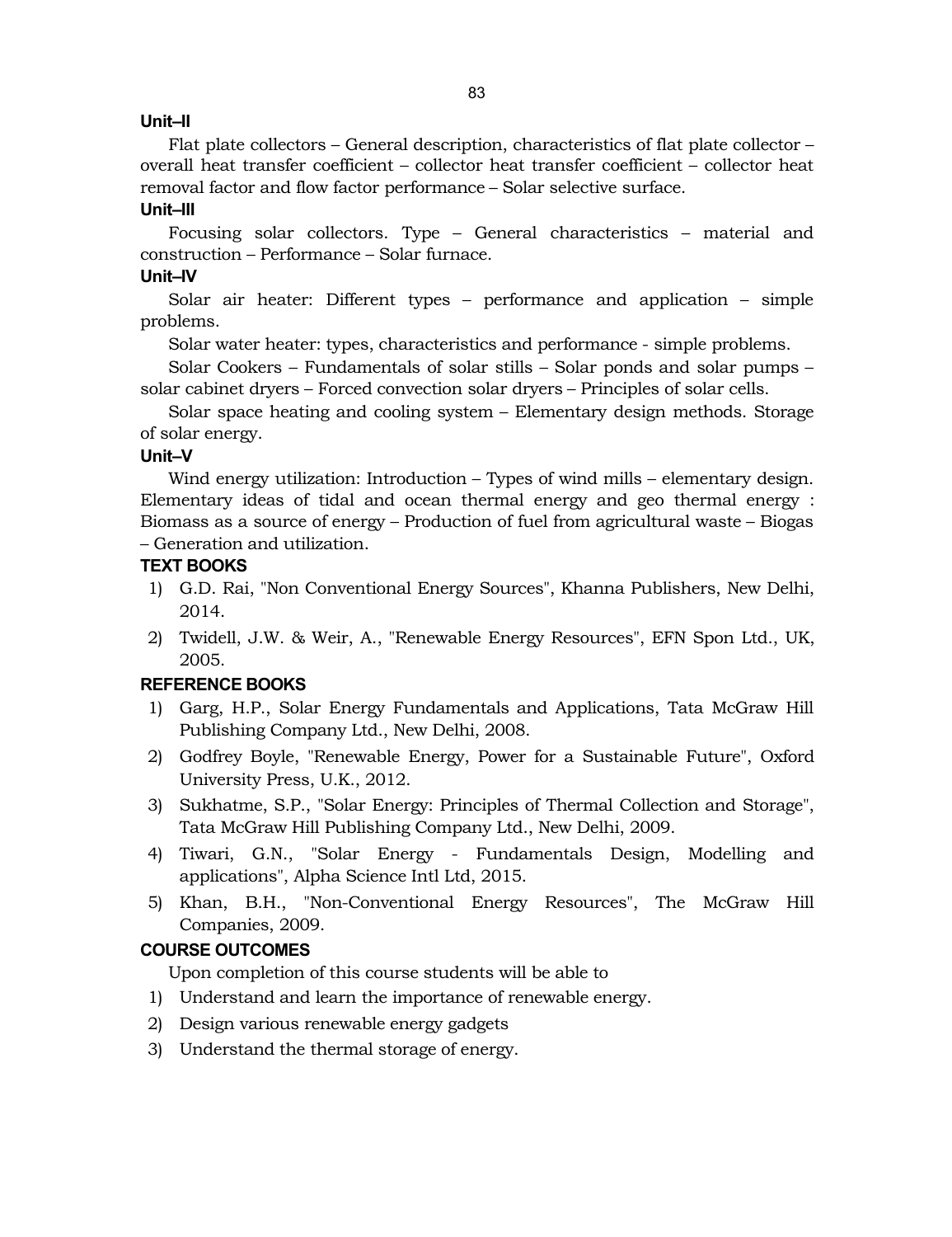# **Unit–II**

Flat plate collectors – General description, characteristics of flat plate collector – overall heat transfer coefficient – collector heat transfer coefficient – collector heat removal factor and flow factor performance – Solar selective surface.

## **Unit–III**

Focusing solar collectors. Type – General characteristics – material and construction – Performance – Solar furnace.

# **Unit–IV**

Solar air heater: Different types – performance and application – simple problems.

Solar water heater: types, characteristics and performance - simple problems.

Solar Cookers – Fundamentals of solar stills – Solar ponds and solar pumps – solar cabinet dryers – Forced convection solar dryers – Principles of solar cells.

Solar space heating and cooling system – Elementary design methods. Storage of solar energy.

#### **Unit–V**

Wind energy utilization: Introduction – Types of wind mills – elementary design. Elementary ideas of tidal and ocean thermal energy and geo thermal energy : Biomass as a source of energy – Production of fuel from agricultural waste – Biogas – Generation and utilization.

## **TEXT BOOKS**

- 1) G.D. Rai, "Non Conventional Energy Sources", Khanna Publishers, New Delhi, 2014.
- 2) Twidell, J.W. & Weir, A., "Renewable Energy Resources", EFN Spon Ltd., UK, 2005.

# **REFERENCE BOOKS**

- 1) Garg, H.P., Solar Energy Fundamentals and Applications, Tata McGraw Hill Publishing Company Ltd., New Delhi, 2008.
- 2) Godfrey Boyle, "Renewable Energy, Power for a Sustainable Future", Oxford University Press, U.K., 2012.
- 3) Sukhatme, S.P., "Solar Energy: Principles of Thermal Collection and Storage", Tata McGraw Hill Publishing Company Ltd., New Delhi, 2009.
- 4) Tiwari, G.N., "Solar Energy Fundamentals Design, Modelling and applications", Alpha Science Intl Ltd, 2015.
- 5) Khan, B.H., "Non-Conventional Energy Resources", The McGraw Hill Companies, 2009.

# **COURSE OUTCOMES**

Upon completion of this course students will be able to

- 1) Understand and learn the importance of renewable energy.
- 2) Design various renewable energy gadgets
- 3) Understand the thermal storage of energy.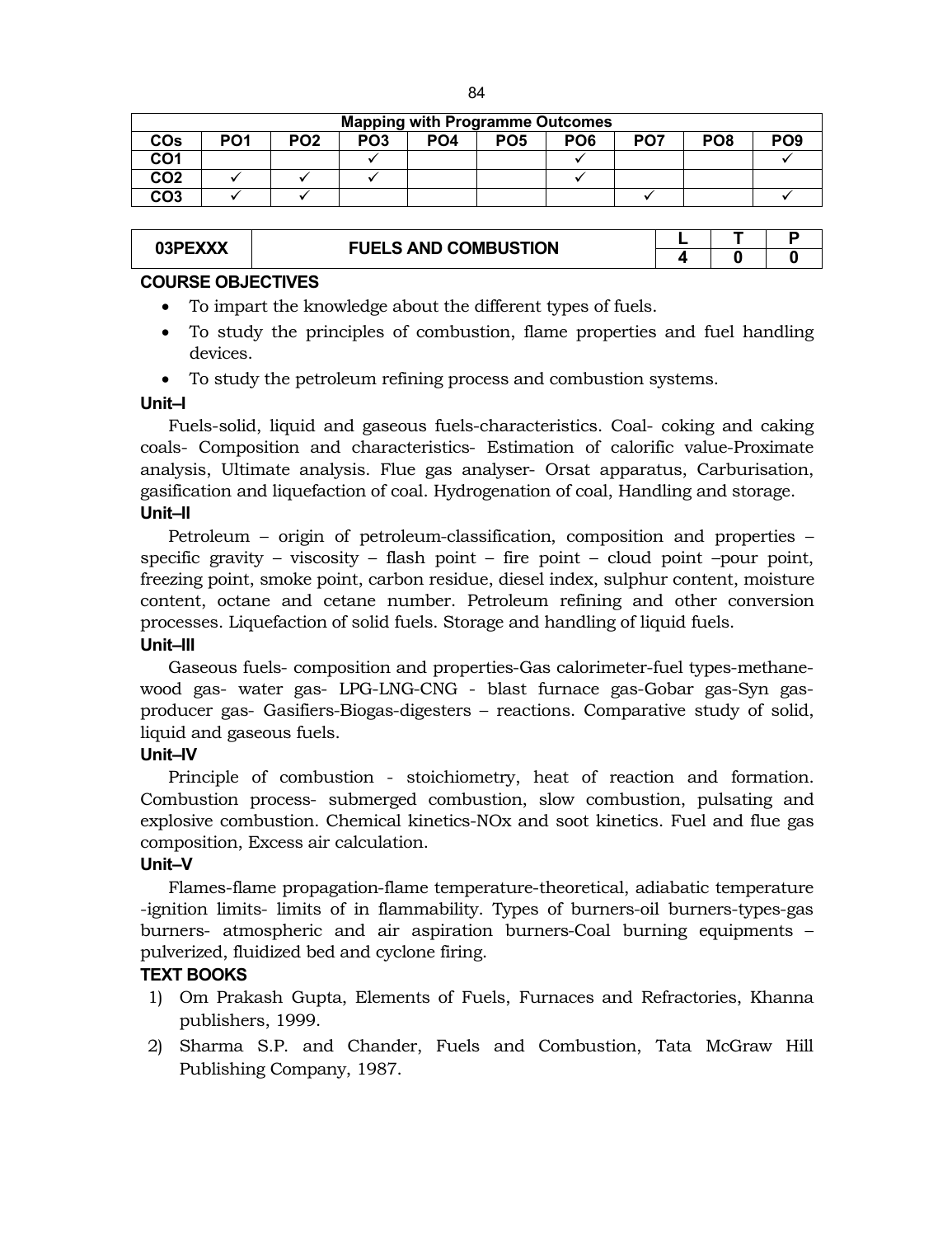|                 | <b>Mapping with Programme Outcomes</b> |                 |                 |                 |                 |                 |                 |                 |                 |  |  |  |  |
|-----------------|----------------------------------------|-----------------|-----------------|-----------------|-----------------|-----------------|-----------------|-----------------|-----------------|--|--|--|--|
| COs             | PO1                                    | PO <sub>2</sub> | PO <sub>3</sub> | PO <sub>4</sub> | PO <sub>5</sub> | PO <sub>6</sub> | PO <sub>7</sub> | PO <sub>8</sub> | PO <sub>9</sub> |  |  |  |  |
| CO1             |                                        |                 |                 |                 |                 |                 |                 |                 |                 |  |  |  |  |
| CO <sub>2</sub> |                                        |                 |                 |                 |                 |                 |                 |                 |                 |  |  |  |  |
| CO <sub>3</sub> |                                        |                 |                 |                 |                 |                 |                 |                 |                 |  |  |  |  |

|  | <b>FUELS AND COMBUSTION</b> | n |  |
|--|-----------------------------|---|--|

## **COURSE OBJECTIVES**

- To impart the knowledge about the different types of fuels.
- To study the principles of combustion, flame properties and fuel handling devices.
- To study the petroleum refining process and combustion systems.

#### **Unit–I**

Fuels-solid, liquid and gaseous fuels-characteristics. Coal- coking and caking coals- Composition and characteristics- Estimation of calorific value-Proximate analysis, Ultimate analysis. Flue gas analyser- Orsat apparatus, Carburisation, gasification and liquefaction of coal. Hydrogenation of coal, Handling and storage. **Unit–II**

Petroleum – origin of petroleum-classification, composition and properties – specific gravity – viscosity – flash point – fire point – cloud point – pour point, freezing point, smoke point, carbon residue, diesel index, sulphur content, moisture content, octane and cetane number. Petroleum refining and other conversion processes. Liquefaction of solid fuels. Storage and handling of liquid fuels.

# **Unit–III**

Gaseous fuels- composition and properties-Gas calorimeter-fuel types-methanewood gas- water gas- LPG-LNG-CNG - blast furnace gas-Gobar gas-Syn gasproducer gas- Gasifiers-Biogas-digesters – reactions. Comparative study of solid, liquid and gaseous fuels.

#### **Unit–IV**

Principle of combustion - stoichiometry, heat of reaction and formation. Combustion process- submerged combustion, slow combustion, pulsating and explosive combustion. Chemical kinetics-NOx and soot kinetics. Fuel and flue gas composition, Excess air calculation.

#### **Unit–V**

Flames-flame propagation-flame temperature-theoretical, adiabatic temperature -ignition limits- limits of in flammability. Types of burners-oil burners-types-gas burners- atmospheric and air aspiration burners-Coal burning equipments – pulverized, fluidized bed and cyclone firing.

# **TEXT BOOKS**

- 1) Om Prakash Gupta, Elements of Fuels, Furnaces and Refractories, Khanna publishers, 1999.
- 2) Sharma S.P. and Chander, Fuels and Combustion, Tata McGraw Hill Publishing Company, 1987.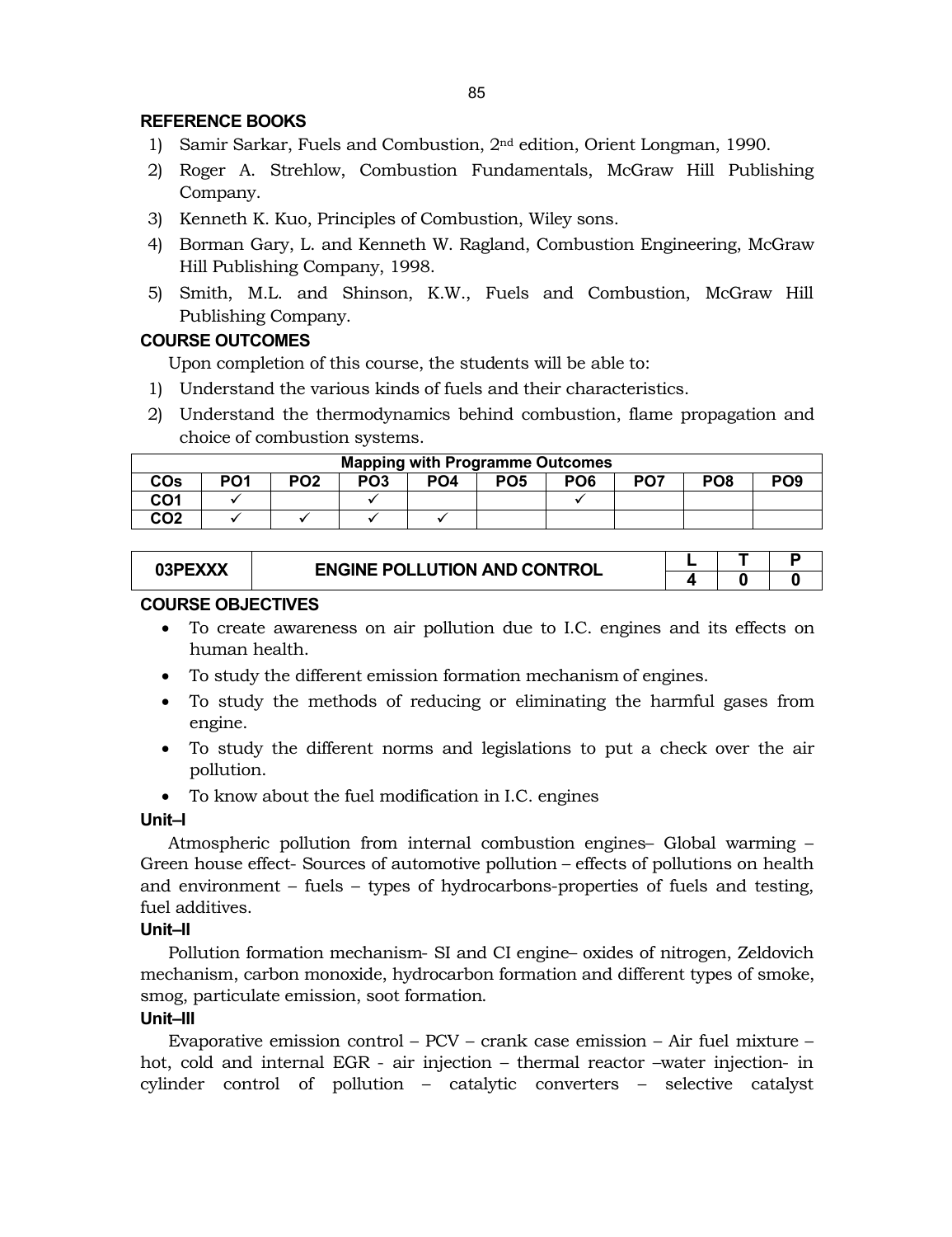# **REFERENCE BOOKS**

- 1) Samir Sarkar, Fuels and Combustion, 2nd edition, Orient Longman, 1990.
- 2) Roger A. Strehlow, Combustion Fundamentals, McGraw Hill Publishing Company.
- 3) Kenneth K. Kuo, Principles of Combustion, Wiley sons.
- 4) Borman Gary, L. and Kenneth W. Ragland, Combustion Engineering, McGraw Hill Publishing Company, 1998.
- 5) Smith, M.L. and Shinson, K.W., Fuels and Combustion, McGraw Hill Publishing Company.

# **COURSE OUTCOMES**

Upon completion of this course, the students will be able to:

- 1) Understand the various kinds of fuels and their characteristics.
- 2) Understand the thermodynamics behind combustion, flame propagation and choice of combustion systems.

| <b>Mapping with Programme Outcomes</b> |                 |                 |                 |                 |                 |                 |                 |                 |                 |  |  |
|----------------------------------------|-----------------|-----------------|-----------------|-----------------|-----------------|-----------------|-----------------|-----------------|-----------------|--|--|
| COs                                    | PO <sub>1</sub> | PO <sub>2</sub> | PO <sub>3</sub> | PO <sub>4</sub> | PO <sub>5</sub> | PO <sub>6</sub> | PO <sub>7</sub> | PO <sub>8</sub> | PO <sub>9</sub> |  |  |
| CO <sub>1</sub>                        |                 |                 |                 |                 |                 |                 |                 |                 |                 |  |  |
| CO2                                    |                 |                 |                 |                 |                 |                 |                 |                 |                 |  |  |

| 03PE) | <b>ENGINE POLLUTION AND CONTROL</b> |  |  |
|-------|-------------------------------------|--|--|
|       |                                     |  |  |
|       |                                     |  |  |

## **COURSE OBJECTIVES**

- To create awareness on air pollution due to I.C. engines and its effects on human health.
- To study the different emission formation mechanism of engines.
- To study the methods of reducing or eliminating the harmful gases from engine.
- To study the different norms and legislations to put a check over the air pollution.
- To know about the fuel modification in I.C. engines

#### **Unit–I**

Atmospheric pollution from internal combustion engines– Global warming – Green house effect- Sources of automotive pollution – effects of pollutions on health and environment – fuels – types of hydrocarbons-properties of fuels and testing, fuel additives.

#### **Unit–II**

Pollution formation mechanism- SI and CI engine– oxides of nitrogen, Zeldovich mechanism, carbon monoxide, hydrocarbon formation and different types of smoke, smog, particulate emission, soot formation.

#### **Unit–III**

Evaporative emission control – PCV – crank case emission – Air fuel mixture – hot, cold and internal EGR - air injection – thermal reactor –water injection- in cylinder control of pollution – catalytic converters – selective catalyst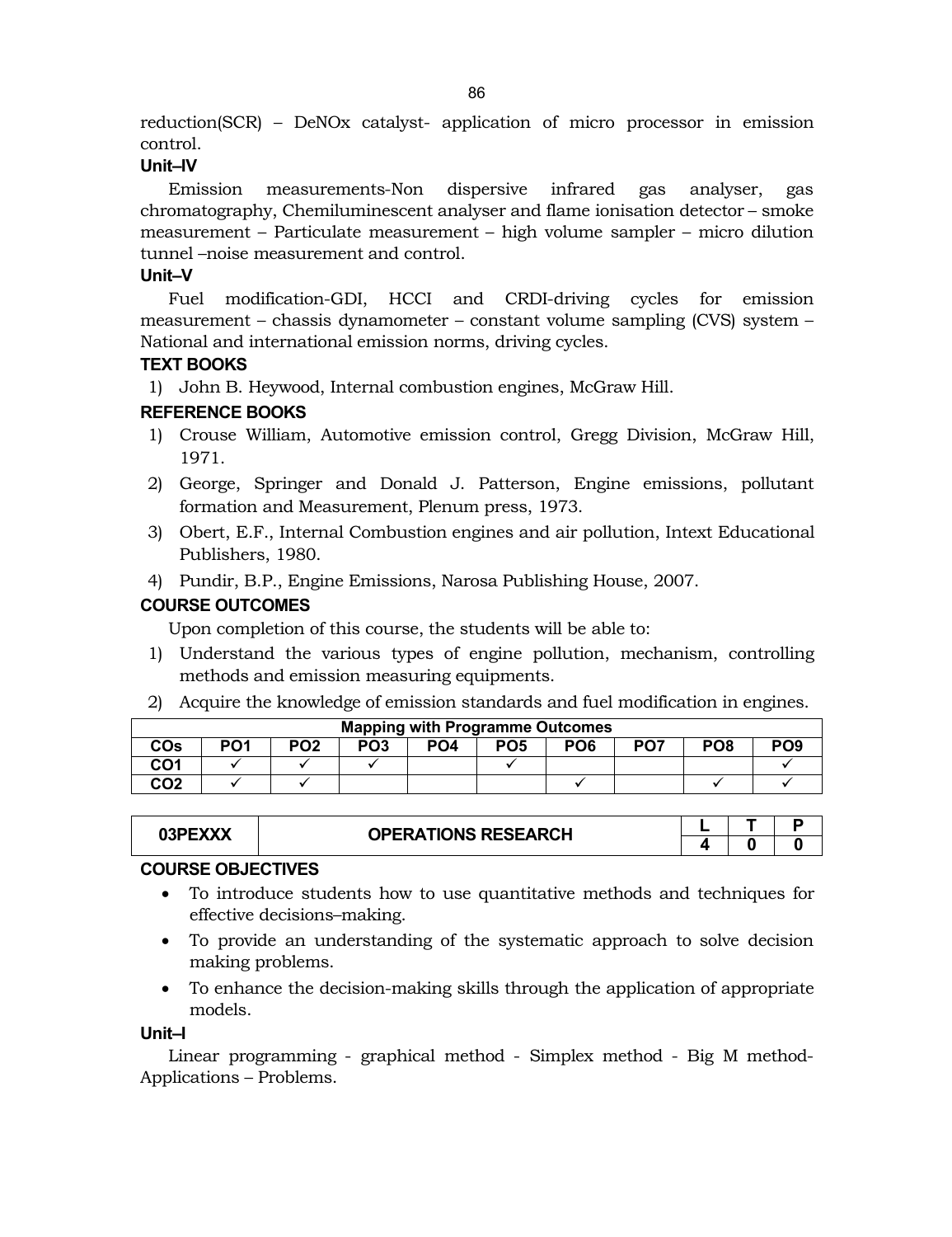reduction(SCR) – DeNOx catalyst- application of micro processor in emission control.

# **Unit–IV**

Emission measurements-Non dispersive infrared gas analyser, gas chromatography, Chemiluminescent analyser and flame ionisation detector – smoke measurement – Particulate measurement – high volume sampler – micro dilution tunnel –noise measurement and control.

# **Unit–V**

Fuel modification-GDI, HCCI and CRDI-driving cycles for emission measurement – chassis dynamometer – constant volume sampling (CVS) system – National and international emission norms, driving cycles.

# **TEXT BOOKS**

1) John B. Heywood, Internal combustion engines, McGraw Hill.

# **REFERENCE BOOKS**

- 1) Crouse William, Automotive emission control, Gregg Division, McGraw Hill, 1971.
- 2) George, Springer and Donald J. Patterson, Engine emissions, pollutant formation and Measurement, Plenum press, 1973.
- 3) Obert, E.F., Internal Combustion engines and air pollution, Intext Educational Publishers, 1980.
- 4) Pundir, B.P., Engine Emissions, Narosa Publishing House, 2007.

# **COURSE OUTCOMES**

Upon completion of this course, the students will be able to:

- 1) Understand the various types of engine pollution, mechanism, controlling methods and emission measuring equipments.
- 2) Acquire the knowledge of emission standards and fuel modification in engines.

| <b>Mapping with Programme Outcomes</b> |     |                 |                 |                 |                 |                 |                 |                 |                 |  |  |
|----------------------------------------|-----|-----------------|-----------------|-----------------|-----------------|-----------------|-----------------|-----------------|-----------------|--|--|
| <b>COs</b>                             | PO1 | PO <sub>2</sub> | PO <sub>3</sub> | PO <sub>4</sub> | PO <sub>5</sub> | PO <sub>6</sub> | PO <sub>7</sub> | PO <sub>8</sub> | PO <sub>9</sub> |  |  |
| CO1                                    |     |                 |                 |                 |                 |                 |                 |                 |                 |  |  |
| CO2                                    |     |                 |                 |                 |                 |                 |                 |                 |                 |  |  |

| ,,,,,,,<br>J3P. | <b>OPERATIONS RESEARCH</b> |  |  |
|-----------------|----------------------------|--|--|
|                 |                            |  |  |

# **COURSE OBJECTIVES**

- To introduce students how to use quantitative methods and techniques for effective decisions–making.
- To provide an understanding of the systematic approach to solve decision making problems.
- To enhance the decision-making skills through the application of appropriate models.

# **Unit–I**

Linear programming - graphical method - Simplex method - Big M method-Applications – Problems.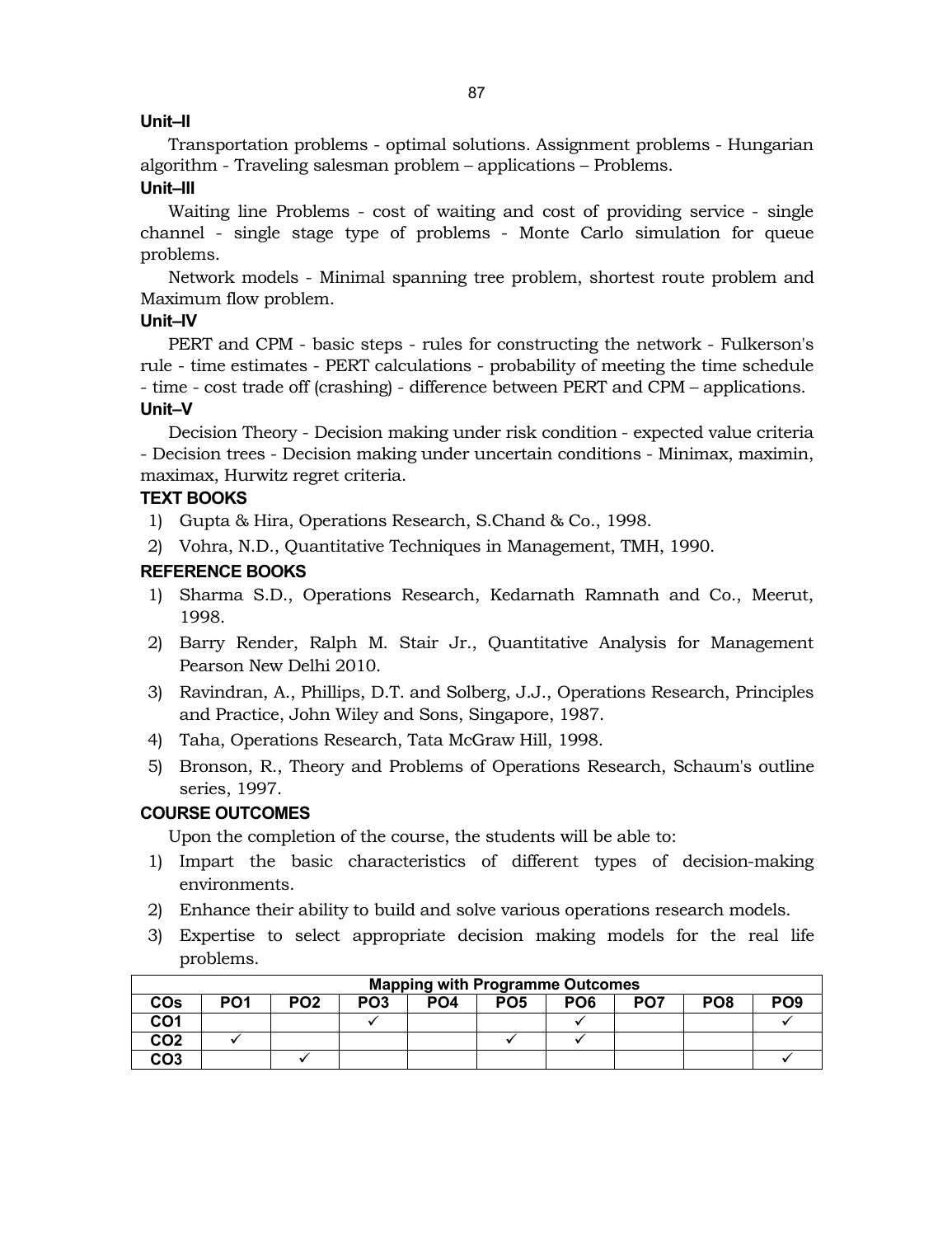# **Unit–II**

Transportation problems - optimal solutions. Assignment problems - Hungarian algorithm - Traveling salesman problem – applications – Problems.

# **Unit–III**

Waiting line Problems - cost of waiting and cost of providing service - single channel - single stage type of problems - Monte Carlo simulation for queue problems.

Network models - Minimal spanning tree problem, shortest route problem and Maximum flow problem.

## **Unit–IV**

PERT and CPM - basic steps - rules for constructing the network - Fulkerson's rule - time estimates - PERT calculations - probability of meeting the time schedule - time - cost trade off (crashing) - difference between PERT and CPM – applications. **Unit–V**

Decision Theory - Decision making under risk condition - expected value criteria - Decision trees - Decision making under uncertain conditions - Minimax, maximin, maximax, Hurwitz regret criteria.

# **TEXT BOOKS**

- 1) Gupta & Hira, Operations Research, S.Chand & Co., 1998.
- 2) Vohra, N.D., Quantitative Techniques in Management, TMH, 1990.

## **REFERENCE BOOKS**

- 1) Sharma S.D., Operations Research, Kedarnath Ramnath and Co., Meerut, 1998.
- 2) Barry Render, Ralph M. Stair Jr., Quantitative Analysis for Management Pearson New Delhi 2010.
- 3) Ravindran, A., Phillips, D.T. and Solberg, J.J., Operations Research, Principles and Practice, John Wiley and Sons, Singapore, 1987.
- 4) Taha, Operations Research, Tata McGraw Hill, 1998.
- 5) Bronson, R., Theory and Problems of Operations Research, Schaum's outline series, 1997.

# **COURSE OUTCOMES**

Upon the completion of the course, the students will be able to:

- 1) Impart the basic characteristics of different types of decision-making environments.
- 2) Enhance their ability to build and solve various operations research models.
- 3) Expertise to select appropriate decision making models for the real life problems.

|                 | <b>Mapping with Programme Outcomes</b> |                 |                 |     |                 |                 |                 |                 |                 |  |  |  |  |
|-----------------|----------------------------------------|-----------------|-----------------|-----|-----------------|-----------------|-----------------|-----------------|-----------------|--|--|--|--|
| COs             | PO <sub>1</sub>                        | PO <sub>2</sub> | PO <sub>3</sub> | PO4 | PO <sub>5</sub> | PO <sub>6</sub> | PO <sub>7</sub> | PO <sub>8</sub> | PO <sub>9</sub> |  |  |  |  |
| CO1             |                                        |                 |                 |     |                 |                 |                 |                 |                 |  |  |  |  |
| CO <sub>2</sub> |                                        |                 |                 |     |                 |                 |                 |                 |                 |  |  |  |  |
| CO3             |                                        |                 |                 |     |                 |                 |                 |                 |                 |  |  |  |  |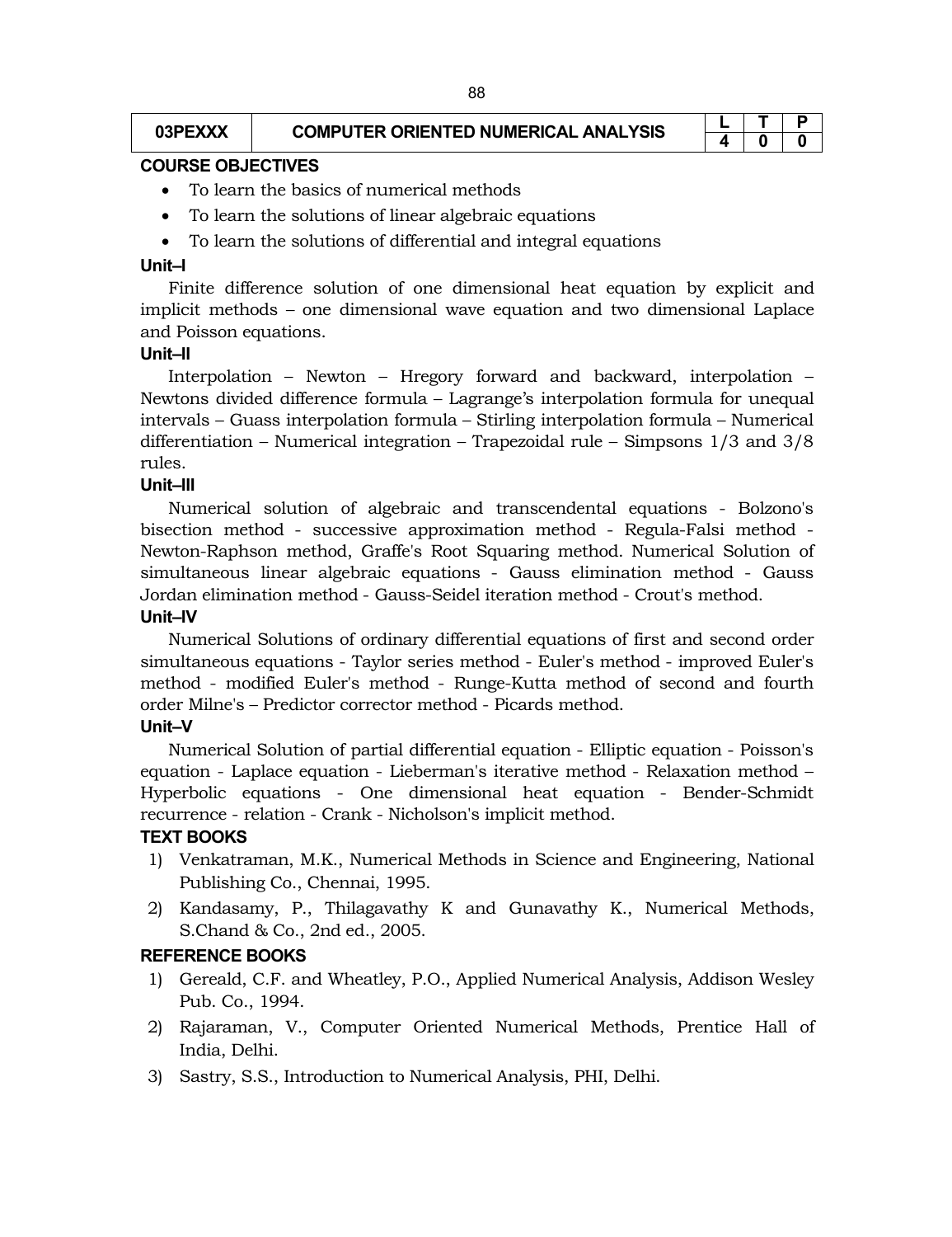# $\begin{array}{|c|c|c|c|c|}\n\hline\n\text{03PEXXX} & \text{COMPUTER ORIENTED NUMERICAL ANALYSIS} \end{array} \begin{array}{|c|c|c|c|}\n\hline\n\text{04} & \text{05} \\
\hline\n\text{05} & \text{06}\n\end{array}$

# **4 0 0**

#### **COURSE OBJECTIVES**

- To learn the basics of numerical methods
- To learn the solutions of linear algebraic equations
- To learn the solutions of differential and integral equations

#### **Unit–I**

Finite difference solution of one dimensional heat equation by explicit and implicit methods – one dimensional wave equation and two dimensional Laplace and Poisson equations.

#### **Unit–II**

Interpolation – Newton – Hregory forward and backward, interpolation – Newtons divided difference formula – Lagrange's interpolation formula for unequal intervals – Guass interpolation formula – Stirling interpolation formula – Numerical differentiation – Numerical integration – Trapezoidal rule – Simpsons 1/3 and 3/8 rules.

#### **Unit–III**

Numerical solution of algebraic and transcendental equations - Bolzono's bisection method - successive approximation method - Regula-Falsi method - Newton-Raphson method, Graffe's Root Squaring method. Numerical Solution of simultaneous linear algebraic equations - Gauss elimination method - Gauss Jordan elimination method - Gauss-Seidel iteration method - Crout's method.

#### **Unit–IV**

Numerical Solutions of ordinary differential equations of first and second order simultaneous equations - Taylor series method - Euler's method - improved Euler's method - modified Euler's method - Runge-Kutta method of second and fourth order Milne's – Predictor corrector method - Picards method.

#### **Unit–V**

Numerical Solution of partial differential equation - Elliptic equation - Poisson's equation - Laplace equation - Lieberman's iterative method - Relaxation method – Hyperbolic equations - One dimensional heat equation - Bender-Schmidt recurrence - relation - Crank - Nicholson's implicit method.

#### **TEXT BOOKS**

- 1) Venkatraman, M.K., Numerical Methods in Science and Engineering, National Publishing Co., Chennai, 1995.
- 2) Kandasamy, P., Thilagavathy K and Gunavathy K., Numerical Methods, S.Chand & Co., 2nd ed., 2005.

#### **REFERENCE BOOKS**

- 1) Gereald, C.F. and Wheatley, P.O., Applied Numerical Analysis, Addison Wesley Pub. Co., 1994.
- 2) Rajaraman, V., Computer Oriented Numerical Methods, Prentice Hall of India, Delhi.
- 3) Sastry, S.S., Introduction to Numerical Analysis, PHI, Delhi.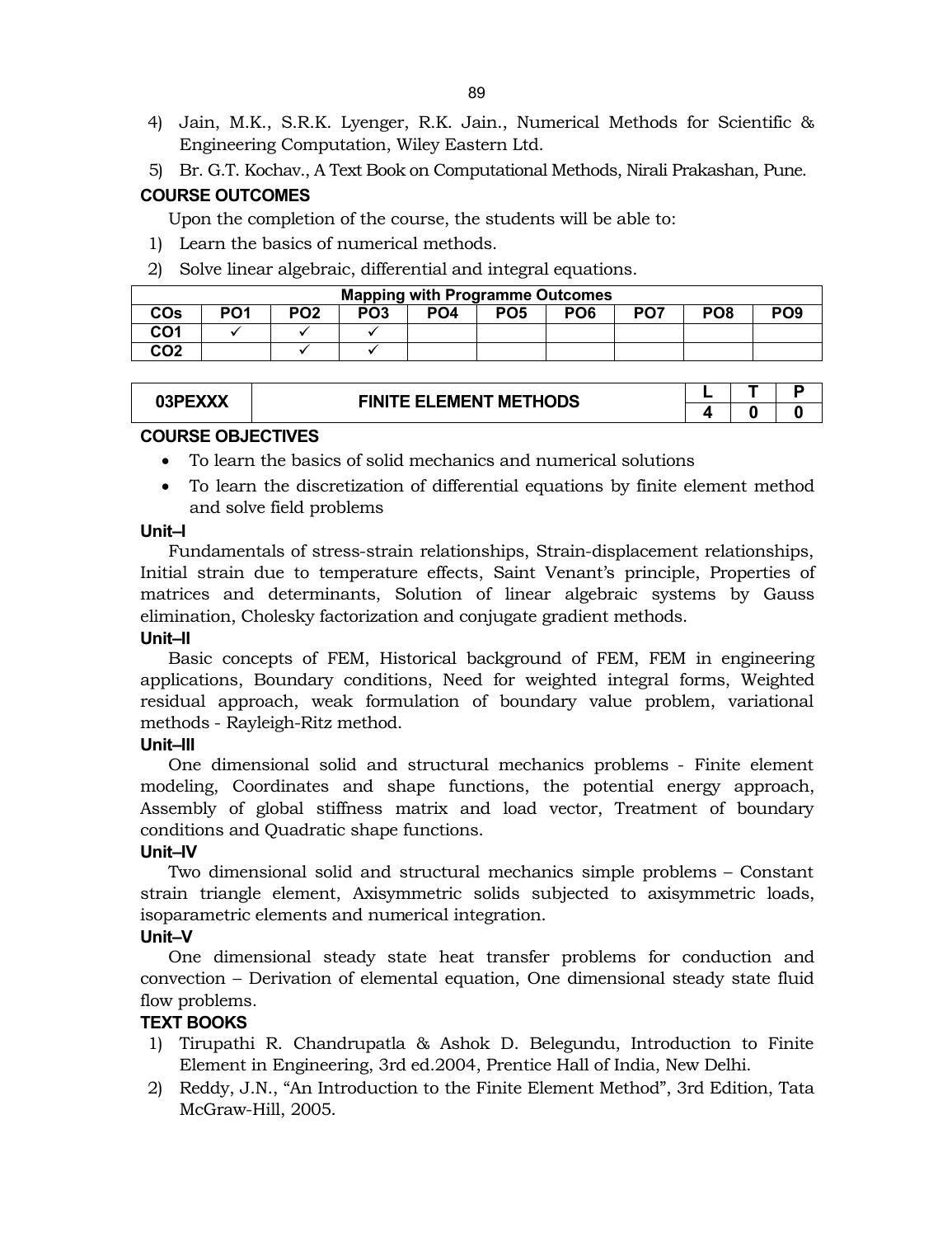- 4) Jain, M.K., S.R.K. Lyenger, R.K. Jain., Numerical Methods for Scientific & Engineering Computation, Wiley Eastern Ltd.
- 5) Br. G.T. Kochav., A Text Book on Computational Methods, Nirali Prakashan, Pune.

# **COURSE OUTCOMES**

Upon the completion of the course, the students will be able to:

- 1) Learn the basics of numerical methods.
- 2) Solve linear algebraic, differential and integral equations.

| <b>Mapping with Programme Outcomes</b> |                 |                 |     |                 |                 |                 |                 |                 |                 |
|----------------------------------------|-----------------|-----------------|-----|-----------------|-----------------|-----------------|-----------------|-----------------|-----------------|
| <b>COs</b>                             | PO <sub>1</sub> | PO <sub>2</sub> | PO3 | PO <sub>4</sub> | PO <sub>5</sub> | PO <sub>6</sub> | PO <sub>7</sub> | PO <sub>8</sub> | PO <sub>9</sub> |
| CO <sub>1</sub>                        |                 |                 |     |                 |                 |                 |                 |                 |                 |
| CO <sub>2</sub>                        |                 |                 |     |                 |                 |                 |                 |                 |                 |

| 03PEXXX | <b>FINITE ELEMENT METHODS</b> |  |   |
|---------|-------------------------------|--|---|
|         |                               |  | O |

# **COURSE OBJECTIVES**

- To learn the basics of solid mechanics and numerical solutions
- To learn the discretization of differential equations by finite element method and solve field problems

#### **Unit–I**

Fundamentals of stress-strain relationships, Strain-displacement relationships, Initial strain due to temperature effects, Saint Venant's principle, Properties of matrices and determinants, Solution of linear algebraic systems by Gauss elimination, Cholesky factorization and conjugate gradient methods.

#### **Unit–II**

Basic concepts of FEM, Historical background of FEM, FEM in engineering applications, Boundary conditions, Need for weighted integral forms, Weighted residual approach, weak formulation of boundary value problem, variational methods - Rayleigh-Ritz method.

# **Unit–III**

One dimensional solid and structural mechanics problems - Finite element modeling, Coordinates and shape functions, the potential energy approach, Assembly of global stiffness matrix and load vector, Treatment of boundary conditions and Quadratic shape functions.

# **Unit–IV**

Two dimensional solid and structural mechanics simple problems – Constant strain triangle element, Axisymmetric solids subjected to axisymmetric loads, isoparametric elements and numerical integration.

# **Unit–V**

One dimensional steady state heat transfer problems for conduction and convection – Derivation of elemental equation, One dimensional steady state fluid flow problems.

# **TEXT BOOKS**

- 1) Tirupathi R. Chandrupatla & Ashok D. Belegundu, Introduction to Finite Element in Engineering, 3rd ed.2004, Prentice Hall of India, New Delhi.
- 2) Reddy, J.N., "An Introduction to the Finite Element Method", 3rd Edition, Tata McGraw-Hill, 2005.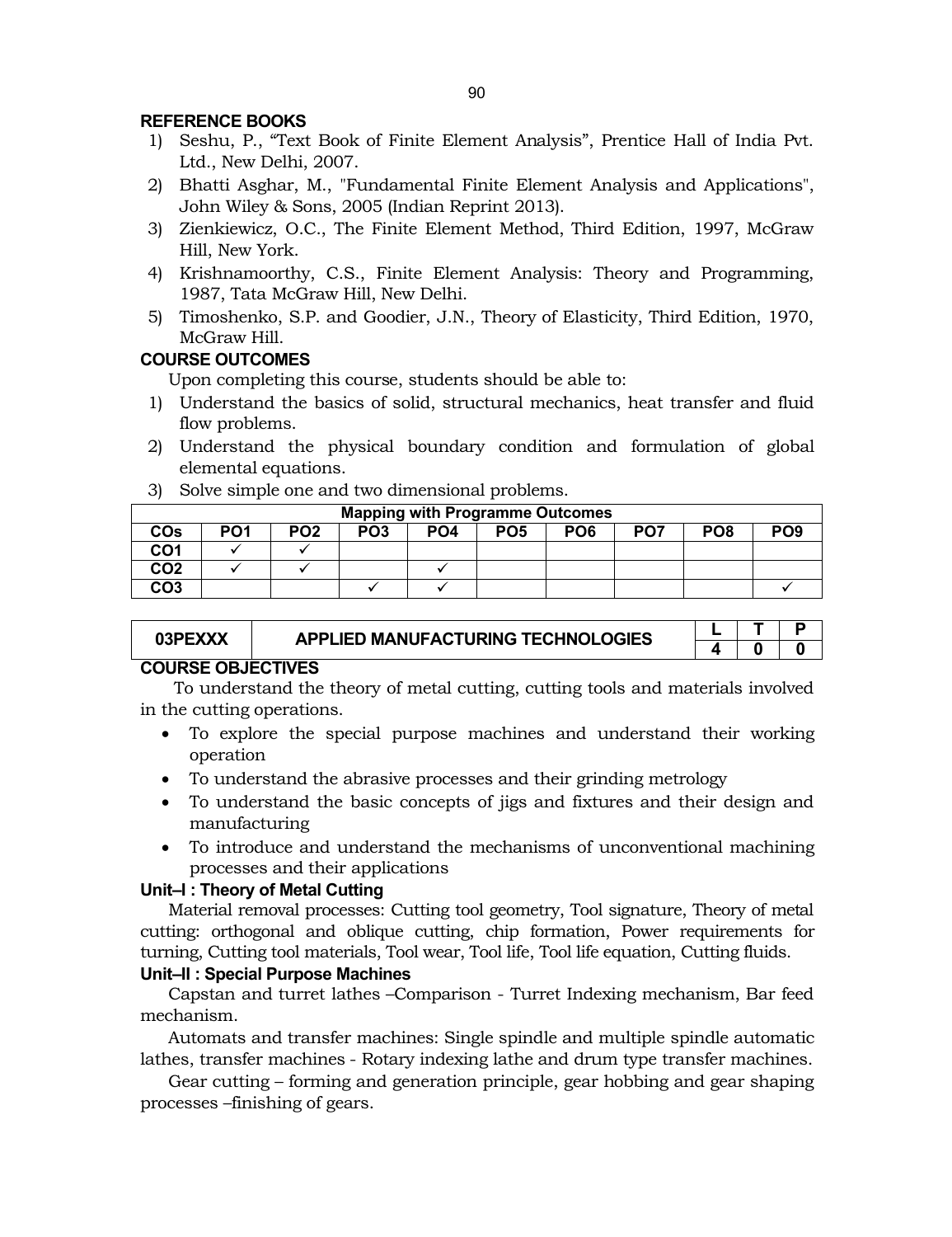# **REFERENCE BOOKS**

- 1) Seshu, P., "Text Book of Finite Element Analysis", Prentice Hall of India Pvt. Ltd., New Delhi, 2007.
- 2) Bhatti Asghar, M., "Fundamental Finite Element Analysis and Applications", John Wiley & Sons, 2005 (Indian Reprint 2013).
- 3) Zienkiewicz, O.C., The Finite Element Method, Third Edition, 1997, McGraw Hill, New York.
- 4) Krishnamoorthy, C.S., Finite Element Analysis: Theory and Programming, 1987, Tata McGraw Hill, New Delhi.
- 5) Timoshenko, S.P. and Goodier, J.N., Theory of Elasticity, Third Edition, 1970, McGraw Hill.

## **COURSE OUTCOMES**

Upon completing this course, students should be able to:

- 1) Understand the basics of solid, structural mechanics, heat transfer and fluid flow problems.
- 2) Understand the physical boundary condition and formulation of global elemental equations.
- 3) Solve simple one and two dimensional problems.

| <b>Mapping with Programme Outcomes</b> |                 |                 |                 |                 |                 |                 |     |     |                 |
|----------------------------------------|-----------------|-----------------|-----------------|-----------------|-----------------|-----------------|-----|-----|-----------------|
| <b>COs</b>                             | PO <sub>1</sub> | PO <sub>2</sub> | PO <sub>3</sub> | PO <sub>4</sub> | PO <sub>5</sub> | PO <sub>6</sub> | PO7 | PO8 | PO <sub>9</sub> |
| CO1                                    |                 |                 |                 |                 |                 |                 |     |     |                 |
| CO <sub>2</sub>                        |                 |                 |                 |                 |                 |                 |     |     |                 |
| CO <sub>3</sub>                        |                 |                 |                 |                 |                 |                 |     |     |                 |

| 03PEXXX            | APPLIED MANUFACTURING TECHNOLOGIES |  |  |  |  |  |  |
|--------------------|------------------------------------|--|--|--|--|--|--|
|                    |                                    |  |  |  |  |  |  |
| AAUDAE AD IEATH/EA |                                    |  |  |  |  |  |  |

#### **COURSE OBJECTIVES**

To understand the theory of metal cutting, cutting tools and materials involved in the cutting operations.

- To explore the special purpose machines and understand their working operation
- To understand the abrasive processes and their grinding metrology
- To understand the basic concepts of jigs and fixtures and their design and manufacturing
- To introduce and understand the mechanisms of unconventional machining processes and their applications

# **Unit–I : Theory of Metal Cutting**

Material removal processes: Cutting tool geometry, Tool signature, Theory of metal cutting: orthogonal and oblique cutting, chip formation, Power requirements for turning, Cutting tool materials, Tool wear, Tool life, Tool life equation, Cutting fluids.

# **Unit–II : Special Purpose Machines**

Capstan and turret lathes –Comparison - Turret Indexing mechanism, Bar feed mechanism.

Automats and transfer machines: Single spindle and multiple spindle automatic lathes, transfer machines - Rotary indexing lathe and drum type transfer machines.

Gear cutting – forming and generation principle, gear hobbing and gear shaping processes –finishing of gears.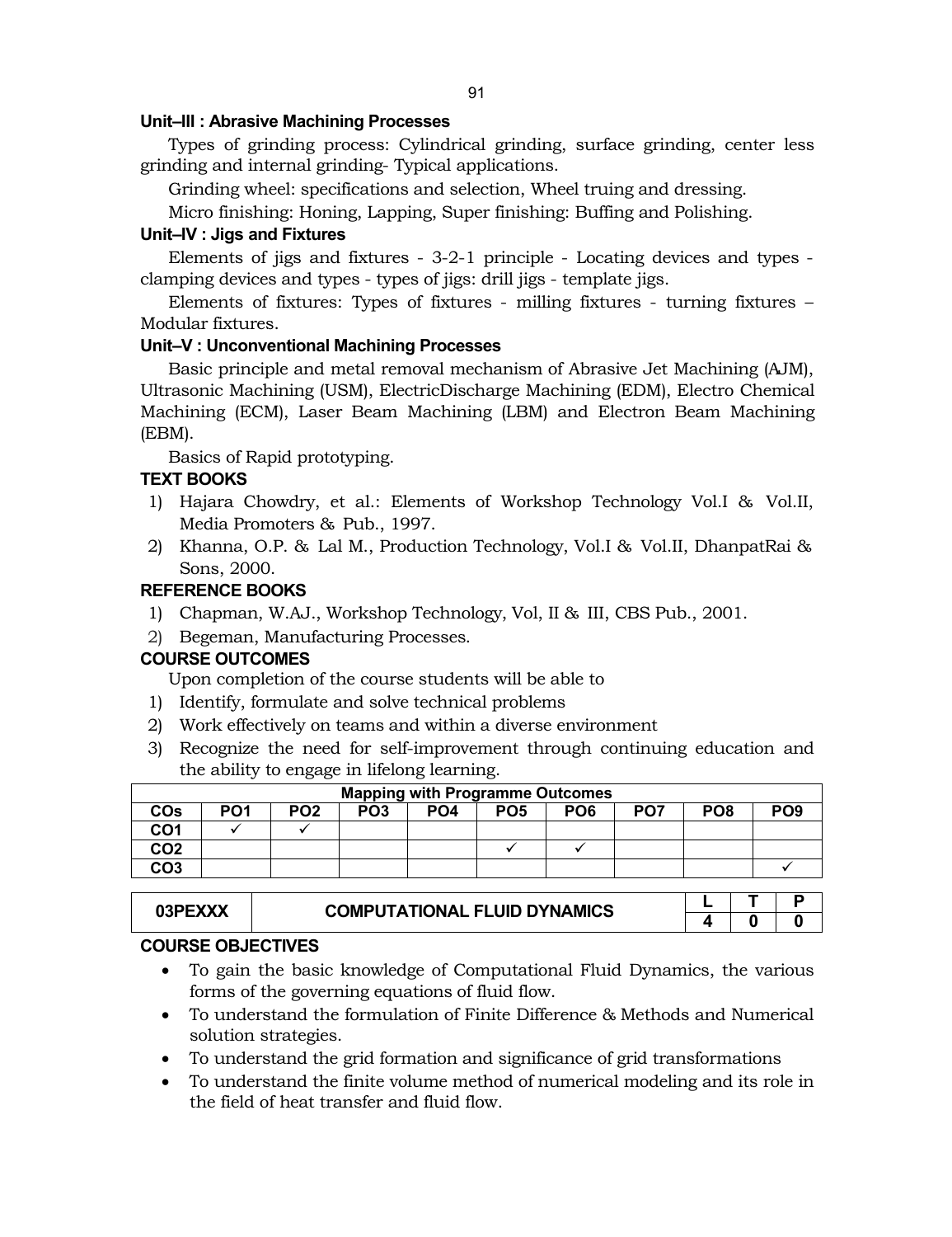#### **Unit–III : Abrasive Machining Processes**

Types of grinding process: Cylindrical grinding, surface grinding, center less grinding and internal grinding- Typical applications.

Grinding wheel: specifications and selection, Wheel truing and dressing.

Micro finishing: Honing, Lapping, Super finishing: Buffing and Polishing.

## **Unit–IV : Jigs and Fixtures**

Elements of jigs and fixtures - 3-2-1 principle - Locating devices and types clamping devices and types - types of jigs: drill jigs - template jigs.

Elements of fixtures: Types of fixtures - milling fixtures - turning fixtures – Modular fixtures.

## **Unit–V : Unconventional Machining Processes**

Basic principle and metal removal mechanism of Abrasive Jet Machining (AJM), Ultrasonic Machining (USM), ElectricDischarge Machining (EDM), Electro Chemical Machining (ECM), Laser Beam Machining (LBM) and Electron Beam Machining (EBM).

Basics of Rapid prototyping.

# **TEXT BOOKS**

- 1) Hajara Chowdry, et al.: Elements of Workshop Technology Vol.I & Vol.II, Media Promoters & Pub., 1997.
- 2) Khanna, O.P. & Lal M., Production Technology, Vol.I & Vol.II, DhanpatRai & Sons, 2000.

# **REFERENCE BOOKS**

- 1) Chapman, W.AJ., Workshop Technology, Vol, II & III, CBS Pub., 2001.
- 2) Begeman, Manufacturing Processes.

# **COURSE OUTCOMES**

Upon completion of the course students will be able to

- 1) Identify, formulate and solve technical problems
- 2) Work effectively on teams and within a diverse environment
- 3) Recognize the need for self-improvement through continuing education and the ability to engage in lifelong learning.

| <b>Mapping with Programme Outcomes</b> |                 |                 |                 |                 |                 |                 |                 |                 |                 |
|----------------------------------------|-----------------|-----------------|-----------------|-----------------|-----------------|-----------------|-----------------|-----------------|-----------------|
| <b>COs</b>                             | PO <sub>1</sub> | PO <sub>2</sub> | PO <sub>3</sub> | PO <sub>4</sub> | PO <sub>5</sub> | PO <sub>6</sub> | PO <sub>7</sub> | PO <sub>8</sub> | PO <sub>9</sub> |
| CO1                                    |                 |                 |                 |                 |                 |                 |                 |                 |                 |
| CO <sub>2</sub>                        |                 |                 |                 |                 |                 |                 |                 |                 |                 |
| CO <sub>3</sub>                        |                 |                 |                 |                 |                 |                 |                 |                 |                 |

| <b>COMPUTATIONAL FLUID DYNAMICS</b> |  |  |
|-------------------------------------|--|--|
|                                     |  |  |

# **COURSE OBJECTIVES**

- To gain the basic knowledge of Computational Fluid Dynamics, the various forms of the governing equations of fluid flow.
- To understand the formulation of Finite Difference & Methods and Numerical solution strategies.
- To understand the grid formation and significance of grid transformations
- To understand the finite volume method of numerical modeling and its role in the field of heat transfer and fluid flow.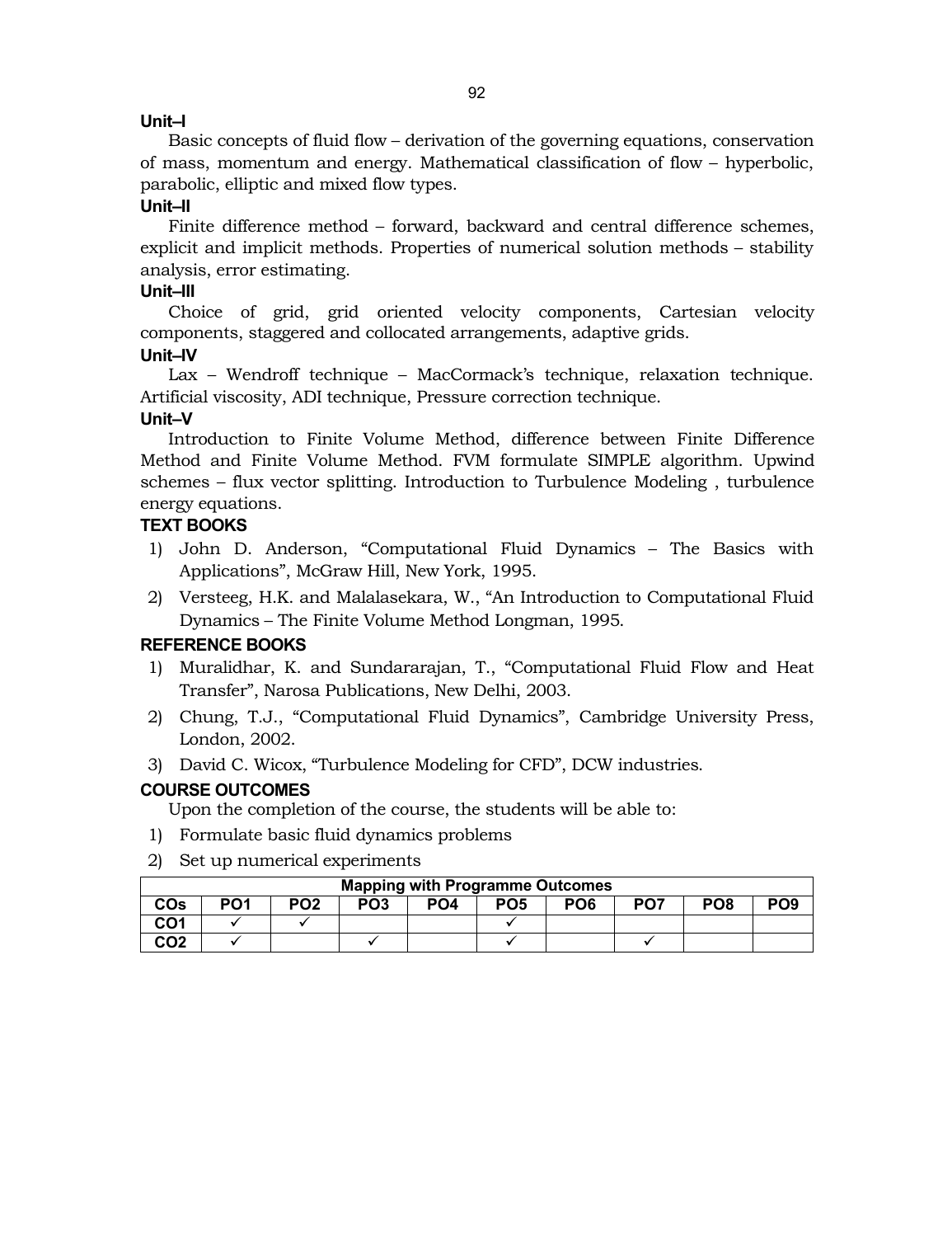# **Unit–I**

Basic concepts of fluid flow – derivation of the governing equations, conservation of mass, momentum and energy. Mathematical classification of flow – hyperbolic, parabolic, elliptic and mixed flow types.

## **Unit–II**

Finite difference method – forward, backward and central difference schemes, explicit and implicit methods. Properties of numerical solution methods – stability analysis, error estimating.

## **Unit–III**

Choice of grid, grid oriented velocity components, Cartesian velocity components, staggered and collocated arrangements, adaptive grids.

# **Unit–IV**

Lax – Wendroff technique – MacCormack's technique, relaxation technique. Artificial viscosity, ADI technique, Pressure correction technique.

## **Unit–V**

Introduction to Finite Volume Method, difference between Finite Difference Method and Finite Volume Method. FVM formulate SIMPLE algorithm. Upwind schemes – flux vector splitting. Introduction to Turbulence Modeling , turbulence energy equations.

# **TEXT BOOKS**

- 1) John D. Anderson, "Computational Fluid Dynamics The Basics with Applications", McGraw Hill, New York, 1995.
- 2) Versteeg, H.K. and Malalasekara, W., "An Introduction to Computational Fluid Dynamics – The Finite Volume Method Longman, 1995.

# **REFERENCE BOOKS**

- 1) Muralidhar, K. and Sundararajan, T., "Computational Fluid Flow and Heat Transfer", Narosa Publications, New Delhi, 2003.
- 2) Chung, T.J., "Computational Fluid Dynamics", Cambridge University Press, London, 2002.
- 3) David C. Wicox, "Turbulence Modeling for CFD", DCW industries.

# **COURSE OUTCOMES**

Upon the completion of the course, the students will be able to:

- 1) Formulate basic fluid dynamics problems
- 2) Set up numerical experiments

| <b>Mapping with Programme Outcomes</b> |     |                 |                 |                 |                 |                 |                 |                 |                 |
|----------------------------------------|-----|-----------------|-----------------|-----------------|-----------------|-----------------|-----------------|-----------------|-----------------|
| COs                                    | PO1 | PO <sub>2</sub> | PO <sub>3</sub> | PO <sub>4</sub> | PO <sub>5</sub> | PO <sub>6</sub> | PO <sub>7</sub> | PO <sub>8</sub> | PO <sub>9</sub> |
| CO <sub>1</sub>                        |     |                 |                 |                 |                 |                 |                 |                 |                 |
| CO2                                    |     |                 |                 |                 |                 |                 |                 |                 |                 |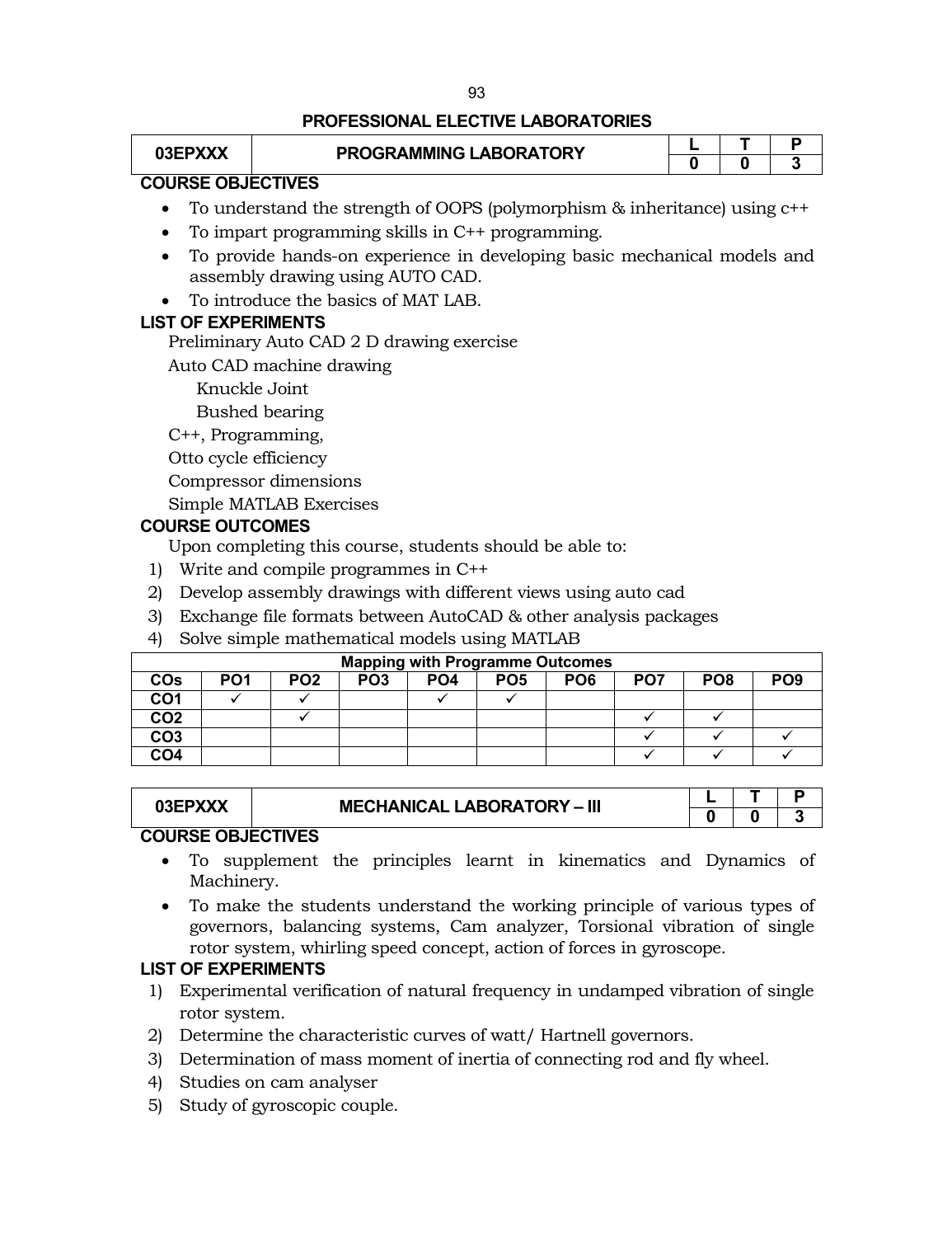# **PROFESSIONAL ELECTIVE LABORATORIES**

| 03EPXXX                  | PROGRAMMING LABORATORY |  |  |
|--------------------------|------------------------|--|--|
|                          |                        |  |  |
| <b>COURSE OBJECTIVES</b> |                        |  |  |

# To understand the strength of OOPS (polymorphism & inheritance) using c++

- To impart programming skills in C++ programming.
- To provide hands-on experience in developing basic mechanical models and assembly drawing using AUTO CAD.
- To introduce the basics of MAT LAB.

# **LIST OF EXPERIMENTS**

Preliminary Auto CAD 2 D drawing exercise

Auto CAD machine drawing

Knuckle Joint

Bushed bearing

C++, Programming,

Otto cycle efficiency

Compressor dimensions

Simple MATLAB Exercises

# **COURSE OUTCOMES**

Upon completing this course, students should be able to:

- 1) Write and compile programmes in C++
- 2) Develop assembly drawings with different views using auto cad
- 3) Exchange file formats between AutoCAD & other analysis packages
- 4) Solve simple mathematical models using MATLAB

| <b>Mapping with Programme Outcomes</b> |                 |                 |                 |     |                 |                 |                 |                 |                 |
|----------------------------------------|-----------------|-----------------|-----------------|-----|-----------------|-----------------|-----------------|-----------------|-----------------|
| <b>COs</b>                             | PO <sub>1</sub> | PO <sub>2</sub> | PO <sub>3</sub> | PO4 | PO <sub>5</sub> | PO <sub>6</sub> | PO <sub>7</sub> | PO <sub>8</sub> | PO <sub>9</sub> |
| CO1                                    |                 |                 |                 |     |                 |                 |                 |                 |                 |
| CO <sub>2</sub>                        |                 |                 |                 |     |                 |                 |                 |                 |                 |
| CO <sub>3</sub>                        |                 |                 |                 |     |                 |                 |                 |                 |                 |
| CO <sub>4</sub>                        |                 |                 |                 |     |                 |                 |                 |                 |                 |

| 03EPXXX | <b>MECHANICAL LABORATORY - III</b> |  |  |
|---------|------------------------------------|--|--|
|         |                                    |  |  |

# **COURSE OBJECTIVES**

- To supplement the principles learnt in kinematics and Dynamics of Machinery.
- To make the students understand the working principle of various types of governors, balancing systems, Cam analyzer, Torsional vibration of single rotor system, whirling speed concept, action of forces in gyroscope.

# **LIST OF EXPERIMENTS**

- 1) Experimental verification of natural frequency in undamped vibration of single rotor system.
- 2) Determine the characteristic curves of watt/ Hartnell governors.
- 3) Determination of mass moment of inertia of connecting rod and fly wheel.
- 4) Studies on cam analyser
- 5) Study of gyroscopic couple.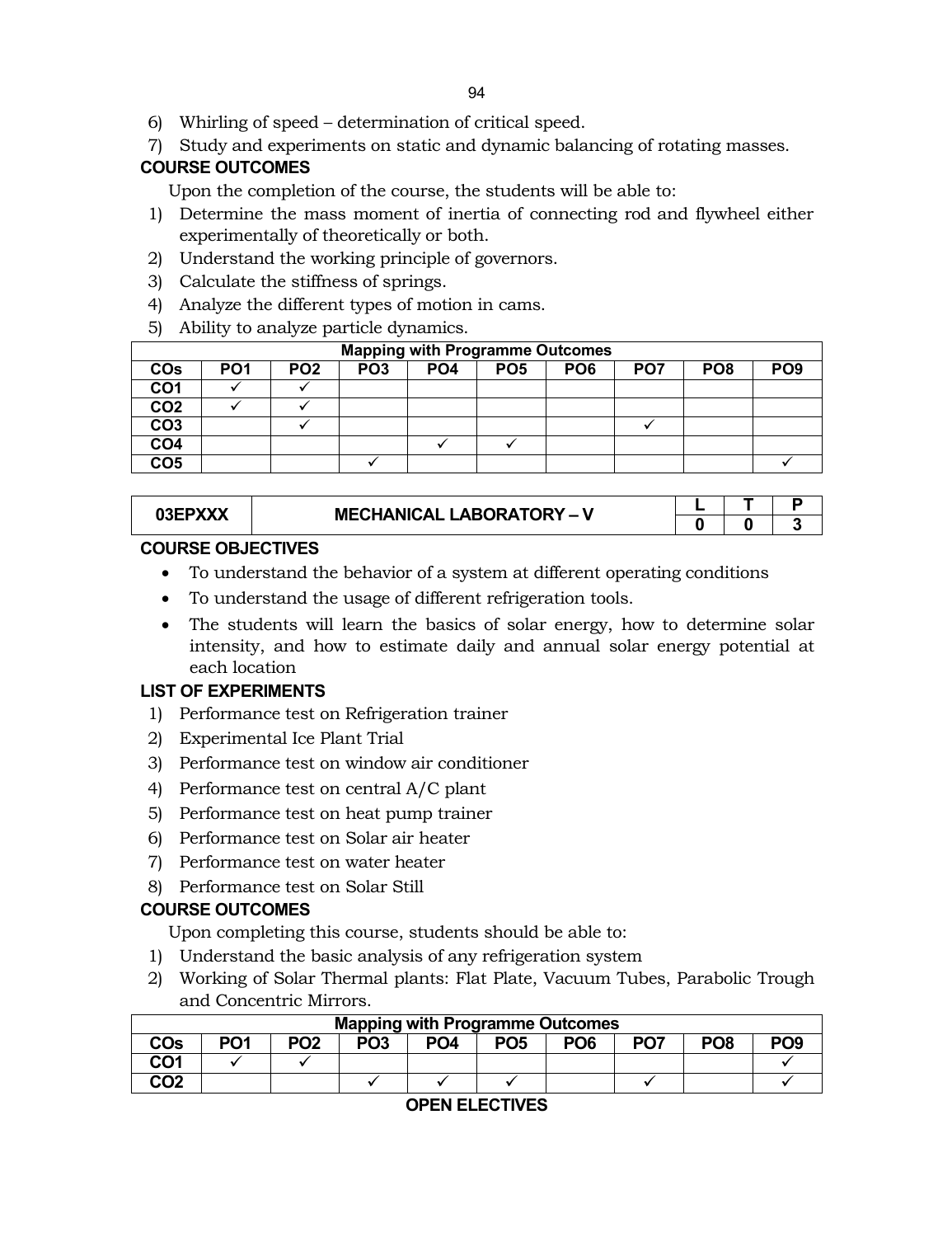- 6) Whirling of speed determination of critical speed.
- 7) Study and experiments on static and dynamic balancing of rotating masses.

# **COURSE OUTCOMES**

Upon the completion of the course, the students will be able to:

- 1) Determine the mass moment of inertia of connecting rod and flywheel either experimentally of theoretically or both.
- 2) Understand the working principle of governors.
- 3) Calculate the stiffness of springs.
- 4) Analyze the different types of motion in cams.
- 5) Ability to analyze particle dynamics.

| <b>Mapping with Programme Outcomes</b> |                 |                 |                 |                 |                 |                 |                 |                 |                 |
|----------------------------------------|-----------------|-----------------|-----------------|-----------------|-----------------|-----------------|-----------------|-----------------|-----------------|
| <b>COs</b>                             | PO <sub>1</sub> | PO <sub>2</sub> | PO <sub>3</sub> | PO <sub>4</sub> | PO <sub>5</sub> | PO <sub>6</sub> | PO <sub>7</sub> | PO <sub>8</sub> | PO <sub>9</sub> |
| CO <sub>1</sub>                        |                 |                 |                 |                 |                 |                 |                 |                 |                 |
| CO <sub>2</sub>                        |                 |                 |                 |                 |                 |                 |                 |                 |                 |
| CO <sub>3</sub>                        |                 |                 |                 |                 |                 |                 |                 |                 |                 |
| CO <sub>4</sub>                        |                 |                 |                 |                 |                 |                 |                 |                 |                 |
| CO <sub>5</sub>                        |                 |                 |                 |                 |                 |                 |                 |                 |                 |

# **03EPXXX MECHANICAL LABORATORY – V**

| O |  |
|---|--|

# **COURSE OBJECTIVES**

- To understand the behavior of a system at different operating conditions
- To understand the usage of different refrigeration tools.
- The students will learn the basics of solar energy, how to determine solar intensity, and how to estimate daily and annual solar energy potential at each location

# **LIST OF EXPERIMENTS**

- 1) Performance test on Refrigeration trainer
- 2) Experimental Ice Plant Trial
- 3) Performance test on window air conditioner
- 4) Performance test on central A/C plant
- 5) Performance test on heat pump trainer
- 6) Performance test on Solar air heater
- 7) Performance test on water heater
- 8) Performance test on Solar Still

# **COURSE OUTCOMES**

Upon completing this course, students should be able to:

- 1) Understand the basic analysis of any refrigeration system
- 2) Working of Solar Thermal plants: Flat Plate, Vacuum Tubes, Parabolic Trough and Concentric Mirrors.

|     | <b>Mapping with Programme Outcomes</b> |                 |                 |                 |                 |                 |                 |                 |     |  |  |  |
|-----|----------------------------------------|-----------------|-----------------|-----------------|-----------------|-----------------|-----------------|-----------------|-----|--|--|--|
| COs | PO1                                    | PO <sub>2</sub> | PO <sub>3</sub> | PO <sub>4</sub> | PO <sub>5</sub> | PO <sub>6</sub> | PO <sub>7</sub> | PO <sub>8</sub> | PO9 |  |  |  |
| CO1 |                                        |                 |                 |                 |                 |                 |                 |                 |     |  |  |  |
| CO2 |                                        |                 |                 |                 |                 |                 |                 |                 |     |  |  |  |

# **OPEN ELECTIVES**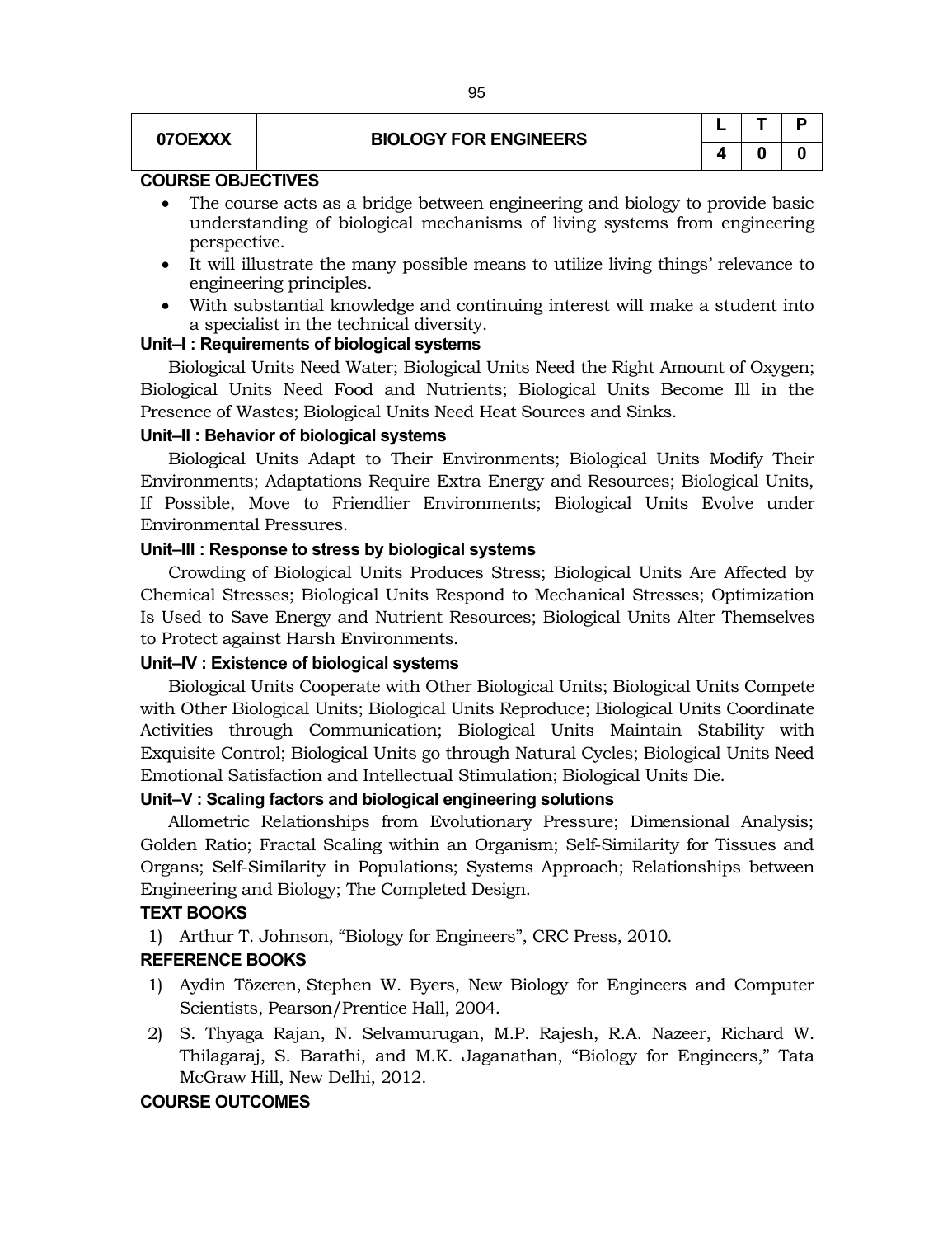# **07OEXXX BIOLOGY FOR ENGINEERS**

|   |   | Ρ |
|---|---|---|
| 4 | U | O |

# **COURSE OBJECTIVES**

- The course acts as a bridge between engineering and biology to provide basic understanding of biological mechanisms of living systems from engineering perspective.
- It will illustrate the many possible means to utilize living things' relevance to engineering principles.
- With substantial knowledge and continuing interest will make a student into a specialist in the technical diversity.

#### **Unit–I : Requirements of biological systems**

Biological Units Need Water; Biological Units Need the Right Amount of Oxygen; Biological Units Need Food and Nutrients; Biological Units Become Ill in the Presence of Wastes; Biological Units Need Heat Sources and Sinks.

#### **Unit–II : Behavior of biological systems**

Biological Units Adapt to Their Environments; Biological Units Modify Their Environments; Adaptations Require Extra Energy and Resources; Biological Units, If Possible, Move to Friendlier Environments; Biological Units Evolve under Environmental Pressures.

#### **Unit–III : Response to stress by biological systems**

Crowding of Biological Units Produces Stress; Biological Units Are Affected by Chemical Stresses; Biological Units Respond to Mechanical Stresses; Optimization Is Used to Save Energy and Nutrient Resources; Biological Units Alter Themselves to Protect against Harsh Environments.

#### **Unit–IV : Existence of biological systems**

Biological Units Cooperate with Other Biological Units; Biological Units Compete with Other Biological Units; Biological Units Reproduce; Biological Units Coordinate Activities through Communication; Biological Units Maintain Stability with Exquisite Control; Biological Units go through Natural Cycles; Biological Units Need Emotional Satisfaction and Intellectual Stimulation; Biological Units Die.

#### **Unit–V : Scaling factors and biological engineering solutions**

Allometric Relationships from Evolutionary Pressure; Dimensional Analysis; Golden Ratio; Fractal Scaling within an Organism; Self-Similarity for Tissues and Organs; Self-Similarity in Populations; Systems Approach; Relationships between Engineering and Biology; The Completed Design.

#### **TEXT BOOKS**

1) Arthur T. Johnson, "Biology for Engineers", CRC Press, 2010.

#### **REFERENCE BOOKS**

- 1) Aydin Tözeren, Stephen W. Byers, New Biology for Engineers and Computer Scientists, Pearson/Prentice Hall, 2004.
- 2) S. Thyaga Rajan, N. Selvamurugan, M.P. Rajesh, R.A. Nazeer, Richard W. Thilagaraj, S. Barathi, and M.K. Jaganathan, "Biology for Engineers," Tata McGraw Hill, New Delhi, 2012.

#### **COURSE OUTCOMES**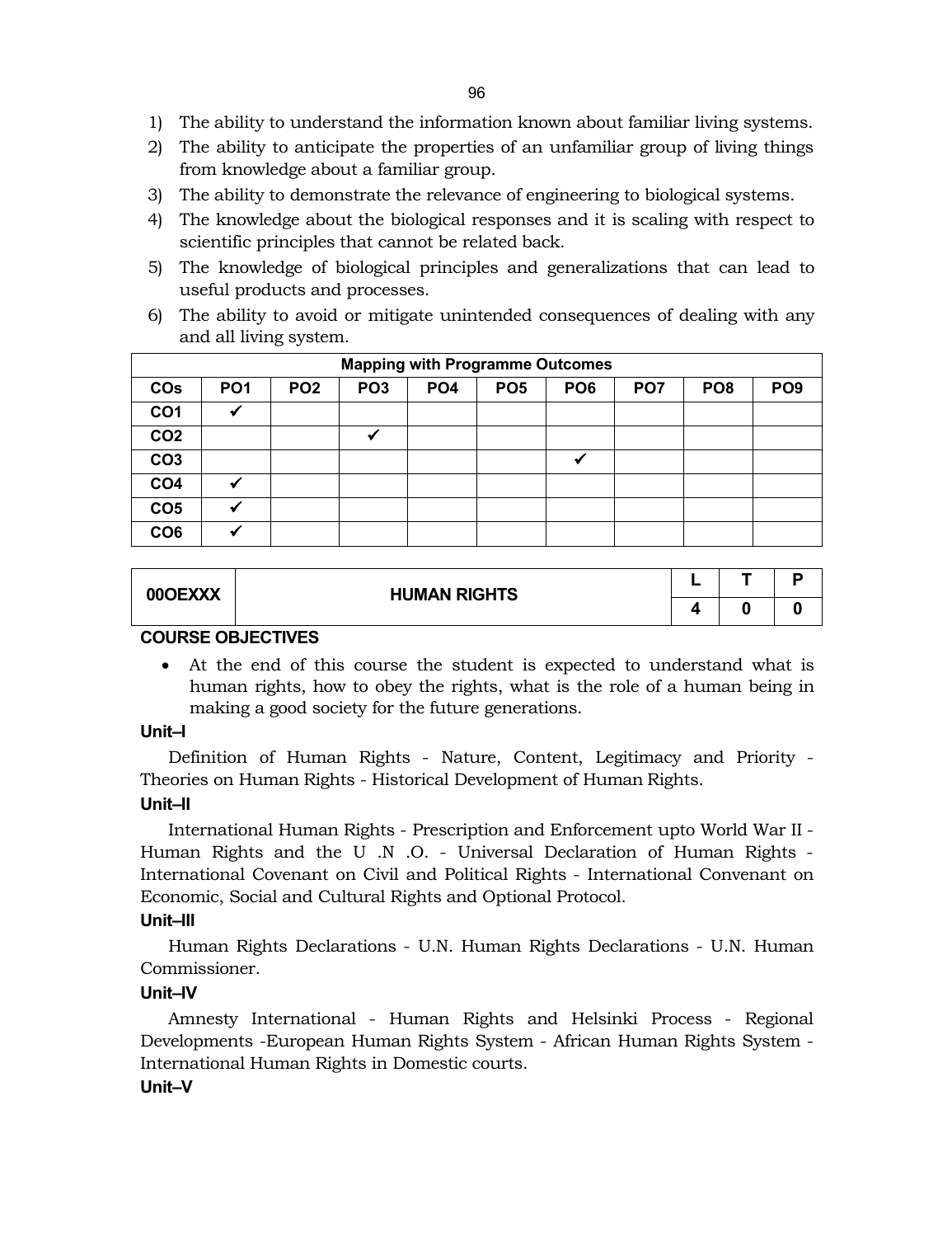- 1) The ability to understand the information known about familiar living systems.
- 2) The ability to anticipate the properties of an unfamiliar group of living things from knowledge about a familiar group.
- 3) The ability to demonstrate the relevance of engineering to biological systems.
- 4) The knowledge about the biological responses and it is scaling with respect to scientific principles that cannot be related back.
- 5) The knowledge of biological principles and generalizations that can lead to useful products and processes.
- 6) The ability to avoid or mitigate unintended consequences of dealing with any and all living system.

|                 | <b>Mapping with Programme Outcomes</b> |                 |                 |                 |                 |                 |                 |                 |                 |  |  |  |
|-----------------|----------------------------------------|-----------------|-----------------|-----------------|-----------------|-----------------|-----------------|-----------------|-----------------|--|--|--|
| <b>COs</b>      | PO <sub>1</sub>                        | PO <sub>2</sub> | PO <sub>3</sub> | PO <sub>4</sub> | PO <sub>5</sub> | PO <sub>6</sub> | PO <sub>7</sub> | PO <sub>8</sub> | PO <sub>9</sub> |  |  |  |
| CO <sub>1</sub> |                                        |                 |                 |                 |                 |                 |                 |                 |                 |  |  |  |
| CO <sub>2</sub> |                                        |                 |                 |                 |                 |                 |                 |                 |                 |  |  |  |
| CO <sub>3</sub> |                                        |                 |                 |                 |                 | √               |                 |                 |                 |  |  |  |
| CO <sub>4</sub> |                                        |                 |                 |                 |                 |                 |                 |                 |                 |  |  |  |
| CO <sub>5</sub> |                                        |                 |                 |                 |                 |                 |                 |                 |                 |  |  |  |
| CO <sub>6</sub> |                                        |                 |                 |                 |                 |                 |                 |                 |                 |  |  |  |

| 00OEXXX | <b>HUMAN RIGHTS</b> |  |  |
|---------|---------------------|--|--|
|         |                     |  |  |

# **COURSE OBJECTIVES**

 At the end of this course the student is expected to understand what is human rights, how to obey the rights, what is the role of a human being in making a good society for the future generations.

# **Unit–I**

Definition of Human Rights - Nature, Content, Legitimacy and Priority - Theories on Human Rights - Historical Development of Human Rights.

# **Unit–II**

International Human Rights - Prescription and Enforcement upto World War II - Human Rights and the U .N .O. - Universal Declaration of Human Rights - International Covenant on Civil and Political Rights - International Convenant on Economic, Social and Cultural Rights and Optional Protocol.

# **Unit–III**

Human Rights Declarations - U.N. Human Rights Declarations - U.N. Human Commissioner.

# **Unit–IV**

Amnesty International - Human Rights and Helsinki Process - Regional Developments -European Human Rights System - African Human Rights System - International Human Rights in Domestic courts.

# **Unit–V**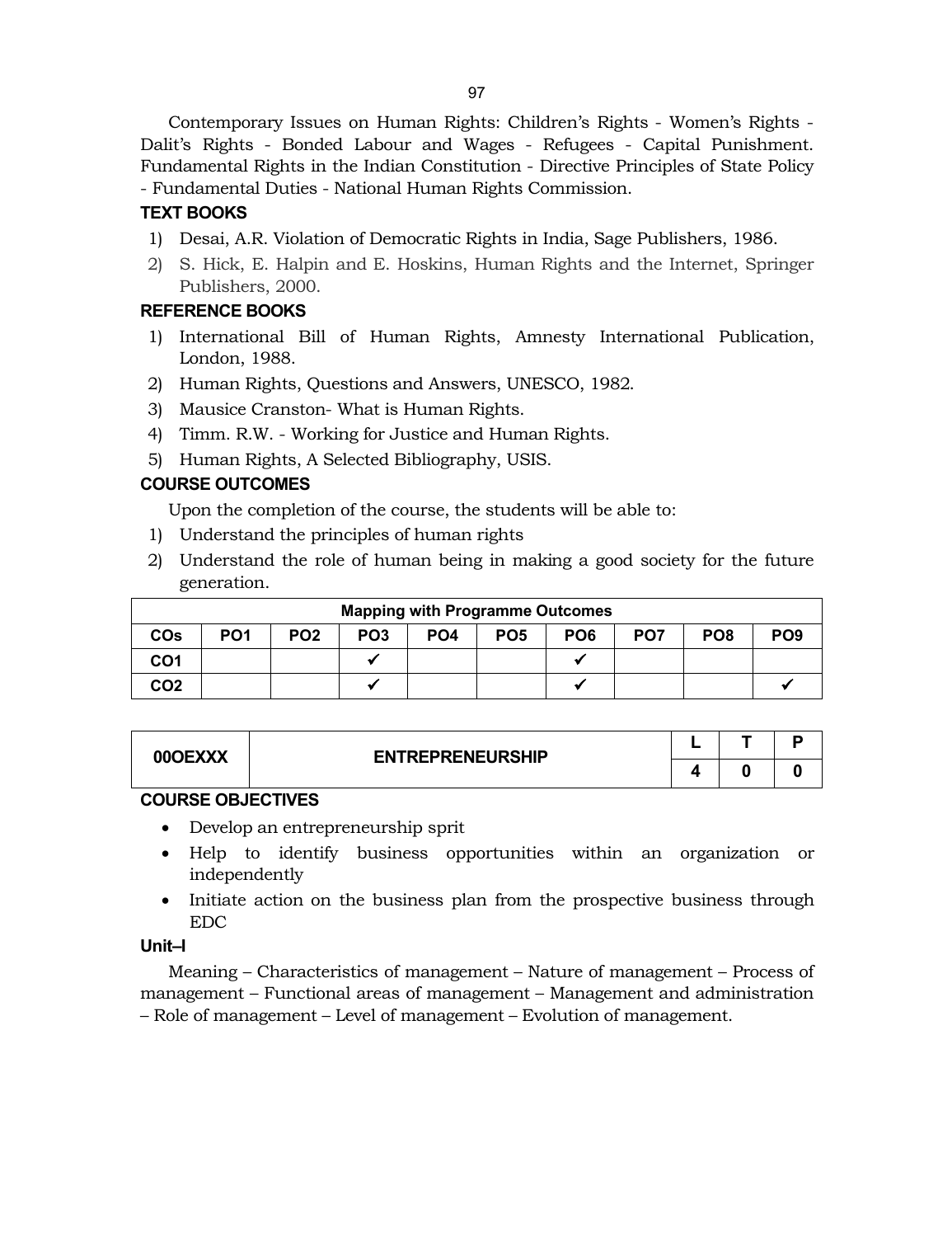Contemporary Issues on Human Rights: Children's Rights - Women's Rights - Dalit's Rights - Bonded Labour and Wages - Refugees - Capital Punishment. Fundamental Rights in the Indian Constitution - Directive Principles of State Policy - Fundamental Duties - National Human Rights Commission.

# **TEXT BOOKS**

- 1) Desai, A.R. Violation of Democratic Rights in India, Sage Publishers, 1986.
- 2) S. Hick, E. Halpin and E. Hoskins, Human Rights and the Internet, Springer Publishers, 2000.

# **REFERENCE BOOKS**

- 1) International Bill of Human Rights, Amnesty International Publication, London, 1988.
- 2) Human Rights, Questions and Answers, UNESCO, 1982.
- 3) Mausice Cranston- What is Human Rights.
- 4) Timm. R.W. Working for Justice and Human Rights.
- 5) Human Rights, A Selected Bibliography, USIS.

# **COURSE OUTCOMES**

Upon the completion of the course, the students will be able to:

- 1) Understand the principles of human rights
- 2) Understand the role of human being in making a good society for the future generation.

| <b>Mapping with Programme Outcomes</b> |                 |                 |                 |                 |                 |                 |                 |                 |                 |  |
|----------------------------------------|-----------------|-----------------|-----------------|-----------------|-----------------|-----------------|-----------------|-----------------|-----------------|--|
| <b>CO<sub>s</sub></b>                  | PO <sub>1</sub> | PO <sub>2</sub> | PO <sub>3</sub> | PO <sub>4</sub> | PO <sub>5</sub> | PO <sub>6</sub> | PO <sub>7</sub> | PO <sub>8</sub> | PO <sub>9</sub> |  |
| CO <sub>1</sub>                        |                 |                 |                 |                 |                 |                 |                 |                 |                 |  |
| CO <sub>2</sub>                        |                 |                 |                 |                 |                 |                 |                 |                 |                 |  |

| 00OEXXX | <b>ENTREPRENEURSHIP</b> |  |  |
|---------|-------------------------|--|--|
|         |                         |  |  |

# **COURSE OBJECTIVES**

- Develop an entrepreneurship sprit
- Help to identify business opportunities within an organization or independently
- Initiate action on the business plan from the prospective business through EDC

#### **Unit–I**

Meaning – Characteristics of management – Nature of management – Process of management – Functional areas of management – Management and administration – Role of management – Level of management – Evolution of management.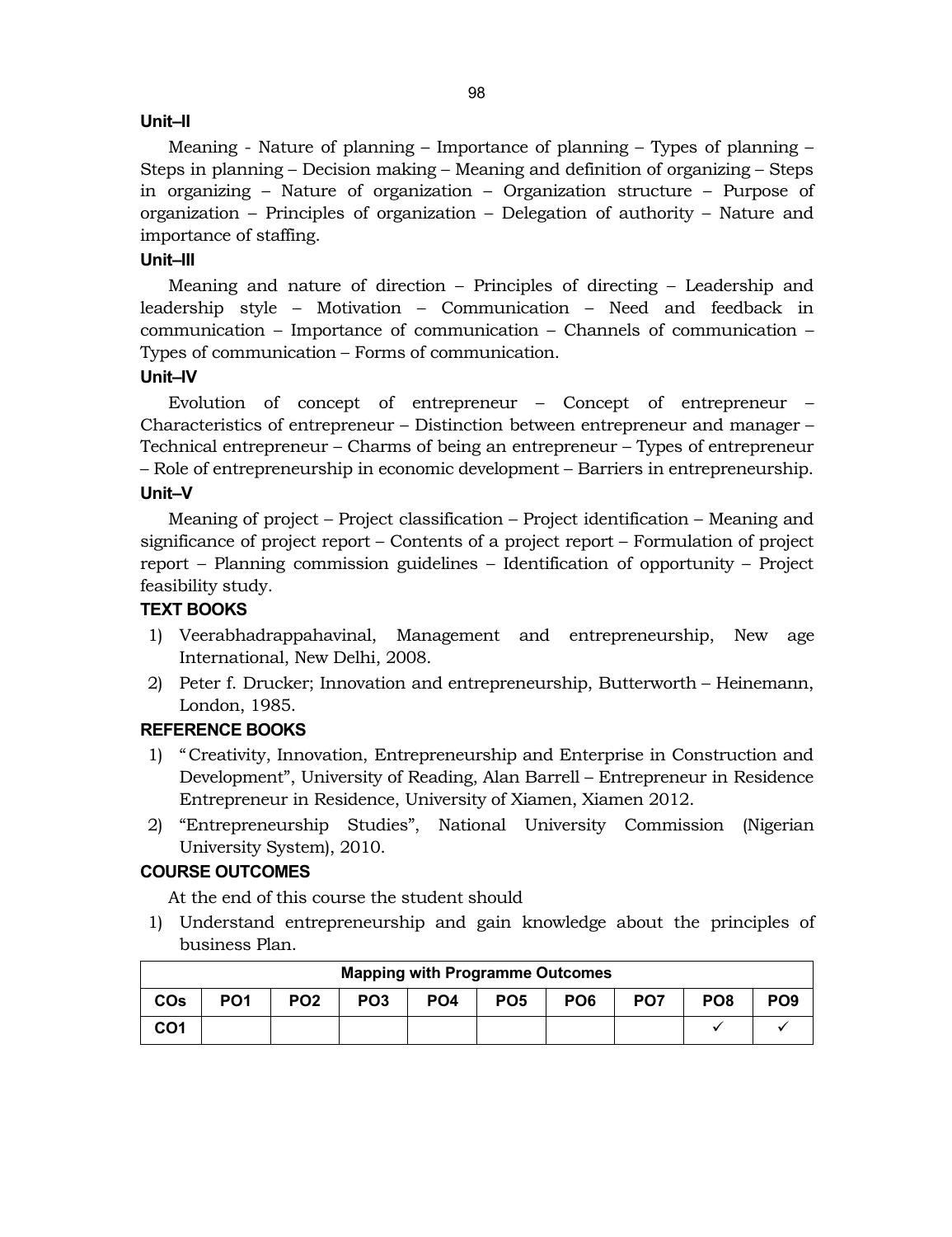#### **Unit–II**

Meaning - Nature of planning – Importance of planning – Types of planning – Steps in planning – Decision making – Meaning and definition of organizing – Steps in organizing – Nature of organization – Organization structure – Purpose of organization – Principles of organization – Delegation of authority – Nature and importance of staffing.

# **Unit–III**

Meaning and nature of direction – Principles of directing – Leadership and leadership style – Motivation – Communication – Need and feedback in communication – Importance of communication – Channels of communication – Types of communication – Forms of communication.

# **Unit–IV**

Evolution of concept of entrepreneur – Concept of entrepreneur – Characteristics of entrepreneur – Distinction between entrepreneur and manager – Technical entrepreneur – Charms of being an entrepreneur – Types of entrepreneur – Role of entrepreneurship in economic development – Barriers in entrepreneurship. **Unit–V**

Meaning of project – Project classification – Project identification – Meaning and significance of project report – Contents of a project report – Formulation of project report – Planning commission guidelines – Identification of opportunity – Project feasibility study.

## **TEXT BOOKS**

- 1) Veerabhadrappahavinal, Management and entrepreneurship, New age International, New Delhi, 2008.
- 2) Peter f. Drucker; Innovation and entrepreneurship, Butterworth Heinemann, London, 1985.

#### **REFERENCE BOOKS**

- 1) "Creativity, Innovation, Entrepreneurship and Enterprise in Construction and Development", University of Reading, Alan Barrell – Entrepreneur in Residence Entrepreneur in Residence, University of Xiamen, Xiamen 2012.
- 2) "Entrepreneurship Studies", National University Commission (Nigerian University System), 2010.

# **COURSE OUTCOMES**

At the end of this course the student should

1) Understand entrepreneurship and gain knowledge about the principles of business Plan.

| <b>Mapping with Programme Outcomes</b> |                 |                 |                 |                 |                 |                 |                 |                 |                 |  |
|----------------------------------------|-----------------|-----------------|-----------------|-----------------|-----------------|-----------------|-----------------|-----------------|-----------------|--|
| <b>COs</b>                             | PO <sub>1</sub> | PO <sub>2</sub> | PO <sub>3</sub> | PO <sub>4</sub> | PO <sub>5</sub> | PO <sub>6</sub> | PO <sub>7</sub> | PO <sub>8</sub> | PO <sub>9</sub> |  |
| CO <sub>1</sub>                        |                 |                 |                 |                 |                 |                 |                 |                 |                 |  |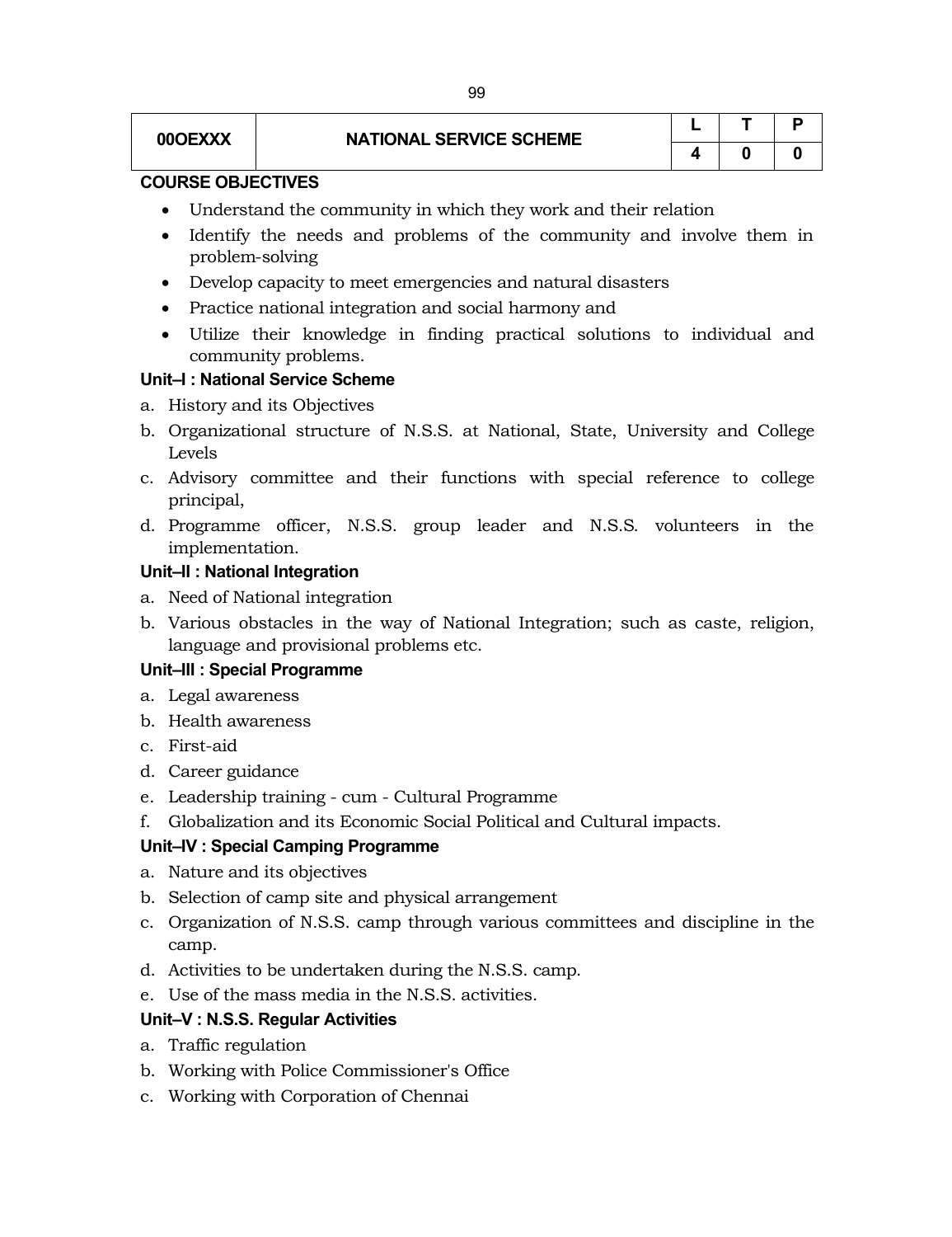# **00OEXXX NATIONAL SERVICE SCHEME**

|   |   | Р |
|---|---|---|
| 4 | U | O |

# **COURSE OBJECTIVES**

- Understand the community in which they work and their relation
- Identify the needs and problems of the community and involve them in problem-solving
- Develop capacity to meet emergencies and natural disasters
- Practice national integration and social harmony and
- Utilize their knowledge in finding practical solutions to individual and community problems.

#### **Unit–I : National Service Scheme**

- a. History and its Objectives
- b. Organizational structure of N.S.S. at National, State, University and College Levels
- c. Advisory committee and their functions with special reference to college principal,
- d. Programme officer, N.S.S. group leader and N.S.S. volunteers in the implementation.

#### **Unit–II : National Integration**

- a. Need of National integration
- b. Various obstacles in the way of National Integration; such as caste, religion, language and provisional problems etc.

#### **Unit–III : Special Programme**

- a. Legal awareness
- b. Health awareness
- c. First-aid
- d. Career guidance
- e. Leadership training cum Cultural Programme
- f. Globalization and its Economic Social Political and Cultural impacts.

#### **Unit–IV : Special Camping Programme**

- a. Nature and its objectives
- b. Selection of camp site and physical arrangement
- c. Organization of N.S.S. camp through various committees and discipline in the camp.
- d. Activities to be undertaken during the N.S.S. camp.
- e. Use of the mass media in the N.S.S. activities.

#### **Unit–V : N.S.S. Regular Activities**

- a. Traffic regulation
- b. Working with Police Commissioner's Office
- c. Working with Corporation of Chennai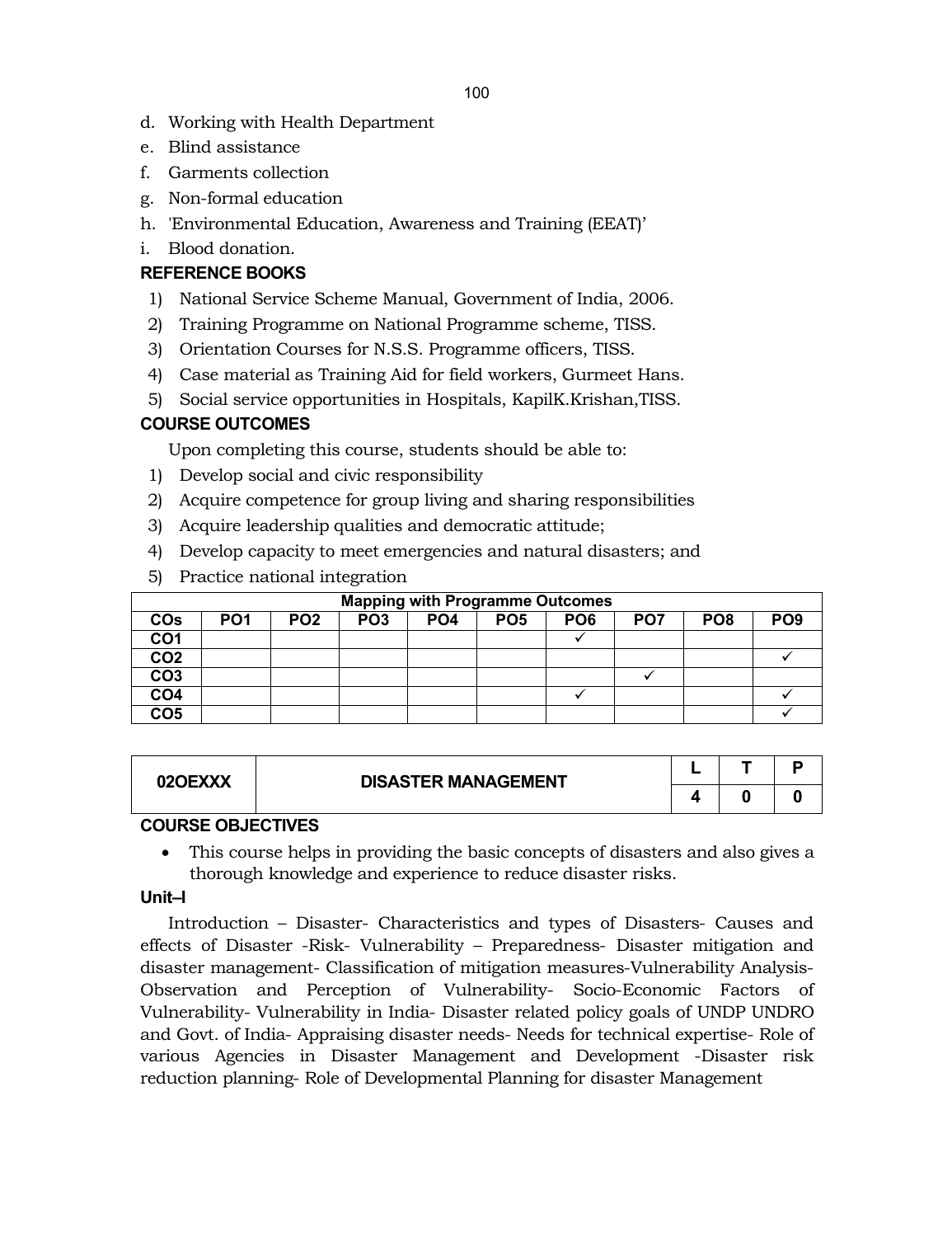- d. Working with Health Department
- e. Blind assistance
- f. Garments collection
- g. Non-formal education
- h. 'Environmental Education, Awareness and Training (EEAT)'
- i. Blood donation.

# **REFERENCE BOOKS**

- 1) National Service Scheme Manual, Government of India, 2006.
- 2) Training Programme on National Programme scheme, TISS.
- 3) Orientation Courses for N.S.S. Programme officers, TISS.
- 4) Case material as Training Aid for field workers, Gurmeet Hans.
- 5) Social service opportunities in Hospitals, KapilK.Krishan,TISS.

# **COURSE OUTCOMES**

Upon completing this course, students should be able to:

- 1) Develop social and civic responsibility
- 2) Acquire competence for group living and sharing responsibilities
- 3) Acquire leadership qualities and democratic attitude;
- 4) Develop capacity to meet emergencies and natural disasters; and
- 5) Practice national integration

|                 | <b>Mapping with Programme Outcomes</b> |                 |                 |                 |                 |                 |                 |                 |                 |  |  |  |
|-----------------|----------------------------------------|-----------------|-----------------|-----------------|-----------------|-----------------|-----------------|-----------------|-----------------|--|--|--|
| <b>COs</b>      | PO <sub>1</sub>                        | PO <sub>2</sub> | PO <sub>3</sub> | PO <sub>4</sub> | PO <sub>5</sub> | PO <sub>6</sub> | PO <sub>7</sub> | PO <sub>8</sub> | PO <sub>9</sub> |  |  |  |
| CO <sub>1</sub> |                                        |                 |                 |                 |                 |                 |                 |                 |                 |  |  |  |
| CO <sub>2</sub> |                                        |                 |                 |                 |                 |                 |                 |                 |                 |  |  |  |
| CO <sub>3</sub> |                                        |                 |                 |                 |                 |                 |                 |                 |                 |  |  |  |
| CO <sub>4</sub> |                                        |                 |                 |                 |                 |                 |                 |                 |                 |  |  |  |
| CO <sub>5</sub> |                                        |                 |                 |                 |                 |                 |                 |                 |                 |  |  |  |

| 02OEXXX | <b>DISASTER MANAGEMENT</b> |  |  |
|---------|----------------------------|--|--|
|         |                            |  |  |

# **COURSE OBJECTIVES**

 This course helps in providing the basic concepts of disasters and also gives a thorough knowledge and experience to reduce disaster risks.

# **Unit–I**

Introduction – Disaster- Characteristics and types of Disasters- Causes and effects of Disaster -Risk- Vulnerability – Preparedness- Disaster mitigation and disaster management- Classification of mitigation measures-Vulnerability Analysis-Observation and Perception of Vulnerability- Socio-Economic Factors of Vulnerability- Vulnerability in India- Disaster related policy goals of UNDP UNDRO and Govt. of India- Appraising disaster needs- Needs for technical expertise- Role of various Agencies in Disaster Management and Development -Disaster risk reduction planning- Role of Developmental Planning for disaster Management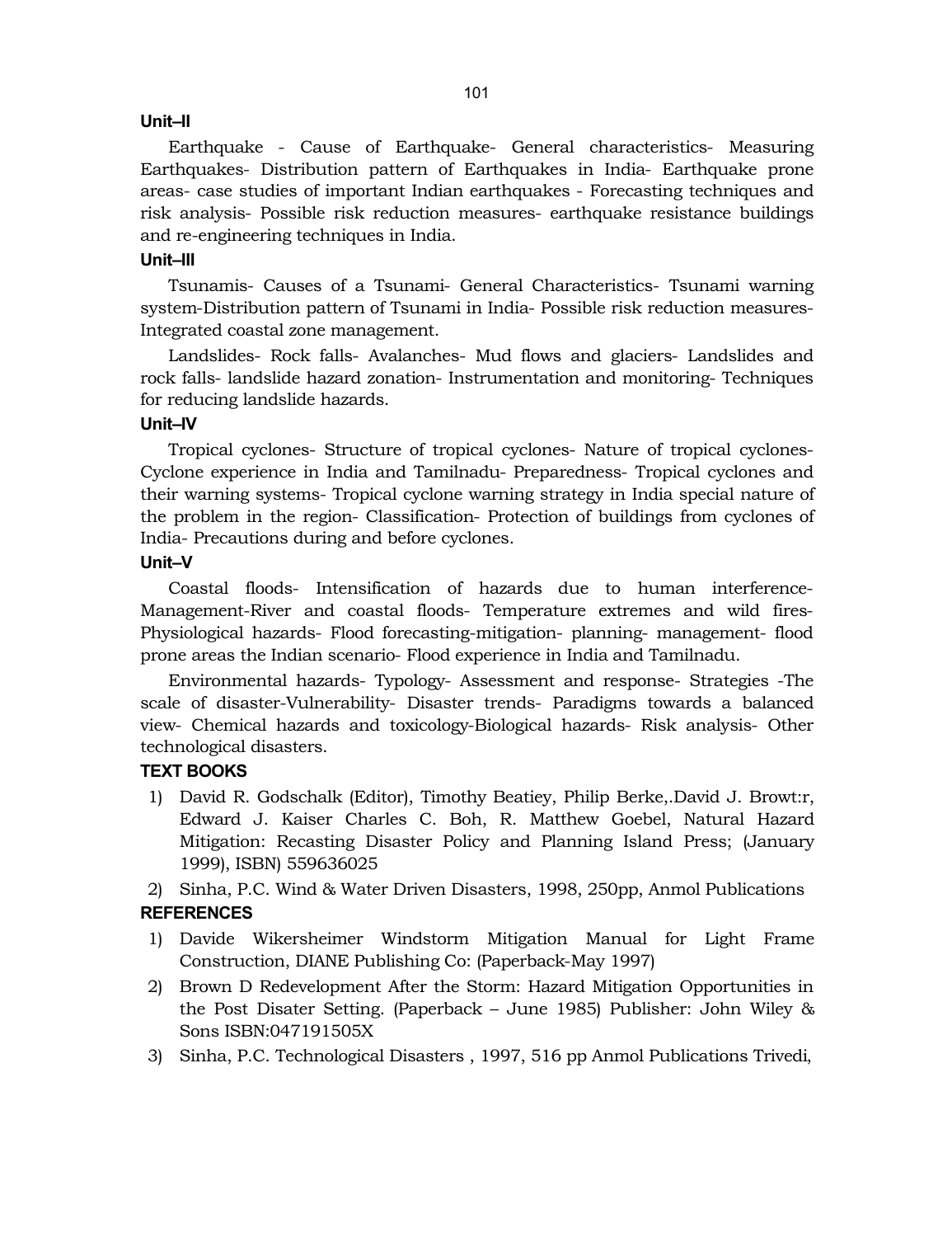#### **Unit–II**

Earthquake - Cause of Earthquake- General characteristics- Measuring Earthquakes- Distribution pattern of Earthquakes in India- Earthquake prone areas- case studies of important Indian earthquakes - Forecasting techniques and risk analysis- Possible risk reduction measures- earthquake resistance buildings and re-engineering techniques in India.

#### **Unit–III**

Tsunamis- Causes of a Tsunami- General Characteristics- Tsunami warning system-Distribution pattern of Tsunami in India- Possible risk reduction measures-Integrated coastal zone management.

Landslides- Rock falls- Avalanches- Mud flows and glaciers- Landslides and rock falls- landslide hazard zonation- Instrumentation and monitoring- Techniques for reducing landslide hazards.

#### **Unit–IV**

Tropical cyclones- Structure of tropical cyclones- Nature of tropical cyclones-Cyclone experience in India and Tamilnadu- Preparedness- Tropical cyclones and their warning systems- Tropical cyclone warning strategy in India special nature of the problem in the region- Classification- Protection of buildings from cyclones of India- Precautions during and before cyclones.

#### **Unit–V**

Coastal floods- Intensification of hazards due to human interference-Management-River and coastal floods- Temperature extremes and wild fires-Physiological hazards- Flood forecasting-mitigation- planning- management- flood prone areas the Indian scenario- Flood experience in India and Tamilnadu.

Environmental hazards- Typology- Assessment and response- Strategies -The scale of disaster-Vulnerability- Disaster trends- Paradigms towards a balanced view- Chemical hazards and toxicology-Biological hazards- Risk analysis- Other technological disasters.

# **TEXT BOOKS**

1) David R. Godschalk (Editor), Timothy Beatiey, Philip Berke,.David J. Browt:r, Edward J. Kaiser Charles C. Boh, R. Matthew Goebel, Natural Hazard Mitigation: Recasting Disaster Policy and Planning Island Press; (January 1999), ISBN) 559636025

2) Sinha, P.C. Wind & Water Driven Disasters, 1998, 250pp, Anmol Publications

# **REFERENCES**

- 1) Davide Wikersheimer Windstorm Mitigation Manual for Light Frame Construction, DIANE Publishing Co: (Paperback-May 1997)
- 2) Brown D Redevelopment After the Storm: Hazard Mitigation Opportunities in the Post Disater Setting. (Paperback – June 1985) Publisher: John Wiley & Sons ISBN:047191505X
- 3) Sinha, P.C. Technological Disasters , 1997, 516 pp Anmol Publications Trivedi,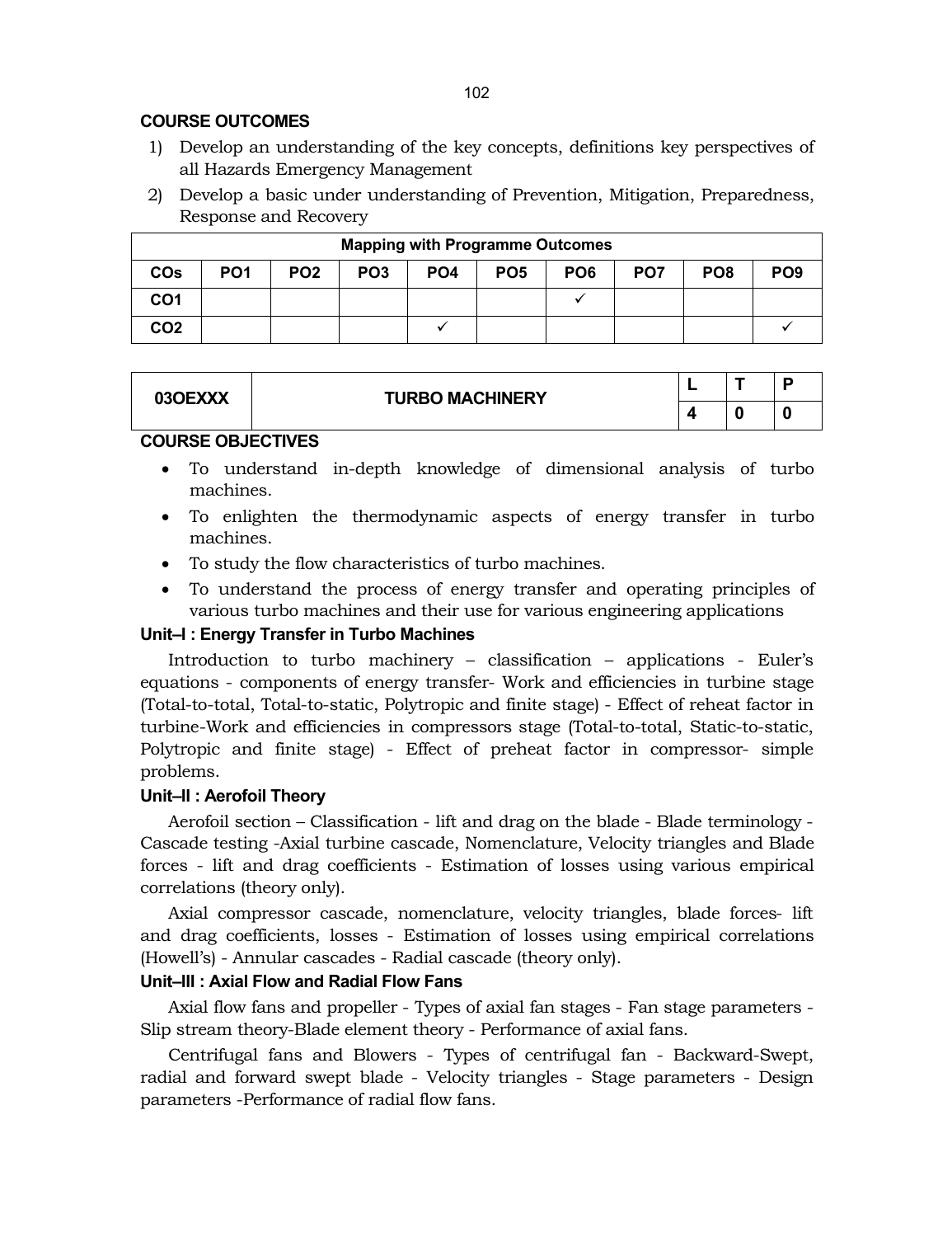# **COURSE OUTCOMES**

- 1) Develop an understanding of the key concepts, definitions key perspectives of all Hazards Emergency Management
- 2) Develop a basic under understanding of Prevention, Mitigation, Preparedness, Response and Recovery

| <b>Mapping with Programme Outcomes</b> |                 |                 |                 |                 |                 |                 |                 |                 |                 |  |
|----------------------------------------|-----------------|-----------------|-----------------|-----------------|-----------------|-----------------|-----------------|-----------------|-----------------|--|
| <b>COs</b>                             | PO <sub>1</sub> | PO <sub>2</sub> | PO <sub>3</sub> | PO <sub>4</sub> | PO <sub>5</sub> | PO <sub>6</sub> | PO <sub>7</sub> | PO <sub>8</sub> | PO <sub>9</sub> |  |
| CO <sub>1</sub>                        |                 |                 |                 |                 |                 |                 |                 |                 |                 |  |
| CO <sub>2</sub>                        |                 |                 |                 |                 |                 |                 |                 |                 |                 |  |

| 03OEXXX | <b>TURBO MACHINERY</b> | - |  |
|---------|------------------------|---|--|
|         |                        |   |  |
|         |                        |   |  |

#### **COURSE OBJECTIVES**

- To understand in-depth knowledge of dimensional analysis of turbo machines.
- To enlighten the thermodynamic aspects of energy transfer in turbo machines.
- To study the flow characteristics of turbo machines.
- To understand the process of energy transfer and operating principles of various turbo machines and their use for various engineering applications

# **Unit–I : Energy Transfer in Turbo Machines**

Introduction to turbo machinery – classification – applications - Euler's equations - components of energy transfer- Work and efficiencies in turbine stage (Total-to-total, Total-to-static, Polytropic and finite stage) - Effect of reheat factor in turbine-Work and efficiencies in compressors stage (Total-to-total, Static-to-static, Polytropic and finite stage) - Effect of preheat factor in compressor- simple problems.

# **Unit–II : Aerofoil Theory**

Aerofoil section – Classification - lift and drag on the blade - Blade terminology - Cascade testing -Axial turbine cascade, Nomenclature, Velocity triangles and Blade forces - lift and drag coefficients - Estimation of losses using various empirical correlations (theory only).

Axial compressor cascade, nomenclature, velocity triangles, blade forces- lift and drag coefficients, losses - Estimation of losses using empirical correlations (Howell's) - Annular cascades - Radial cascade (theory only).

# **Unit–III : Axial Flow and Radial Flow Fans**

Axial flow fans and propeller - Types of axial fan stages - Fan stage parameters - Slip stream theory-Blade element theory - Performance of axial fans.

Centrifugal fans and Blowers - Types of centrifugal fan - Backward-Swept, radial and forward swept blade - Velocity triangles - Stage parameters - Design parameters -Performance of radial flow fans.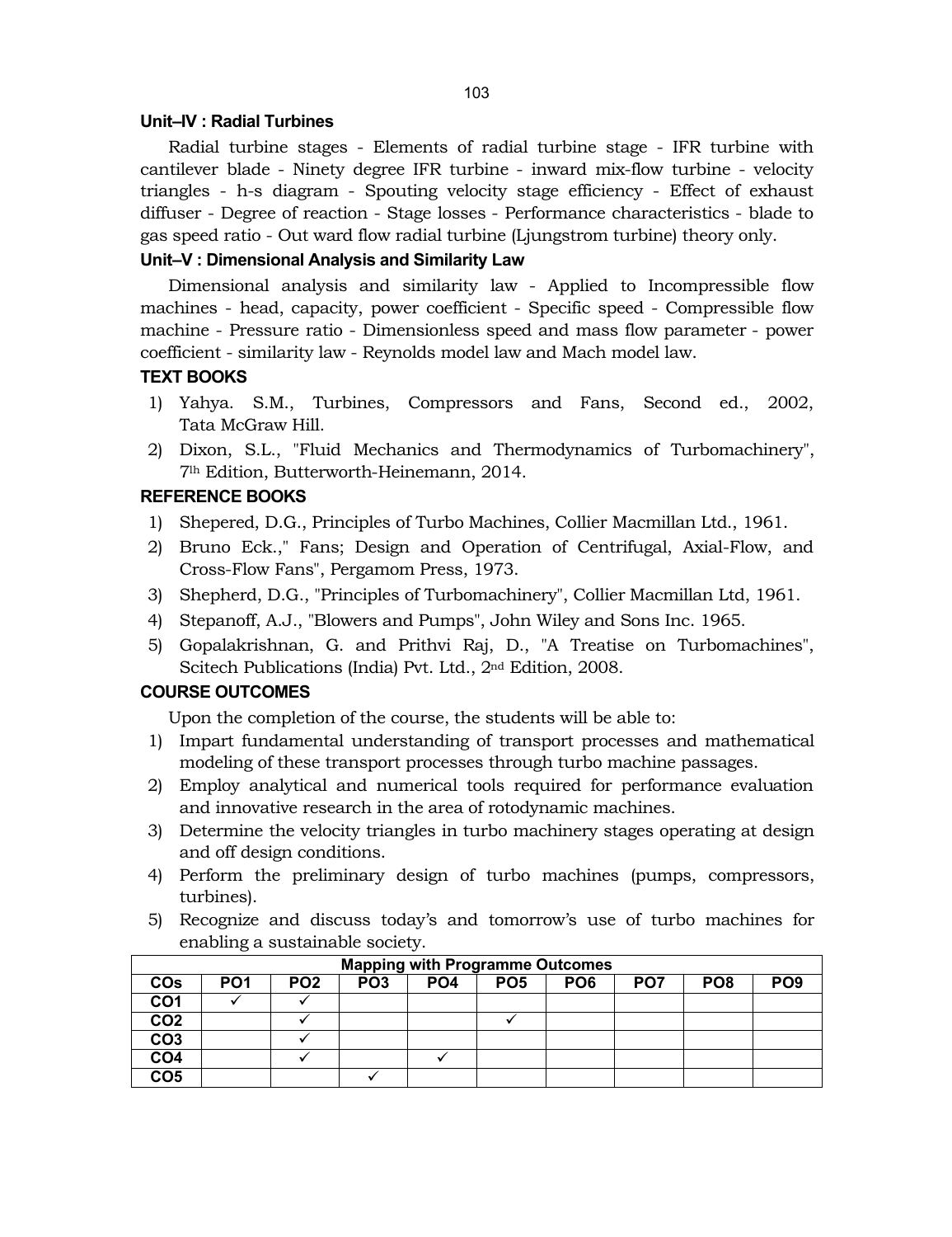#### **Unit–IV : Radial Turbines**

Radial turbine stages - Elements of radial turbine stage - IFR turbine with cantilever blade - Ninety degree IFR turbine - inward mix-flow turbine - velocity triangles - h-s diagram - Spouting velocity stage efficiency - Effect of exhaust diffuser - Degree of reaction - Stage losses - Performance characteristics - blade to gas speed ratio - Out ward flow radial turbine (Ljungstrom turbine) theory only.

#### **Unit–V : Dimensional Analysis and Similarity Law**

Dimensional analysis and similarity law - Applied to Incompressible flow machines - head, capacity, power coefficient - Specific speed - Compressible flow machine - Pressure ratio - Dimensionless speed and mass flow parameter - power coefficient - similarity law - Reynolds model law and Mach model law.

#### **TEXT BOOKS**

- 1) Yahya. S.M., Turbines, Compressors and Fans, Second ed., 2002, Tata McGraw Hill.
- 2) Dixon, S.L., "Fluid Mechanics and Thermodynamics of Turbomachinery", 7lh Edition, Butterworth-Heinemann, 2014.

#### **REFERENCE BOOKS**

- 1) Shepered, D.G., Principles of Turbo Machines, Collier Macmillan Ltd., 1961.
- 2) Bruno Eck.," Fans; Design and Operation of Centrifugal, Axial-Flow, and Cross-Flow Fans", Pergamom Press, 1973.
- 3) Shepherd, D.G., "Principles of Turbomachinery", Collier Macmillan Ltd, 1961.
- 4) Stepanoff, A.J., "Blowers and Pumps", John Wiley and Sons Inc. 1965.
- 5) Gopalakrishnan, G. and Prithvi Raj, D., "A Treatise on Turbomachines", Scitech Publications (India) Pvt. Ltd., 2nd Edition, 2008.

#### **COURSE OUTCOMES**

Upon the completion of the course, the students will be able to:

- 1) Impart fundamental understanding of transport processes and mathematical modeling of these transport processes through turbo machine passages.
- 2) Employ analytical and numerical tools required for performance evaluation and innovative research in the area of rotodynamic machines.
- 3) Determine the velocity triangles in turbo machinery stages operating at design and off design conditions.
- 4) Perform the preliminary design of turbo machines (pumps, compressors, turbines).
- 5) Recognize and discuss today's and tomorrow's use of turbo machines for enabling a sustainable society.

| <b>Mapping with Programme Outcomes</b> |                 |                 |                 |                 |                 |                 |                 |                 |                 |  |
|----------------------------------------|-----------------|-----------------|-----------------|-----------------|-----------------|-----------------|-----------------|-----------------|-----------------|--|
| <b>COs</b>                             | PO <sub>1</sub> | PO <sub>2</sub> | PO <sub>3</sub> | PO <sub>4</sub> | PO <sub>5</sub> | PO <sub>6</sub> | PO <sub>7</sub> | PO <sub>8</sub> | PO <sub>9</sub> |  |
| CO <sub>1</sub>                        |                 |                 |                 |                 |                 |                 |                 |                 |                 |  |
| CO <sub>2</sub>                        |                 |                 |                 |                 |                 |                 |                 |                 |                 |  |
| CO <sub>3</sub>                        |                 |                 |                 |                 |                 |                 |                 |                 |                 |  |
| CO <sub>4</sub>                        |                 |                 |                 |                 |                 |                 |                 |                 |                 |  |
| CO <sub>5</sub>                        |                 |                 |                 |                 |                 |                 |                 |                 |                 |  |

#### **Mapping with Programme Outcomes**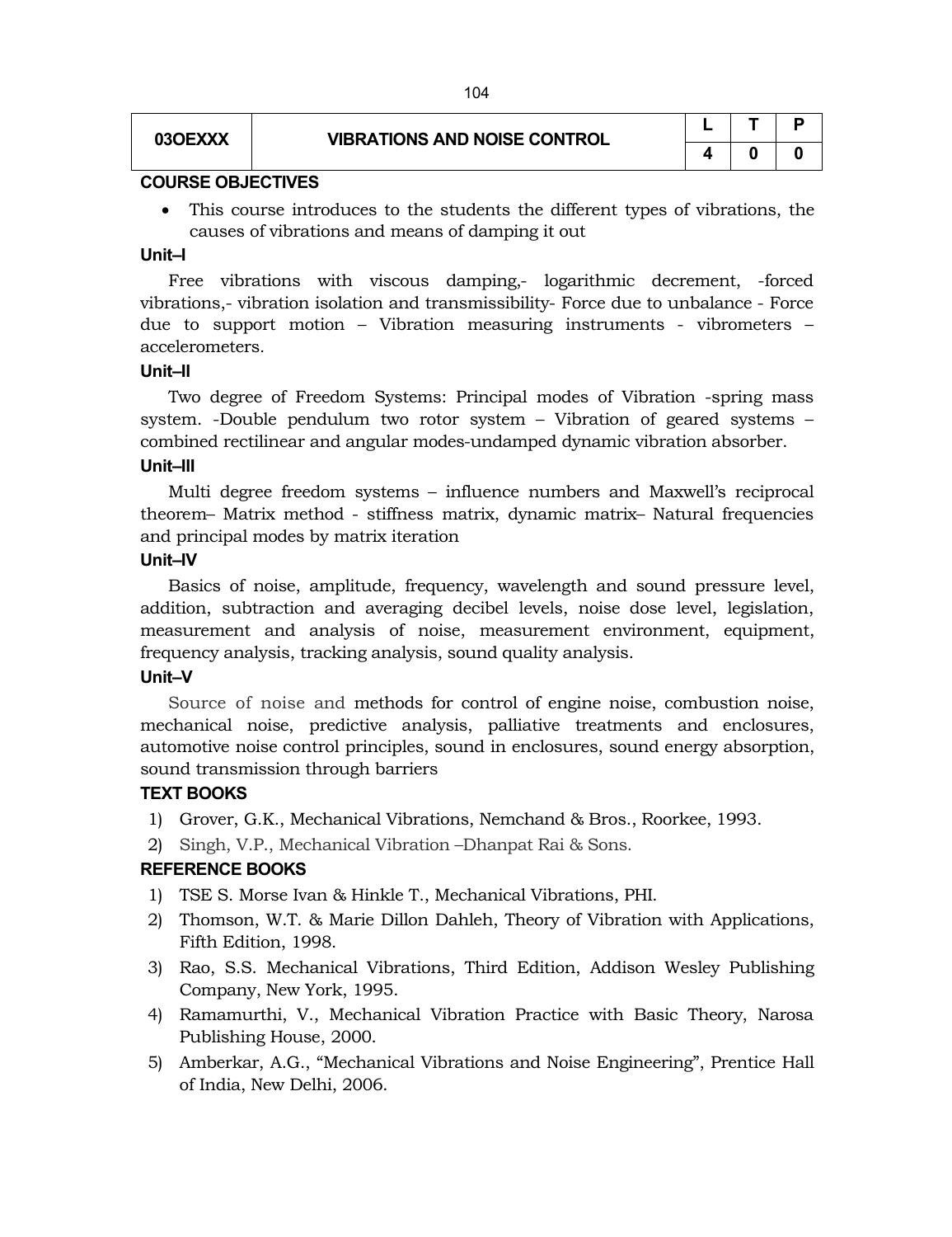# **03OEXXX VIBRATIONS AND NOISE CONTROL**

|   |   | ۰ |
|---|---|---|
| 4 | o | O |

#### **COURSE OBJECTIVES**

 This course introduces to the students the different types of vibrations, the causes of vibrations and means of damping it out

#### **Unit–I**

Free vibrations with viscous damping,- logarithmic decrement, -forced vibrations,- vibration isolation and transmissibility- Force due to unbalance - Force due to support motion – Vibration measuring instruments - vibrometers – accelerometers*.* 

#### **Unit–II**

Two degree of Freedom Systems: Principal modes of Vibration -spring mass system. -Double pendulum two rotor system – Vibration of geared systems – combined rectilinear and angular modes-undamped dynamic vibration absorber. **Unit–III**

Multi degree freedom systems – influence numbers and Maxwell's reciprocal theorem– Matrix method - stiffness matrix, dynamic matrix– Natural frequencies and principal modes by matrix iteration

#### **Unit–IV**

Basics of noise, amplitude, frequency, wavelength and sound pressure level, addition, subtraction and averaging decibel levels, noise dose level, legislation, measurement and analysis of noise, measurement environment, equipment, frequency analysis, tracking analysis, sound quality analysis.

#### **Unit–V**

Source of noise and methods for control of engine noise, combustion noise, mechanical noise, predictive analysis, palliative treatments and enclosures, automotive noise control principles, sound in enclosures, sound energy absorption, sound transmission through barriers

#### **TEXT BOOKS**

- 1) Grover, G.K., Mechanical Vibrations, Nemchand & Bros., Roorkee, 1993.
- 2) Singh, V.P., Mechanical Vibration –Dhanpat Rai & Sons.

#### **REFERENCE BOOKS**

- 1) TSE S. Morse Ivan & Hinkle T., Mechanical Vibrations, PHI.
- 2) Thomson, W.T. & Marie Dillon Dahleh, Theory of Vibration with Applications, Fifth Edition, 1998.
- 3) Rao, S.S. Mechanical Vibrations, Third Edition, Addison Wesley Publishing Company, New York, 1995.
- 4) Ramamurthi, V., Mechanical Vibration Practice with Basic Theory, Narosa Publishing House, 2000.
- 5) Amberkar, A.G., "Mechanical Vibrations and Noise Engineering", Prentice Hall of India, New Delhi, 2006.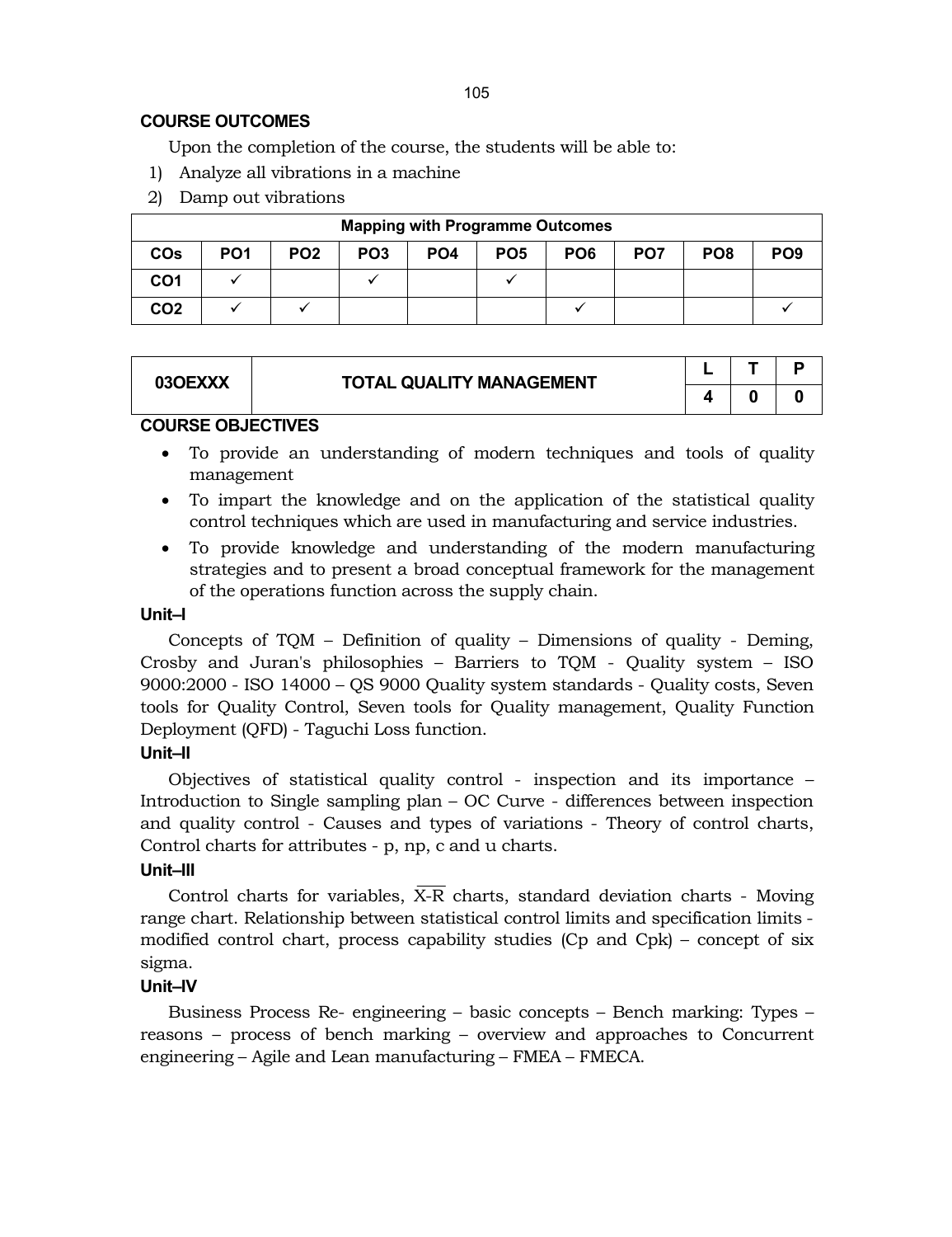# **COURSE OUTCOMES**

Upon the completion of the course, the students will be able to:

- 1) Analyze all vibrations in a machine
- 2) Damp out vibrations

| <b>Mapping with Programme Outcomes</b> |                 |                 |                 |                 |                 |                 |                 |                 |                 |  |
|----------------------------------------|-----------------|-----------------|-----------------|-----------------|-----------------|-----------------|-----------------|-----------------|-----------------|--|
| <b>COs</b>                             | PO <sub>1</sub> | PO <sub>2</sub> | PO <sub>3</sub> | PO <sub>4</sub> | PO <sub>5</sub> | PO <sub>6</sub> | PO <sub>7</sub> | PO <sub>8</sub> | PO <sub>9</sub> |  |
| CO <sub>1</sub>                        |                 |                 |                 |                 |                 |                 |                 |                 |                 |  |
| CO <sub>2</sub>                        |                 |                 |                 |                 |                 |                 |                 |                 |                 |  |

| 03OEXXX | <b>TOTAL QUALITY MANAGEMENT</b> |  |  |
|---------|---------------------------------|--|--|
|         |                                 |  |  |

## **COURSE OBJECTIVES**

- To provide an understanding of modern techniques and tools of quality management
- To impart the knowledge and on the application of the statistical quality control techniques which are used in manufacturing and service industries.
- To provide knowledge and understanding of the modern manufacturing strategies and to present a broad conceptual framework for the management of the operations function across the supply chain.

#### **Unit–I**

Concepts of TQM – Definition of quality – Dimensions of quality - Deming, Crosby and Juran's philosophies – Barriers to TQM - Quality system – ISO 9000:2000 - ISO 14000 – QS 9000 Quality system standards - Quality costs, Seven tools for Quality Control, Seven tools for Quality management, Quality Function Deployment (QFD) - Taguchi Loss function.

# **Unit–II**

Objectives of statistical quality control - inspection and its importance – Introduction to Single sampling plan – OC Curve - differences between inspection and quality control - Causes and types of variations - Theory of control charts, Control charts for attributes - p, np, c and u charts.

# **Unit–III**

Control charts for variables,  $\overline{X-R}$  charts, standard deviation charts - Moving range chart. Relationship between statistical control limits and specification limits modified control chart, process capability studies (Cp and Cpk) – concept of six sigma.

# **Unit–IV**

Business Process Re- engineering – basic concepts – Bench marking: Types – reasons – process of bench marking – overview and approaches to Concurrent engineering – Agile and Lean manufacturing – FMEA – FMECA.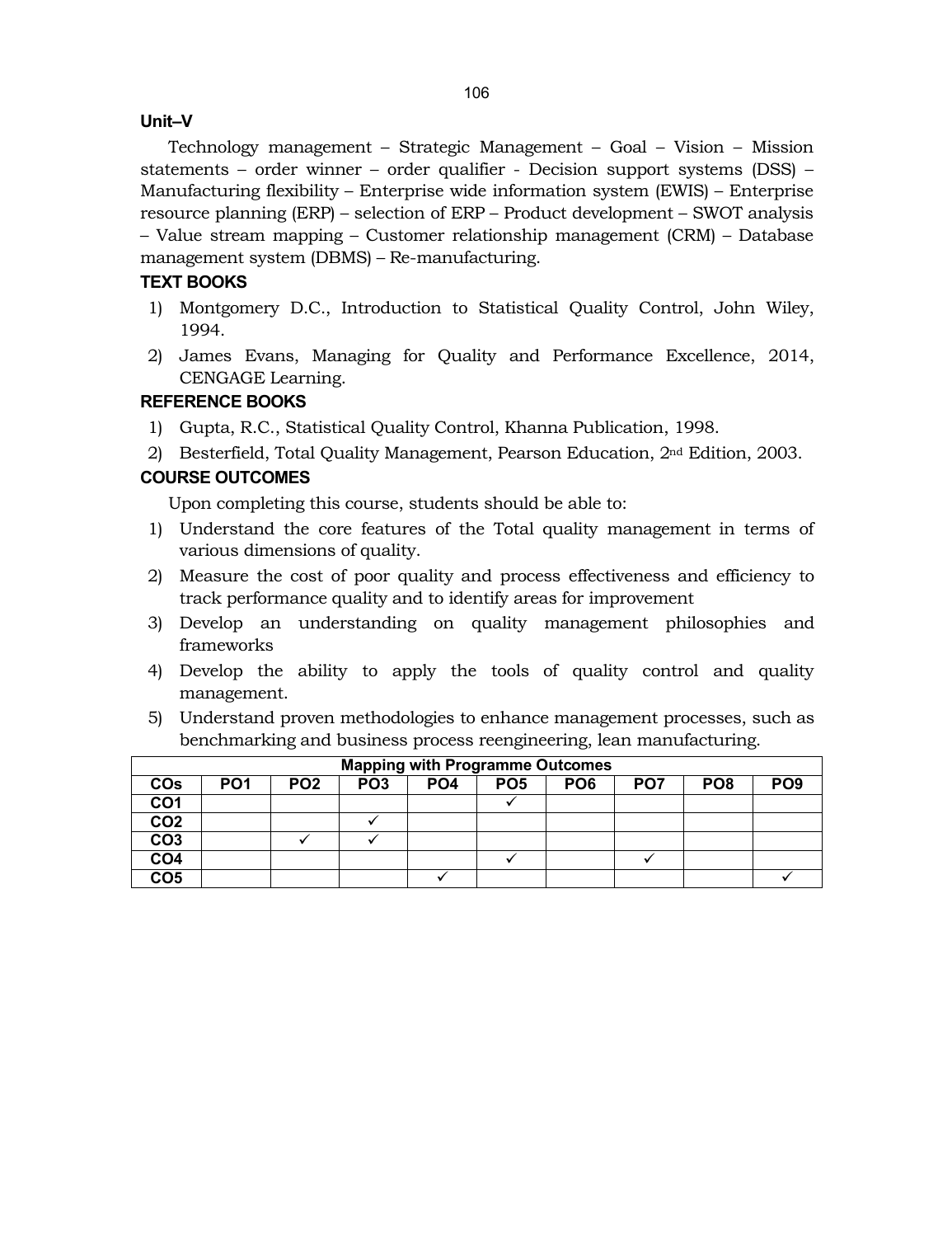#### **Unit–V**

Technology management – Strategic Management – Goal – Vision – Mission statements – order winner – order qualifier - Decision support systems (DSS) – Manufacturing flexibility – Enterprise wide information system (EWIS) – Enterprise resource planning (ERP) – selection of ERP – Product development – SWOT analysis – Value stream mapping – Customer relationship management (CRM) – Database management system (DBMS) – Re-manufacturing.

# **TEXT BOOKS**

- 1) Montgomery D.C., Introduction to Statistical Quality Control, John Wiley, 1994.
- 2) James Evans, Managing for Quality and Performance Excellence, 2014, CENGAGE Learning.

## **REFERENCE BOOKS**

- 1) Gupta, R.C., Statistical Quality Control, Khanna Publication, 1998.
- 2) Besterfield, Total Quality Management, Pearson Education, 2nd Edition, 2003.

# **COURSE OUTCOMES**

Upon completing this course, students should be able to:

- 1) Understand the core features of the Total quality management in terms of various dimensions of quality.
- 2) Measure the cost of poor quality and process effectiveness and efficiency to track performance quality and to identify areas for improvement
- 3) Develop an understanding on quality management philosophies and frameworks
- 4) Develop the ability to apply the tools of quality control and quality management.
- 5) Understand proven methodologies to enhance management processes, such as benchmarking and business process reengineering, lean manufacturing.

|                 | <b>Mapping with Programme Outcomes</b> |                 |                 |                 |                 |                 |                 |                 |                 |  |  |
|-----------------|----------------------------------------|-----------------|-----------------|-----------------|-----------------|-----------------|-----------------|-----------------|-----------------|--|--|
| <b>COs</b>      | PO <sub>1</sub>                        | PO <sub>2</sub> | PO <sub>3</sub> | PO <sub>4</sub> | PO <sub>5</sub> | PO <sub>6</sub> | PO <sub>7</sub> | PO <sub>8</sub> | PO <sub>9</sub> |  |  |
| CO <sub>1</sub> |                                        |                 |                 |                 |                 |                 |                 |                 |                 |  |  |
| CO <sub>2</sub> |                                        |                 |                 |                 |                 |                 |                 |                 |                 |  |  |
| CO <sub>3</sub> |                                        |                 |                 |                 |                 |                 |                 |                 |                 |  |  |
| CO <sub>4</sub> |                                        |                 |                 |                 |                 |                 |                 |                 |                 |  |  |
| CO <sub>5</sub> |                                        |                 |                 |                 |                 |                 |                 |                 |                 |  |  |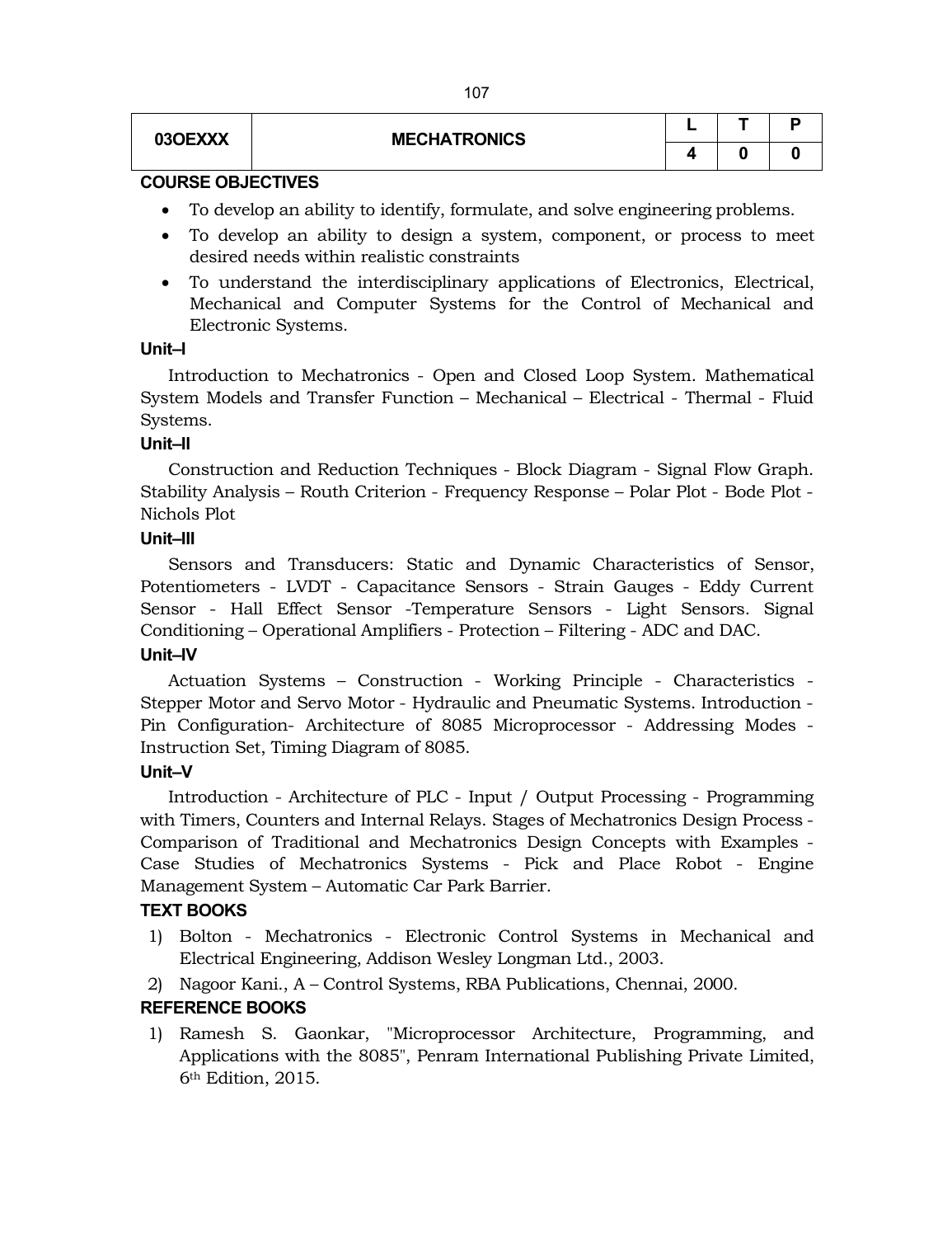| 03OEXXX | <b>MECHATRONICS</b> |  |  |  |
|---------|---------------------|--|--|--|
|         |                     |  |  |  |

#### **COURSE OBJECTIVES**

- To develop an ability to identify, formulate, and solve engineering problems.
- To develop an ability to design a system, component, or process to meet desired needs within realistic constraints
- To understand the interdisciplinary applications of Electronics, Electrical, Mechanical and Computer Systems for the Control of Mechanical and Electronic Systems.

#### **Unit–I**

Introduction to Mechatronics - Open and Closed Loop System. Mathematical System Models and Transfer Function – Mechanical – Electrical - Thermal - Fluid Systems.

# **Unit–II**

Construction and Reduction Techniques - Block Diagram - Signal Flow Graph. Stability Analysis – Routh Criterion - Frequency Response – Polar Plot - Bode Plot - Nichols Plot

# **Unit–III**

Sensors and Transducers: Static and Dynamic Characteristics of Sensor, Potentiometers - LVDT - Capacitance Sensors - Strain Gauges - Eddy Current Sensor - Hall Effect Sensor -Temperature Sensors - Light Sensors. Signal Conditioning – Operational Amplifiers - Protection – Filtering - ADC and DAC.

# **Unit–IV**

Actuation Systems – Construction - Working Principle - Characteristics - Stepper Motor and Servo Motor - Hydraulic and Pneumatic Systems. Introduction - Pin Configuration- Architecture of 8085 Microprocessor - Addressing Modes - Instruction Set, Timing Diagram of 8085.

# **Unit–V**

Introduction - Architecture of PLC - Input / Output Processing - Programming with Timers, Counters and Internal Relays. Stages of Mechatronics Design Process - Comparison of Traditional and Mechatronics Design Concepts with Examples - Case Studies of Mechatronics Systems - Pick and Place Robot - Engine Management System – Automatic Car Park Barrier.

# **TEXT BOOKS**

- 1) Bolton Mechatronics Electronic Control Systems in Mechanical and Electrical Engineering, Addison Wesley Longman Ltd., 2003.
- 2) Nagoor Kani., A Control Systems, RBA Publications, Chennai, 2000.

# **REFERENCE BOOKS**

1) Ramesh S. Gaonkar, "Microprocessor Architecture, Programming, and Applications with the 8085", Penram International Publishing Private Limited, 6th Edition, 2015.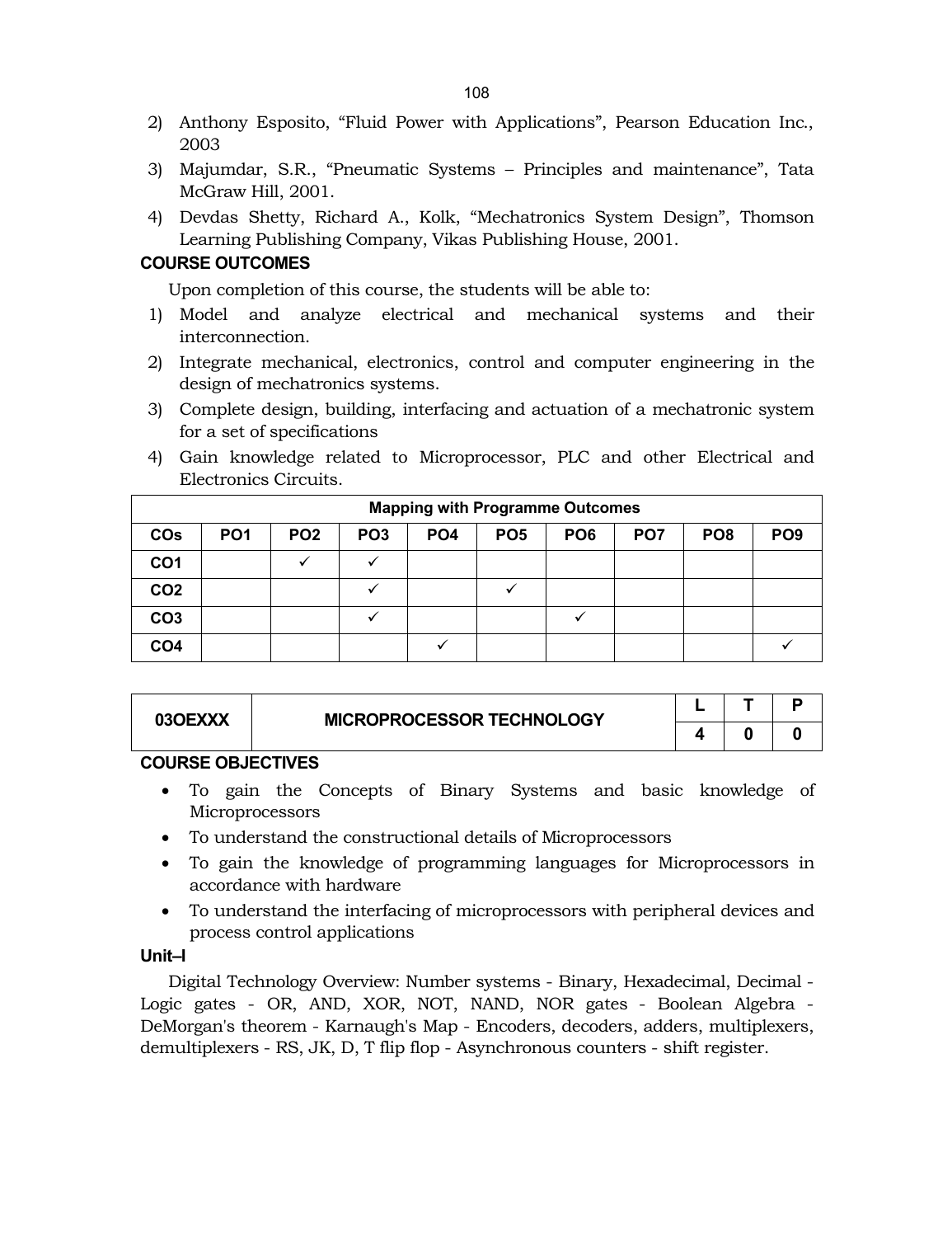- 2) Anthony Esposito, "Fluid Power with Applications", Pearson Education Inc., 2003
- 3) Majumdar, S.R., "Pneumatic Systems Principles and maintenance", Tata McGraw Hill, 2001.
- 4) Devdas Shetty, Richard A., Kolk, "Mechatronics System Design", Thomson Learning Publishing Company, Vikas Publishing House, 2001.

# **COURSE OUTCOMES**

Upon completion of this course, the students will be able to:

- 1) Model and analyze electrical and mechanical systems and their interconnection.
- 2) Integrate mechanical, electronics, control and computer engineering in the design of mechatronics systems.
- 3) Complete design, building, interfacing and actuation of a mechatronic system for a set of specifications
- 4) Gain knowledge related to Microprocessor, PLC and other Electrical and Electronics Circuits.

| <b>Mapping with Programme Outcomes</b> |                 |                 |                 |                 |                 |                 |                 |                 |                 |  |  |
|----------------------------------------|-----------------|-----------------|-----------------|-----------------|-----------------|-----------------|-----------------|-----------------|-----------------|--|--|
| <b>COs</b>                             | PO <sub>1</sub> | PO <sub>2</sub> | PO <sub>3</sub> | PO <sub>4</sub> | PO <sub>5</sub> | PO <sub>6</sub> | PO <sub>7</sub> | PO <sub>8</sub> | PO <sub>9</sub> |  |  |
| CO <sub>1</sub>                        |                 |                 |                 |                 |                 |                 |                 |                 |                 |  |  |
| CO <sub>2</sub>                        |                 |                 |                 |                 |                 |                 |                 |                 |                 |  |  |
| CO <sub>3</sub>                        |                 |                 |                 |                 |                 |                 |                 |                 |                 |  |  |
| CO <sub>4</sub>                        |                 |                 |                 |                 |                 |                 |                 |                 |                 |  |  |

| 03OEXXX | <b>MICROPROCESSOR TECHNOLOGY</b> |  |  |
|---------|----------------------------------|--|--|
|         |                                  |  |  |

#### **COURSE OBJECTIVES**

- To gain the Concepts of Binary Systems and basic knowledge of **Microprocessors**
- To understand the constructional details of Microprocessors
- To gain the knowledge of programming languages for Microprocessors in accordance with hardware
- To understand the interfacing of microprocessors with peripheral devices and process control applications

# **Unit–I**

Digital Technology Overview: Number systems - Binary, Hexadecimal, Decimal - Logic gates - OR, AND, XOR, NOT, NAND, NOR gates - Boolean Algebra - DeMorgan's theorem - Karnaugh's Map - Encoders, decoders, adders, multiplexers, demultiplexers - RS, JK, D, T flip flop - Asynchronous counters - shift register.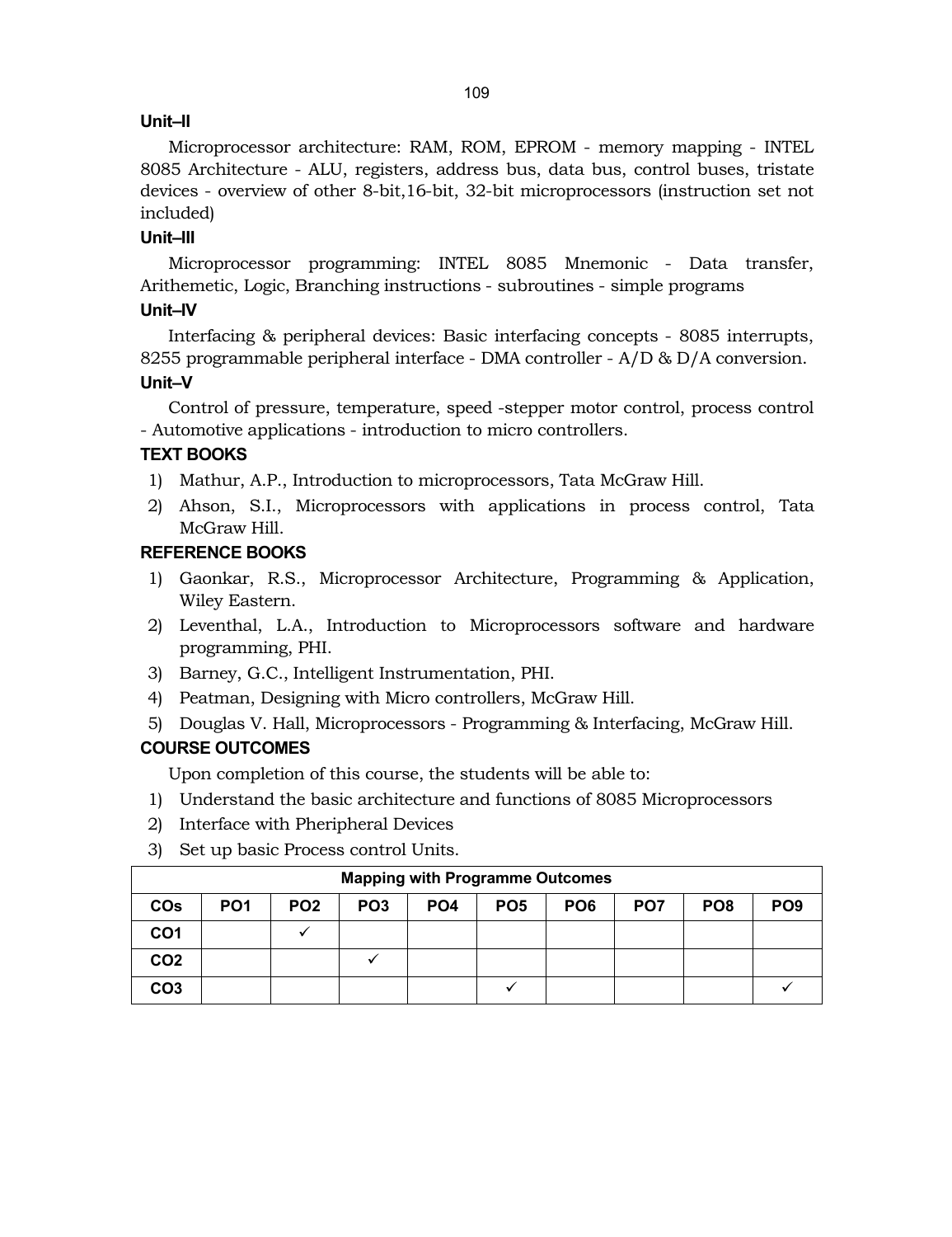# **Unit–II**

Microprocessor architecture: RAM, ROM, EPROM - memory mapping - INTEL 8085 Architecture - ALU, registers, address bus, data bus, control buses, tristate devices - overview of other 8-bit,16-bit, 32-bit microprocessors (instruction set not included)

# **Unit–III**

Microprocessor programming: INTEL 8085 Mnemonic - Data transfer, Arithemetic, Logic, Branching instructions - subroutines - simple programs

# **Unit–IV**

Interfacing & peripheral devices: Basic interfacing concepts - 8085 interrupts, 8255 programmable peripheral interface - DMA controller - A/D & D/A conversion. **Unit–V** 

Control of pressure, temperature, speed -stepper motor control, process control - Automotive applications - introduction to micro controllers.

# **TEXT BOOKS**

- 1) Mathur, A.P., Introduction to microprocessors, Tata McGraw Hill.
- 2) Ahson, S.I., Microprocessors with applications in process control, Tata McGraw Hill.

# **REFERENCE BOOKS**

- 1) Gaonkar, R.S., Microprocessor Architecture, Programming & Application, Wiley Eastern.
- 2) Leventhal, L.A., Introduction to Microprocessors software and hardware programming, PHI.
- 3) Barney, G.C., Intelligent Instrumentation, PHI.
- 4) Peatman, Designing with Micro controllers, McGraw Hill.
- 5) Douglas V. Hall, Microprocessors Programming & Interfacing, McGraw Hill.

# **COURSE OUTCOMES**

Upon completion of this course, the students will be able to:

- 1) Understand the basic architecture and functions of 8085 Microprocessors
- 2) Interface with Pheripheral Devices
- 3) Set up basic Process control Units.

| <b>Mapping with Programme Outcomes</b> |                 |                 |                 |                 |                 |                 |                 |                 |                 |
|----------------------------------------|-----------------|-----------------|-----------------|-----------------|-----------------|-----------------|-----------------|-----------------|-----------------|
| <b>COs</b>                             | PO <sub>1</sub> | PO <sub>2</sub> | PO <sub>3</sub> | PO <sub>4</sub> | PO <sub>5</sub> | PO <sub>6</sub> | PO <sub>7</sub> | PO <sub>8</sub> | PO <sub>9</sub> |
| CO1                                    |                 |                 |                 |                 |                 |                 |                 |                 |                 |
| CO <sub>2</sub>                        |                 |                 |                 |                 |                 |                 |                 |                 |                 |
| CO3                                    |                 |                 |                 |                 |                 |                 |                 |                 |                 |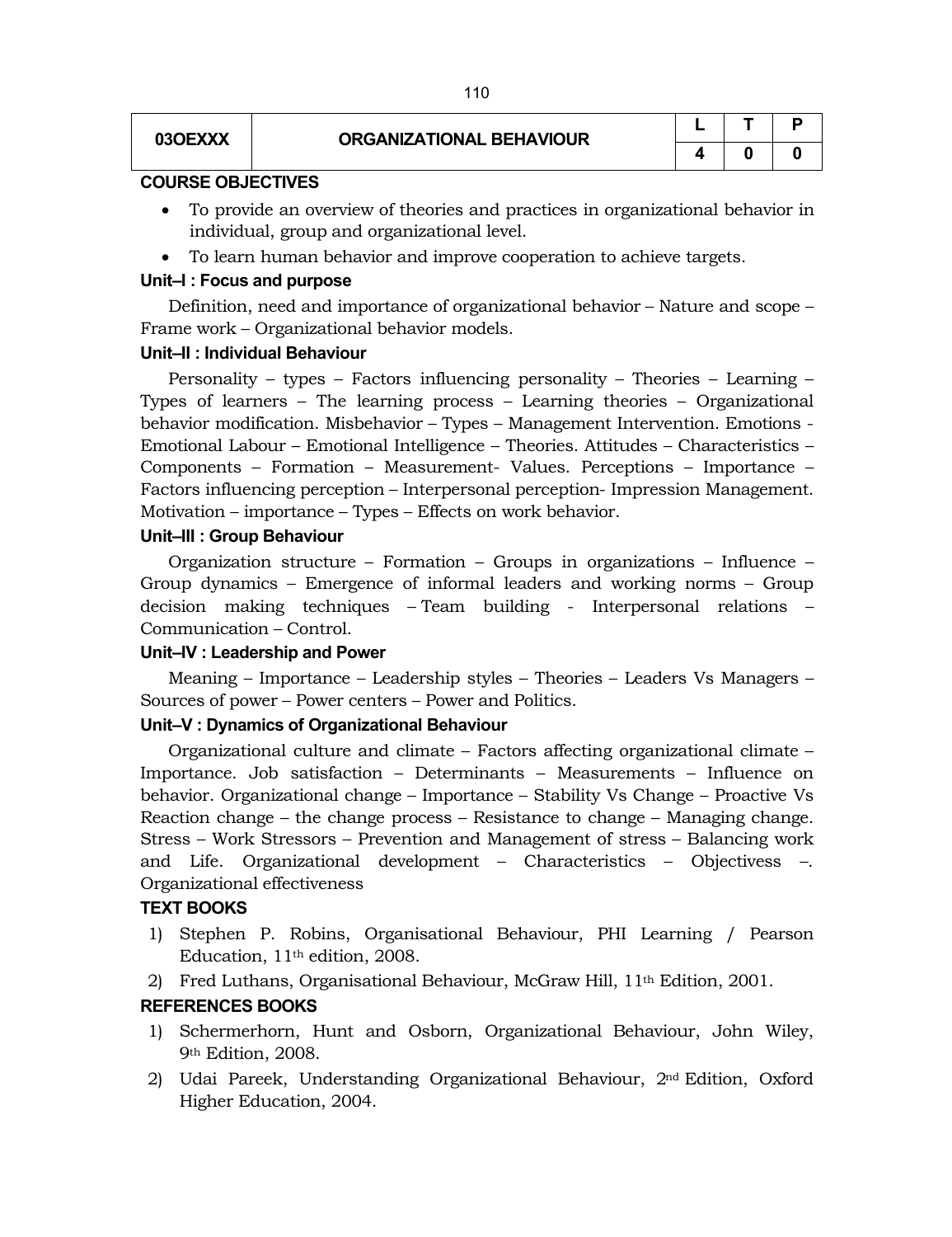| <b>03OEXXX</b> |
|----------------|
|----------------|

|   |   | Р |
|---|---|---|
| Δ | Ü | O |

#### **COURSE OBJECTIVES**

- To provide an overview of theories and practices in organizational behavior in individual, group and organizational level.
- To learn human behavior and improve cooperation to achieve targets.

#### **Unit–I : Focus and purpose**

Definition, need and importance of organizational behavior – Nature and scope – Frame work – Organizational behavior models.

#### **Unit–II : Individual Behaviour**

Personality – types – Factors influencing personality – Theories – Learning – Types of learners – The learning process – Learning theories – Organizational behavior modification. Misbehavior – Types – Management Intervention. Emotions - Emotional Labour – Emotional Intelligence – Theories. Attitudes – Characteristics – Components – Formation – Measurement- Values. Perceptions – Importance – Factors influencing perception – Interpersonal perception- Impression Management. Motivation – importance – Types – Effects on work behavior.

#### **Unit–III : Group Behaviour**

Organization structure – Formation – Groups in organizations – Influence – Group dynamics – Emergence of informal leaders and working norms – Group decision making techniques – Team building - Interpersonal relations – Communication – Control.

#### **Unit–IV : Leadership and Power**

Meaning – Importance – Leadership styles – Theories – Leaders Vs Managers – Sources of power – Power centers – Power and Politics.

#### **Unit–V : Dynamics of Organizational Behaviour**

Organizational culture and climate – Factors affecting organizational climate – Importance. Job satisfaction – Determinants – Measurements – Influence on behavior. Organizational change – Importance – Stability Vs Change – Proactive Vs Reaction change – the change process – Resistance to change – Managing change. Stress – Work Stressors – Prevention and Management of stress – Balancing work and Life. Organizational development – Characteristics – Objectivess –. Organizational effectiveness

#### **TEXT BOOKS**

- 1) Stephen P. Robins, Organisational Behaviour, PHI Learning / Pearson Education, 11th edition, 2008.
- 2) Fred Luthans, Organisational Behaviour, McGraw Hill, 11th Edition, 2001.

#### **REFERENCES BOOKS**

- 1) Schermerhorn, Hunt and Osborn, Organizational Behaviour, John Wiley, 9th Edition, 2008.
- 2) Udai Pareek, Understanding Organizational Behaviour, 2nd Edition, Oxford Higher Education, 2004.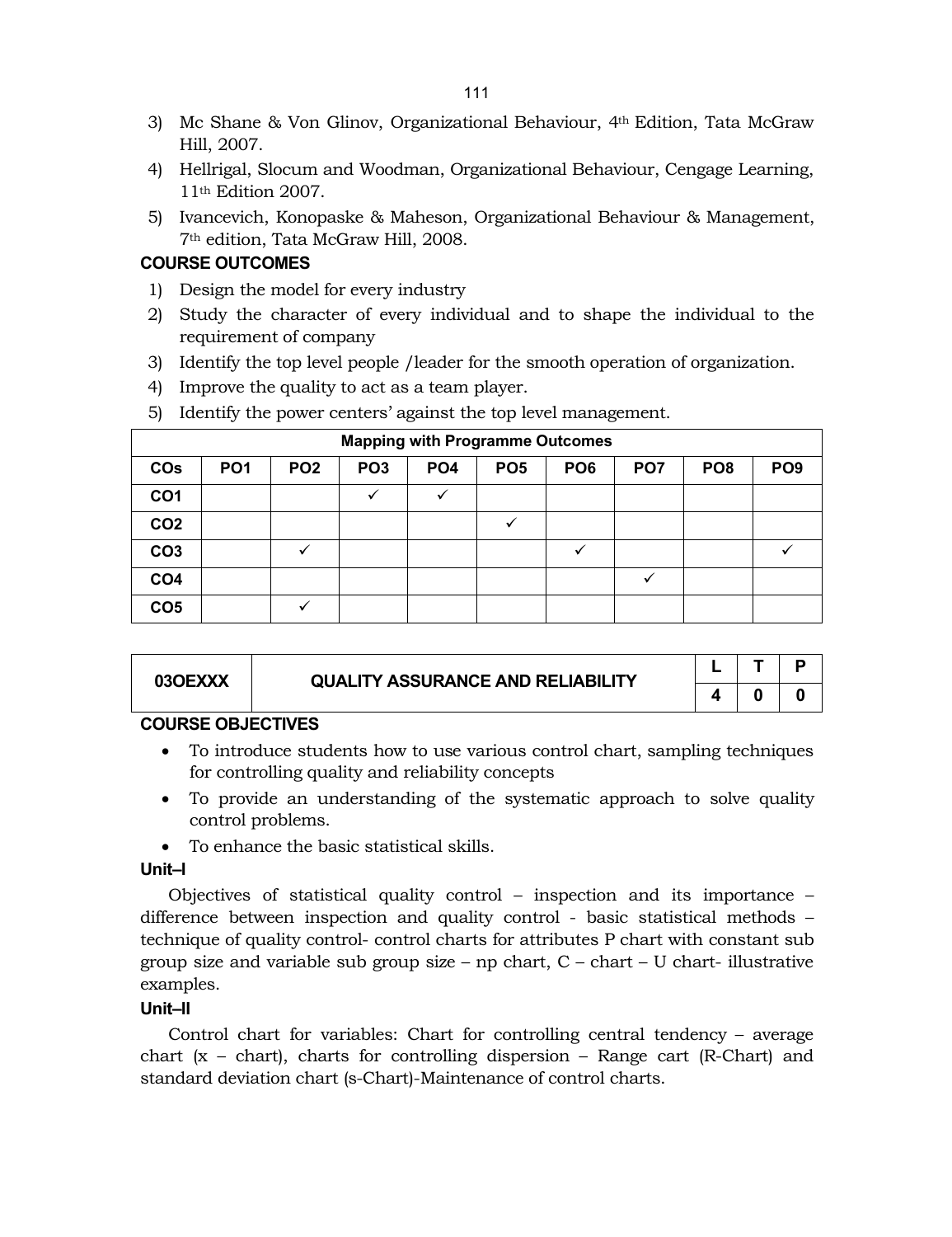- 3) Mc Shane & Von Glinov, Organizational Behaviour, 4th Edition, Tata McGraw Hill, 2007.
- 4) Hellrigal, Slocum and Woodman, Organizational Behaviour, Cengage Learning, 11th Edition 2007.
- 5) Ivancevich, Konopaske & Maheson, Organizational Behaviour & Management, 7th edition, Tata McGraw Hill, 2008.

# **COURSE OUTCOMES**

- 1) Design the model for every industry
- 2) Study the character of every individual and to shape the individual to the requirement of company
- 3) Identify the top level people /leader for the smooth operation of organization.
- 4) Improve the quality to act as a team player.
- 5) Identify the power centers' against the top level management.

|                       | <b>Mapping with Programme Outcomes</b> |                 |                 |                 |                 |                 |                 |                 |                 |
|-----------------------|----------------------------------------|-----------------|-----------------|-----------------|-----------------|-----------------|-----------------|-----------------|-----------------|
| <b>CO<sub>s</sub></b> | PO <sub>1</sub>                        | PO <sub>2</sub> | PO <sub>3</sub> | PO <sub>4</sub> | PO <sub>5</sub> | PO <sub>6</sub> | PO <sub>7</sub> | PO <sub>8</sub> | PO <sub>9</sub> |
| CO <sub>1</sub>       |                                        |                 |                 | $\checkmark$    |                 |                 |                 |                 |                 |
| CO <sub>2</sub>       |                                        |                 |                 |                 |                 |                 |                 |                 |                 |
| CO <sub>3</sub>       |                                        |                 |                 |                 |                 | ✓               |                 |                 |                 |
| CO <sub>4</sub>       |                                        |                 |                 |                 |                 |                 |                 |                 |                 |
| CO <sub>5</sub>       |                                        |                 |                 |                 |                 |                 |                 |                 |                 |

| 03OEXXX | <b>QUALITY ASSURANCE AND RELIABILITY</b> |  |  |
|---------|------------------------------------------|--|--|
|         |                                          |  |  |

## **COURSE OBJECTIVES**

- To introduce students how to use various control chart, sampling techniques for controlling quality and reliability concepts
- To provide an understanding of the systematic approach to solve quality control problems.
- To enhance the basic statistical skills.

#### **Unit–I**

Objectives of statistical quality control – inspection and its importance – difference between inspection and quality control - basic statistical methods – technique of quality control- control charts for attributes P chart with constant sub group size and variable sub group size – np chart,  $C$  – chart – U chart- illustrative examples.

#### **Unit–II**

Control chart for variables: Chart for controlling central tendency – average chart  $(x - chart)$ , charts for controlling dispersion – Range cart (R-Chart) and standard deviation chart (s-Chart)-Maintenance of control charts.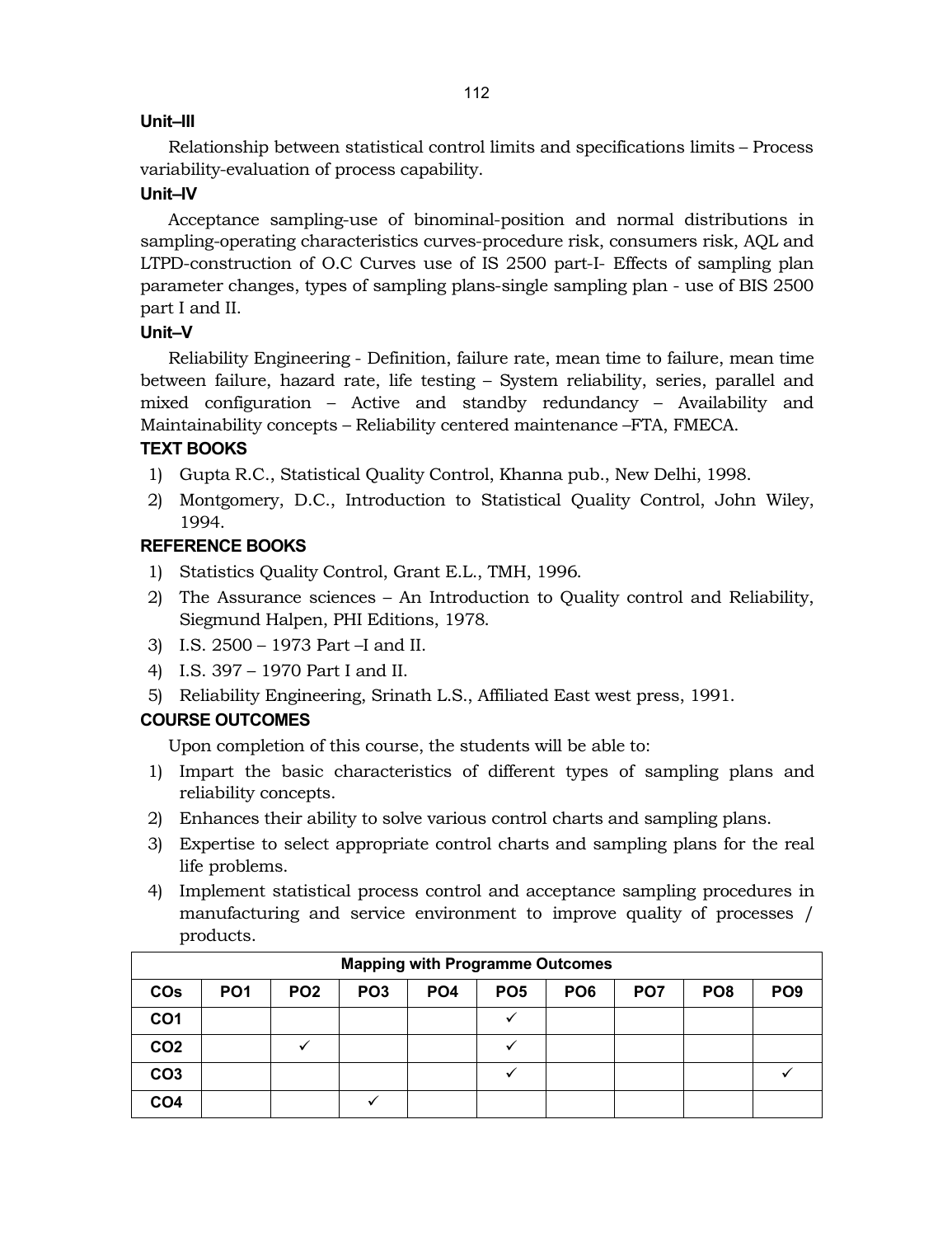# **Unit–III**

Relationship between statistical control limits and specifications limits – Process variability-evaluation of process capability.

# **Unit–IV**

Acceptance sampling-use of binominal-position and normal distributions in sampling-operating characteristics curves-procedure risk, consumers risk, AQL and LTPD-construction of O.C Curves use of IS 2500 part-I- Effects of sampling plan parameter changes, types of sampling plans-single sampling plan - use of BIS 2500 part I and II.

# **Unit–V**

Reliability Engineering - Definition, failure rate, mean time to failure, mean time between failure, hazard rate, life testing – System reliability, series, parallel and mixed configuration – Active and standby redundancy – Availability and Maintainability concepts – Reliability centered maintenance –FTA, FMECA.

# **TEXT BOOKS**

- 1) Gupta R.C., Statistical Quality Control, Khanna pub., New Delhi, 1998.
- 2) Montgomery, D.C., Introduction to Statistical Quality Control, John Wiley, 1994.

# **REFERENCE BOOKS**

- 1) Statistics Quality Control, Grant E.L., TMH, 1996.
- 2) The Assurance sciences An Introduction to Quality control and Reliability, Siegmund Halpen, PHI Editions, 1978.
- 3) I.S. 2500 1973 Part –I and II.
- 4) I.S. 397 1970 Part I and II.
- 5) Reliability Engineering, Srinath L.S., Affiliated East west press, 1991.

# **COURSE OUTCOMES**

Upon completion of this course, the students will be able to:

- 1) Impart the basic characteristics of different types of sampling plans and reliability concepts.
- 2) Enhances their ability to solve various control charts and sampling plans.
- 3) Expertise to select appropriate control charts and sampling plans for the real life problems.
- 4) Implement statistical process control and acceptance sampling procedures in manufacturing and service environment to improve quality of processes / products.

| <b>Mapping with Programme Outcomes</b> |                 |                 |                 |                 |                 |                 |                 |                 |                 |
|----------------------------------------|-----------------|-----------------|-----------------|-----------------|-----------------|-----------------|-----------------|-----------------|-----------------|
| <b>COs</b>                             | PO <sub>1</sub> | PO <sub>2</sub> | PO <sub>3</sub> | PO <sub>4</sub> | PO <sub>5</sub> | PO <sub>6</sub> | PO <sub>7</sub> | PO <sub>8</sub> | PO <sub>9</sub> |
| CO1                                    |                 |                 |                 |                 |                 |                 |                 |                 |                 |
| CO <sub>2</sub>                        |                 |                 |                 |                 |                 |                 |                 |                 |                 |
| CO <sub>3</sub>                        |                 |                 |                 |                 |                 |                 |                 |                 |                 |
| CO4                                    |                 |                 |                 |                 |                 |                 |                 |                 |                 |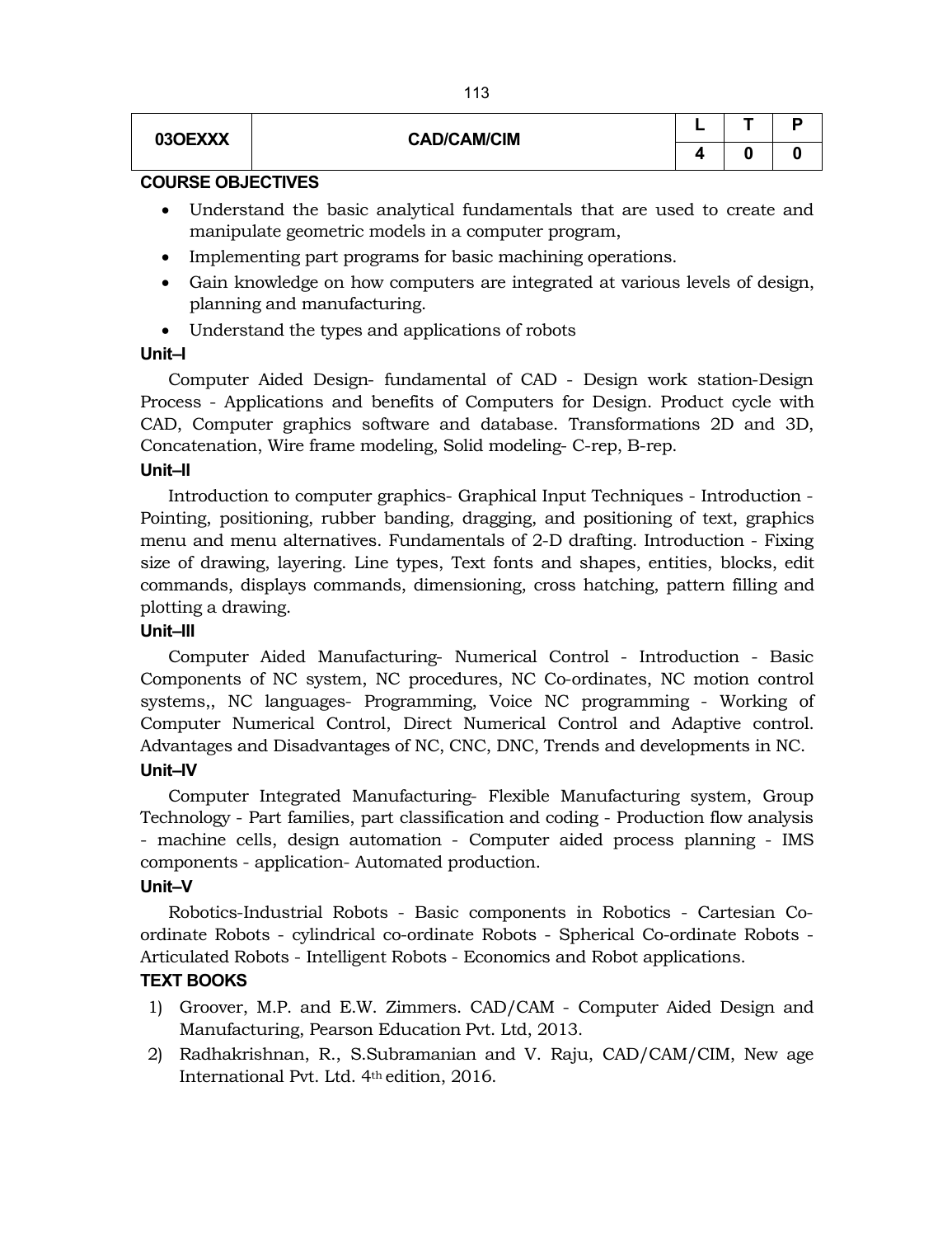| 03OEXXX | <b>CAD/CAM/CIM</b> | - |  |
|---------|--------------------|---|--|
|         |                    |   |  |

#### **COURSE OBJECTIVES**

- Understand the basic analytical fundamentals that are used to create and manipulate geometric models in a computer program,
- Implementing part programs for basic machining operations.
- Gain knowledge on how computers are integrated at various levels of design, planning and manufacturing.
- Understand the types and applications of robots

## **Unit–I**

Computer Aided Design- fundamental of CAD - Design work station-Design Process - Applications and benefits of Computers for Design. Product cycle with CAD, Computer graphics software and database. Transformations 2D and 3D, Concatenation, Wire frame modeling, Solid modeling- C-rep, B-rep.

#### **Unit–II**

Introduction to computer graphics- Graphical Input Techniques - Introduction - Pointing, positioning, rubber banding, dragging, and positioning of text, graphics menu and menu alternatives. Fundamentals of 2-D drafting. Introduction - Fixing size of drawing, layering. Line types, Text fonts and shapes, entities, blocks, edit commands, displays commands, dimensioning, cross hatching, pattern filling and plotting a drawing.

## **Unit–III**

Computer Aided Manufacturing- Numerical Control - Introduction - Basic Components of NC system, NC procedures, NC Co-ordinates, NC motion control systems,, NC languages- Programming, Voice NC programming - Working of Computer Numerical Control, Direct Numerical Control and Adaptive control. Advantages and Disadvantages of NC, CNC, DNC, Trends and developments in NC.

# **Unit–IV**

Computer Integrated Manufacturing- Flexible Manufacturing system, Group Technology - Part families, part classification and coding - Production flow analysis - machine cells, design automation - Computer aided process planning - IMS components - application- Automated production.

## **Unit–V**

Robotics-Industrial Robots - Basic components in Robotics - Cartesian Coordinate Robots - cylindrical co-ordinate Robots - Spherical Co-ordinate Robots - Articulated Robots - Intelligent Robots - Economics and Robot applications.

## **TEXT BOOKS**

- 1) Groover, M.P. and E.W. Zimmers. CAD/CAM Computer Aided Design and Manufacturing, Pearson Education Pvt. Ltd, 2013.
- 2) Radhakrishnan, R., S.Subramanian and V. Raju, CAD/CAM/CIM, New age International Pvt. Ltd. 4th edition, 2016.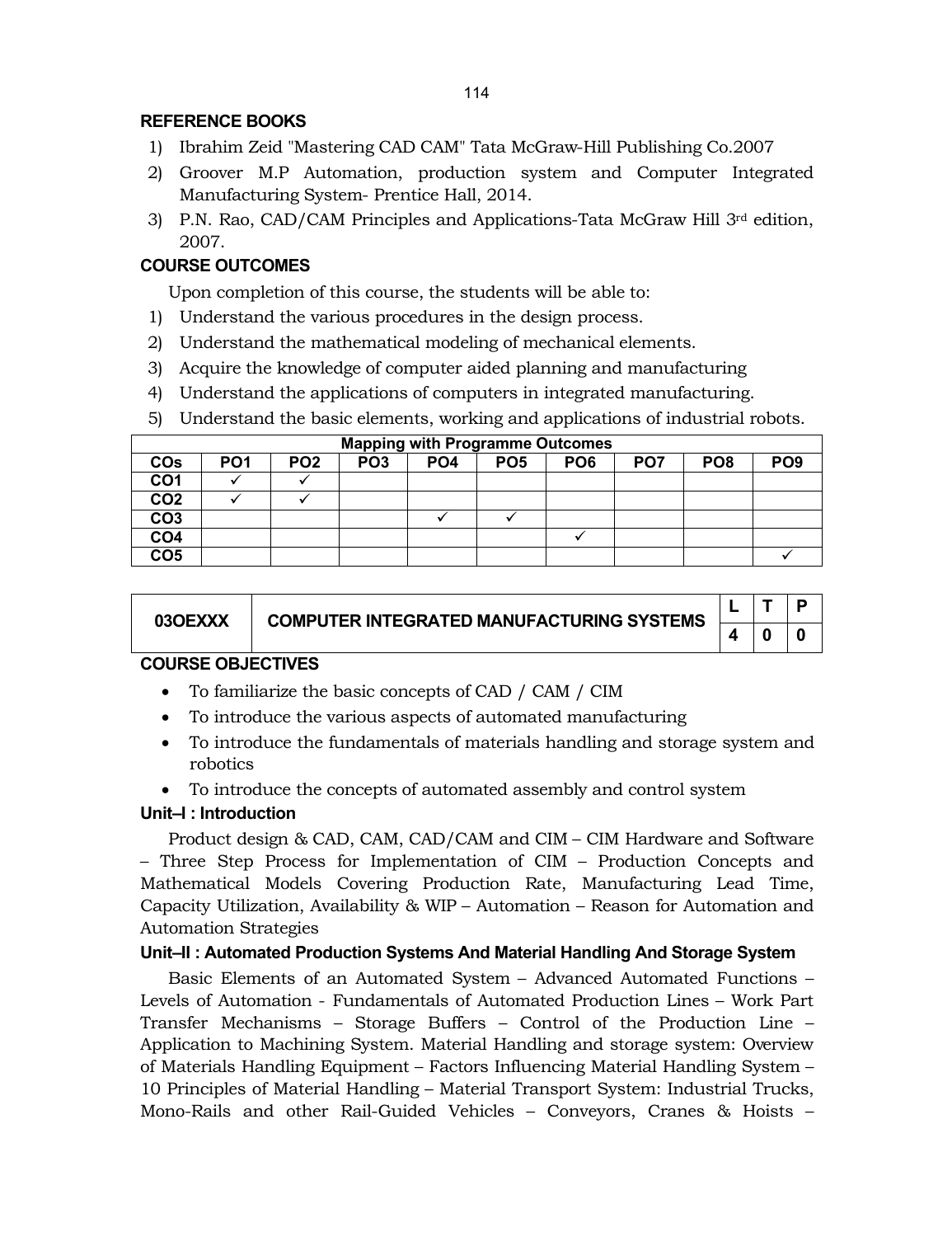## **REFERENCE BOOKS**

- 1) Ibrahim Zeid "Mastering CAD CAM" Tata McGraw-Hill Publishing Co.2007
- 2) Groover M.P Automation, production system and Computer Integrated Manufacturing System- Prentice Hall, 2014.
- 3) P.N. Rao, CAD/CAM Principles and Applications-Tata McGraw Hill  $3<sup>rd</sup>$  edition, 2007.

# **COURSE OUTCOMES**

Upon completion of this course, the students will be able to:

- 1) Understand the various procedures in the design process.
- 2) Understand the mathematical modeling of mechanical elements.
- 3) Acquire the knowledge of computer aided planning and manufacturing
- 4) Understand the applications of computers in integrated manufacturing.
- 5) Understand the basic elements, working and applications of industrial robots.

|                 | <b>Mapping with Programme Outcomes</b> |                 |                 |                 |                 |                 |                 |                 |                 |
|-----------------|----------------------------------------|-----------------|-----------------|-----------------|-----------------|-----------------|-----------------|-----------------|-----------------|
| <b>COs</b>      | PO <sub>1</sub>                        | PO <sub>2</sub> | PO <sub>3</sub> | PO <sub>4</sub> | PO <sub>5</sub> | PO <sub>6</sub> | PO <sub>7</sub> | PO <sub>8</sub> | PO <sub>9</sub> |
| CO <sub>1</sub> |                                        |                 |                 |                 |                 |                 |                 |                 |                 |
| CO <sub>2</sub> |                                        |                 |                 |                 |                 |                 |                 |                 |                 |
| CO <sub>3</sub> |                                        |                 |                 |                 |                 |                 |                 |                 |                 |
| CO <sub>4</sub> |                                        |                 |                 |                 |                 |                 |                 |                 |                 |
| CO <sub>5</sub> |                                        |                 |                 |                 |                 |                 |                 |                 |                 |

| 03OEXXX | <b>COMPUTER INTEGRATED MANUFACTURING SYSTEMS</b> |  |  |
|---------|--------------------------------------------------|--|--|
|         |                                                  |  |  |

## **COURSE OBJECTIVES**

- To familiarize the basic concepts of CAD / CAM / CIM
- To introduce the various aspects of automated manufacturing
- To introduce the fundamentals of materials handling and storage system and robotics
- To introduce the concepts of automated assembly and control system

## **Unit–I : Introduction**

Product design & CAD, CAM, CAD/CAM and CIM – CIM Hardware and Software – Three Step Process for Implementation of CIM – Production Concepts and Mathematical Models Covering Production Rate, Manufacturing Lead Time, Capacity Utilization, Availability & WIP – Automation – Reason for Automation and Automation Strategies

## **Unit–II : Automated Production Systems And Material Handling And Storage System**

Basic Elements of an Automated System – Advanced Automated Functions – Levels of Automation - Fundamentals of Automated Production Lines – Work Part Transfer Mechanisms – Storage Buffers – Control of the Production Line – Application to Machining System. Material Handling and storage system: Overview of Materials Handling Equipment – Factors Influencing Material Handling System – 10 Principles of Material Handling – Material Transport System: Industrial Trucks, Mono-Rails and other Rail-Guided Vehicles – Conveyors, Cranes & Hoists –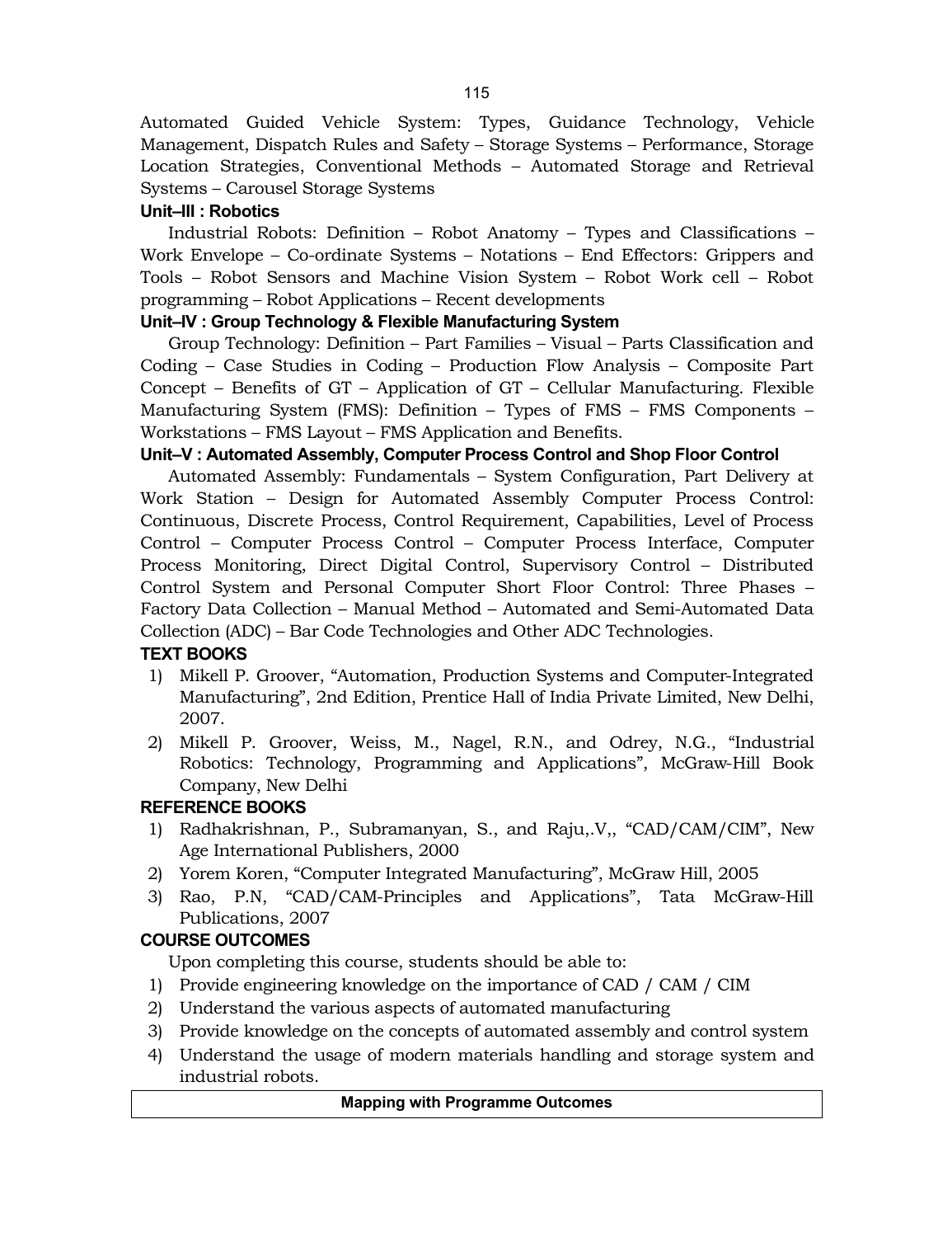Automated Guided Vehicle System: Types, Guidance Technology, Vehicle Management, Dispatch Rules and Safety – Storage Systems – Performance, Storage Location Strategies, Conventional Methods – Automated Storage and Retrieval Systems – Carousel Storage Systems

# **Unit–III : Robotics**

Industrial Robots: Definition – Robot Anatomy – Types and Classifications – Work Envelope – Co-ordinate Systems – Notations – End Effectors: Grippers and Tools – Robot Sensors and Machine Vision System – Robot Work cell – Robot programming – Robot Applications – Recent developments

# **Unit–IV : Group Technology & Flexible Manufacturing System**

Group Technology: Definition – Part Families – Visual – Parts Classification and Coding – Case Studies in Coding – Production Flow Analysis – Composite Part Concept – Benefits of GT – Application of GT – Cellular Manufacturing. Flexible Manufacturing System (FMS): Definition – Types of FMS – FMS Components – Workstations – FMS Layout – FMS Application and Benefits.

## **Unit–V : Automated Assembly, Computer Process Control and Shop Floor Control**

Automated Assembly: Fundamentals – System Configuration, Part Delivery at Work Station – Design for Automated Assembly Computer Process Control: Continuous, Discrete Process, Control Requirement, Capabilities, Level of Process Control – Computer Process Control – Computer Process Interface, Computer Process Monitoring, Direct Digital Control, Supervisory Control – Distributed Control System and Personal Computer Short Floor Control: Three Phases – Factory Data Collection – Manual Method – Automated and Semi-Automated Data Collection (ADC) – Bar Code Technologies and Other ADC Technologies.

## **TEXT BOOKS**

- 1) Mikell P. Groover, "Automation, Production Systems and Computer-Integrated Manufacturing", 2nd Edition, Prentice Hall of India Private Limited, New Delhi, 2007.
- 2) Mikell P. Groover, Weiss, M., Nagel, R.N., and Odrey, N.G., "Industrial Robotics: Technology, Programming and Applications", McGraw-Hill Book Company, New Delhi

# **REFERENCE BOOKS**

- 1) Radhakrishnan, P., Subramanyan, S., and Raju,.V,, "CAD/CAM/CIM", New Age International Publishers, 2000
- 2) Yorem Koren, "Computer Integrated Manufacturing", McGraw Hill, 2005
- 3) Rao, P.N, "CAD/CAM-Principles and Applications", Tata McGraw-Hill Publications, 2007

# **COURSE OUTCOMES**

Upon completing this course, students should be able to:

- 1) Provide engineering knowledge on the importance of CAD / CAM / CIM
- 2) Understand the various aspects of automated manufacturing
- 3) Provide knowledge on the concepts of automated assembly and control system
- 4) Understand the usage of modern materials handling and storage system and industrial robots.

#### **Mapping with Programme Outcomes**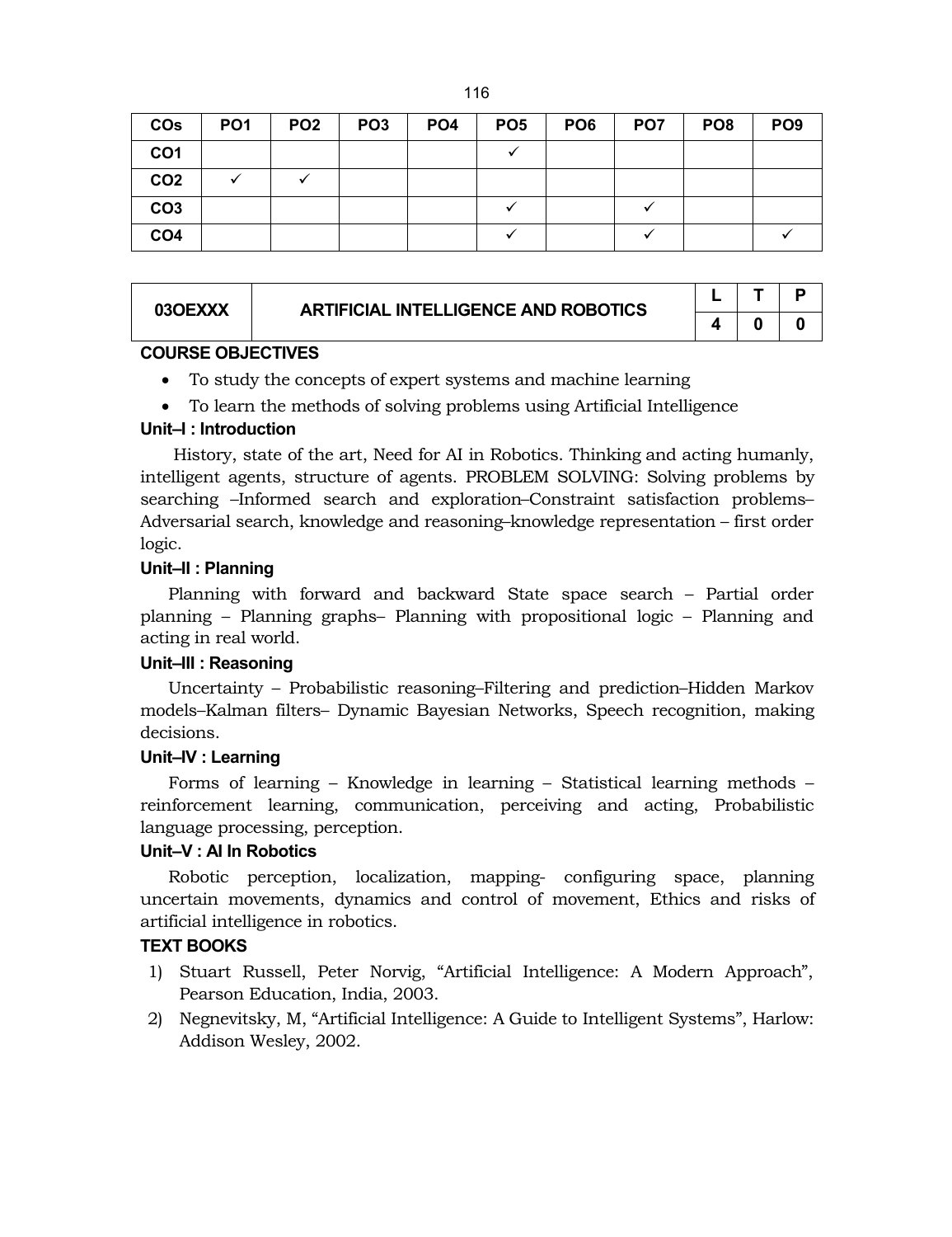| ۰. | M<br>۰. |
|----|---------|
|    |         |

| <b>CO<sub>s</sub></b> | PO <sub>1</sub> | PO <sub>2</sub> | PO <sub>3</sub> | PO <sub>4</sub> | PO <sub>5</sub> | PO <sub>6</sub> | PO <sub>7</sub> | PO <sub>8</sub> | PO <sub>9</sub> |
|-----------------------|-----------------|-----------------|-----------------|-----------------|-----------------|-----------------|-----------------|-----------------|-----------------|
| CO <sub>1</sub>       |                 |                 |                 |                 |                 |                 |                 |                 |                 |
| CO <sub>2</sub>       |                 |                 |                 |                 |                 |                 |                 |                 |                 |
| CO <sub>3</sub>       |                 |                 |                 |                 |                 |                 |                 |                 |                 |
| CO <sub>4</sub>       |                 |                 |                 |                 |                 |                 |                 |                 |                 |

| 03OEXXX | <b>ARTIFICIAL INTELLIGENCE AND ROBOTICS</b> |  |  |
|---------|---------------------------------------------|--|--|
|         |                                             |  |  |

## **COURSE OBJECTIVES**

- To study the concepts of expert systems and machine learning
- To learn the methods of solving problems using Artificial Intelligence

## **Unit–I : Introduction**

History, state of the art, Need for AI in Robotics. Thinking and acting humanly, intelligent agents, structure of agents. PROBLEM SOLVING: Solving problems by searching –Informed search and exploration–Constraint satisfaction problems– Adversarial search, knowledge and reasoning–knowledge representation – first order logic.

#### **Unit–II : Planning**

Planning with forward and backward State space search – Partial order planning – Planning graphs– Planning with propositional logic – Planning and acting in real world.

## **Unit–III : Reasoning**

Uncertainty – Probabilistic reasoning–Filtering and prediction–Hidden Markov models–Kalman filters– Dynamic Bayesian Networks, Speech recognition, making decisions.

#### **Unit–IV : Learning**

Forms of learning – Knowledge in learning – Statistical learning methods – reinforcement learning, communication, perceiving and acting, Probabilistic language processing, perception.

## **Unit–V : AI In Robotics**

Robotic perception, localization, mapping- configuring space, planning uncertain movements, dynamics and control of movement, Ethics and risks of artificial intelligence in robotics.

## **TEXT BOOKS**

- 1) Stuart Russell, Peter Norvig, "Artificial Intelligence: A Modern Approach", Pearson Education, India, 2003.
- 2) Negnevitsky, M, "Artificial Intelligence: A Guide to Intelligent Systems", Harlow: Addison Wesley, 2002.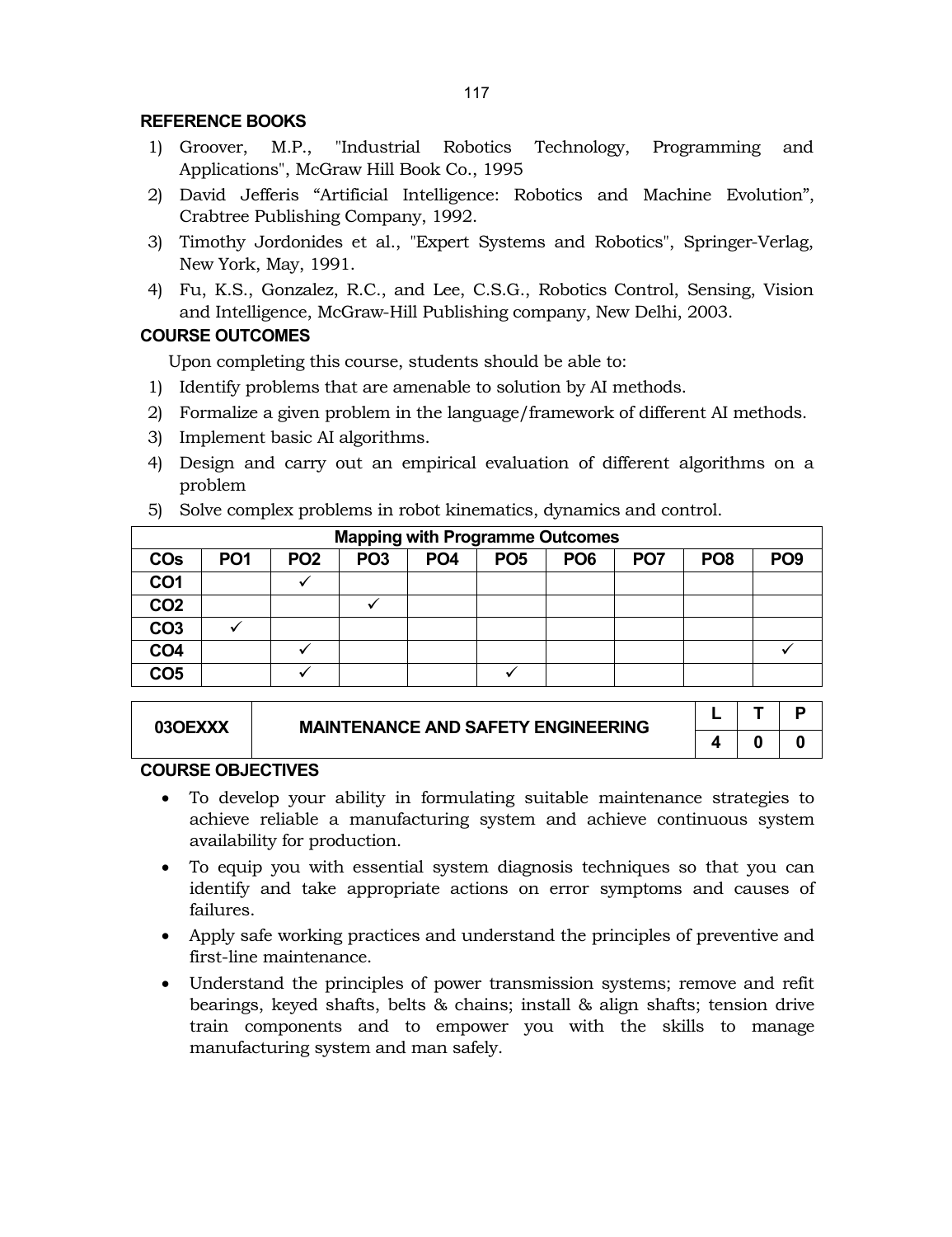#### **REFERENCE BOOKS**

- 1) Groover, M.P., "Industrial Robotics Technology, Programming and Applications", McGraw Hill Book Co., 1995
- 2) David Jefferis "Artificial Intelligence: Robotics and Machine Evolution", Crabtree Publishing Company, 1992.
- 3) Timothy Jordonides et al., "Expert Systems and Robotics", Springer-Verlag, New York, May, 1991.
- 4) Fu, K.S., Gonzalez, R.C., and Lee, C.S.G., Robotics Control, Sensing, Vision and Intelligence, McGraw-Hill Publishing company, New Delhi, 2003.

# **COURSE OUTCOMES**

Upon completing this course, students should be able to:

- 1) Identify problems that are amenable to solution by AI methods.
- 2) Formalize a given problem in the language/framework of different AI methods.
- 3) Implement basic AI algorithms.
- 4) Design and carry out an empirical evaluation of different algorithms on a problem
- 5) Solve complex problems in robot kinematics, dynamics and control.

| <b>Mapping with Programme Outcomes</b> |                 |                 |                 |                 |                 |                 |                 |                 |                 |
|----------------------------------------|-----------------|-----------------|-----------------|-----------------|-----------------|-----------------|-----------------|-----------------|-----------------|
| <b>CO<sub>s</sub></b>                  | PO <sub>1</sub> | PO <sub>2</sub> | PO <sub>3</sub> | PO <sub>4</sub> | PO <sub>5</sub> | PO <sub>6</sub> | PO <sub>7</sub> | PO <sub>8</sub> | PO <sub>9</sub> |
| CO <sub>1</sub>                        |                 |                 |                 |                 |                 |                 |                 |                 |                 |
| CO <sub>2</sub>                        |                 |                 |                 |                 |                 |                 |                 |                 |                 |
| CO <sub>3</sub>                        |                 |                 |                 |                 |                 |                 |                 |                 |                 |
| CO <sub>4</sub>                        |                 |                 |                 |                 |                 |                 |                 |                 |                 |
| CO <sub>5</sub>                        |                 |                 |                 |                 |                 |                 |                 |                 |                 |

| 03OEXXX | <b>MAINTENANCE AND SAFETY ENGINEERING</b> |  |  |
|---------|-------------------------------------------|--|--|
|         |                                           |  |  |

#### **COURSE OBJECTIVES**

- To develop your ability in formulating suitable maintenance strategies to achieve reliable a manufacturing system and achieve continuous system availability for production.
- To equip you with essential system diagnosis techniques so that you can identify and take appropriate actions on error symptoms and causes of failures.
- Apply safe working practices and understand the principles of preventive and first-line maintenance.
- Understand the principles of power transmission systems; remove and refit bearings, keyed shafts, belts & chains; install & align shafts; tension drive train components and to empower you with the skills to manage manufacturing system and man safely.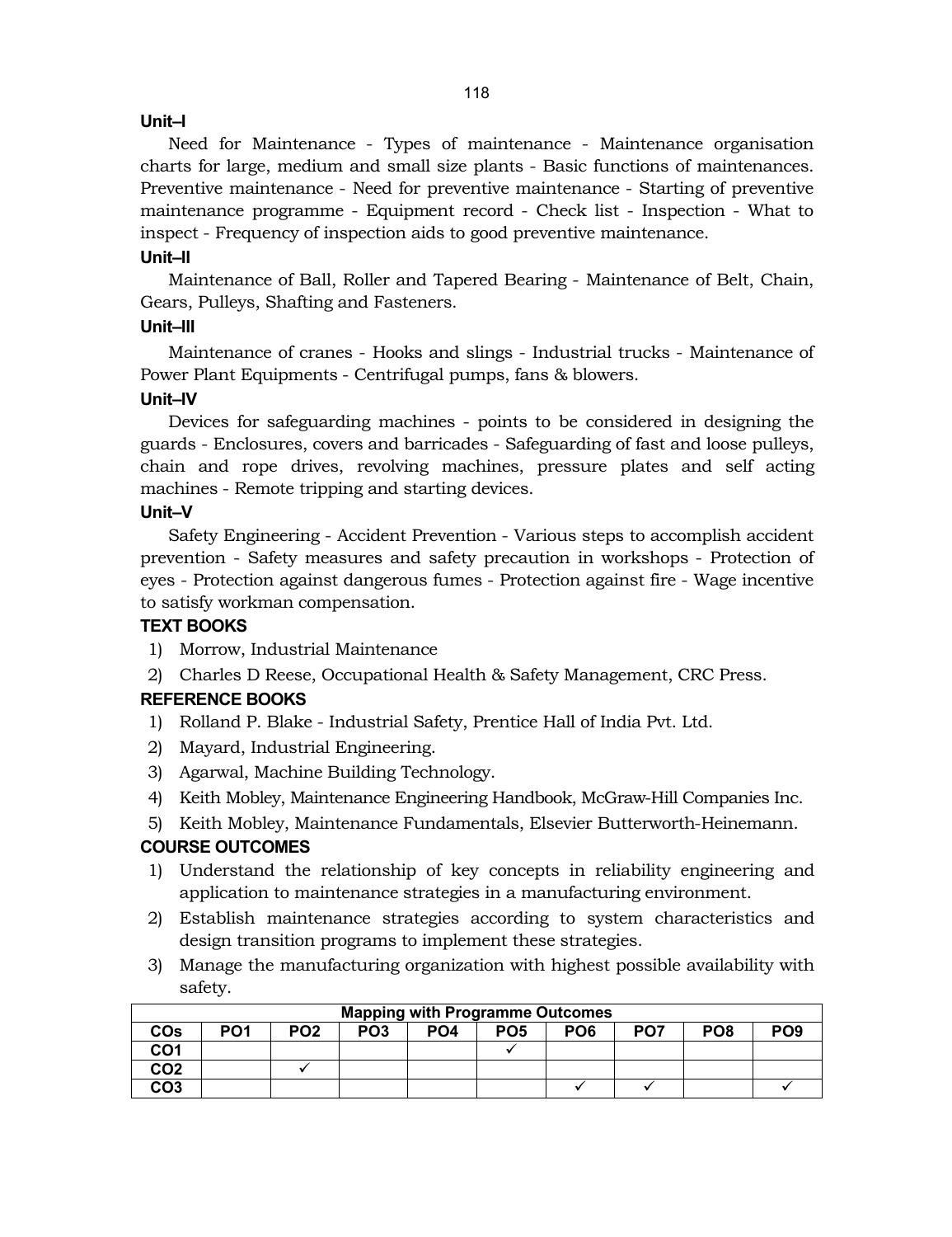## **Unit–I**

Need for Maintenance - Types of maintenance - Maintenance organisation charts for large, medium and small size plants - Basic functions of maintenances. Preventive maintenance - Need for preventive maintenance - Starting of preventive maintenance programme - Equipment record - Check list - Inspection - What to inspect - Frequency of inspection aids to good preventive maintenance.

#### **Unit–II**

Maintenance of Ball, Roller and Tapered Bearing - Maintenance of Belt, Chain, Gears, Pulleys, Shafting and Fasteners.

## **Unit–III**

Maintenance of cranes - Hooks and slings - Industrial trucks - Maintenance of Power Plant Equipments - Centrifugal pumps, fans & blowers.

#### **Unit–IV**

Devices for safeguarding machines - points to be considered in designing the guards - Enclosures, covers and barricades - Safeguarding of fast and loose pulleys, chain and rope drives, revolving machines, pressure plates and self acting machines - Remote tripping and starting devices.

#### **Unit–V**

Safety Engineering - Accident Prevention - Various steps to accomplish accident prevention - Safety measures and safety precaution in workshops - Protection of eyes - Protection against dangerous fumes - Protection against fire - Wage incentive to satisfy workman compensation.

## **TEXT BOOKS**

- 1) Morrow, Industrial Maintenance
- 2) Charles D Reese, Occupational Health & Safety Management, CRC Press.

## **REFERENCE BOOKS**

- 1) Rolland P. Blake Industrial Safety, Prentice Hall of India Pvt. Ltd.
- 2) Mayard, Industrial Engineering.
- 3) Agarwal, Machine Building Technology.
- 4) Keith Mobley, Maintenance Engineering Handbook, McGraw-Hill Companies Inc.
- 5) Keith Mobley, Maintenance Fundamentals, Elsevier Butterworth-Heinemann.

## **COURSE OUTCOMES**

- 1) Understand the relationship of key concepts in reliability engineering and application to maintenance strategies in a manufacturing environment.
- 2) Establish maintenance strategies according to system characteristics and design transition programs to implement these strategies.
- 3) Manage the manufacturing organization with highest possible availability with safety.

| <b>Mapping with Programme Outcomes</b> |                 |                 |                 |                 |                 |                 |                 |                 |                 |
|----------------------------------------|-----------------|-----------------|-----------------|-----------------|-----------------|-----------------|-----------------|-----------------|-----------------|
| <b>COs</b>                             | PO <sub>1</sub> | PO <sub>2</sub> | PO <sub>3</sub> | PO <sub>4</sub> | PO <sub>5</sub> | PO <sub>6</sub> | PO <sub>7</sub> | PO <sub>8</sub> | PO <sub>9</sub> |
| CO <sub>1</sub>                        |                 |                 |                 |                 |                 |                 |                 |                 |                 |
| CO <sub>2</sub>                        |                 |                 |                 |                 |                 |                 |                 |                 |                 |
| CO <sub>3</sub>                        |                 |                 |                 |                 |                 |                 |                 |                 |                 |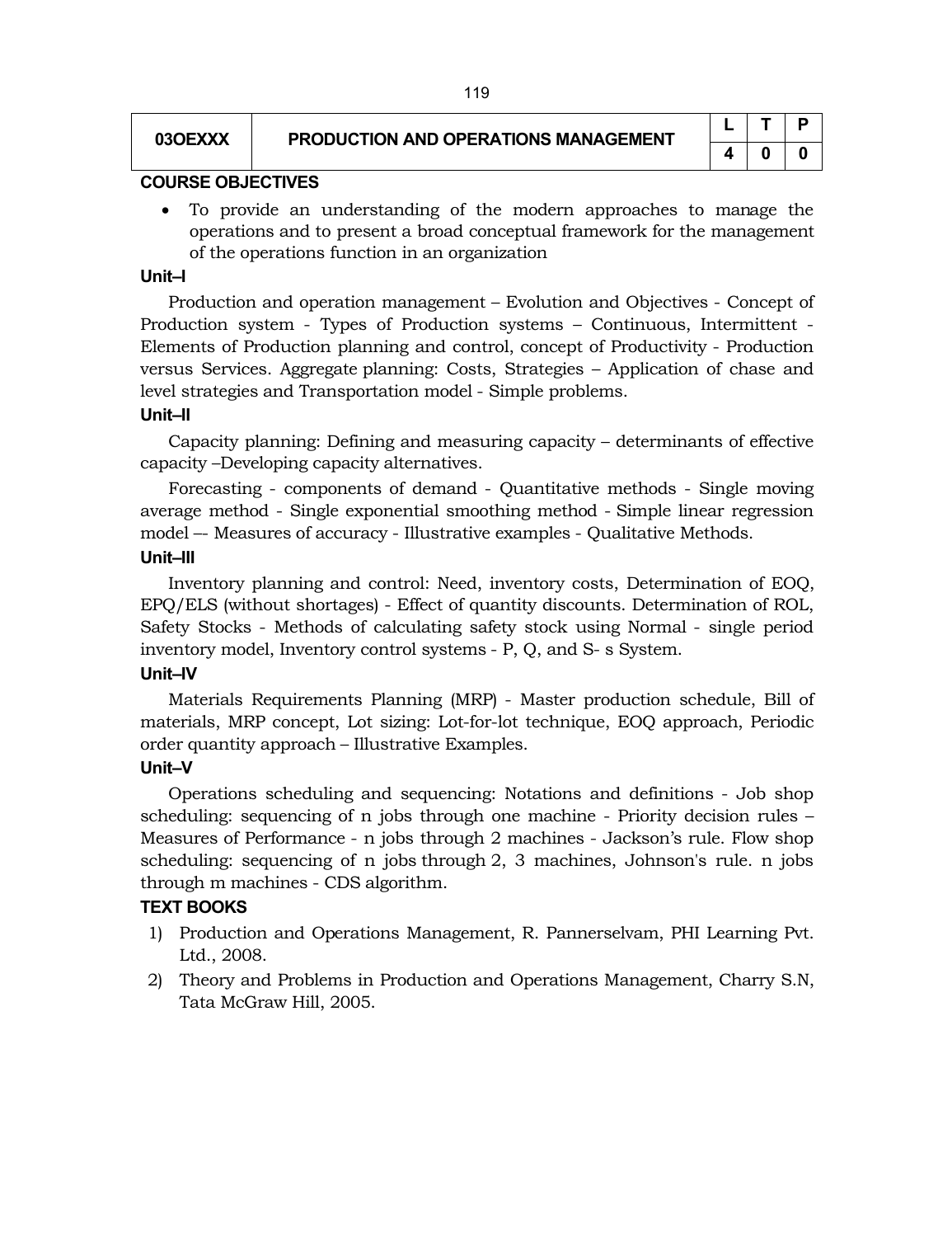#### **03OEXXX PRODUCTION AND OPERATIONS MANAGEMENT**

|   |   | Р |
|---|---|---|
| 4 | Ü | O |

#### **COURSE OBJECTIVES**

 To provide an understanding of the modern approaches to manage the operations and to present a broad conceptual framework for the management of the operations function in an organization

#### **Unit–I**

Production and operation management – Evolution and Objectives - Concept of Production system - Types of Production systems – Continuous, Intermittent - Elements of Production planning and control, concept of Productivity - Production versus Services. Aggregate planning: Costs, Strategies – Application of chase and level strategies and Transportation model - Simple problems.

#### **Unit–II**

Capacity planning: Defining and measuring capacity – determinants of effective capacity –Developing capacity alternatives.

Forecasting - components of demand - Quantitative methods - Single moving average method - Single exponential smoothing method - Simple linear regression model –- Measures of accuracy - Illustrative examples - Qualitative Methods.

#### **Unit–III**

Inventory planning and control: Need, inventory costs, Determination of EOQ, EPQ/ELS (without shortages) - Effect of quantity discounts. Determination of ROL, Safety Stocks - Methods of calculating safety stock using Normal - single period inventory model, Inventory control systems - P, Q, and S- s System.

## **Unit–IV**

Materials Requirements Planning (MRP) - Master production schedule, Bill of materials, MRP concept, Lot sizing: Lot-for-lot technique, EOQ approach, Periodic order quantity approach – Illustrative Examples.

## **Unit–V**

Operations scheduling and sequencing: Notations and definitions - Job shop scheduling: sequencing of n jobs through one machine - Priority decision rules – Measures of Performance - n jobs through 2 machines - Jackson's rule. Flow shop scheduling: sequencing of n jobs through 2, 3 machines, Johnson's rule. n jobs through m machines - CDS algorithm.

#### **TEXT BOOKS**

- 1) Production and Operations Management, R. Pannerselvam, PHI Learning Pvt. Ltd., 2008.
- 2) Theory and Problems in Production and Operations Management, Charry S.N, Tata McGraw Hill, 2005.